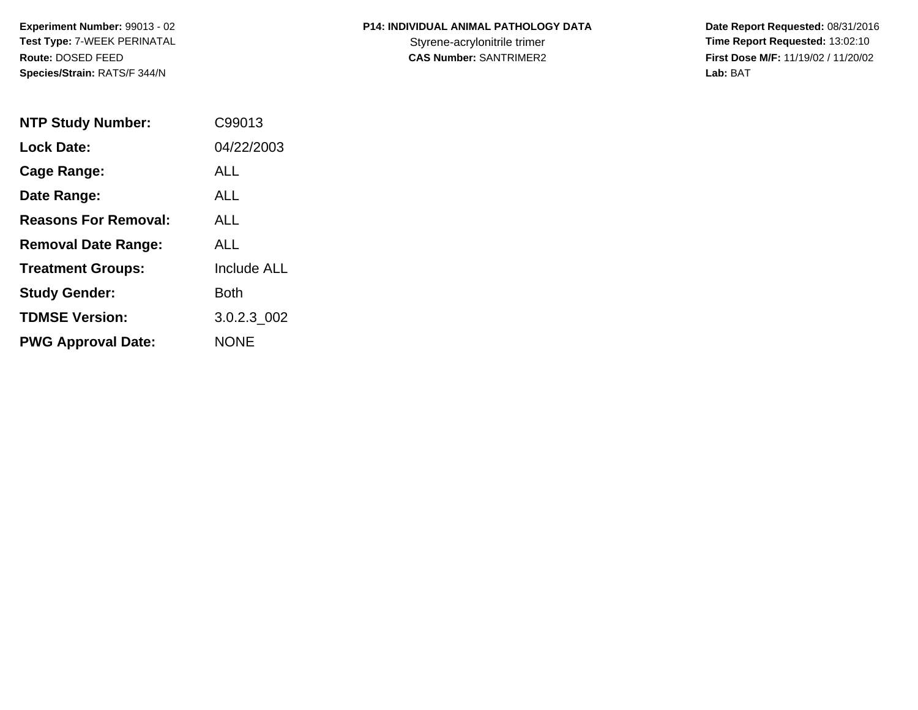**Experiment Number:** 99013 - 02**Test Type:** 7-WEEK PERINATAL**Route:** DOSED FEED**Species/Strain:** RATS/F 344/N

## **P14: INDIVIDUAL ANIMAL PATHOLOGY DATA**

 **Date Report Requested:** 08/31/2016 Styrene-acrylonitrile trimer<br>
CAS Number: SANTRIMER2<br> **CAS Number:** SANTRIMER2<br> **Time Report Requested:** 13:02:10 **First Dose M/F:** 11/19/02 / 11/20/02<br>Lab: BAT **Lab:** BAT

| <b>NTP Study Number:</b>    | C99013             |
|-----------------------------|--------------------|
| <b>Lock Date:</b>           | 04/22/2003         |
| Cage Range:                 | ALL                |
| Date Range:                 | ALL.               |
| <b>Reasons For Removal:</b> | ALL                |
| <b>Removal Date Range:</b>  | ALL                |
| <b>Treatment Groups:</b>    | <b>Include ALL</b> |
| <b>Study Gender:</b>        | Both               |
| <b>TDMSE Version:</b>       | 3.0.2.3 002        |
| <b>PWG Approval Date:</b>   | NONE               |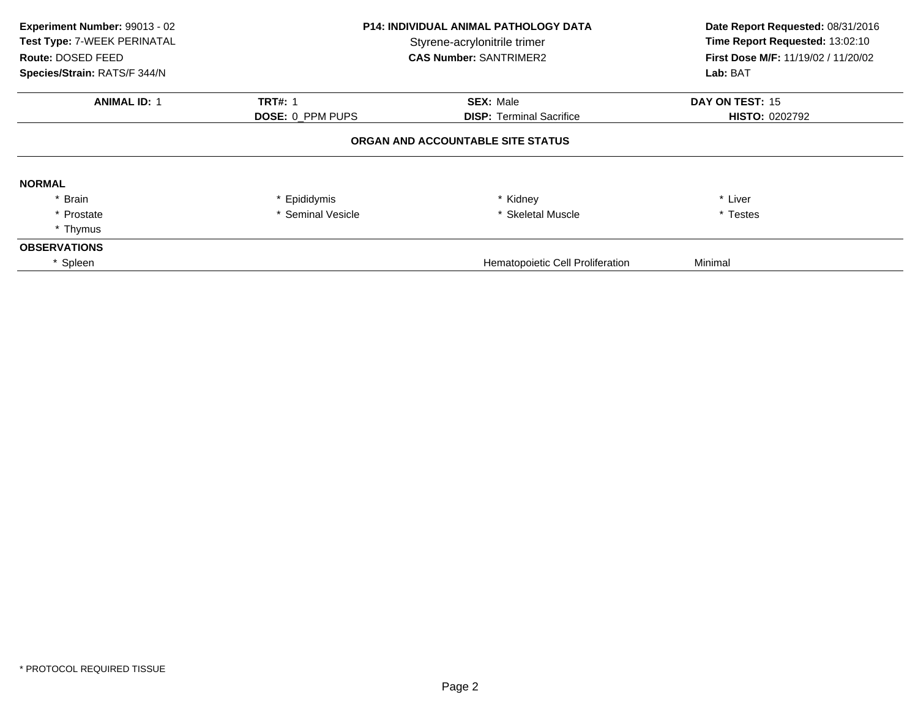| Experiment Number: 99013 - 02<br>Test Type: 7-WEEK PERINATAL<br>Route: DOSED FEED<br>Species/Strain: RATS/F 344/N | <b>P14: INDIVIDUAL ANIMAL PATHOLOGY DATA</b><br>Styrene-acrylonitrile trimer<br><b>CAS Number: SANTRIMER2</b> |                                   | Date Report Requested: 08/31/2016<br>Time Report Requested: 13:02:10<br><b>First Dose M/F: 11/19/02 / 11/20/02</b><br>Lab: BAT |
|-------------------------------------------------------------------------------------------------------------------|---------------------------------------------------------------------------------------------------------------|-----------------------------------|--------------------------------------------------------------------------------------------------------------------------------|
| <b>ANIMAL ID: 1</b>                                                                                               | <b>TRT#: 1</b>                                                                                                | <b>SEX: Male</b>                  | DAY ON TEST: 15                                                                                                                |
|                                                                                                                   | <b>DOSE: 0 PPM PUPS</b>                                                                                       | <b>DISP:</b> Terminal Sacrifice   | <b>HISTO: 0202792</b>                                                                                                          |
|                                                                                                                   |                                                                                                               | ORGAN AND ACCOUNTABLE SITE STATUS |                                                                                                                                |
| <b>NORMAL</b>                                                                                                     |                                                                                                               |                                   |                                                                                                                                |
| * Brain                                                                                                           | * Epididymis                                                                                                  | * Kidney                          | * Liver                                                                                                                        |
| * Prostate                                                                                                        | * Seminal Vesicle                                                                                             | * Skeletal Muscle                 | * Testes                                                                                                                       |
| * Thymus                                                                                                          |                                                                                                               |                                   |                                                                                                                                |
| <b>OBSERVATIONS</b>                                                                                               |                                                                                                               |                                   |                                                                                                                                |
| * Spleen                                                                                                          |                                                                                                               | Hematopoietic Cell Proliferation  | Minimal                                                                                                                        |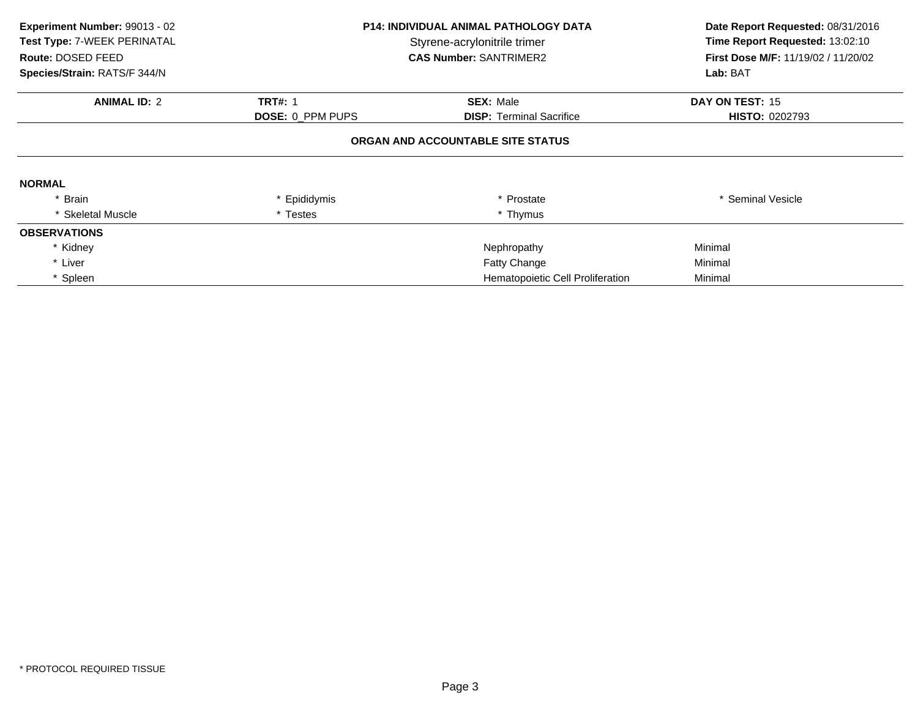| Experiment Number: 99013 - 02<br>Test Type: 7-WEEK PERINATAL<br>Route: DOSED FEED<br>Species/Strain: RATS/F 344/N | <b>P14: INDIVIDUAL ANIMAL PATHOLOGY DATA</b><br>Styrene-acrylonitrile trimer<br><b>CAS Number: SANTRIMER2</b> |                                   | Date Report Requested: 08/31/2016<br>Time Report Requested: 13:02:10<br>First Dose M/F: 11/19/02 / 11/20/02<br>Lab: BAT |
|-------------------------------------------------------------------------------------------------------------------|---------------------------------------------------------------------------------------------------------------|-----------------------------------|-------------------------------------------------------------------------------------------------------------------------|
| <b>ANIMAL ID: 2</b>                                                                                               | <b>TRT#: 1</b>                                                                                                | <b>SEX: Male</b>                  | DAY ON TEST: 15                                                                                                         |
|                                                                                                                   | DOSE: 0_PPM PUPS                                                                                              | <b>DISP:</b> Terminal Sacrifice   | <b>HISTO: 0202793</b>                                                                                                   |
|                                                                                                                   |                                                                                                               | ORGAN AND ACCOUNTABLE SITE STATUS |                                                                                                                         |
| <b>NORMAL</b>                                                                                                     |                                                                                                               |                                   |                                                                                                                         |
| * Brain                                                                                                           | * Epididymis                                                                                                  | * Prostate                        | * Seminal Vesicle                                                                                                       |
| * Skeletal Muscle                                                                                                 | * Testes                                                                                                      | * Thymus                          |                                                                                                                         |
| <b>OBSERVATIONS</b>                                                                                               |                                                                                                               |                                   |                                                                                                                         |
| * Kidney                                                                                                          |                                                                                                               | Nephropathy                       | Minimal                                                                                                                 |
| * Liver                                                                                                           |                                                                                                               | Fatty Change                      | Minimal                                                                                                                 |
| * Spleen                                                                                                          |                                                                                                               | Hematopoietic Cell Proliferation  | Minimal                                                                                                                 |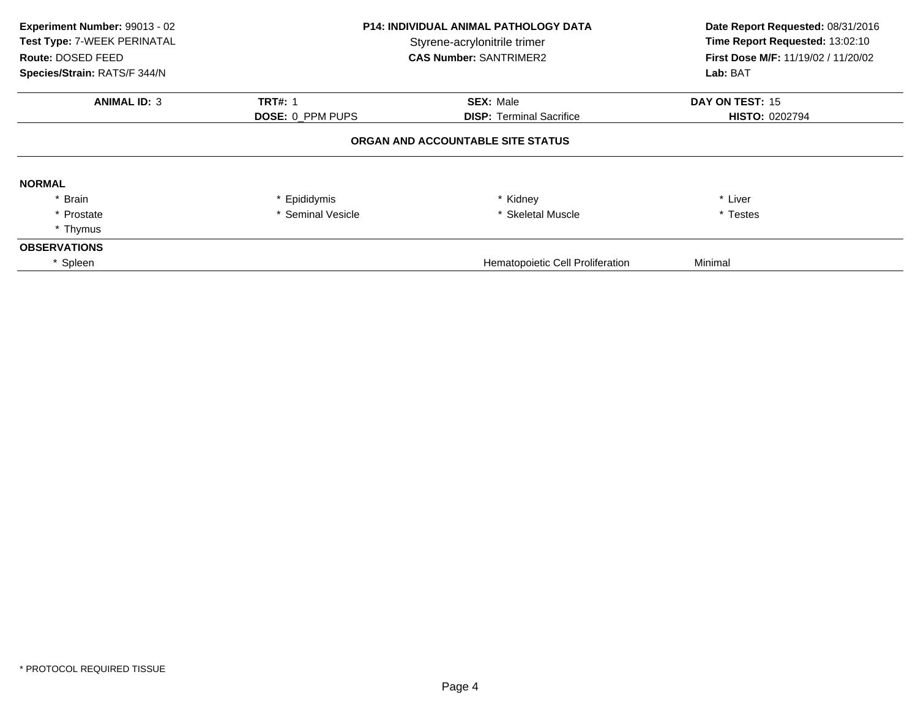| Experiment Number: 99013 - 02<br>Test Type: 7-WEEK PERINATAL<br>Route: DOSED FEED<br>Species/Strain: RATS/F 344/N | <b>P14: INDIVIDUAL ANIMAL PATHOLOGY DATA</b><br>Styrene-acrylonitrile trimer<br><b>CAS Number: SANTRIMER2</b> |                                   | Date Report Requested: 08/31/2016<br>Time Report Requested: 13:02:10<br><b>First Dose M/F: 11/19/02 / 11/20/02</b><br>Lab: BAT |
|-------------------------------------------------------------------------------------------------------------------|---------------------------------------------------------------------------------------------------------------|-----------------------------------|--------------------------------------------------------------------------------------------------------------------------------|
| <b>ANIMAL ID: 3</b>                                                                                               | <b>TRT#: 1</b>                                                                                                | <b>SEX: Male</b>                  | DAY ON TEST: 15                                                                                                                |
|                                                                                                                   | <b>DOSE: 0 PPM PUPS</b>                                                                                       | <b>DISP:</b> Terminal Sacrifice   | <b>HISTO: 0202794</b>                                                                                                          |
|                                                                                                                   |                                                                                                               | ORGAN AND ACCOUNTABLE SITE STATUS |                                                                                                                                |
| <b>NORMAL</b>                                                                                                     |                                                                                                               |                                   |                                                                                                                                |
| * Brain                                                                                                           | * Epididymis                                                                                                  | * Kidney                          | * Liver                                                                                                                        |
| * Prostate                                                                                                        | * Seminal Vesicle                                                                                             | * Skeletal Muscle                 | * Testes                                                                                                                       |
| * Thymus                                                                                                          |                                                                                                               |                                   |                                                                                                                                |
| <b>OBSERVATIONS</b>                                                                                               |                                                                                                               |                                   |                                                                                                                                |
| * Spleen                                                                                                          |                                                                                                               | Hematopoietic Cell Proliferation  | Minimal                                                                                                                        |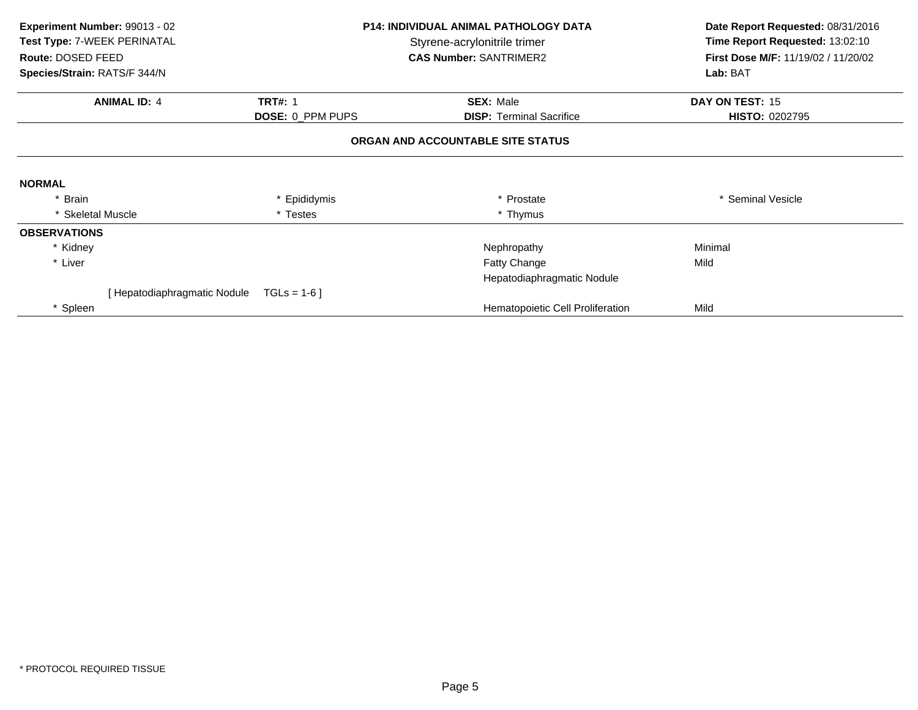| Experiment Number: 99013 - 02<br>Test Type: 7-WEEK PERINATAL<br>Route: DOSED FEED |                              | <b>P14: INDIVIDUAL ANIMAL PATHOLOGY DATA</b><br>Styrene-acrylonitrile trimer<br><b>CAS Number: SANTRIMER2</b> |                                  | Time Report Requested: 13:02:10<br>First Dose M/F: 11/19/02 / 11/20/02 |  | Date Report Requested: 08/31/2016 |
|-----------------------------------------------------------------------------------|------------------------------|---------------------------------------------------------------------------------------------------------------|----------------------------------|------------------------------------------------------------------------|--|-----------------------------------|
| Species/Strain: RATS/F 344/N                                                      |                              |                                                                                                               |                                  | Lab: BAT                                                               |  |                                   |
|                                                                                   | <b>ANIMAL ID: 4</b>          | <b>TRT#: 1</b>                                                                                                | <b>SEX: Male</b>                 | DAY ON TEST: 15                                                        |  |                                   |
|                                                                                   |                              | DOSE: 0_PPM PUPS                                                                                              | <b>DISP: Terminal Sacrifice</b>  | <b>HISTO: 0202795</b>                                                  |  |                                   |
|                                                                                   |                              | ORGAN AND ACCOUNTABLE SITE STATUS                                                                             |                                  |                                                                        |  |                                   |
| <b>NORMAL</b>                                                                     |                              |                                                                                                               |                                  |                                                                        |  |                                   |
| * Brain                                                                           |                              | * Epididymis                                                                                                  | * Prostate                       | * Seminal Vesicle                                                      |  |                                   |
| * Skeletal Muscle                                                                 |                              | * Testes                                                                                                      | * Thymus                         |                                                                        |  |                                   |
| <b>OBSERVATIONS</b>                                                               |                              |                                                                                                               |                                  |                                                                        |  |                                   |
| * Kidney                                                                          |                              |                                                                                                               | Nephropathy                      | Minimal                                                                |  |                                   |
| * Liver                                                                           |                              |                                                                                                               | <b>Fatty Change</b>              | Mild                                                                   |  |                                   |
|                                                                                   |                              |                                                                                                               | Hepatodiaphragmatic Nodule       |                                                                        |  |                                   |
|                                                                                   | [ Hepatodiaphragmatic Nodule | $TGLs = 1-6$                                                                                                  |                                  |                                                                        |  |                                   |
| * Spleen                                                                          |                              |                                                                                                               | Hematopoietic Cell Proliferation | Mild                                                                   |  |                                   |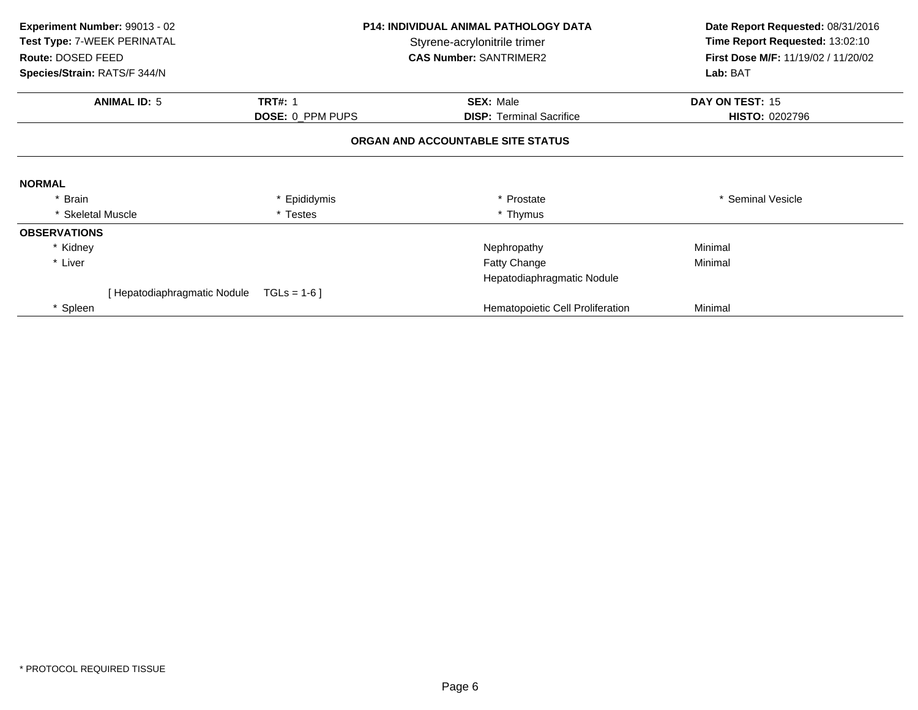| Experiment Number: 99013 - 02<br>Test Type: 7-WEEK PERINATAL<br>Route: DOSED FEED | <b>P14: INDIVIDUAL ANIMAL PATHOLOGY DATA</b><br>Styrene-acrylonitrile trimer<br><b>CAS Number: SANTRIMER2</b> |                                   | Date Report Requested: 08/31/2016<br>Time Report Requested: 13:02:10<br>First Dose M/F: 11/19/02 / 11/20/02 |  |
|-----------------------------------------------------------------------------------|---------------------------------------------------------------------------------------------------------------|-----------------------------------|-------------------------------------------------------------------------------------------------------------|--|
| Species/Strain: RATS/F 344/N                                                      |                                                                                                               |                                   | Lab: BAT                                                                                                    |  |
| <b>ANIMAL ID: 5</b>                                                               | <b>TRT#: 1</b>                                                                                                | <b>SEX: Male</b>                  | DAY ON TEST: 15                                                                                             |  |
|                                                                                   | DOSE: 0_PPM PUPS                                                                                              | <b>DISP: Terminal Sacrifice</b>   | <b>HISTO: 0202796</b>                                                                                       |  |
|                                                                                   |                                                                                                               | ORGAN AND ACCOUNTABLE SITE STATUS |                                                                                                             |  |
| <b>NORMAL</b>                                                                     |                                                                                                               |                                   |                                                                                                             |  |
| * Brain                                                                           | * Epididymis                                                                                                  | * Prostate                        | * Seminal Vesicle                                                                                           |  |
| * Skeletal Muscle                                                                 | * Testes                                                                                                      | * Thymus                          |                                                                                                             |  |
| <b>OBSERVATIONS</b>                                                               |                                                                                                               |                                   |                                                                                                             |  |
| * Kidney                                                                          |                                                                                                               | Nephropathy                       | Minimal                                                                                                     |  |
| * Liver                                                                           |                                                                                                               | <b>Fatty Change</b>               | Minimal                                                                                                     |  |
|                                                                                   |                                                                                                               | Hepatodiaphragmatic Nodule        |                                                                                                             |  |
| [ Hepatodiaphragmatic Nodule                                                      | $TGLs = 1-6$                                                                                                  |                                   |                                                                                                             |  |
| * Spleen                                                                          |                                                                                                               | Hematopoietic Cell Proliferation  | Minimal                                                                                                     |  |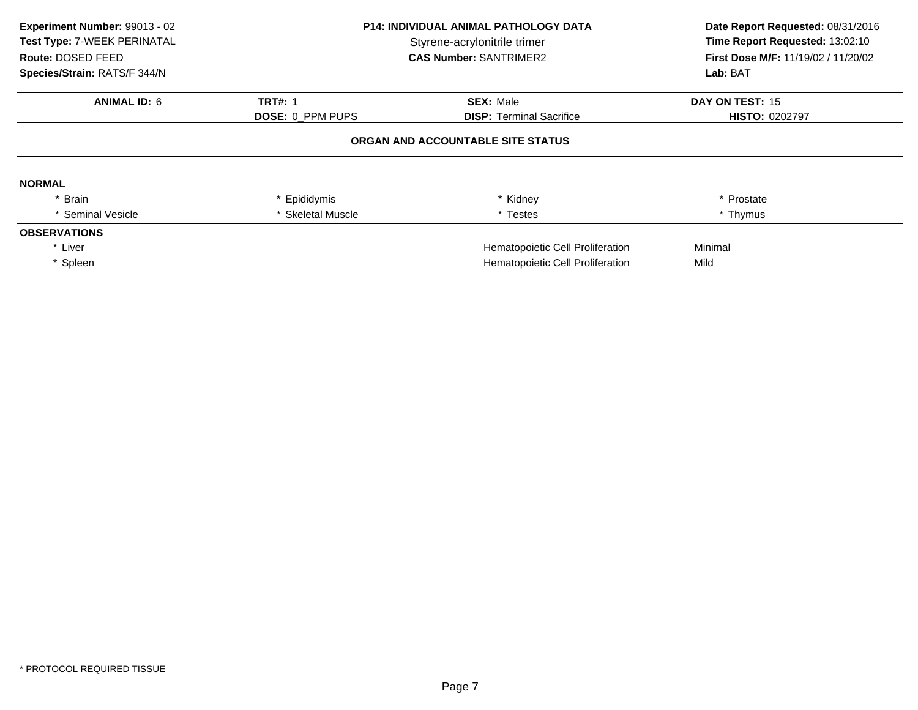| Experiment Number: 99013 - 02<br>Test Type: 7-WEEK PERINATAL<br>Route: DOSED FEED<br>Species/Strain: RATS/F 344/N | <b>P14: INDIVIDUAL ANIMAL PATHOLOGY DATA</b><br>Styrene-acrylonitrile trimer<br><b>CAS Number: SANTRIMER2</b> |                                   | Date Report Requested: 08/31/2016<br>Time Report Requested: 13:02:10<br>First Dose M/F: 11/19/02 / 11/20/02<br>Lab: BAT |
|-------------------------------------------------------------------------------------------------------------------|---------------------------------------------------------------------------------------------------------------|-----------------------------------|-------------------------------------------------------------------------------------------------------------------------|
| <b>ANIMAL ID: 6</b>                                                                                               | <b>TRT#: 1</b>                                                                                                | <b>SEX: Male</b>                  | DAY ON TEST: 15                                                                                                         |
|                                                                                                                   | DOSE: 0_PPM PUPS                                                                                              | <b>DISP:</b> Terminal Sacrifice   | <b>HISTO: 0202797</b>                                                                                                   |
|                                                                                                                   |                                                                                                               | ORGAN AND ACCOUNTABLE SITE STATUS |                                                                                                                         |
| <b>NORMAL</b>                                                                                                     |                                                                                                               |                                   |                                                                                                                         |
| * Brain                                                                                                           | * Epididymis                                                                                                  | * Kidney                          | * Prostate                                                                                                              |
| * Seminal Vesicle                                                                                                 | <b>Skeletal Muscle</b>                                                                                        | * Testes                          | * Thymus                                                                                                                |
| <b>OBSERVATIONS</b>                                                                                               |                                                                                                               |                                   |                                                                                                                         |
| * Liver                                                                                                           |                                                                                                               | Hematopoietic Cell Proliferation  | Minimal                                                                                                                 |
| * Spleen                                                                                                          |                                                                                                               | Hematopoietic Cell Proliferation  | Mild                                                                                                                    |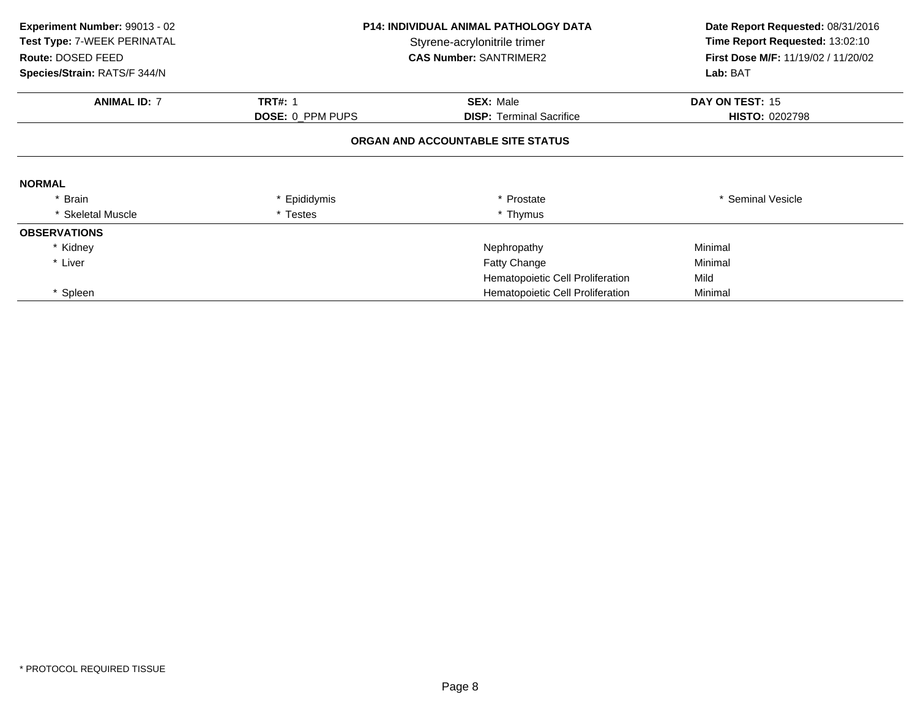| Experiment Number: 99013 - 02<br>Test Type: 7-WEEK PERINATAL<br>Route: DOSED FEED<br>Species/Strain: RATS/F 344/N | <b>P14: INDIVIDUAL ANIMAL PATHOLOGY DATA</b><br>Styrene-acrylonitrile trimer<br><b>CAS Number: SANTRIMER2</b> |                                   | Date Report Requested: 08/31/2016<br>Time Report Requested: 13:02:10<br>First Dose M/F: 11/19/02 / 11/20/02<br>Lab: BAT |
|-------------------------------------------------------------------------------------------------------------------|---------------------------------------------------------------------------------------------------------------|-----------------------------------|-------------------------------------------------------------------------------------------------------------------------|
| <b>ANIMAL ID: 7</b>                                                                                               | <b>TRT#: 1</b>                                                                                                | <b>SEX: Male</b>                  | DAY ON TEST: 15                                                                                                         |
|                                                                                                                   | <b>DOSE: 0 PPM PUPS</b>                                                                                       | <b>DISP:</b> Terminal Sacrifice   | <b>HISTO: 0202798</b>                                                                                                   |
|                                                                                                                   |                                                                                                               | ORGAN AND ACCOUNTABLE SITE STATUS |                                                                                                                         |
| <b>NORMAL</b>                                                                                                     |                                                                                                               |                                   |                                                                                                                         |
| * Brain                                                                                                           | * Epididymis                                                                                                  | * Prostate                        | * Seminal Vesicle                                                                                                       |
| * Skeletal Muscle                                                                                                 | * Testes                                                                                                      | * Thymus                          |                                                                                                                         |
| <b>OBSERVATIONS</b>                                                                                               |                                                                                                               |                                   |                                                                                                                         |
| * Kidney                                                                                                          |                                                                                                               | Nephropathy                       | Minimal                                                                                                                 |
| * Liver                                                                                                           |                                                                                                               | <b>Fatty Change</b>               | Minimal                                                                                                                 |
|                                                                                                                   |                                                                                                               | Hematopoietic Cell Proliferation  | Mild                                                                                                                    |
| Spleen                                                                                                            |                                                                                                               | Hematopoietic Cell Proliferation  | Minimal                                                                                                                 |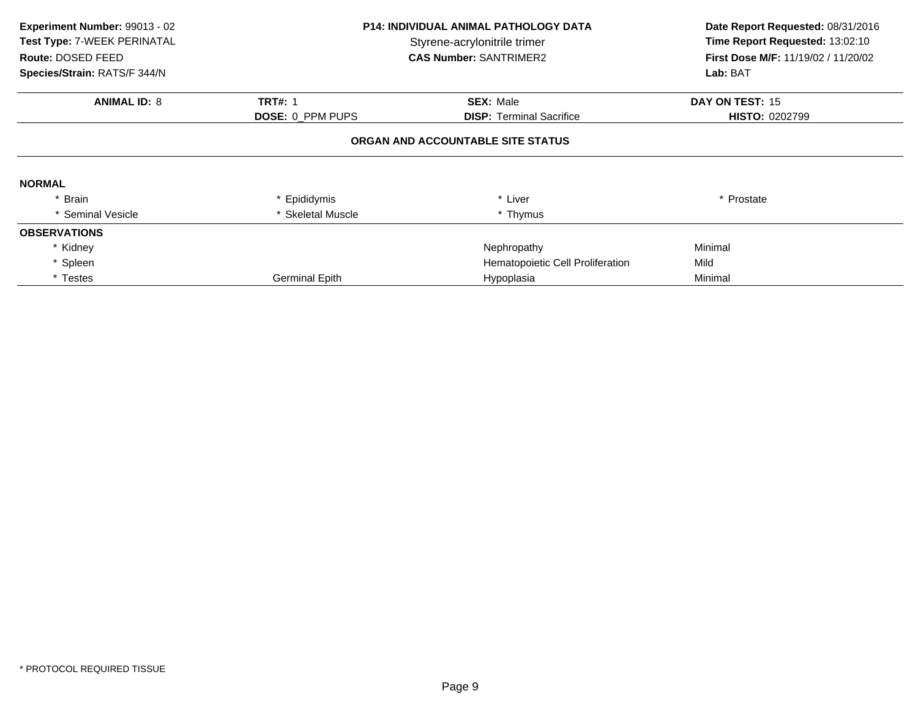| Experiment Number: 99013 - 02<br>Test Type: 7-WEEK PERINATAL<br>Route: DOSED FEED<br>Species/Strain: RATS/F 344/N | <b>P14: INDIVIDUAL ANIMAL PATHOLOGY DATA</b><br>Styrene-acrylonitrile trimer<br><b>CAS Number: SANTRIMER2</b> |                                   | Date Report Requested: 08/31/2016<br>Time Report Requested: 13:02:10<br>First Dose M/F: 11/19/02 / 11/20/02<br>Lab: BAT |
|-------------------------------------------------------------------------------------------------------------------|---------------------------------------------------------------------------------------------------------------|-----------------------------------|-------------------------------------------------------------------------------------------------------------------------|
| <b>ANIMAL ID: 8</b>                                                                                               | <b>TRT#: 1</b>                                                                                                | <b>SEX: Male</b>                  | DAY ON TEST: 15                                                                                                         |
|                                                                                                                   | <b>DOSE: 0_PPM PUPS</b>                                                                                       | <b>DISP:</b> Terminal Sacrifice   | <b>HISTO: 0202799</b>                                                                                                   |
|                                                                                                                   |                                                                                                               | ORGAN AND ACCOUNTABLE SITE STATUS |                                                                                                                         |
| <b>NORMAL</b>                                                                                                     |                                                                                                               |                                   |                                                                                                                         |
| * Brain                                                                                                           | * Epididymis                                                                                                  | * Liver                           | * Prostate                                                                                                              |
| * Seminal Vesicle                                                                                                 | * Skeletal Muscle                                                                                             | * Thymus                          |                                                                                                                         |
| <b>OBSERVATIONS</b>                                                                                               |                                                                                                               |                                   |                                                                                                                         |
| * Kidney                                                                                                          |                                                                                                               | Nephropathy                       | Minimal                                                                                                                 |
| * Spleen                                                                                                          |                                                                                                               | Hematopoietic Cell Proliferation  | Mild                                                                                                                    |
| * Testes                                                                                                          | <b>Germinal Epith</b>                                                                                         | Hypoplasia                        | Minimal                                                                                                                 |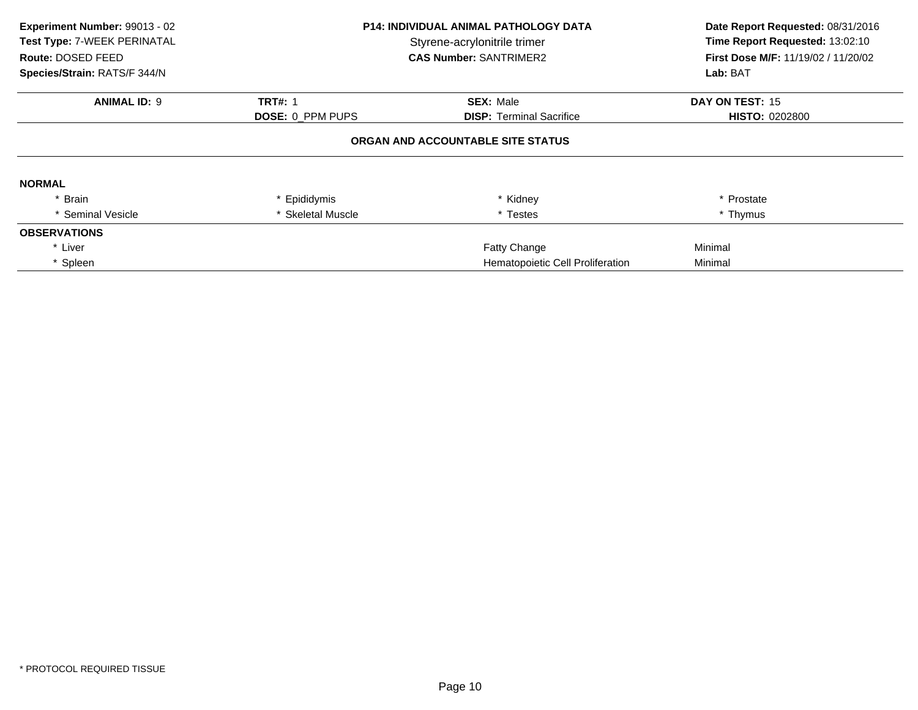| Experiment Number: 99013 - 02<br>Test Type: 7-WEEK PERINATAL<br>Route: DOSED FEED<br>Species/Strain: RATS/F 344/N | <b>P14: INDIVIDUAL ANIMAL PATHOLOGY DATA</b><br>Styrene-acrylonitrile trimer<br><b>CAS Number: SANTRIMER2</b> |                                   | Date Report Requested: 08/31/2016<br>Time Report Requested: 13:02:10<br>First Dose M/F: 11/19/02 / 11/20/02<br>Lab: BAT |
|-------------------------------------------------------------------------------------------------------------------|---------------------------------------------------------------------------------------------------------------|-----------------------------------|-------------------------------------------------------------------------------------------------------------------------|
| <b>ANIMAL ID: 9</b>                                                                                               | <b>TRT#: 1</b>                                                                                                | <b>SEX: Male</b>                  | DAY ON TEST: 15                                                                                                         |
|                                                                                                                   | DOSE: 0_PPM PUPS                                                                                              | <b>DISP:</b> Terminal Sacrifice   | <b>HISTO: 0202800</b>                                                                                                   |
|                                                                                                                   |                                                                                                               | ORGAN AND ACCOUNTABLE SITE STATUS |                                                                                                                         |
| <b>NORMAL</b>                                                                                                     |                                                                                                               |                                   |                                                                                                                         |
| * Brain                                                                                                           | * Epididymis                                                                                                  | * Kidney                          | * Prostate                                                                                                              |
| * Seminal Vesicle                                                                                                 | * Skeletal Muscle                                                                                             | * Testes                          | * Thymus                                                                                                                |
| <b>OBSERVATIONS</b>                                                                                               |                                                                                                               |                                   |                                                                                                                         |
| * Liver                                                                                                           |                                                                                                               | <b>Fatty Change</b>               | Minimal                                                                                                                 |
| * Spleen                                                                                                          |                                                                                                               | Hematopoietic Cell Proliferation  | Minimal                                                                                                                 |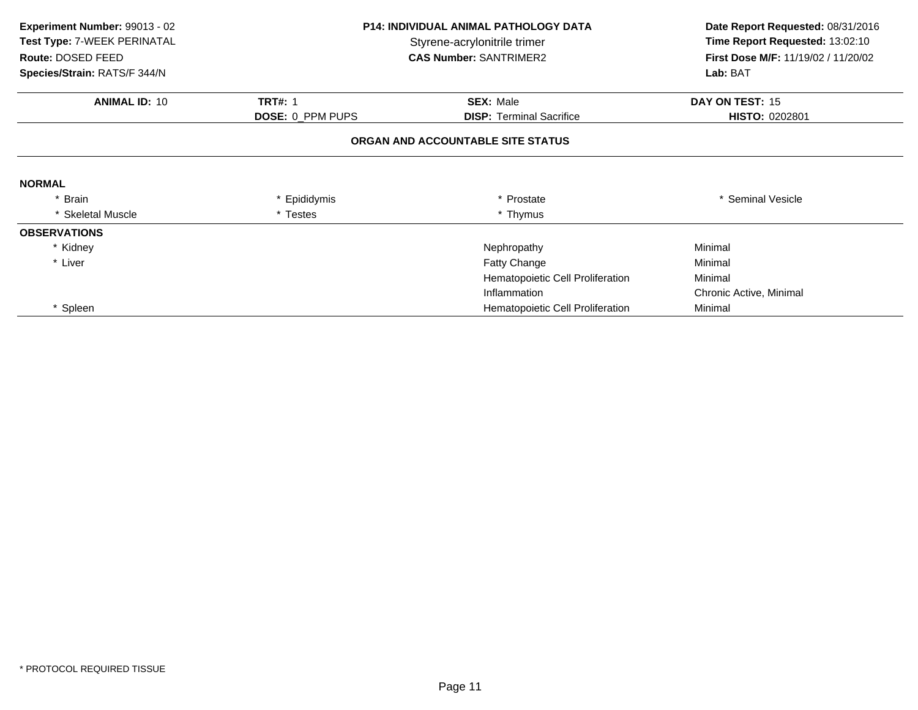| Experiment Number: 99013 - 02<br>Test Type: 7-WEEK PERINATAL<br>Route: DOSED FEED | <b>P14: INDIVIDUAL ANIMAL PATHOLOGY DATA</b><br>Styrene-acrylonitrile trimer<br><b>CAS Number: SANTRIMER2</b> |                                   | Date Report Requested: 08/31/2016<br>Time Report Requested: 13:02:10<br>First Dose M/F: 11/19/02 / 11/20/02 |
|-----------------------------------------------------------------------------------|---------------------------------------------------------------------------------------------------------------|-----------------------------------|-------------------------------------------------------------------------------------------------------------|
| Species/Strain: RATS/F 344/N                                                      |                                                                                                               |                                   | Lab: BAT                                                                                                    |
| <b>ANIMAL ID: 10</b>                                                              | <b>TRT#: 1</b>                                                                                                | <b>SEX: Male</b>                  | DAY ON TEST: 15                                                                                             |
|                                                                                   | DOSE: 0_PPM PUPS                                                                                              | <b>DISP:</b> Terminal Sacrifice   | <b>HISTO: 0202801</b>                                                                                       |
|                                                                                   |                                                                                                               | ORGAN AND ACCOUNTABLE SITE STATUS |                                                                                                             |
| <b>NORMAL</b>                                                                     |                                                                                                               |                                   |                                                                                                             |
| * Brain                                                                           | * Epididymis                                                                                                  | * Prostate                        | * Seminal Vesicle                                                                                           |
| * Skeletal Muscle                                                                 | * Testes                                                                                                      | * Thymus                          |                                                                                                             |
| <b>OBSERVATIONS</b>                                                               |                                                                                                               |                                   |                                                                                                             |
| * Kidney                                                                          |                                                                                                               | Nephropathy                       | Minimal                                                                                                     |
| * Liver                                                                           |                                                                                                               | <b>Fatty Change</b>               | Minimal                                                                                                     |
|                                                                                   |                                                                                                               | Hematopoietic Cell Proliferation  | Minimal                                                                                                     |
|                                                                                   |                                                                                                               | Inflammation                      | Chronic Active, Minimal                                                                                     |
| * Spleen                                                                          |                                                                                                               | Hematopoietic Cell Proliferation  | Minimal                                                                                                     |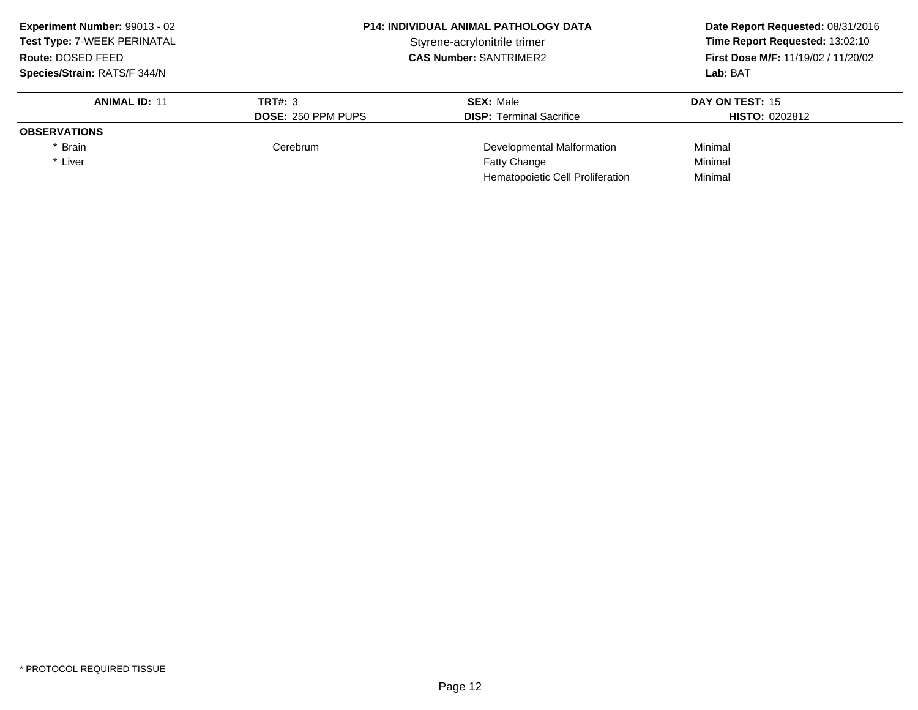| Experiment Number: 99013 - 02 | <b>P14: INDIVIDUAL ANIMAL PATHOLOGY DATA</b><br>Styrene-acrylonitrile trimer<br><b>CAS Number: SANTRIMER2</b> |                                  | Date Report Requested: 08/31/2016          |
|-------------------------------|---------------------------------------------------------------------------------------------------------------|----------------------------------|--------------------------------------------|
| Test Type: 7-WEEK PERINATAL   |                                                                                                               |                                  | Time Report Requested: 13:02:10            |
| Route: DOSED FEED             |                                                                                                               |                                  | <b>First Dose M/F: 11/19/02 / 11/20/02</b> |
| Species/Strain: RATS/F 344/N  |                                                                                                               |                                  | Lab: BAT                                   |
| <b>ANIMAL ID: 11</b>          | TRT#: 3                                                                                                       | <b>SEX: Male</b>                 | DAY ON TEST: 15                            |
|                               | <b>DOSE: 250 PPM PUPS</b>                                                                                     | <b>DISP:</b> Terminal Sacrifice  | <b>HISTO: 0202812</b>                      |
| <b>OBSERVATIONS</b>           |                                                                                                               |                                  |                                            |
| * Brain                       | Cerebrum                                                                                                      | Developmental Malformation       | Minimal                                    |
| * Liver                       |                                                                                                               | <b>Fatty Change</b>              | Minimal                                    |
|                               |                                                                                                               | Hematopoietic Cell Proliferation | Minimal                                    |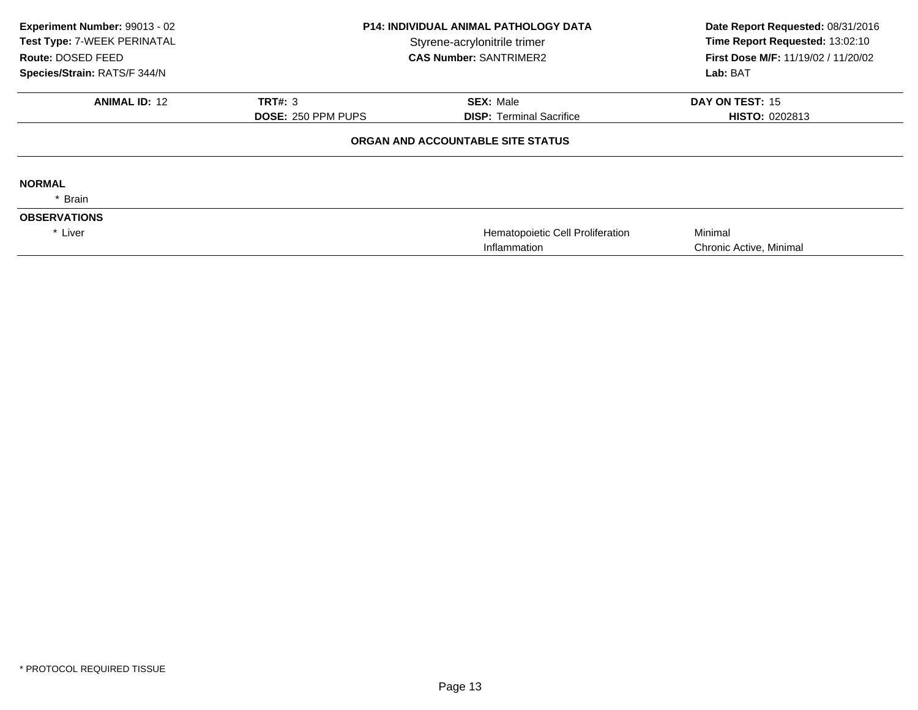| Experiment Number: 99013 - 02<br>Test Type: 7-WEEK PERINATAL<br>Route: DOSED FEED<br>Species/Strain: RATS/F 344/N | <b>P14: INDIVIDUAL ANIMAL PATHOLOGY DATA</b><br>Styrene-acrylonitrile trimer<br><b>CAS Number: SANTRIMER2</b> |                                                  | Date Report Requested: 08/31/2016<br>Time Report Requested: 13:02:10<br>First Dose M/F: 11/19/02 / 11/20/02<br>Lab: BAT |
|-------------------------------------------------------------------------------------------------------------------|---------------------------------------------------------------------------------------------------------------|--------------------------------------------------|-------------------------------------------------------------------------------------------------------------------------|
| <b>ANIMAL ID: 12</b>                                                                                              | <b>TRT#: 3</b>                                                                                                | <b>SEX: Male</b>                                 | DAY ON TEST: 15                                                                                                         |
|                                                                                                                   | <b>DOSE: 250 PPM PUPS</b>                                                                                     | <b>DISP: Terminal Sacrifice</b>                  | <b>HISTO: 0202813</b>                                                                                                   |
|                                                                                                                   |                                                                                                               | ORGAN AND ACCOUNTABLE SITE STATUS                |                                                                                                                         |
| <b>NORMAL</b>                                                                                                     |                                                                                                               |                                                  |                                                                                                                         |
| Brain                                                                                                             |                                                                                                               |                                                  |                                                                                                                         |
| <b>OBSERVATIONS</b>                                                                                               |                                                                                                               |                                                  |                                                                                                                         |
| * Liver                                                                                                           |                                                                                                               | Hematopoietic Cell Proliferation<br>Inflammation | Minimal<br>Chronic Active, Minimal                                                                                      |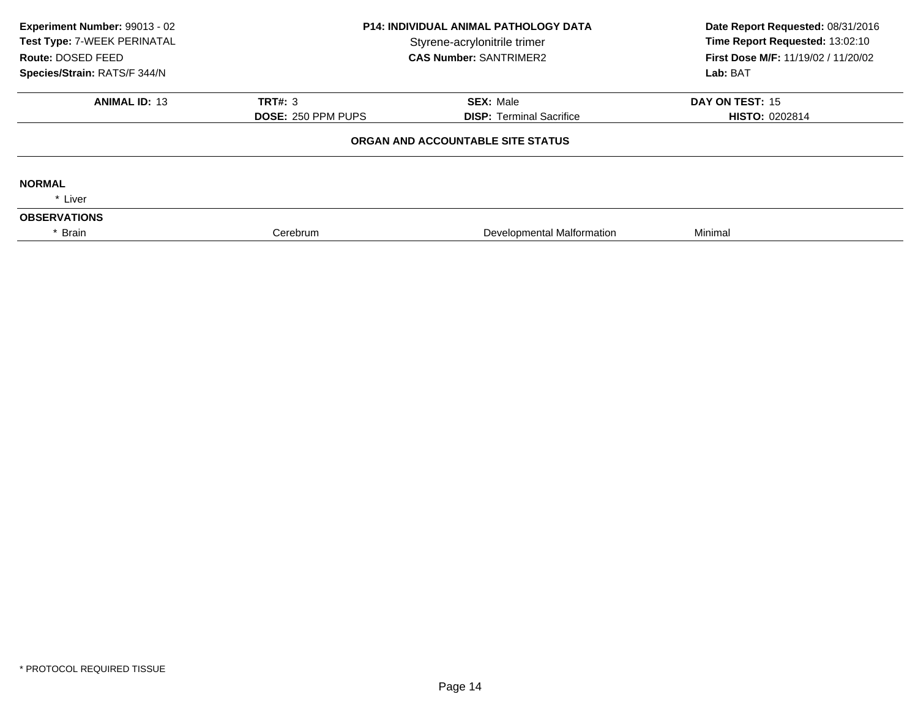| Experiment Number: 99013 - 02<br>Test Type: 7-WEEK PERINATAL<br>Route: DOSED FEED<br>Species/Strain: RATS/F 344/N | <b>P14: INDIVIDUAL ANIMAL PATHOLOGY DATA</b><br>Styrene-acrylonitrile trimer<br><b>CAS Number: SANTRIMER2</b><br><b>TRT#: 3</b><br><b>SEX: Male</b><br><b>DOSE: 250 PPM PUPS</b><br><b>DISP: Terminal Sacrifice</b> |                                   | Date Report Requested: 08/31/2016<br>Time Report Requested: 13:02:10<br>First Dose M/F: 11/19/02 / 11/20/02<br>Lab: BAT |
|-------------------------------------------------------------------------------------------------------------------|---------------------------------------------------------------------------------------------------------------------------------------------------------------------------------------------------------------------|-----------------------------------|-------------------------------------------------------------------------------------------------------------------------|
| <b>ANIMAL ID: 13</b>                                                                                              |                                                                                                                                                                                                                     |                                   | <b>DAY ON TEST: 15</b><br><b>HISTO: 0202814</b>                                                                         |
|                                                                                                                   |                                                                                                                                                                                                                     | ORGAN AND ACCOUNTABLE SITE STATUS |                                                                                                                         |
| <b>NORMAL</b><br>* Liver                                                                                          |                                                                                                                                                                                                                     |                                   |                                                                                                                         |
| <b>OBSERVATIONS</b>                                                                                               |                                                                                                                                                                                                                     |                                   |                                                                                                                         |
| Brain                                                                                                             | Cerebrum                                                                                                                                                                                                            | Developmental Malformation        | Minimal                                                                                                                 |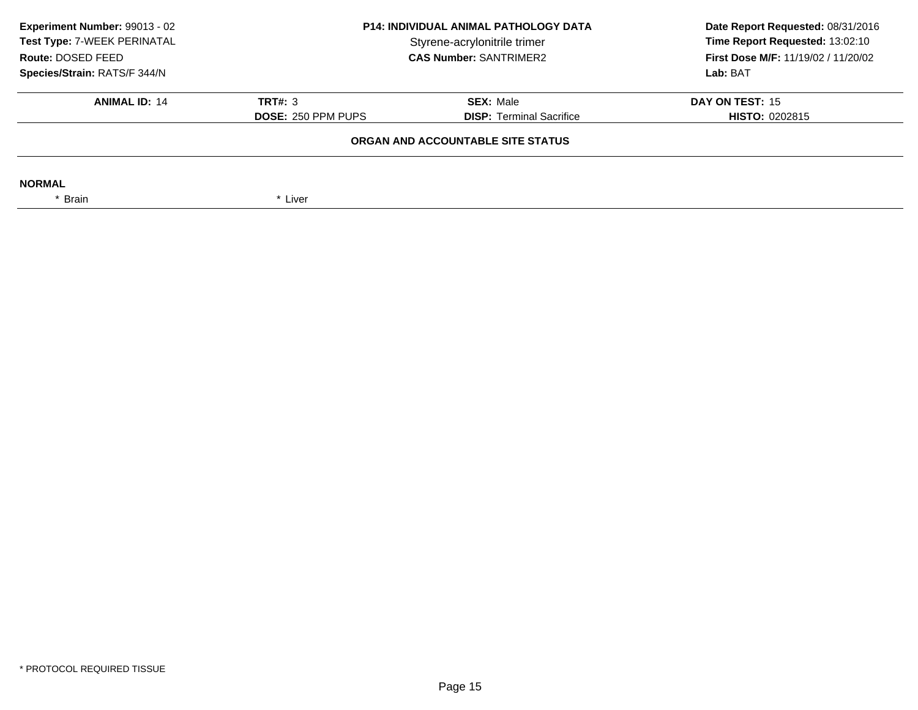| <b>P14: INDIVIDUAL ANIMAL PATHOLOGY DATA</b><br>Styrene-acrylonitrile trimer<br><b>CAS Number: SANTRIMER2</b> |                                                     | Date Report Requested: 08/31/2016<br>Time Report Requested: 13:02:10<br>First Dose M/F: 11/19/02 / 11/20/02<br>Lab: BAT |  |  |
|---------------------------------------------------------------------------------------------------------------|-----------------------------------------------------|-------------------------------------------------------------------------------------------------------------------------|--|--|
| <b>TRT#: 3</b><br><b>DOSE: 250 PPM PUPS</b>                                                                   | <b>SEX: Male</b><br><b>DISP:</b> Terminal Sacrifice | DAY ON TEST: 15<br><b>HISTO: 0202815</b>                                                                                |  |  |
| ORGAN AND ACCOUNTABLE SITE STATUS                                                                             |                                                     |                                                                                                                         |  |  |
| * Liver                                                                                                       |                                                     |                                                                                                                         |  |  |
|                                                                                                               |                                                     |                                                                                                                         |  |  |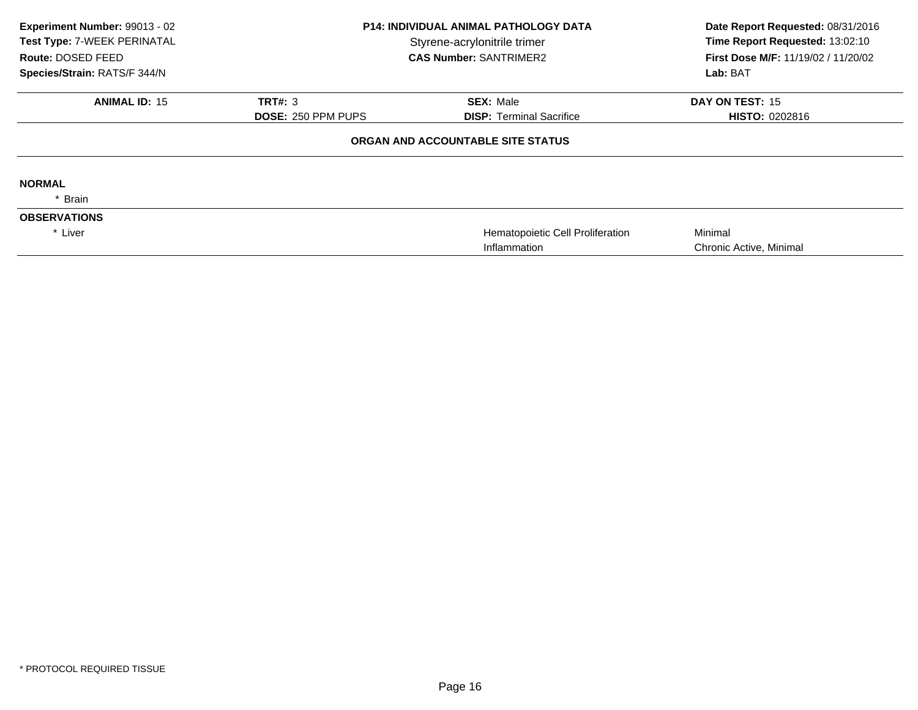| Experiment Number: 99013 - 02<br>Test Type: 7-WEEK PERINATAL<br>Route: DOSED FEED<br>Species/Strain: RATS/F 344/N | <b>P14: INDIVIDUAL ANIMAL PATHOLOGY DATA</b><br>Styrene-acrylonitrile trimer<br><b>CAS Number: SANTRIMER2</b> |                                                  | Date Report Requested: 08/31/2016<br>Time Report Requested: 13:02:10<br>First Dose M/F: 11/19/02 / 11/20/02<br>Lab: BAT |
|-------------------------------------------------------------------------------------------------------------------|---------------------------------------------------------------------------------------------------------------|--------------------------------------------------|-------------------------------------------------------------------------------------------------------------------------|
| <b>ANIMAL ID: 15</b>                                                                                              | <b>TRT#: 3</b>                                                                                                | <b>SEX: Male</b>                                 | DAY ON TEST: 15                                                                                                         |
|                                                                                                                   | <b>DOSE: 250 PPM PUPS</b>                                                                                     | <b>DISP:</b> Terminal Sacrifice                  | <b>HISTO: 0202816</b>                                                                                                   |
|                                                                                                                   |                                                                                                               | ORGAN AND ACCOUNTABLE SITE STATUS                |                                                                                                                         |
| <b>NORMAL</b>                                                                                                     |                                                                                                               |                                                  |                                                                                                                         |
| * Brain                                                                                                           |                                                                                                               |                                                  |                                                                                                                         |
| <b>OBSERVATIONS</b>                                                                                               |                                                                                                               |                                                  |                                                                                                                         |
| * Liver                                                                                                           |                                                                                                               | Hematopoietic Cell Proliferation<br>Inflammation | Minimal<br>Chronic Active, Minimal                                                                                      |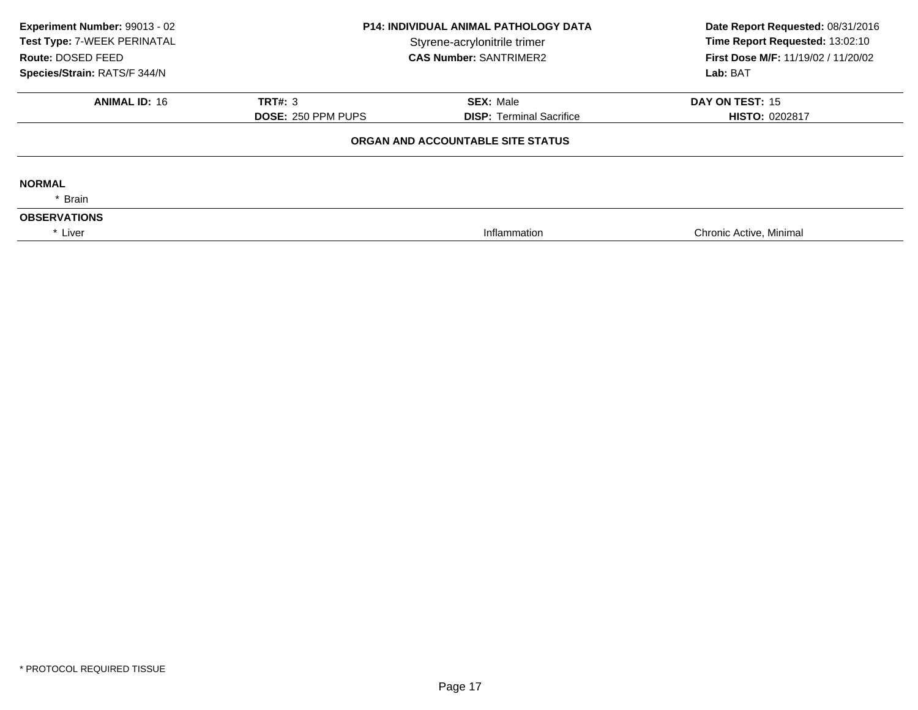| Experiment Number: 99013 - 02<br>Test Type: 7-WEEK PERINATAL<br>Route: DOSED FEED | <b>P14: INDIVIDUAL ANIMAL PATHOLOGY DATA</b><br>Styrene-acrylonitrile trimer<br><b>CAS Number: SANTRIMER2</b> |                                   | Date Report Requested: 08/31/2016<br>Time Report Requested: 13:02:10<br>First Dose M/F: 11/19/02 / 11/20/02 |  |
|-----------------------------------------------------------------------------------|---------------------------------------------------------------------------------------------------------------|-----------------------------------|-------------------------------------------------------------------------------------------------------------|--|
| Species/Strain: RATS/F 344/N                                                      |                                                                                                               |                                   | Lab: BAT                                                                                                    |  |
| <b>ANIMAL ID: 16</b>                                                              | <b>TRT#: 3</b>                                                                                                | <b>SEX: Male</b>                  | DAY ON TEST: 15                                                                                             |  |
|                                                                                   | <b>DOSE: 250 PPM PUPS</b>                                                                                     | <b>DISP: Terminal Sacrifice</b>   | <b>HISTO: 0202817</b>                                                                                       |  |
|                                                                                   |                                                                                                               | ORGAN AND ACCOUNTABLE SITE STATUS |                                                                                                             |  |
| <b>NORMAL</b>                                                                     |                                                                                                               |                                   |                                                                                                             |  |
| * Brain                                                                           |                                                                                                               |                                   |                                                                                                             |  |
| <b>OBSERVATIONS</b>                                                               |                                                                                                               |                                   |                                                                                                             |  |
| * Liver                                                                           |                                                                                                               | Inflammation                      | Chronic Active, Minimal                                                                                     |  |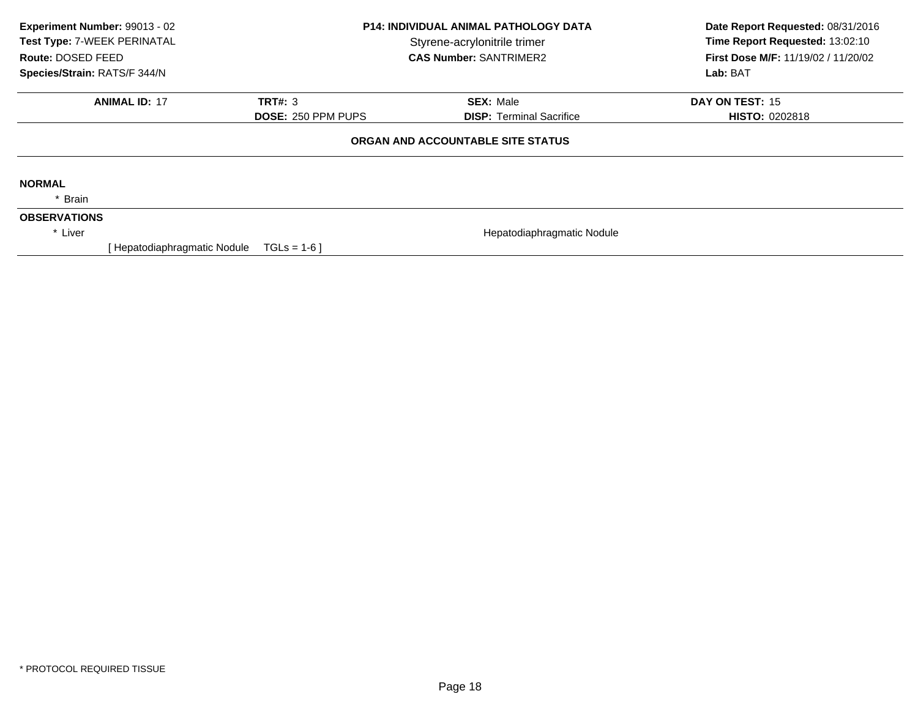| Experiment Number: 99013 - 02<br>Test Type: 7-WEEK PERINATAL<br>Route: DOSED FEED<br>Species/Strain: RATS/F 344/N |                              | <b>P14: INDIVIDUAL ANIMAL PATHOLOGY DATA</b><br>Styrene-acrylonitrile trimer<br><b>CAS Number: SANTRIMER2</b> |                                                     | Date Report Requested: 08/31/2016<br>Time Report Requested: 13:02:10<br>First Dose M/F: 11/19/02 / 11/20/02<br>Lab: BAT |
|-------------------------------------------------------------------------------------------------------------------|------------------------------|---------------------------------------------------------------------------------------------------------------|-----------------------------------------------------|-------------------------------------------------------------------------------------------------------------------------|
|                                                                                                                   | <b>ANIMAL ID: 17</b>         | TRT#: 3<br><b>DOSE: 250 PPM PUPS</b>                                                                          | <b>SEX: Male</b><br><b>DISP:</b> Terminal Sacrifice | DAY ON TEST: 15<br><b>HISTO: 0202818</b>                                                                                |
|                                                                                                                   |                              |                                                                                                               | ORGAN AND ACCOUNTABLE SITE STATUS                   |                                                                                                                         |
| <b>NORMAL</b><br>* Brain                                                                                          |                              |                                                                                                               |                                                     |                                                                                                                         |
| <b>OBSERVATIONS</b><br>* Liver                                                                                    | [ Hepatodiaphragmatic Nodule | $TGLs = 1-6$                                                                                                  | Hepatodiaphragmatic Nodule                          |                                                                                                                         |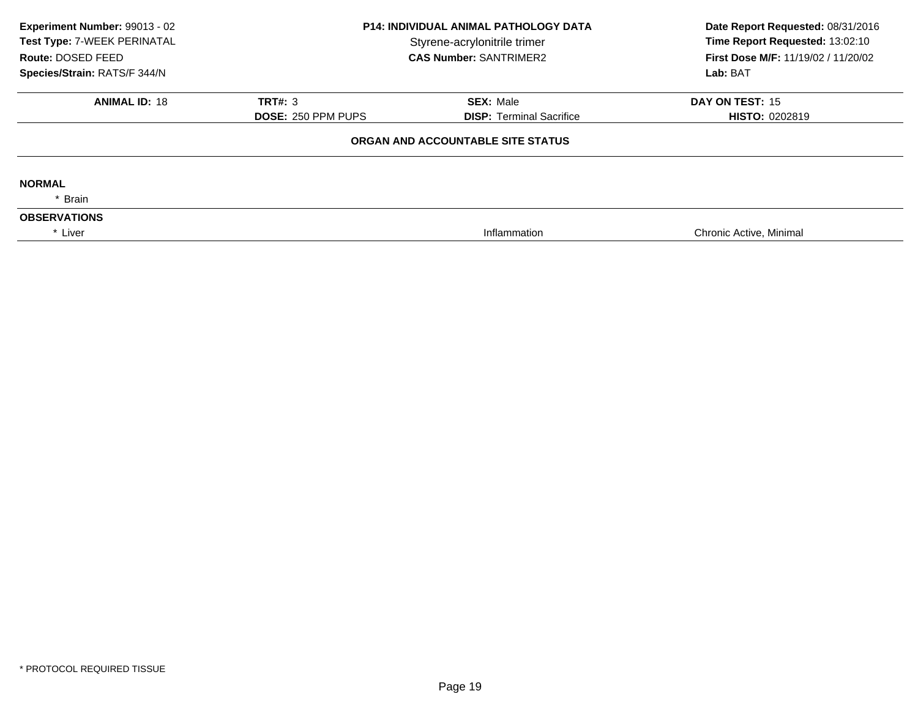| Experiment Number: 99013 - 02<br>Test Type: 7-WEEK PERINATAL<br>Route: DOSED FEED | <b>P14: INDIVIDUAL ANIMAL PATHOLOGY DATA</b><br>Styrene-acrylonitrile trimer<br><b>CAS Number: SANTRIMER2</b><br><b>SEX: Male</b><br><b>TRT#: 3</b><br><b>DOSE: 250 PPM PUPS</b><br><b>DISP: Terminal Sacrifice</b> |                                   | Date Report Requested: 08/31/2016<br>Time Report Requested: 13:02:10<br>First Dose M/F: 11/19/02 / 11/20/02<br>Lab: BAT |  |
|-----------------------------------------------------------------------------------|---------------------------------------------------------------------------------------------------------------------------------------------------------------------------------------------------------------------|-----------------------------------|-------------------------------------------------------------------------------------------------------------------------|--|
| Species/Strain: RATS/F 344/N<br><b>ANIMAL ID: 18</b>                              |                                                                                                                                                                                                                     |                                   | DAY ON TEST: 15<br><b>HISTO: 0202819</b>                                                                                |  |
|                                                                                   |                                                                                                                                                                                                                     | ORGAN AND ACCOUNTABLE SITE STATUS |                                                                                                                         |  |
| <b>NORMAL</b><br>* Brain                                                          |                                                                                                                                                                                                                     |                                   |                                                                                                                         |  |
| <b>OBSERVATIONS</b><br>* Liver                                                    |                                                                                                                                                                                                                     | Inflammation                      | Chronic Active, Minimal                                                                                                 |  |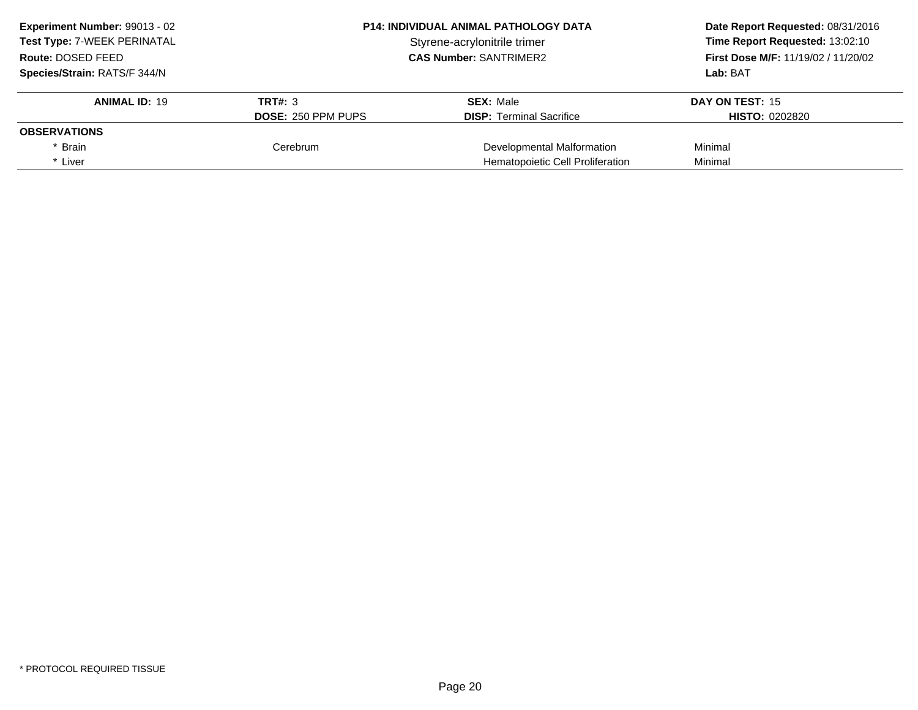| Experiment Number: 99013 - 02                      | <b>P14: INDIVIDUAL ANIMAL PATHOLOGY DATA</b> |                                     | Date Report Requested: 08/31/2016 |
|----------------------------------------------------|----------------------------------------------|-------------------------------------|-----------------------------------|
| Test Type: 7-WEEK PERINATAL                        |                                              | Styrene-acrylonitrile trimer        |                                   |
| <b>CAS Number: SANTRIMER2</b><br>Route: DOSED FEED |                                              | First Dose M/F: 11/19/02 / 11/20/02 |                                   |
| Species/Strain: RATS/F 344/N                       |                                              |                                     | Lab: BAT                          |
| <b>ANIMAL ID: 19</b>                               | <b>TRT#: 3</b>                               | <b>SEX: Male</b>                    | DAY ON TEST: 15                   |
|                                                    | <b>DOSE: 250 PPM PUPS</b>                    | <b>DISP:</b> Terminal Sacrifice     | <b>HISTO: 0202820</b>             |
| <b>OBSERVATIONS</b>                                |                                              |                                     |                                   |
| * Brain                                            | Cerebrum                                     | Developmental Malformation          | Minimal                           |
| * Liver                                            |                                              | Hematopoietic Cell Proliferation    | Minimal                           |
|                                                    |                                              |                                     |                                   |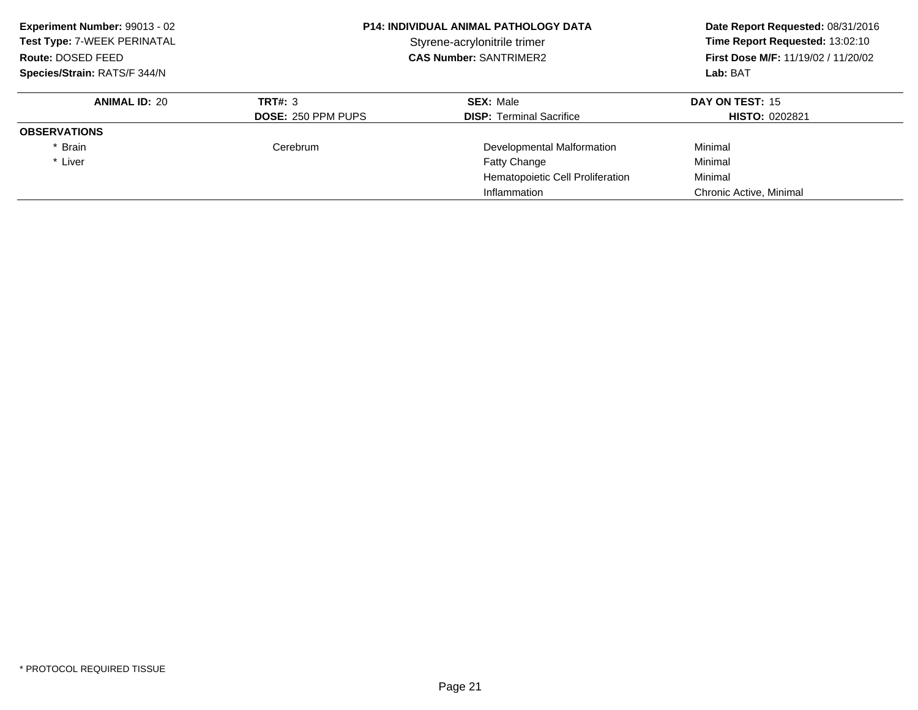**ANIMAL ID:** <sup>20</sup>**TRT#:** 3 **SEX:** Male **DAY ON TEST:** 15 **DOSE:** 250 PPM PUPS**DISP:** Terminal Sacrifice **HISTO:** 0202821 **OBSERVATIONS**\* Brain CerebrumDevelopmental Malformation **Minimal** \* Liver Fatty Change Minimal Hematopoietic Cell Proliferation Minimal Inflammation Chronic Active, Minimal **Experiment Number:** 99013 - 02 **P14: INDIVIDUAL ANIMAL PATHOLOGY DATA Date Report Requested:** 08/31/2016 **Test Type:** 7-WEEK PERINATAL**Time Report Requested: 13:02:10 Route:** DOSED FEED **CAS Number:** SANTRIMER2 **First Dose M/F:** 11/19/02 / 11/20/02 **Species/Strain:** RATS/F 344/N**Lab:** BAT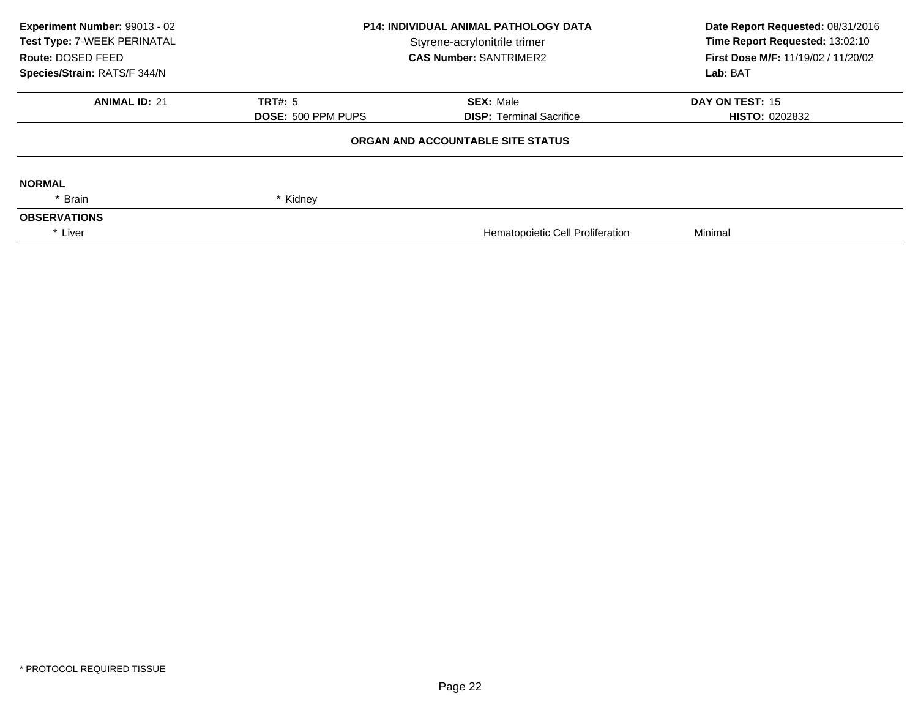| Experiment Number: 99013 - 02<br>Test Type: 7-WEEK PERINATAL | <b>P14: INDIVIDUAL ANIMAL PATHOLOGY DATA</b><br>Styrene-acrylonitrile trimer |                                   | Date Report Requested: 08/31/2016<br>Time Report Requested: 13:02:10 |  |
|--------------------------------------------------------------|------------------------------------------------------------------------------|-----------------------------------|----------------------------------------------------------------------|--|
| Route: DOSED FEED                                            |                                                                              | <b>CAS Number: SANTRIMER2</b>     | <b>First Dose M/F: 11/19/02 / 11/20/02</b>                           |  |
| Species/Strain: RATS/F 344/N                                 |                                                                              |                                   | Lab: BAT                                                             |  |
| <b>ANIMAL ID: 21</b>                                         | <b>TRT#: 5</b>                                                               | <b>SEX: Male</b>                  | <b>DAY ON TEST: 15</b>                                               |  |
|                                                              | <b>DOSE: 500 PPM PUPS</b>                                                    | <b>DISP: Terminal Sacrifice</b>   | <b>HISTO: 0202832</b>                                                |  |
|                                                              |                                                                              | ORGAN AND ACCOUNTABLE SITE STATUS |                                                                      |  |
| <b>NORMAL</b>                                                |                                                                              |                                   |                                                                      |  |
| * Brain                                                      | * Kidney                                                                     |                                   |                                                                      |  |
| <b>OBSERVATIONS</b>                                          |                                                                              |                                   |                                                                      |  |
| * Liver                                                      |                                                                              | Hematopoietic Cell Proliferation  | Minimal                                                              |  |
|                                                              |                                                                              |                                   |                                                                      |  |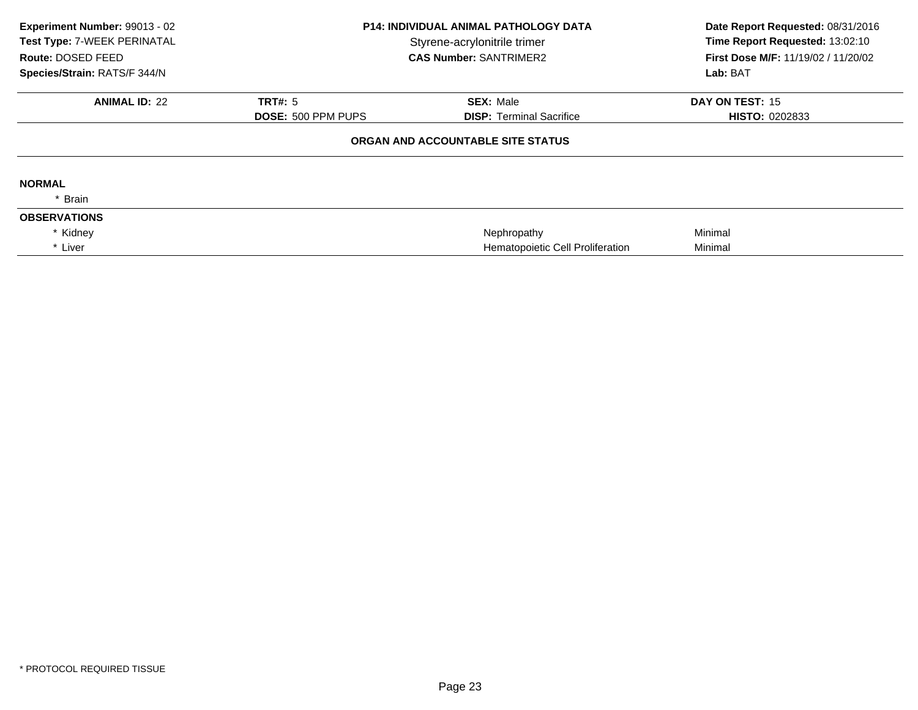| Experiment Number: 99013 - 02<br>Test Type: 7-WEEK PERINATAL<br>Route: DOSED FEED<br>Species/Strain: RATS/F 344/N | <b>P14: INDIVIDUAL ANIMAL PATHOLOGY DATA</b><br>Styrene-acrylonitrile trimer<br><b>CAS Number: SANTRIMER2</b> |                                   | Date Report Requested: 08/31/2016<br>Time Report Requested: 13:02:10<br>First Dose M/F: 11/19/02 / 11/20/02<br>Lab: BAT |
|-------------------------------------------------------------------------------------------------------------------|---------------------------------------------------------------------------------------------------------------|-----------------------------------|-------------------------------------------------------------------------------------------------------------------------|
| <b>ANIMAL ID: 22</b>                                                                                              | TRT#: 5                                                                                                       | <b>SEX: Male</b>                  | DAY ON TEST: 15                                                                                                         |
|                                                                                                                   | <b>DOSE: 500 PPM PUPS</b>                                                                                     | <b>DISP: Terminal Sacrifice</b>   | <b>HISTO: 0202833</b>                                                                                                   |
|                                                                                                                   |                                                                                                               | ORGAN AND ACCOUNTABLE SITE STATUS |                                                                                                                         |
| <b>NORMAL</b>                                                                                                     |                                                                                                               |                                   |                                                                                                                         |
| * Brain                                                                                                           |                                                                                                               |                                   |                                                                                                                         |
| <b>OBSERVATIONS</b>                                                                                               |                                                                                                               |                                   |                                                                                                                         |
| * Kidney                                                                                                          |                                                                                                               | Nephropathy                       | Minimal                                                                                                                 |
| * Liver                                                                                                           |                                                                                                               | Hematopoietic Cell Proliferation  | Minimal                                                                                                                 |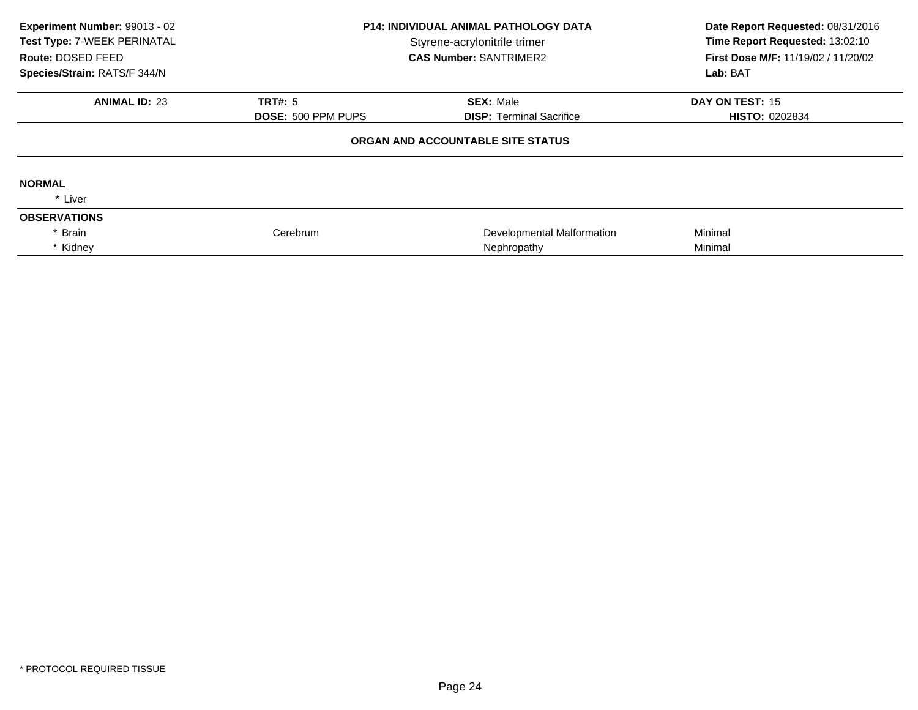| Experiment Number: 99013 - 02<br>Test Type: 7-WEEK PERINATAL<br>Route: DOSED FEED<br>Species/Strain: RATS/F 344/N | <b>P14: INDIVIDUAL ANIMAL PATHOLOGY DATA</b><br>Styrene-acrylonitrile trimer<br><b>CAS Number: SANTRIMER2</b> |                                   | Date Report Requested: 08/31/2016<br>Time Report Requested: 13:02:10<br>First Dose M/F: 11/19/02 / 11/20/02<br>Lab: BAT |
|-------------------------------------------------------------------------------------------------------------------|---------------------------------------------------------------------------------------------------------------|-----------------------------------|-------------------------------------------------------------------------------------------------------------------------|
| <b>ANIMAL ID: 23</b>                                                                                              | <b>TRT#: 5</b>                                                                                                | <b>SEX: Male</b>                  | DAY ON TEST: 15                                                                                                         |
|                                                                                                                   | <b>DOSE: 500 PPM PUPS</b>                                                                                     | <b>DISP:</b> Terminal Sacrifice   | <b>HISTO: 0202834</b>                                                                                                   |
|                                                                                                                   |                                                                                                               | ORGAN AND ACCOUNTABLE SITE STATUS |                                                                                                                         |
| <b>NORMAL</b>                                                                                                     |                                                                                                               |                                   |                                                                                                                         |
| * Liver                                                                                                           |                                                                                                               |                                   |                                                                                                                         |
| <b>OBSERVATIONS</b>                                                                                               |                                                                                                               |                                   |                                                                                                                         |
| Brain                                                                                                             | Cerebrum                                                                                                      | Developmental Malformation        | Minimal                                                                                                                 |
| * Kidney                                                                                                          |                                                                                                               | Nephropathy                       | Minimal                                                                                                                 |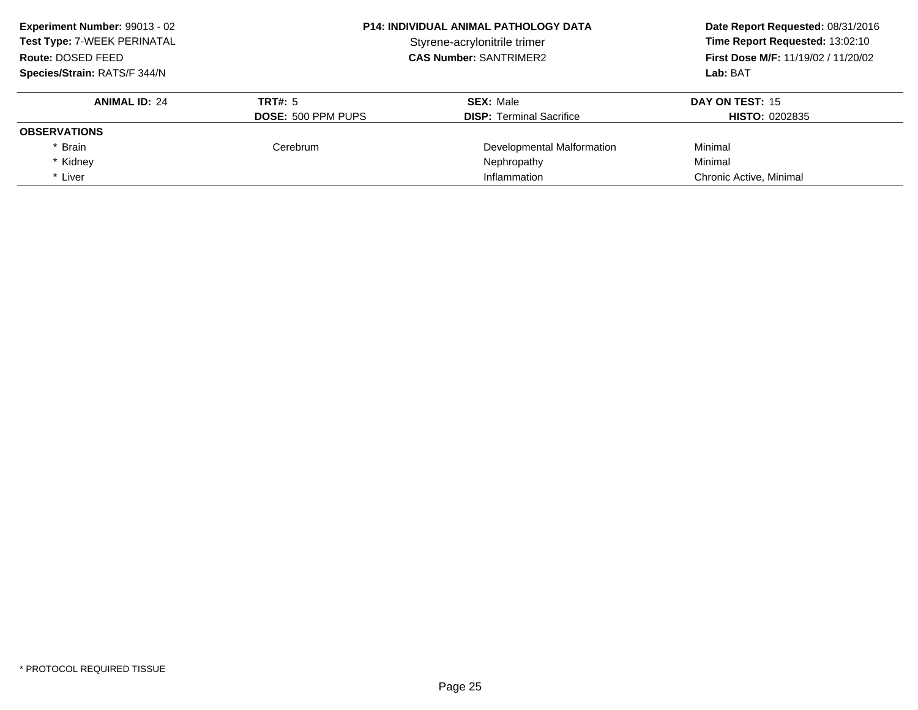**ANIMAL ID:** <sup>24</sup> **TRT#:** <sup>5</sup> **SEX:** Male **DAY ON TEST:** <sup>15</sup> **DOSE:** 500 PPM PUPS**DISP:** Terminal Sacrifice **HISTO:** 0202835 **OBSERVATIONS**\* Brain CerebrumDevelopmental Malformation Minimal<br>
Nephropathy Minimal \* Kidneyy the contract of the contract of the Nephropathy Nephropathy and the Minimal Minimal  $\lambda$ \* Liver Chronic Active, Minimal **Experiment Number:** 99013 - 02 **P14: INDIVIDUAL ANIMAL PATHOLOGY DATA Date Report Requested:** 08/31/2016 **Test Type:** 7-WEEK PERINATAL**Time Report Requested: 13:02:10 Route:** DOSED FEED **CAS Number:** SANTRIMER2 **First Dose M/F:** 11/19/02 / 11/20/02 **Species/Strain:** RATS/F 344/N**Lab:** BAT

\* Liver **Inflammation**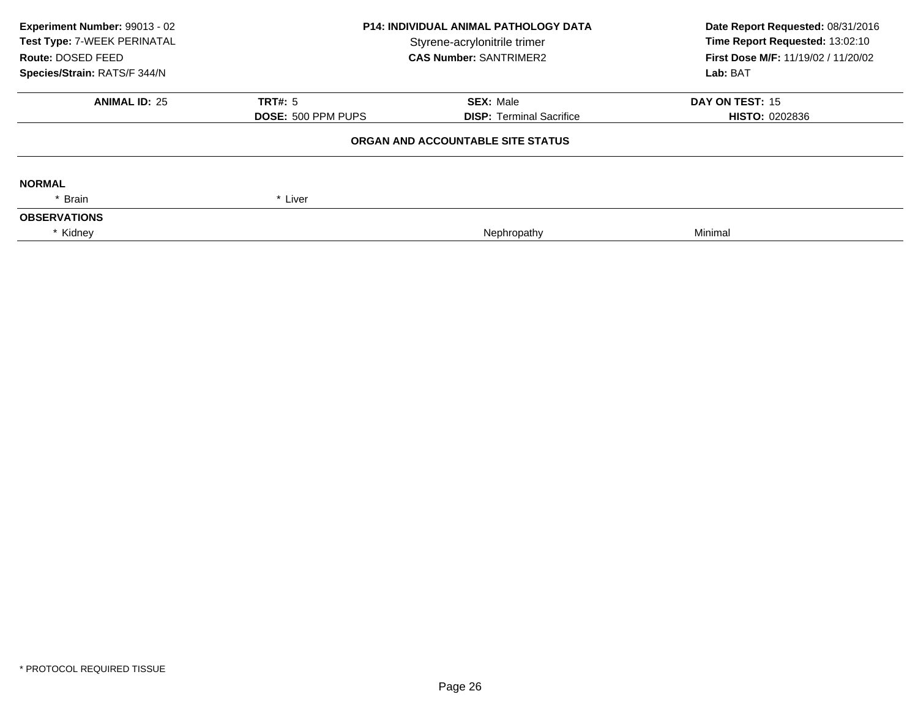| Experiment Number: 99013 - 02<br>Test Type: 7-WEEK PERINATAL<br>Route: DOSED FEED | <b>P14: INDIVIDUAL ANIMAL PATHOLOGY DATA</b><br>Styrene-acrylonitrile trimer<br><b>CAS Number: SANTRIMER2</b> |                                   | Date Report Requested: 08/31/2016<br>Time Report Requested: 13:02:10<br>First Dose M/F: 11/19/02 / 11/20/02 |  |
|-----------------------------------------------------------------------------------|---------------------------------------------------------------------------------------------------------------|-----------------------------------|-------------------------------------------------------------------------------------------------------------|--|
| Species/Strain: RATS/F 344/N                                                      |                                                                                                               |                                   | Lab: BAT                                                                                                    |  |
| <b>ANIMAL ID: 25</b>                                                              | <b>TRT#: 5</b>                                                                                                | <b>SEX: Male</b>                  | <b>DAY ON TEST: 15</b>                                                                                      |  |
|                                                                                   | <b>DOSE: 500 PPM PUPS</b>                                                                                     | <b>DISP:</b> Terminal Sacrifice   | <b>HISTO: 0202836</b>                                                                                       |  |
|                                                                                   |                                                                                                               | ORGAN AND ACCOUNTABLE SITE STATUS |                                                                                                             |  |
| <b>NORMAL</b>                                                                     |                                                                                                               |                                   |                                                                                                             |  |
| * Brain                                                                           | * Liver                                                                                                       |                                   |                                                                                                             |  |
| <b>OBSERVATIONS</b>                                                               |                                                                                                               |                                   |                                                                                                             |  |
| * Kidney                                                                          |                                                                                                               | Nephropathy                       | Minimal                                                                                                     |  |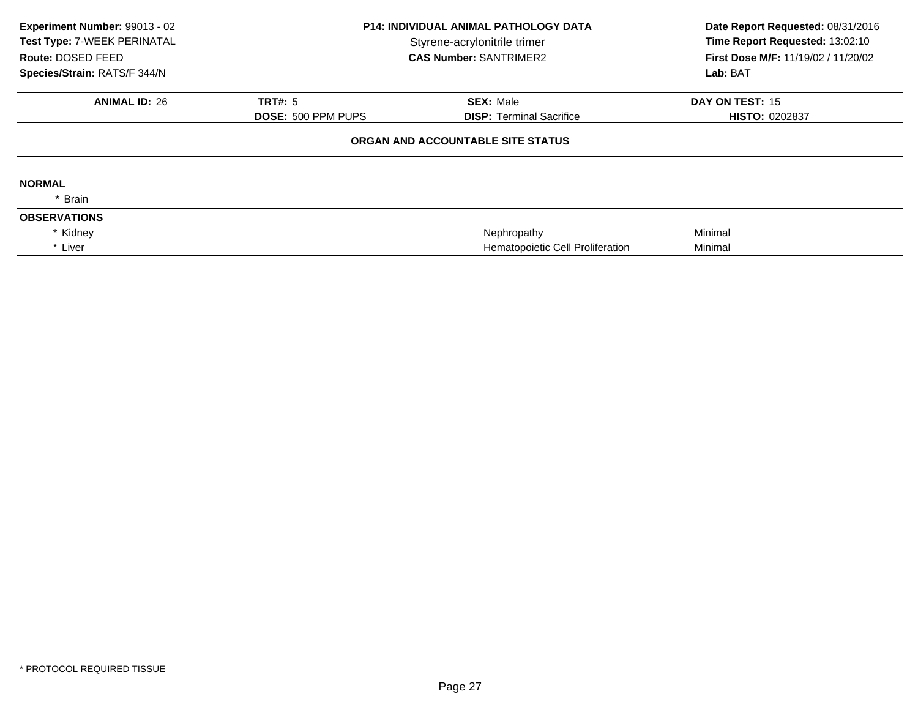| Experiment Number: 99013 - 02<br>Test Type: 7-WEEK PERINATAL<br>Route: DOSED FEED<br>Species/Strain: RATS/F 344/N | <b>P14: INDIVIDUAL ANIMAL PATHOLOGY DATA</b><br>Styrene-acrylonitrile trimer<br><b>CAS Number: SANTRIMER2</b> |                                   | Date Report Requested: 08/31/2016<br>Time Report Requested: 13:02:10<br>First Dose M/F: 11/19/02 / 11/20/02<br>Lab: BAT |
|-------------------------------------------------------------------------------------------------------------------|---------------------------------------------------------------------------------------------------------------|-----------------------------------|-------------------------------------------------------------------------------------------------------------------------|
| <b>ANIMAL ID: 26</b>                                                                                              | TRT#: 5                                                                                                       | <b>SEX: Male</b>                  | DAY ON TEST: 15                                                                                                         |
|                                                                                                                   | <b>DOSE: 500 PPM PUPS</b>                                                                                     | <b>DISP: Terminal Sacrifice</b>   | <b>HISTO: 0202837</b>                                                                                                   |
|                                                                                                                   |                                                                                                               | ORGAN AND ACCOUNTABLE SITE STATUS |                                                                                                                         |
| <b>NORMAL</b>                                                                                                     |                                                                                                               |                                   |                                                                                                                         |
| * Brain                                                                                                           |                                                                                                               |                                   |                                                                                                                         |
| <b>OBSERVATIONS</b>                                                                                               |                                                                                                               |                                   |                                                                                                                         |
| * Kidney                                                                                                          |                                                                                                               | Nephropathy                       | Minimal                                                                                                                 |
| * Liver                                                                                                           |                                                                                                               | Hematopoietic Cell Proliferation  | Minimal                                                                                                                 |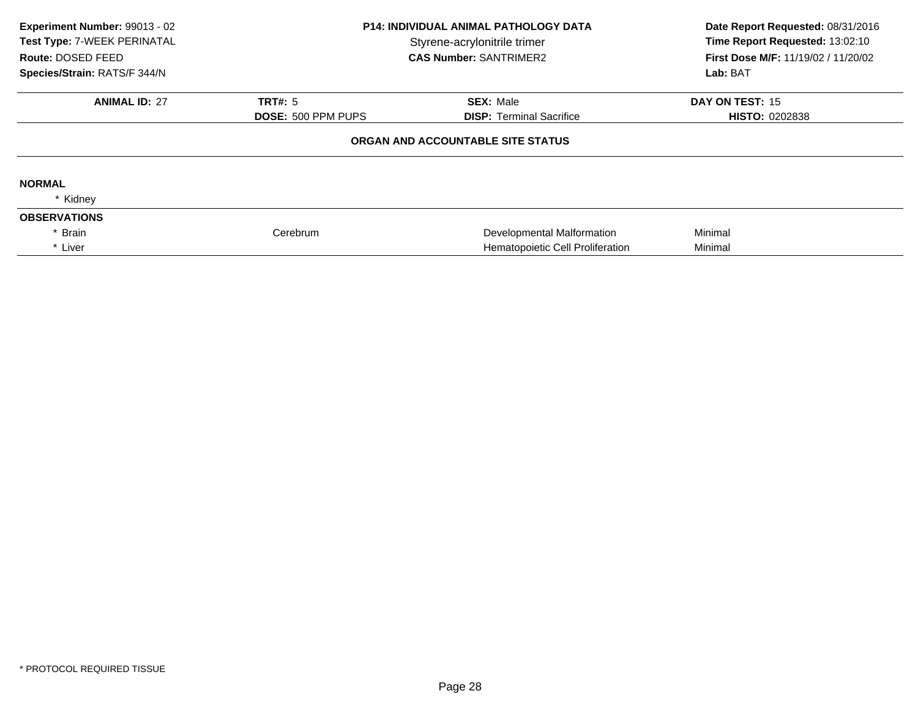| Experiment Number: 99013 - 02<br>Test Type: 7-WEEK PERINATAL<br>Route: DOSED FEED<br>Species/Strain: RATS/F 344/N | <b>P14: INDIVIDUAL ANIMAL PATHOLOGY DATA</b><br>Styrene-acrylonitrile trimer<br><b>CAS Number: SANTRIMER2</b> |                                   | Date Report Requested: 08/31/2016<br>Time Report Requested: 13:02:10<br>First Dose M/F: 11/19/02 / 11/20/02<br>Lab: BAT |
|-------------------------------------------------------------------------------------------------------------------|---------------------------------------------------------------------------------------------------------------|-----------------------------------|-------------------------------------------------------------------------------------------------------------------------|
| <b>ANIMAL ID: 27</b>                                                                                              | <b>TRT#: 5</b>                                                                                                | <b>SEX: Male</b>                  | DAY ON TEST: 15                                                                                                         |
|                                                                                                                   | <b>DOSE: 500 PPM PUPS</b>                                                                                     | <b>DISP:</b> Terminal Sacrifice   | <b>HISTO: 0202838</b>                                                                                                   |
|                                                                                                                   |                                                                                                               | ORGAN AND ACCOUNTABLE SITE STATUS |                                                                                                                         |
| <b>NORMAL</b>                                                                                                     |                                                                                                               |                                   |                                                                                                                         |
| * Kidney                                                                                                          |                                                                                                               |                                   |                                                                                                                         |
| <b>OBSERVATIONS</b>                                                                                               |                                                                                                               |                                   |                                                                                                                         |
| <b>Brain</b>                                                                                                      | Cerebrum                                                                                                      | Developmental Malformation        | Minimal                                                                                                                 |
| * Liver                                                                                                           |                                                                                                               | Hematopoietic Cell Proliferation  | Minimal                                                                                                                 |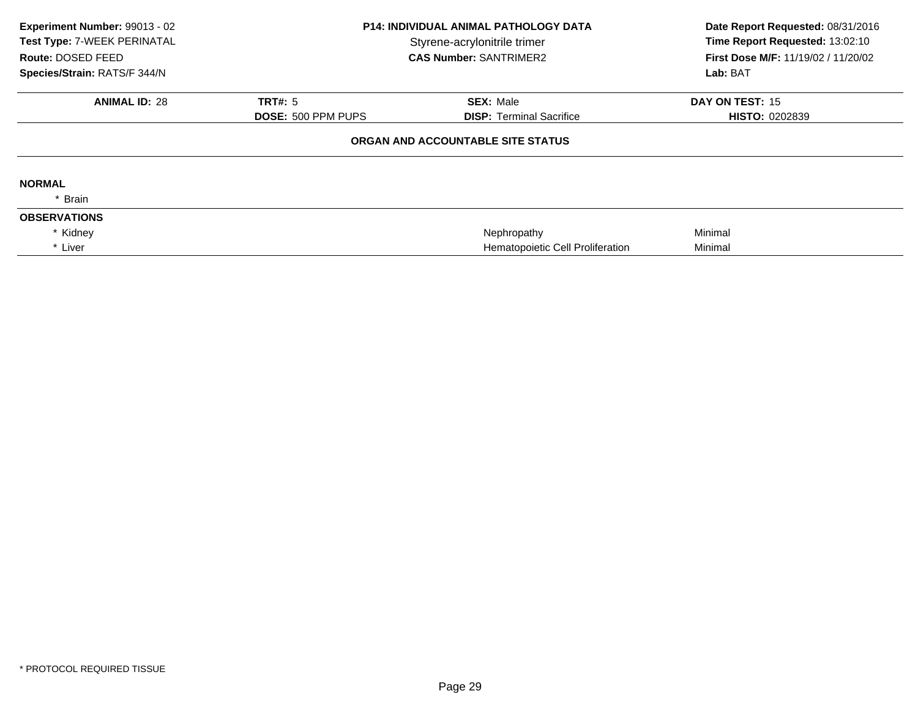| Experiment Number: 99013 - 02<br>Test Type: 7-WEEK PERINATAL<br>Route: DOSED FEED<br>Species/Strain: RATS/F 344/N | <b>P14: INDIVIDUAL ANIMAL PATHOLOGY DATA</b><br>Styrene-acrylonitrile trimer<br><b>CAS Number: SANTRIMER2</b> |                                   | Date Report Requested: 08/31/2016<br>Time Report Requested: 13:02:10<br>First Dose M/F: 11/19/02 / 11/20/02<br>Lab: BAT |
|-------------------------------------------------------------------------------------------------------------------|---------------------------------------------------------------------------------------------------------------|-----------------------------------|-------------------------------------------------------------------------------------------------------------------------|
| <b>ANIMAL ID: 28</b>                                                                                              | TRT#: 5                                                                                                       | <b>SEX: Male</b>                  | DAY ON TEST: 15                                                                                                         |
|                                                                                                                   | <b>DOSE: 500 PPM PUPS</b>                                                                                     | <b>DISP: Terminal Sacrifice</b>   | <b>HISTO: 0202839</b>                                                                                                   |
|                                                                                                                   |                                                                                                               | ORGAN AND ACCOUNTABLE SITE STATUS |                                                                                                                         |
| <b>NORMAL</b>                                                                                                     |                                                                                                               |                                   |                                                                                                                         |
| * Brain                                                                                                           |                                                                                                               |                                   |                                                                                                                         |
| <b>OBSERVATIONS</b>                                                                                               |                                                                                                               |                                   |                                                                                                                         |
| * Kidney                                                                                                          |                                                                                                               | Nephropathy                       | Minimal                                                                                                                 |
| * Liver                                                                                                           |                                                                                                               | Hematopoietic Cell Proliferation  | Minimal                                                                                                                 |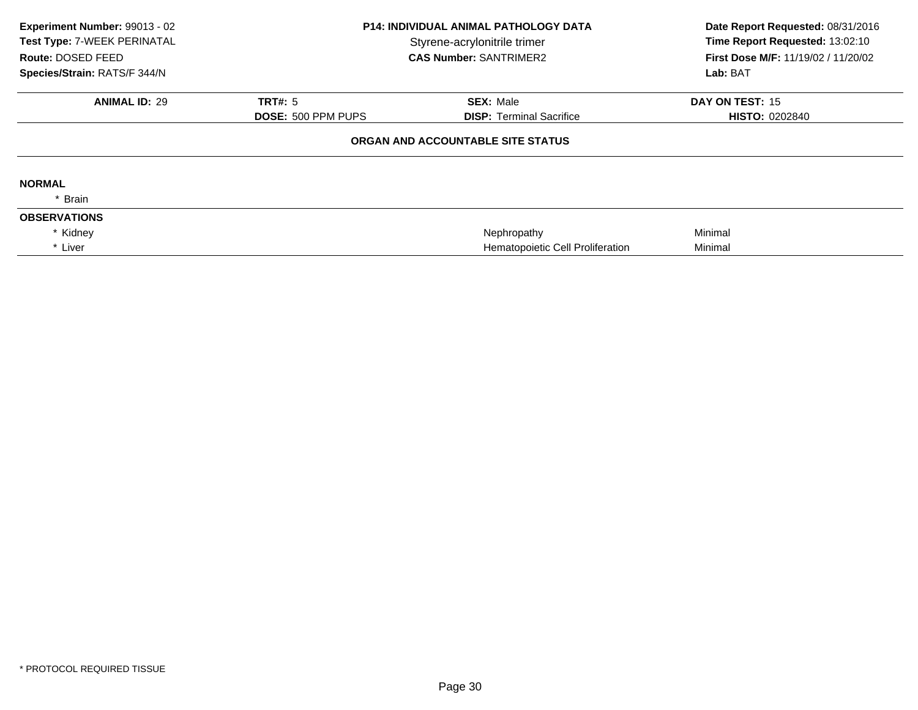| Experiment Number: 99013 - 02<br>Test Type: 7-WEEK PERINATAL<br>Route: DOSED FEED<br>Species/Strain: RATS/F 344/N | <b>P14: INDIVIDUAL ANIMAL PATHOLOGY DATA</b><br>Styrene-acrylonitrile trimer<br><b>CAS Number: SANTRIMER2</b> |                                   | Date Report Requested: 08/31/2016<br>Time Report Requested: 13:02:10<br>First Dose M/F: 11/19/02 / 11/20/02<br>Lab: BAT |
|-------------------------------------------------------------------------------------------------------------------|---------------------------------------------------------------------------------------------------------------|-----------------------------------|-------------------------------------------------------------------------------------------------------------------------|
| <b>ANIMAL ID: 29</b>                                                                                              | TRT#: 5                                                                                                       | <b>SEX: Male</b>                  | DAY ON TEST: 15                                                                                                         |
|                                                                                                                   | <b>DOSE: 500 PPM PUPS</b>                                                                                     | <b>DISP: Terminal Sacrifice</b>   | <b>HISTO: 0202840</b>                                                                                                   |
|                                                                                                                   |                                                                                                               | ORGAN AND ACCOUNTABLE SITE STATUS |                                                                                                                         |
| <b>NORMAL</b>                                                                                                     |                                                                                                               |                                   |                                                                                                                         |
| * Brain                                                                                                           |                                                                                                               |                                   |                                                                                                                         |
| <b>OBSERVATIONS</b>                                                                                               |                                                                                                               |                                   |                                                                                                                         |
| * Kidney                                                                                                          |                                                                                                               | Nephropathy                       | Minimal                                                                                                                 |
| * Liver                                                                                                           |                                                                                                               | Hematopoietic Cell Proliferation  | Minimal                                                                                                                 |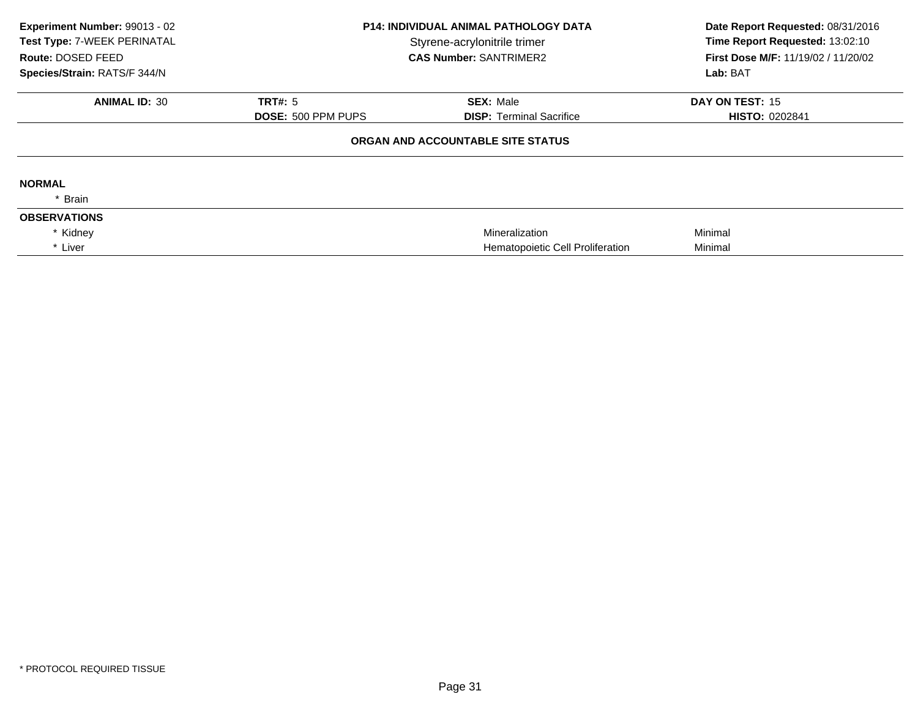| Experiment Number: 99013 - 02<br>Test Type: 7-WEEK PERINATAL<br>Route: DOSED FEED<br>Species/Strain: RATS/F 344/N | <b>P14: INDIVIDUAL ANIMAL PATHOLOGY DATA</b><br>Styrene-acrylonitrile trimer<br><b>CAS Number: SANTRIMER2</b> |                                   | Date Report Requested: 08/31/2016<br>Time Report Requested: 13:02:10<br>First Dose M/F: 11/19/02 / 11/20/02<br>Lab: BAT |
|-------------------------------------------------------------------------------------------------------------------|---------------------------------------------------------------------------------------------------------------|-----------------------------------|-------------------------------------------------------------------------------------------------------------------------|
| <b>ANIMAL ID: 30</b>                                                                                              | TRT#: 5                                                                                                       | <b>SEX: Male</b>                  | DAY ON TEST: 15                                                                                                         |
|                                                                                                                   | <b>DOSE: 500 PPM PUPS</b>                                                                                     | <b>DISP: Terminal Sacrifice</b>   | <b>HISTO: 0202841</b>                                                                                                   |
|                                                                                                                   |                                                                                                               | ORGAN AND ACCOUNTABLE SITE STATUS |                                                                                                                         |
| <b>NORMAL</b>                                                                                                     |                                                                                                               |                                   |                                                                                                                         |
| * Brain                                                                                                           |                                                                                                               |                                   |                                                                                                                         |
| <b>OBSERVATIONS</b>                                                                                               |                                                                                                               |                                   |                                                                                                                         |
| * Kidney                                                                                                          |                                                                                                               | Mineralization                    | Minimal                                                                                                                 |
| * Liver                                                                                                           |                                                                                                               | Hematopoietic Cell Proliferation  | Minimal                                                                                                                 |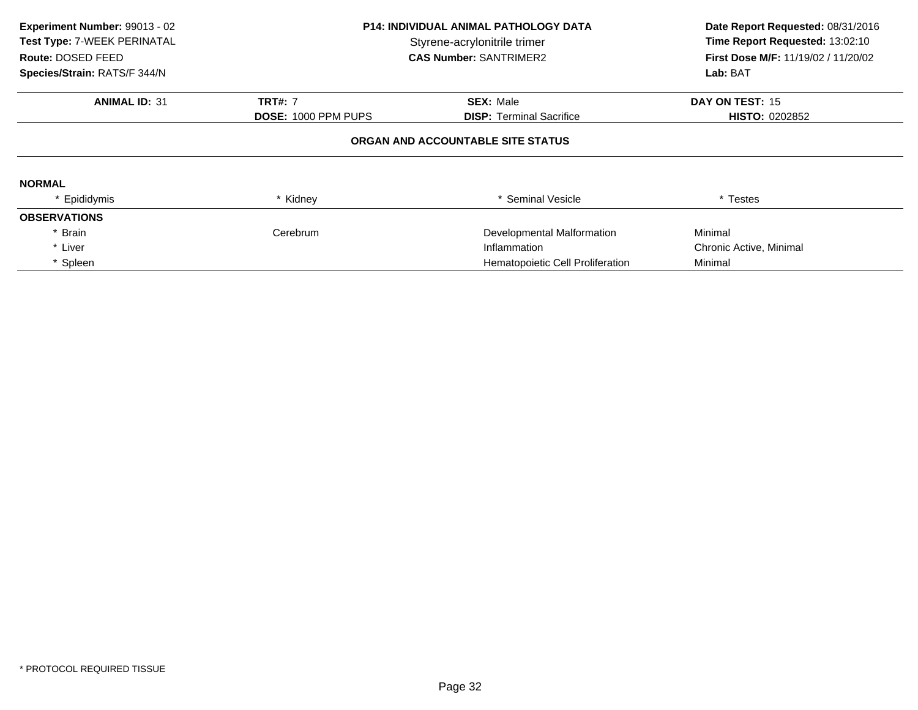| Experiment Number: 99013 - 02<br>Test Type: 7-WEEK PERINATAL<br>Route: DOSED FEED<br>Species/Strain: RATS/F 344/N | <b>P14: INDIVIDUAL ANIMAL PATHOLOGY DATA</b><br>Styrene-acrylonitrile trimer<br><b>CAS Number: SANTRIMER2</b> |                                   | Date Report Requested: 08/31/2016<br>Time Report Requested: 13:02:10<br>First Dose M/F: 11/19/02 / 11/20/02<br>Lab: BAT |
|-------------------------------------------------------------------------------------------------------------------|---------------------------------------------------------------------------------------------------------------|-----------------------------------|-------------------------------------------------------------------------------------------------------------------------|
| <b>ANIMAL ID: 31</b>                                                                                              | <b>TRT#: 7</b>                                                                                                | <b>SEX: Male</b>                  | DAY ON TEST: 15                                                                                                         |
|                                                                                                                   | DOSE: 1000 PPM PUPS                                                                                           | <b>DISP:</b> Terminal Sacrifice   | <b>HISTO: 0202852</b>                                                                                                   |
|                                                                                                                   |                                                                                                               | ORGAN AND ACCOUNTABLE SITE STATUS |                                                                                                                         |
| <b>NORMAL</b>                                                                                                     |                                                                                                               |                                   |                                                                                                                         |
| * Epididymis                                                                                                      | * Kidney                                                                                                      | * Seminal Vesicle                 | * Testes                                                                                                                |
| <b>OBSERVATIONS</b>                                                                                               |                                                                                                               |                                   |                                                                                                                         |
| * Brain                                                                                                           | Cerebrum                                                                                                      | Developmental Malformation        | Minimal                                                                                                                 |
| * Liver                                                                                                           |                                                                                                               | Inflammation                      | Chronic Active, Minimal                                                                                                 |
| * Spleen                                                                                                          |                                                                                                               | Hematopoietic Cell Proliferation  | Minimal                                                                                                                 |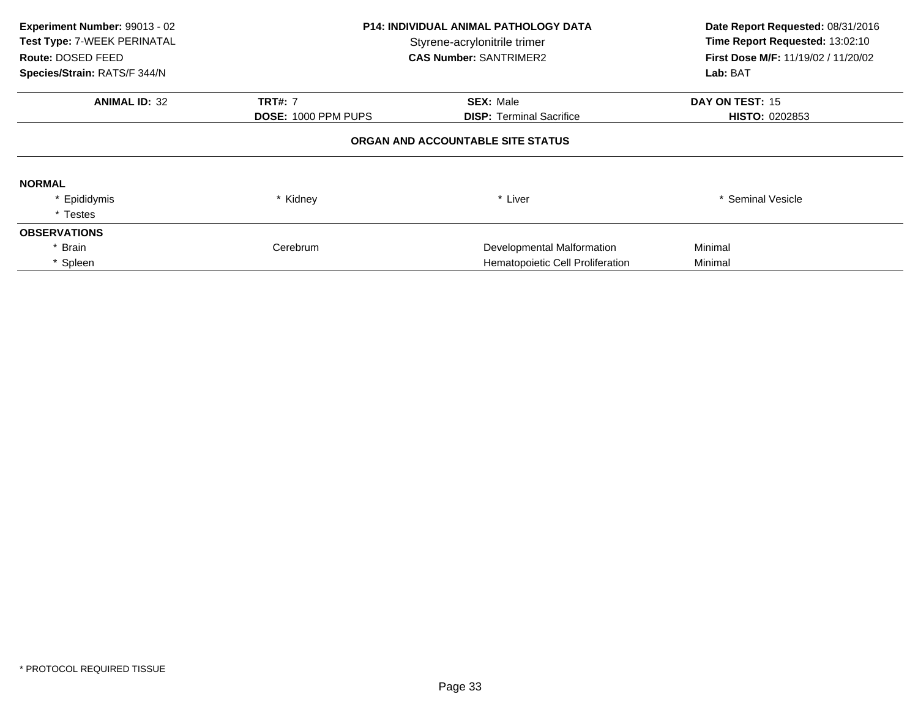| Experiment Number: 99013 - 02<br>Test Type: 7-WEEK PERINATAL<br>Route: DOSED FEED<br>Species/Strain: RATS/F 344/N | <b>P14: INDIVIDUAL ANIMAL PATHOLOGY DATA</b><br>Styrene-acrylonitrile trimer<br><b>CAS Number: SANTRIMER2</b> |                                   | Date Report Requested: 08/31/2016<br>Time Report Requested: 13:02:10<br>First Dose M/F: 11/19/02 / 11/20/02<br>Lab: BAT |
|-------------------------------------------------------------------------------------------------------------------|---------------------------------------------------------------------------------------------------------------|-----------------------------------|-------------------------------------------------------------------------------------------------------------------------|
| <b>ANIMAL ID: 32</b>                                                                                              | <b>TRT#: 7</b>                                                                                                | <b>SEX: Male</b>                  | DAY ON TEST: 15                                                                                                         |
|                                                                                                                   | <b>DOSE: 1000 PPM PUPS</b>                                                                                    | <b>DISP:</b> Terminal Sacrifice   | <b>HISTO: 0202853</b>                                                                                                   |
|                                                                                                                   |                                                                                                               | ORGAN AND ACCOUNTABLE SITE STATUS |                                                                                                                         |
| <b>NORMAL</b>                                                                                                     |                                                                                                               |                                   |                                                                                                                         |
| * Epididymis                                                                                                      | * Kidney                                                                                                      | * Liver                           | * Seminal Vesicle                                                                                                       |
| * Testes                                                                                                          |                                                                                                               |                                   |                                                                                                                         |
| <b>OBSERVATIONS</b>                                                                                               |                                                                                                               |                                   |                                                                                                                         |
| * Brain                                                                                                           | Cerebrum                                                                                                      | Developmental Malformation        | Minimal                                                                                                                 |
| * Spleen                                                                                                          |                                                                                                               | Hematopoietic Cell Proliferation  | Minimal                                                                                                                 |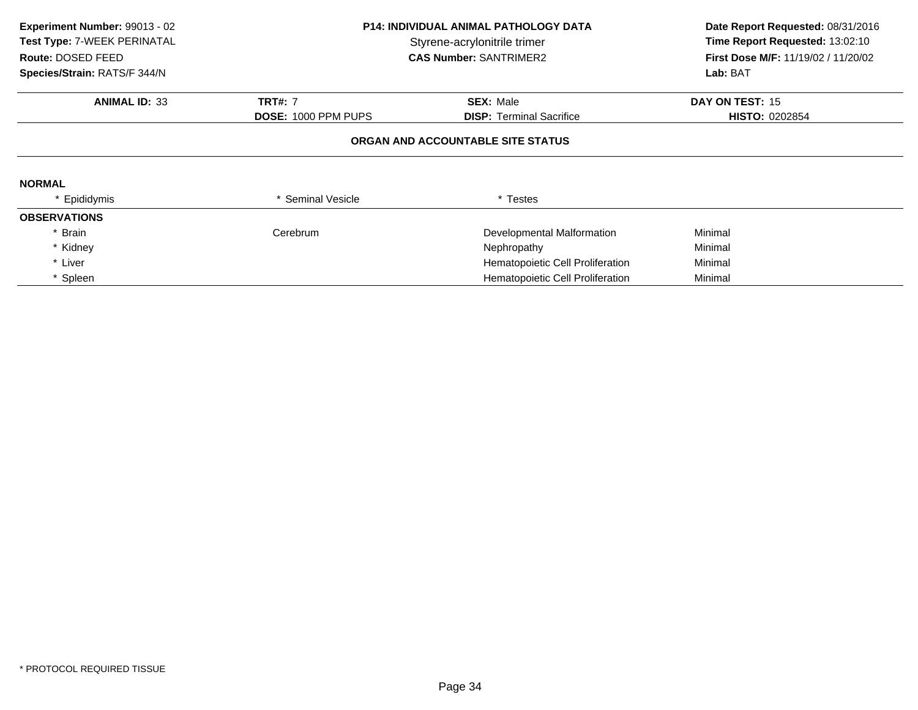| Experiment Number: 99013 - 02<br>Test Type: 7-WEEK PERINATAL<br>Route: DOSED FEED<br>Species/Strain: RATS/F 344/N | <b>P14: INDIVIDUAL ANIMAL PATHOLOGY DATA</b><br>Styrene-acrylonitrile trimer<br><b>CAS Number: SANTRIMER2</b> |                                   | Date Report Requested: 08/31/2016<br>Time Report Requested: 13:02:10<br><b>First Dose M/F: 11/19/02 / 11/20/02</b><br>Lab: BAT |
|-------------------------------------------------------------------------------------------------------------------|---------------------------------------------------------------------------------------------------------------|-----------------------------------|--------------------------------------------------------------------------------------------------------------------------------|
| <b>ANIMAL ID: 33</b>                                                                                              | <b>TRT#: 7</b>                                                                                                | <b>SEX: Male</b>                  | DAY ON TEST: 15                                                                                                                |
|                                                                                                                   | <b>DOSE: 1000 PPM PUPS</b>                                                                                    | <b>DISP:</b> Terminal Sacrifice   | <b>HISTO: 0202854</b>                                                                                                          |
|                                                                                                                   |                                                                                                               | ORGAN AND ACCOUNTABLE SITE STATUS |                                                                                                                                |
| <b>NORMAL</b>                                                                                                     |                                                                                                               |                                   |                                                                                                                                |
| Epididymis                                                                                                        | <b>Seminal Vesicle</b>                                                                                        | * Testes                          |                                                                                                                                |
| <b>OBSERVATIONS</b>                                                                                               |                                                                                                               |                                   |                                                                                                                                |
| * Brain                                                                                                           | Cerebrum                                                                                                      | Developmental Malformation        | Minimal                                                                                                                        |
| * Kidney                                                                                                          |                                                                                                               | Nephropathy                       | Minimal                                                                                                                        |
| * Liver                                                                                                           |                                                                                                               | Hematopoietic Cell Proliferation  | Minimal                                                                                                                        |
| * Spleen                                                                                                          |                                                                                                               | Hematopoietic Cell Proliferation  | Minimal                                                                                                                        |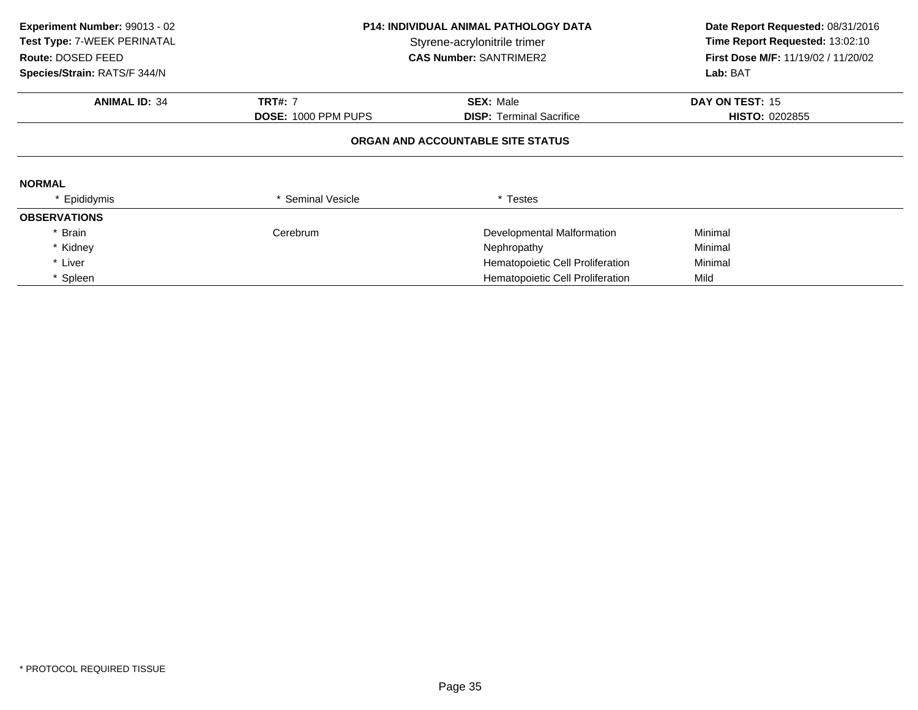| Experiment Number: 99013 - 02<br>Test Type: 7-WEEK PERINATAL<br>Route: DOSED FEED<br>Species/Strain: RATS/F 344/N | <b>P14: INDIVIDUAL ANIMAL PATHOLOGY DATA</b><br>Styrene-acrylonitrile trimer<br><b>CAS Number: SANTRIMER2</b> |                                   | Date Report Requested: 08/31/2016<br>Time Report Requested: 13:02:10<br>First Dose M/F: 11/19/02 / 11/20/02<br>Lab: BAT |
|-------------------------------------------------------------------------------------------------------------------|---------------------------------------------------------------------------------------------------------------|-----------------------------------|-------------------------------------------------------------------------------------------------------------------------|
| <b>ANIMAL ID: 34</b>                                                                                              | <b>TRT#: 7</b>                                                                                                | <b>SEX: Male</b>                  | DAY ON TEST: 15                                                                                                         |
|                                                                                                                   | <b>DOSE: 1000 PPM PUPS</b>                                                                                    | <b>DISP: Terminal Sacrifice</b>   | <b>HISTO: 0202855</b>                                                                                                   |
|                                                                                                                   |                                                                                                               | ORGAN AND ACCOUNTABLE SITE STATUS |                                                                                                                         |
| <b>NORMAL</b>                                                                                                     |                                                                                                               |                                   |                                                                                                                         |
| Epididymis                                                                                                        | <b>Seminal Vesicle</b>                                                                                        | * Testes                          |                                                                                                                         |
| <b>OBSERVATIONS</b>                                                                                               |                                                                                                               |                                   |                                                                                                                         |
| * Brain                                                                                                           | Cerebrum                                                                                                      | Developmental Malformation        | Minimal                                                                                                                 |
| * Kidney                                                                                                          |                                                                                                               | Nephropathy                       | Minimal                                                                                                                 |
| * Liver                                                                                                           |                                                                                                               | Hematopoietic Cell Proliferation  | Minimal                                                                                                                 |
| * Spleen                                                                                                          |                                                                                                               | Hematopoietic Cell Proliferation  | Mild                                                                                                                    |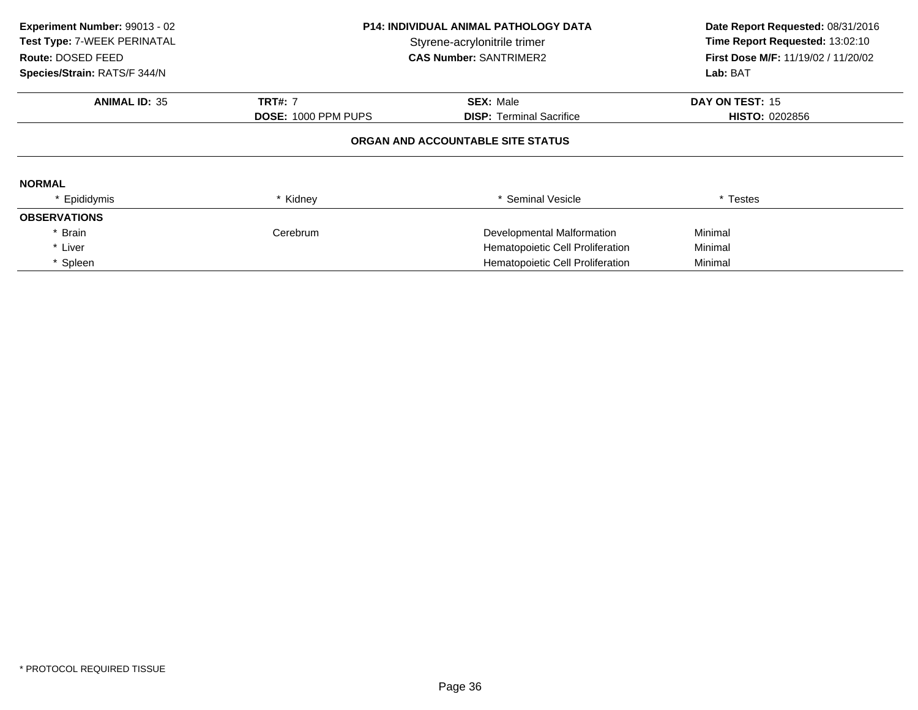| Experiment Number: 99013 - 02<br>Test Type: 7-WEEK PERINATAL<br>Route: DOSED FEED<br>Species/Strain: RATS/F 344/N | <b>P14: INDIVIDUAL ANIMAL PATHOLOGY DATA</b><br>Styrene-acrylonitrile trimer<br><b>CAS Number: SANTRIMER2</b> |                                   | Date Report Requested: 08/31/2016<br>Time Report Requested: 13:02:10<br><b>First Dose M/F: 11/19/02 / 11/20/02</b><br>Lab: BAT |
|-------------------------------------------------------------------------------------------------------------------|---------------------------------------------------------------------------------------------------------------|-----------------------------------|--------------------------------------------------------------------------------------------------------------------------------|
| <b>ANIMAL ID: 35</b>                                                                                              | <b>TRT#: 7</b>                                                                                                | <b>SEX: Male</b>                  | DAY ON TEST: 15                                                                                                                |
|                                                                                                                   | <b>DOSE: 1000 PPM PUPS</b>                                                                                    | <b>DISP:</b> Terminal Sacrifice   | <b>HISTO: 0202856</b>                                                                                                          |
|                                                                                                                   |                                                                                                               | ORGAN AND ACCOUNTABLE SITE STATUS |                                                                                                                                |
| <b>NORMAL</b>                                                                                                     |                                                                                                               |                                   |                                                                                                                                |
| * Epididymis                                                                                                      | * Kidney                                                                                                      | * Seminal Vesicle                 | * Testes                                                                                                                       |
| <b>OBSERVATIONS</b>                                                                                               |                                                                                                               |                                   |                                                                                                                                |
| Brain                                                                                                             | Cerebrum                                                                                                      | Developmental Malformation        | Minimal                                                                                                                        |
| * Liver                                                                                                           |                                                                                                               | Hematopoietic Cell Proliferation  | Minimal                                                                                                                        |
| * Spleen                                                                                                          |                                                                                                               | Hematopoietic Cell Proliferation  | Minimal                                                                                                                        |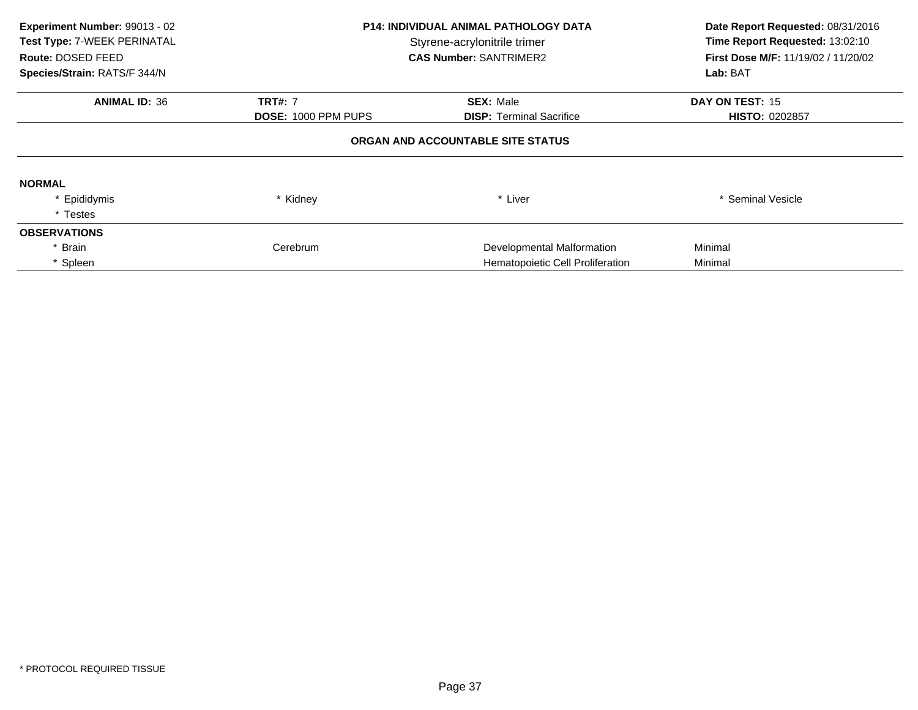| Experiment Number: 99013 - 02<br>Test Type: 7-WEEK PERINATAL<br>Route: DOSED FEED<br>Species/Strain: RATS/F 344/N | <b>P14: INDIVIDUAL ANIMAL PATHOLOGY DATA</b><br>Styrene-acrylonitrile trimer<br><b>CAS Number: SANTRIMER2</b> |                                   | Date Report Requested: 08/31/2016<br>Time Report Requested: 13:02:10<br>First Dose M/F: 11/19/02 / 11/20/02<br>Lab: BAT |
|-------------------------------------------------------------------------------------------------------------------|---------------------------------------------------------------------------------------------------------------|-----------------------------------|-------------------------------------------------------------------------------------------------------------------------|
| <b>ANIMAL ID: 36</b>                                                                                              | <b>TRT#: 7</b>                                                                                                | <b>SEX: Male</b>                  | DAY ON TEST: 15                                                                                                         |
|                                                                                                                   | <b>DOSE: 1000 PPM PUPS</b>                                                                                    | <b>DISP:</b> Terminal Sacrifice   | <b>HISTO: 0202857</b>                                                                                                   |
|                                                                                                                   |                                                                                                               | ORGAN AND ACCOUNTABLE SITE STATUS |                                                                                                                         |
| <b>NORMAL</b>                                                                                                     |                                                                                                               |                                   |                                                                                                                         |
| * Epididymis                                                                                                      | * Kidney                                                                                                      | * Liver                           | * Seminal Vesicle                                                                                                       |
| * Testes                                                                                                          |                                                                                                               |                                   |                                                                                                                         |
| <b>OBSERVATIONS</b>                                                                                               |                                                                                                               |                                   |                                                                                                                         |
| * Brain                                                                                                           | Cerebrum                                                                                                      | Developmental Malformation        | Minimal                                                                                                                 |
| * Spleen                                                                                                          |                                                                                                               | Hematopoietic Cell Proliferation  | Minimal                                                                                                                 |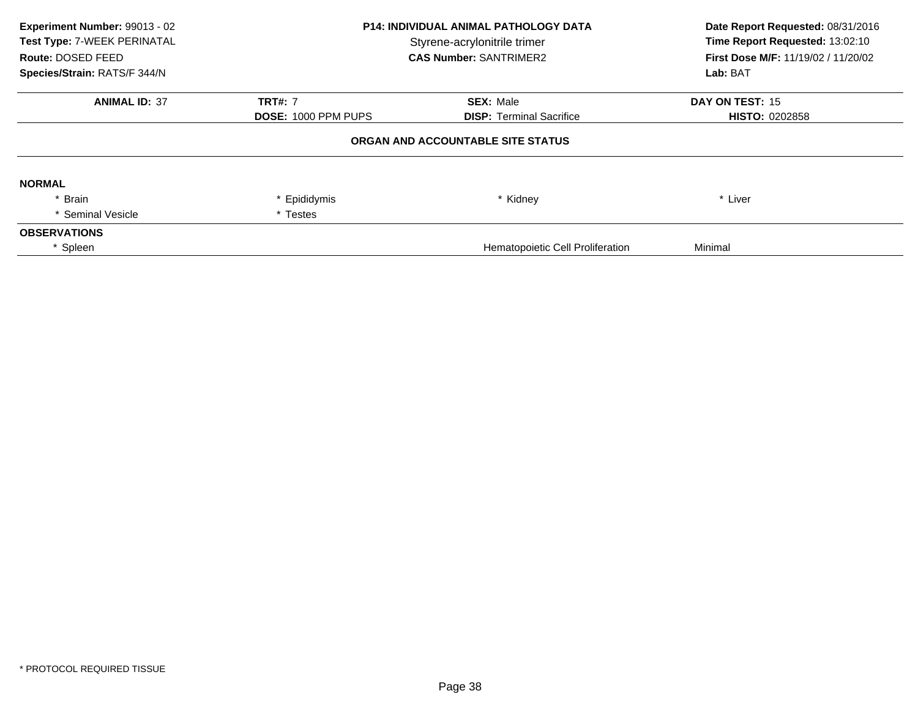| Experiment Number: 99013 - 02<br>Test Type: 7-WEEK PERINATAL<br>Route: DOSED FEED<br>Species/Strain: RATS/F 344/N | <b>P14: INDIVIDUAL ANIMAL PATHOLOGY DATA</b><br>Styrene-acrylonitrile trimer<br><b>CAS Number: SANTRIMER2</b> |                                         | Date Report Requested: 08/31/2016<br>Time Report Requested: 13:02:10<br>First Dose M/F: 11/19/02 / 11/20/02<br>Lab: BAT |
|-------------------------------------------------------------------------------------------------------------------|---------------------------------------------------------------------------------------------------------------|-----------------------------------------|-------------------------------------------------------------------------------------------------------------------------|
| <b>ANIMAL ID: 37</b>                                                                                              | <b>TRT#: 7</b>                                                                                                | <b>SEX: Male</b>                        | DAY ON TEST: 15                                                                                                         |
|                                                                                                                   | <b>DOSE: 1000 PPM PUPS</b><br><b>DISP: Terminal Sacrifice</b>                                                 | <b>HISTO: 0202858</b>                   |                                                                                                                         |
|                                                                                                                   |                                                                                                               | ORGAN AND ACCOUNTABLE SITE STATUS       |                                                                                                                         |
| <b>NORMAL</b>                                                                                                     |                                                                                                               |                                         |                                                                                                                         |
| * Brain                                                                                                           | * Epididymis                                                                                                  | * Kidney                                | * Liver                                                                                                                 |
| * Seminal Vesicle                                                                                                 | * Testes                                                                                                      |                                         |                                                                                                                         |
| <b>OBSERVATIONS</b>                                                                                               |                                                                                                               |                                         |                                                                                                                         |
| Spleen                                                                                                            |                                                                                                               | <b>Hematopoietic Cell Proliferation</b> | Minimal                                                                                                                 |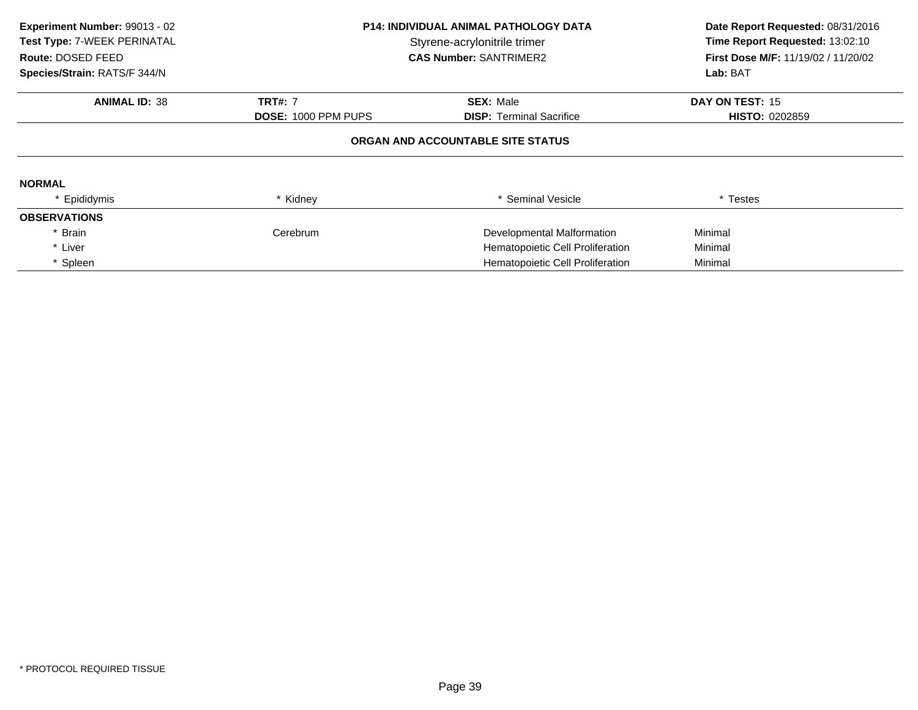| Experiment Number: 99013 - 02<br>Test Type: 7-WEEK PERINATAL<br>Route: DOSED FEED<br>Species/Strain: RATS/F 344/N | <b>P14: INDIVIDUAL ANIMAL PATHOLOGY DATA</b><br>Styrene-acrylonitrile trimer<br><b>CAS Number: SANTRIMER2</b> |                                   | Date Report Requested: 08/31/2016<br>Time Report Requested: 13:02:10<br>First Dose M/F: 11/19/02 / 11/20/02<br>Lab: BAT |
|-------------------------------------------------------------------------------------------------------------------|---------------------------------------------------------------------------------------------------------------|-----------------------------------|-------------------------------------------------------------------------------------------------------------------------|
| <b>ANIMAL ID: 38</b>                                                                                              | <b>TRT#: 7</b>                                                                                                | <b>SEX: Male</b>                  | DAY ON TEST: 15                                                                                                         |
|                                                                                                                   | <b>DOSE: 1000 PPM PUPS</b>                                                                                    | <b>DISP:</b> Terminal Sacrifice   | <b>HISTO: 0202859</b>                                                                                                   |
|                                                                                                                   |                                                                                                               | ORGAN AND ACCOUNTABLE SITE STATUS |                                                                                                                         |
| <b>NORMAL</b>                                                                                                     |                                                                                                               |                                   |                                                                                                                         |
| * Epididymis                                                                                                      | * Kidney                                                                                                      | * Seminal Vesicle                 | * Testes                                                                                                                |
| <b>OBSERVATIONS</b>                                                                                               |                                                                                                               |                                   |                                                                                                                         |
| <b>Brain</b>                                                                                                      | Cerebrum                                                                                                      | Developmental Malformation        | Minimal                                                                                                                 |
| * Liver                                                                                                           |                                                                                                               | Hematopoietic Cell Proliferation  | Minimal                                                                                                                 |
| * Spleen                                                                                                          |                                                                                                               | Hematopoietic Cell Proliferation  | Minimal                                                                                                                 |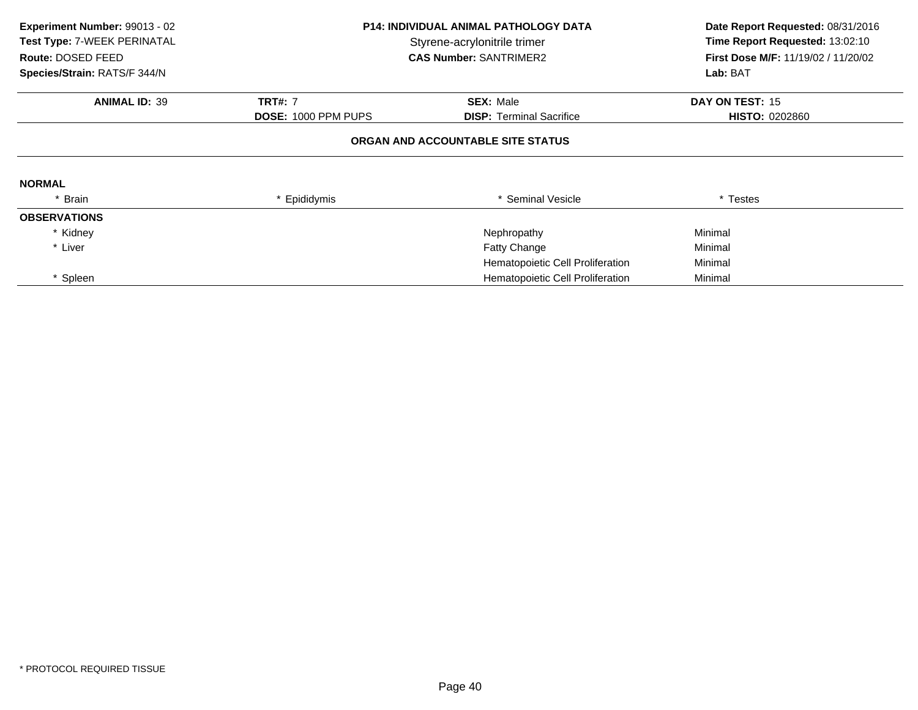| Experiment Number: 99013 - 02<br>Test Type: 7-WEEK PERINATAL<br>Route: DOSED FEED<br>Species/Strain: RATS/F 344/N | <b>P14: INDIVIDUAL ANIMAL PATHOLOGY DATA</b><br>Styrene-acrylonitrile trimer<br><b>CAS Number: SANTRIMER2</b> |                                   | Date Report Requested: 08/31/2016<br>Time Report Requested: 13:02:10<br>First Dose M/F: 11/19/02 / 11/20/02<br>Lab: BAT |
|-------------------------------------------------------------------------------------------------------------------|---------------------------------------------------------------------------------------------------------------|-----------------------------------|-------------------------------------------------------------------------------------------------------------------------|
| <b>ANIMAL ID: 39</b>                                                                                              | <b>TRT#: 7</b>                                                                                                | <b>SEX: Male</b>                  | DAY ON TEST: 15                                                                                                         |
|                                                                                                                   | DOSE: 1000 PPM PUPS                                                                                           | <b>DISP:</b> Terminal Sacrifice   | <b>HISTO: 0202860</b>                                                                                                   |
|                                                                                                                   |                                                                                                               | ORGAN AND ACCOUNTABLE SITE STATUS |                                                                                                                         |
| <b>NORMAL</b>                                                                                                     |                                                                                                               |                                   |                                                                                                                         |
| * Brain                                                                                                           | * Epididymis                                                                                                  | * Seminal Vesicle                 | * Testes                                                                                                                |
| <b>OBSERVATIONS</b>                                                                                               |                                                                                                               |                                   |                                                                                                                         |
| * Kidney                                                                                                          |                                                                                                               | Nephropathy                       | Minimal                                                                                                                 |
| * Liver                                                                                                           |                                                                                                               | <b>Fatty Change</b>               | Minimal                                                                                                                 |
|                                                                                                                   |                                                                                                               | Hematopoietic Cell Proliferation  | Minimal                                                                                                                 |
| Spleen                                                                                                            |                                                                                                               | Hematopoietic Cell Proliferation  | Minimal                                                                                                                 |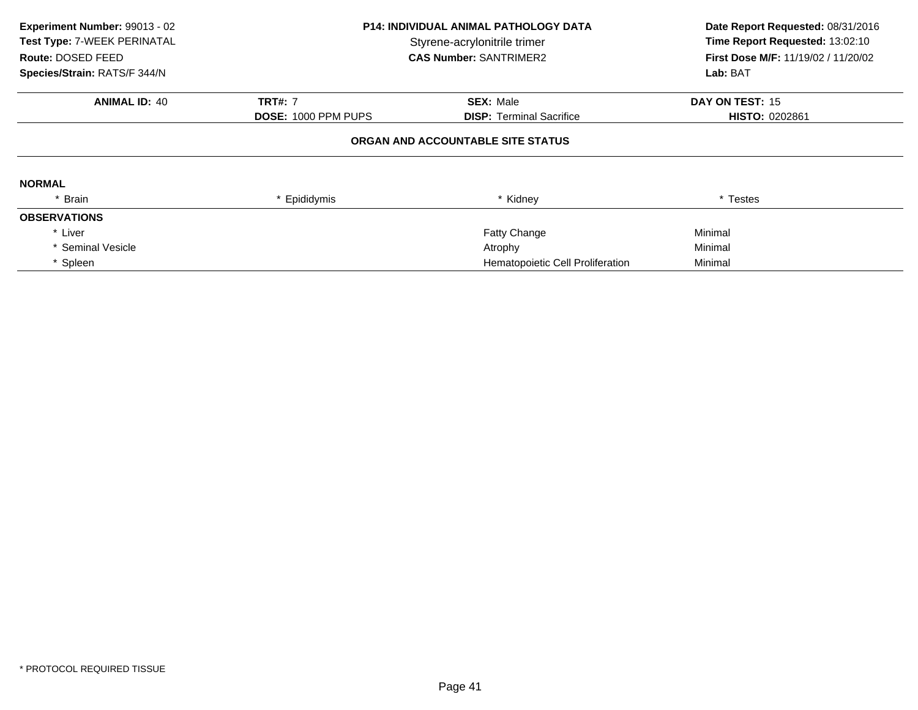| Experiment Number: 99013 - 02<br>Test Type: 7-WEEK PERINATAL<br>Route: DOSED FEED<br>Species/Strain: RATS/F 344/N | <b>P14: INDIVIDUAL ANIMAL PATHOLOGY DATA</b><br>Styrene-acrylonitrile trimer<br><b>CAS Number: SANTRIMER2</b> |                                   | Date Report Requested: 08/31/2016<br>Time Report Requested: 13:02:10<br>First Dose M/F: 11/19/02 / 11/20/02<br>Lab: BAT |
|-------------------------------------------------------------------------------------------------------------------|---------------------------------------------------------------------------------------------------------------|-----------------------------------|-------------------------------------------------------------------------------------------------------------------------|
| <b>ANIMAL ID: 40</b>                                                                                              | <b>TRT#: 7</b>                                                                                                | <b>SEX: Male</b>                  | DAY ON TEST: 15                                                                                                         |
|                                                                                                                   | <b>DOSE: 1000 PPM PUPS</b>                                                                                    | <b>DISP:</b> Terminal Sacrifice   | <b>HISTO: 0202861</b>                                                                                                   |
|                                                                                                                   |                                                                                                               | ORGAN AND ACCOUNTABLE SITE STATUS |                                                                                                                         |
| <b>NORMAL</b>                                                                                                     |                                                                                                               |                                   |                                                                                                                         |
| * Brain                                                                                                           | * Epididymis                                                                                                  | * Kidney                          | * Testes                                                                                                                |
| <b>OBSERVATIONS</b>                                                                                               |                                                                                                               |                                   |                                                                                                                         |
| * Liver                                                                                                           |                                                                                                               | Fatty Change                      | Minimal                                                                                                                 |
| * Seminal Vesicle                                                                                                 |                                                                                                               | Atrophy                           | Minimal                                                                                                                 |
| * Spleen                                                                                                          |                                                                                                               | Hematopoietic Cell Proliferation  | Minimal                                                                                                                 |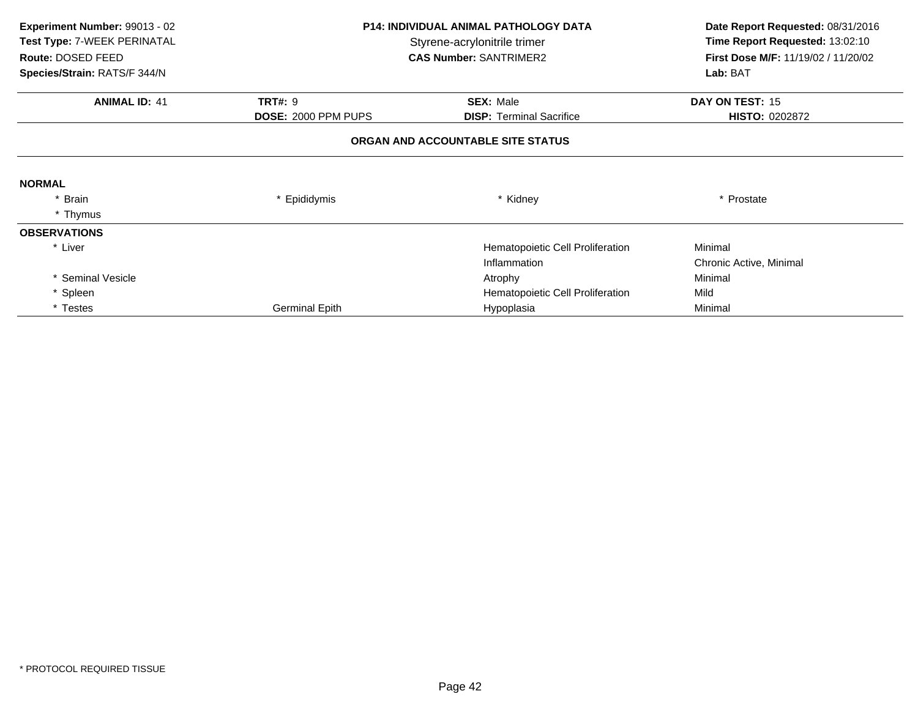| Experiment Number: 99013 - 02<br>Test Type: 7-WEEK PERINATAL<br>Route: DOSED FEED<br>Species/Strain: RATS/F 344/N | <b>P14: INDIVIDUAL ANIMAL PATHOLOGY DATA</b><br>Styrene-acrylonitrile trimer<br><b>CAS Number: SANTRIMER2</b> |                                                     | Date Report Requested: 08/31/2016<br>Time Report Requested: 13:02:10<br>First Dose M/F: 11/19/02 / 11/20/02<br>Lab: BAT |
|-------------------------------------------------------------------------------------------------------------------|---------------------------------------------------------------------------------------------------------------|-----------------------------------------------------|-------------------------------------------------------------------------------------------------------------------------|
| <b>ANIMAL ID: 41</b>                                                                                              | <b>TRT#: 9</b><br>DOSE: 2000 PPM PUPS                                                                         | <b>SEX: Male</b><br><b>DISP:</b> Terminal Sacrifice | DAY ON TEST: 15<br><b>HISTO: 0202872</b>                                                                                |
|                                                                                                                   |                                                                                                               | ORGAN AND ACCOUNTABLE SITE STATUS                   |                                                                                                                         |
| <b>NORMAL</b>                                                                                                     |                                                                                                               |                                                     |                                                                                                                         |
| <b>Brain</b><br>* Thymus                                                                                          | * Epididymis                                                                                                  | * Kidney                                            | * Prostate                                                                                                              |
| <b>OBSERVATIONS</b>                                                                                               |                                                                                                               |                                                     |                                                                                                                         |
| * Liver                                                                                                           |                                                                                                               | Hematopoietic Cell Proliferation<br>Inflammation    | Minimal<br>Chronic Active, Minimal                                                                                      |
| * Seminal Vesicle                                                                                                 |                                                                                                               | Atrophy                                             | Minimal                                                                                                                 |
| * Spleen                                                                                                          |                                                                                                               | Hematopoietic Cell Proliferation                    | Mild                                                                                                                    |
| * Testes                                                                                                          | <b>Germinal Epith</b>                                                                                         | Hypoplasia                                          | Minimal                                                                                                                 |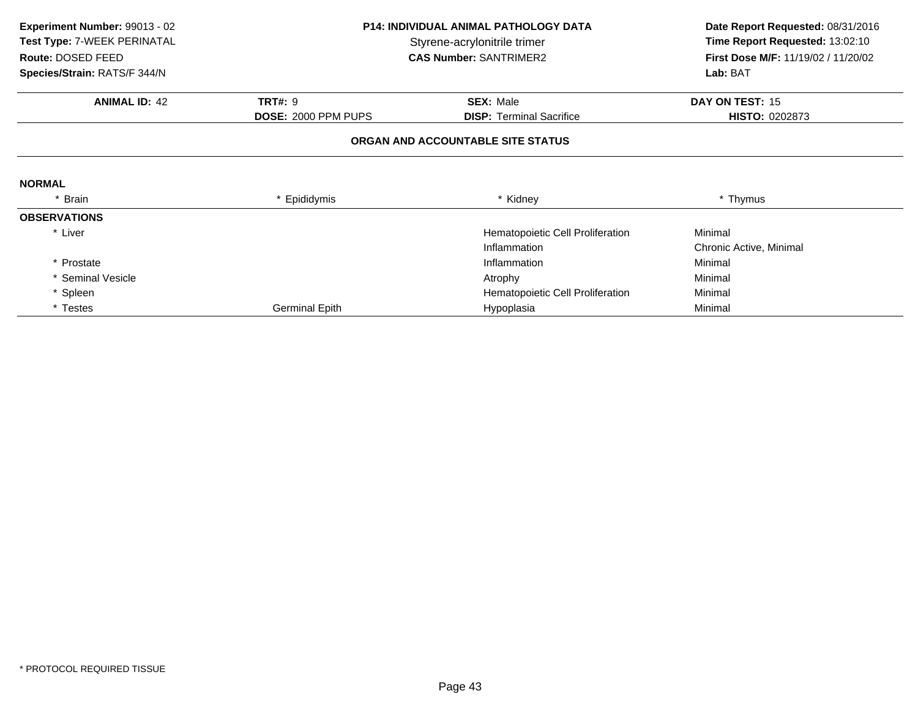| Experiment Number: 99013 - 02 |                              | <b>P14: INDIVIDUAL ANIMAL PATHOLOGY DATA</b> | Date Report Requested: 08/31/2016   |
|-------------------------------|------------------------------|----------------------------------------------|-------------------------------------|
| Test Type: 7-WEEK PERINATAL   | Styrene-acrylonitrile trimer |                                              | Time Report Requested: 13:02:10     |
| Route: DOSED FEED             |                              | <b>CAS Number: SANTRIMER2</b>                | First Dose M/F: 11/19/02 / 11/20/02 |
| Species/Strain: RATS/F 344/N  |                              |                                              | Lab: BAT                            |
| <b>ANIMAL ID: 42</b>          | <b>TRT#: 9</b>               | <b>SEX: Male</b>                             | DAY ON TEST: 15                     |
|                               | DOSE: 2000 PPM PUPS          | <b>DISP:</b> Terminal Sacrifice              | <b>HISTO: 0202873</b>               |
|                               |                              | ORGAN AND ACCOUNTABLE SITE STATUS            |                                     |
| <b>NORMAL</b>                 |                              |                                              |                                     |
| * Brain                       | * Epididymis                 | * Kidney                                     | * Thymus                            |
| <b>OBSERVATIONS</b>           |                              |                                              |                                     |
| * Liver                       |                              | Hematopoietic Cell Proliferation             | Minimal                             |
|                               |                              | Inflammation                                 | Chronic Active, Minimal             |
| * Prostate                    |                              | Inflammation                                 | Minimal                             |
| Seminal Vesicle               |                              | Atrophy                                      | Minimal                             |
| * Spleen                      |                              | Hematopoietic Cell Proliferation             | Minimal                             |
| * Testes                      | <b>Germinal Epith</b>        | Hypoplasia                                   | Minimal                             |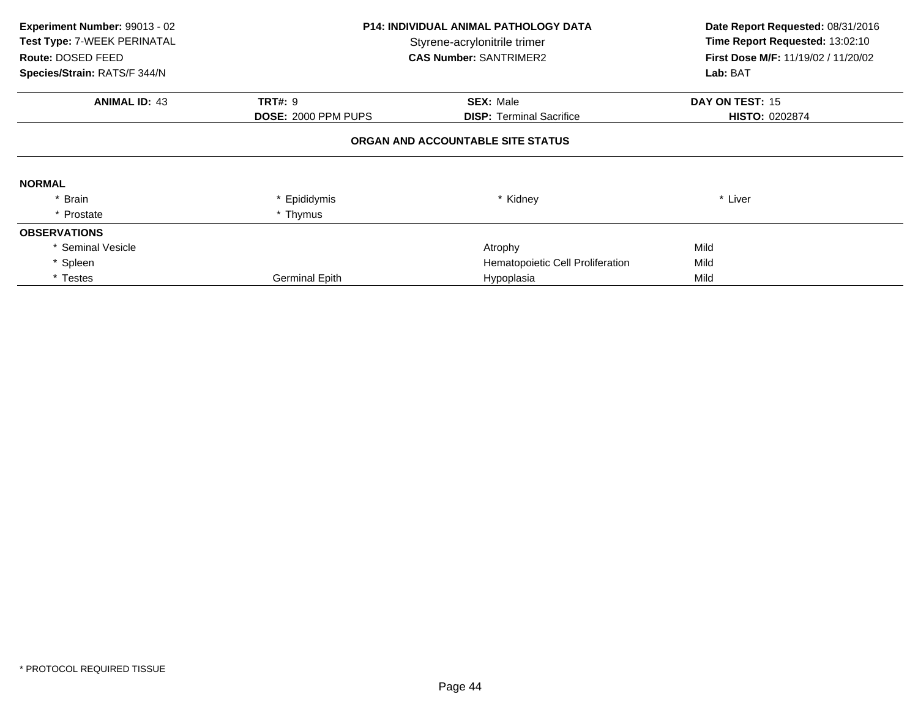| Experiment Number: 99013 - 02<br>Test Type: 7-WEEK PERINATAL<br>Route: DOSED FEED<br>Species/Strain: RATS/F 344/N | <b>P14: INDIVIDUAL ANIMAL PATHOLOGY DATA</b><br>Styrene-acrylonitrile trimer<br><b>CAS Number: SANTRIMER2</b> |                                                     | Date Report Requested: 08/31/2016<br>Time Report Requested: 13:02:10<br>First Dose M/F: 11/19/02 / 11/20/02<br>Lab: BAT |
|-------------------------------------------------------------------------------------------------------------------|---------------------------------------------------------------------------------------------------------------|-----------------------------------------------------|-------------------------------------------------------------------------------------------------------------------------|
| <b>ANIMAL ID: 43</b>                                                                                              | <b>TRT#: 9</b><br>DOSE: 2000 PPM PUPS                                                                         | <b>SEX: Male</b><br><b>DISP:</b> Terminal Sacrifice | DAY ON TEST: 15<br><b>HISTO: 0202874</b>                                                                                |
|                                                                                                                   |                                                                                                               | ORGAN AND ACCOUNTABLE SITE STATUS                   |                                                                                                                         |
| <b>NORMAL</b>                                                                                                     |                                                                                                               |                                                     |                                                                                                                         |
| * Brain                                                                                                           | * Epididymis                                                                                                  | * Kidney                                            | * Liver                                                                                                                 |
| * Prostate                                                                                                        | * Thymus                                                                                                      |                                                     |                                                                                                                         |
| <b>OBSERVATIONS</b>                                                                                               |                                                                                                               |                                                     |                                                                                                                         |
| * Seminal Vesicle                                                                                                 |                                                                                                               | Atrophy                                             | Mild                                                                                                                    |
| * Spleen                                                                                                          |                                                                                                               | Hematopoietic Cell Proliferation                    | Mild                                                                                                                    |
| * Testes                                                                                                          | <b>Germinal Epith</b>                                                                                         | Hypoplasia                                          | Mild                                                                                                                    |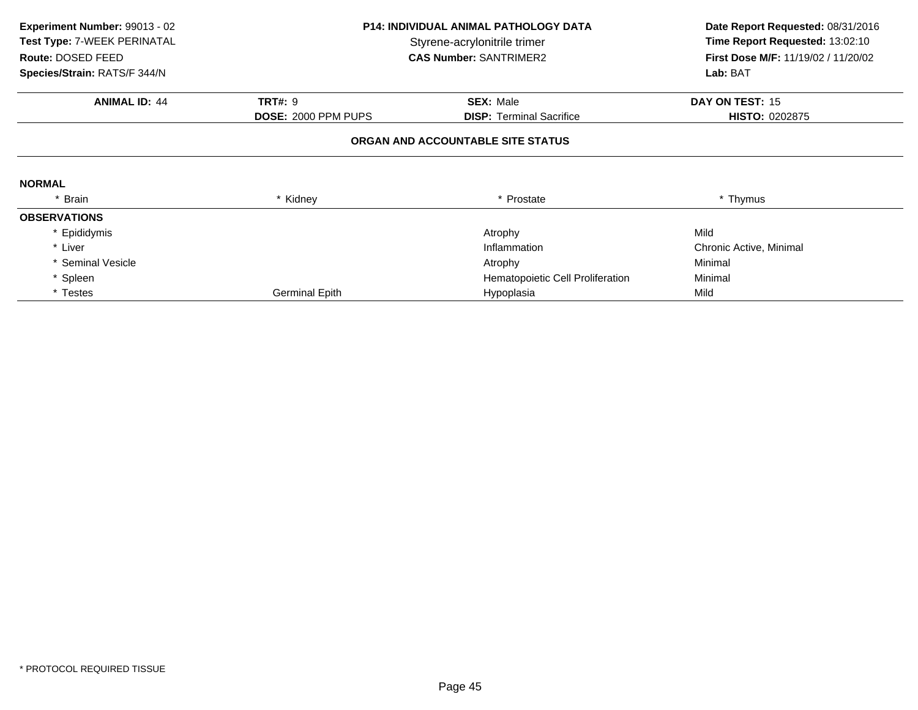| Experiment Number: 99013 - 02<br>Test Type: 7-WEEK PERINATAL<br>Route: DOSED FEED | <b>P14: INDIVIDUAL ANIMAL PATHOLOGY DATA</b><br>Styrene-acrylonitrile trimer<br><b>CAS Number: SANTRIMER2</b> |                                   | Date Report Requested: 08/31/2016<br>Time Report Requested: 13:02:10<br>First Dose M/F: 11/19/02 / 11/20/02 |
|-----------------------------------------------------------------------------------|---------------------------------------------------------------------------------------------------------------|-----------------------------------|-------------------------------------------------------------------------------------------------------------|
| Species/Strain: RATS/F 344/N                                                      |                                                                                                               |                                   | Lab: BAT                                                                                                    |
| <b>ANIMAL ID: 44</b>                                                              | <b>TRT#: 9</b>                                                                                                | <b>SEX: Male</b>                  | DAY ON TEST: 15                                                                                             |
|                                                                                   | DOSE: 2000 PPM PUPS                                                                                           | <b>DISP:</b> Terminal Sacrifice   | <b>HISTO: 0202875</b>                                                                                       |
|                                                                                   |                                                                                                               | ORGAN AND ACCOUNTABLE SITE STATUS |                                                                                                             |
| <b>NORMAL</b>                                                                     |                                                                                                               |                                   |                                                                                                             |
| * Brain                                                                           | * Kidney                                                                                                      | * Prostate                        | * Thymus                                                                                                    |
| <b>OBSERVATIONS</b>                                                               |                                                                                                               |                                   |                                                                                                             |
| * Epididymis                                                                      |                                                                                                               | Atrophy                           | Mild                                                                                                        |
| * Liver                                                                           |                                                                                                               | Inflammation                      | Chronic Active, Minimal                                                                                     |
| * Seminal Vesicle                                                                 |                                                                                                               | Atrophy                           | Minimal                                                                                                     |
| * Spleen                                                                          |                                                                                                               | Hematopoietic Cell Proliferation  | Minimal                                                                                                     |
| * Testes                                                                          | <b>Germinal Epith</b>                                                                                         | Hypoplasia                        | Mild                                                                                                        |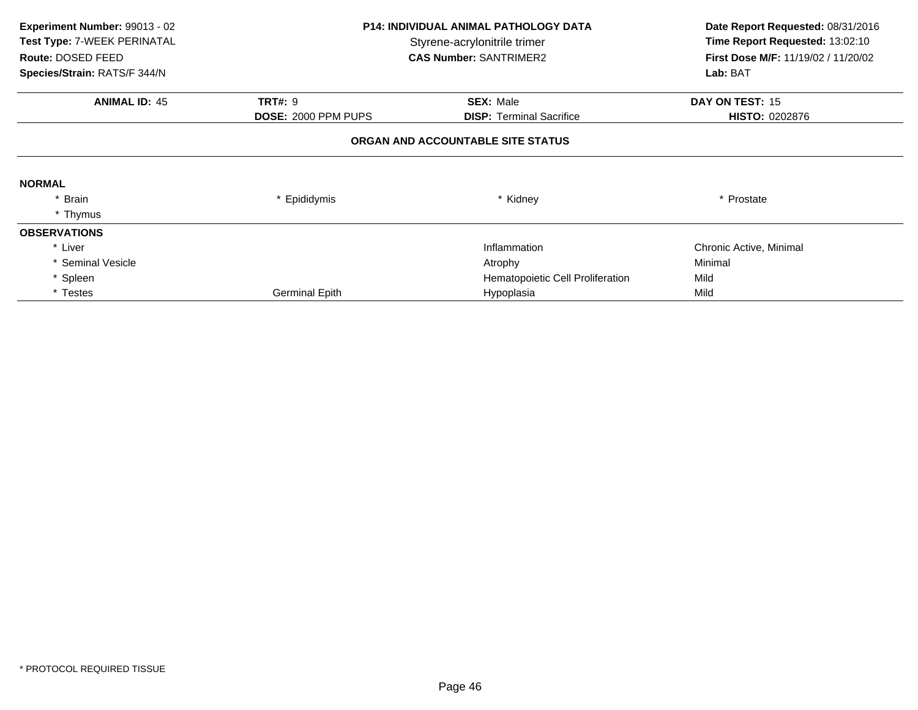| Experiment Number: 99013 - 02<br>Test Type: 7-WEEK PERINATAL<br>Route: DOSED FEED<br>Species/Strain: RATS/F 344/N | <b>P14: INDIVIDUAL ANIMAL PATHOLOGY DATA</b><br>Styrene-acrylonitrile trimer<br><b>CAS Number: SANTRIMER2</b> |                                   | Date Report Requested: 08/31/2016<br>Time Report Requested: 13:02:10<br>First Dose M/F: 11/19/02 / 11/20/02<br>Lab: BAT |
|-------------------------------------------------------------------------------------------------------------------|---------------------------------------------------------------------------------------------------------------|-----------------------------------|-------------------------------------------------------------------------------------------------------------------------|
| <b>ANIMAL ID: 45</b>                                                                                              | <b>TRT#: 9</b>                                                                                                | <b>SEX: Male</b>                  | DAY ON TEST: 15                                                                                                         |
|                                                                                                                   | <b>DOSE: 2000 PPM PUPS</b>                                                                                    | <b>DISP:</b> Terminal Sacrifice   | <b>HISTO: 0202876</b>                                                                                                   |
|                                                                                                                   |                                                                                                               | ORGAN AND ACCOUNTABLE SITE STATUS |                                                                                                                         |
| <b>NORMAL</b>                                                                                                     |                                                                                                               |                                   |                                                                                                                         |
| * Brain                                                                                                           | * Epididymis                                                                                                  | * Kidney                          | * Prostate                                                                                                              |
| * Thymus                                                                                                          |                                                                                                               |                                   |                                                                                                                         |
| <b>OBSERVATIONS</b>                                                                                               |                                                                                                               |                                   |                                                                                                                         |
| * Liver                                                                                                           |                                                                                                               | Inflammation                      | Chronic Active, Minimal                                                                                                 |
| * Seminal Vesicle                                                                                                 |                                                                                                               | Atrophy                           | Minimal                                                                                                                 |
| * Spleen                                                                                                          |                                                                                                               | Hematopoietic Cell Proliferation  | Mild                                                                                                                    |
| * Testes                                                                                                          | <b>Germinal Epith</b>                                                                                         | Hypoplasia                        | Mild                                                                                                                    |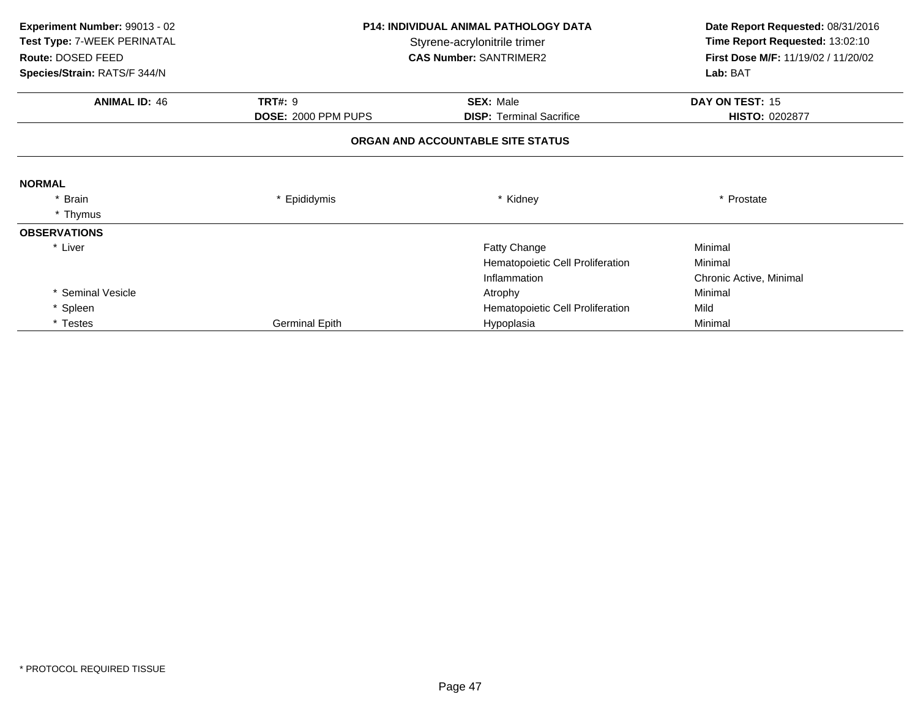| Experiment Number: 99013 - 02<br>Test Type: 7-WEEK PERINATAL<br>Route: DOSED FEED | <b>P14: INDIVIDUAL ANIMAL PATHOLOGY DATA</b><br>Styrene-acrylonitrile trimer<br><b>CAS Number: SANTRIMER2</b> |                                   | Date Report Requested: 08/31/2016<br>Time Report Requested: 13:02:10<br>First Dose M/F: 11/19/02 / 11/20/02 |  |
|-----------------------------------------------------------------------------------|---------------------------------------------------------------------------------------------------------------|-----------------------------------|-------------------------------------------------------------------------------------------------------------|--|
| Species/Strain: RATS/F 344/N                                                      |                                                                                                               |                                   | Lab: BAT                                                                                                    |  |
| <b>ANIMAL ID: 46</b>                                                              | <b>TRT#: 9</b>                                                                                                | <b>SEX: Male</b>                  | DAY ON TEST: 15                                                                                             |  |
|                                                                                   | DOSE: 2000 PPM PUPS                                                                                           | <b>DISP: Terminal Sacrifice</b>   | HISTO: 0202877                                                                                              |  |
|                                                                                   |                                                                                                               | ORGAN AND ACCOUNTABLE SITE STATUS |                                                                                                             |  |
| <b>NORMAL</b>                                                                     |                                                                                                               |                                   |                                                                                                             |  |
| * Brain                                                                           | * Epididymis                                                                                                  | * Kidney                          | * Prostate                                                                                                  |  |
| * Thymus                                                                          |                                                                                                               |                                   |                                                                                                             |  |
| <b>OBSERVATIONS</b>                                                               |                                                                                                               |                                   |                                                                                                             |  |
| * Liver                                                                           |                                                                                                               | Fatty Change                      | Minimal                                                                                                     |  |
|                                                                                   |                                                                                                               | Hematopoietic Cell Proliferation  | Minimal                                                                                                     |  |
|                                                                                   |                                                                                                               | Inflammation                      | Chronic Active, Minimal                                                                                     |  |
| * Seminal Vesicle                                                                 |                                                                                                               | Atrophy                           | Minimal                                                                                                     |  |
| * Spleen                                                                          |                                                                                                               | Hematopoietic Cell Proliferation  | Mild                                                                                                        |  |
| * Testes                                                                          | Germinal Epith                                                                                                | Hypoplasia                        | Minimal                                                                                                     |  |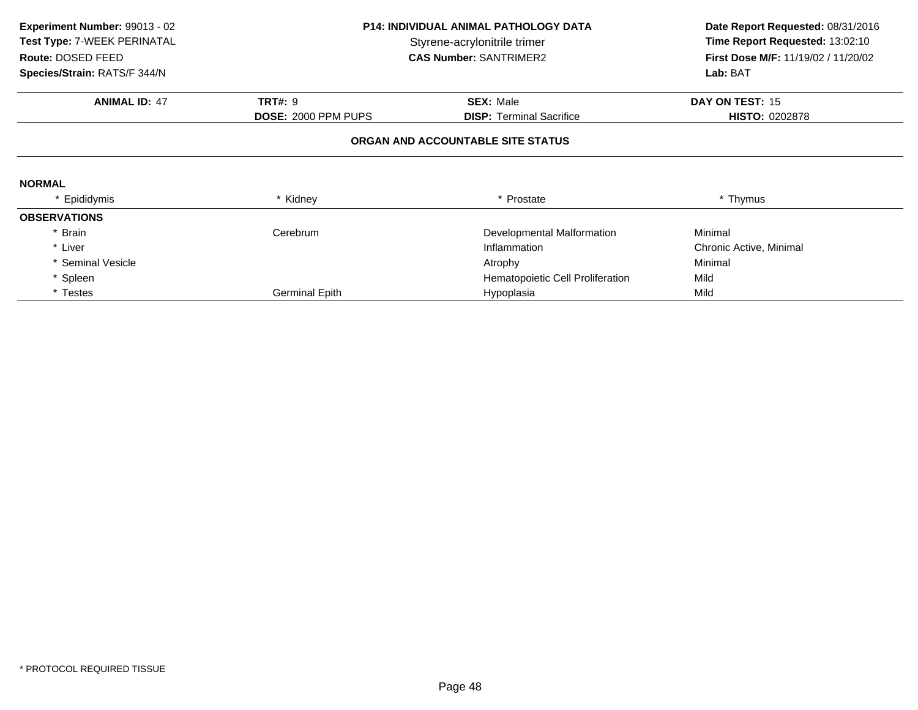| Experiment Number: 99013 - 02 | <b>P14: INDIVIDUAL ANIMAL PATHOLOGY DATA</b> |                                   | Date Report Requested: 08/31/2016          |  |
|-------------------------------|----------------------------------------------|-----------------------------------|--------------------------------------------|--|
| Test Type: 7-WEEK PERINATAL   |                                              | Styrene-acrylonitrile trimer      | Time Report Requested: 13:02:10            |  |
| Route: DOSED FEED             |                                              | <b>CAS Number: SANTRIMER2</b>     | <b>First Dose M/F: 11/19/02 / 11/20/02</b> |  |
| Species/Strain: RATS/F 344/N  |                                              |                                   |                                            |  |
| <b>ANIMAL ID: 47</b>          | <b>TRT#: 9</b>                               | <b>SEX: Male</b>                  | DAY ON TEST: 15                            |  |
|                               | <b>DOSE: 2000 PPM PUPS</b>                   | <b>DISP:</b> Terminal Sacrifice   | <b>HISTO: 0202878</b>                      |  |
|                               |                                              | ORGAN AND ACCOUNTABLE SITE STATUS |                                            |  |
| <b>NORMAL</b>                 |                                              |                                   |                                            |  |
| * Epididymis                  | * Kidney                                     | * Prostate                        | * Thymus                                   |  |
| <b>OBSERVATIONS</b>           |                                              |                                   |                                            |  |
| * Brain                       | Cerebrum                                     | Developmental Malformation        | Minimal                                    |  |
| * Liver                       |                                              | Inflammation                      | Chronic Active, Minimal                    |  |
| * Seminal Vesicle             |                                              | Atrophy                           | Minimal                                    |  |
| * Spleen                      |                                              | Hematopoietic Cell Proliferation  | Mild                                       |  |
| * Testes                      | <b>Germinal Epith</b>                        | Hypoplasia                        | Mild                                       |  |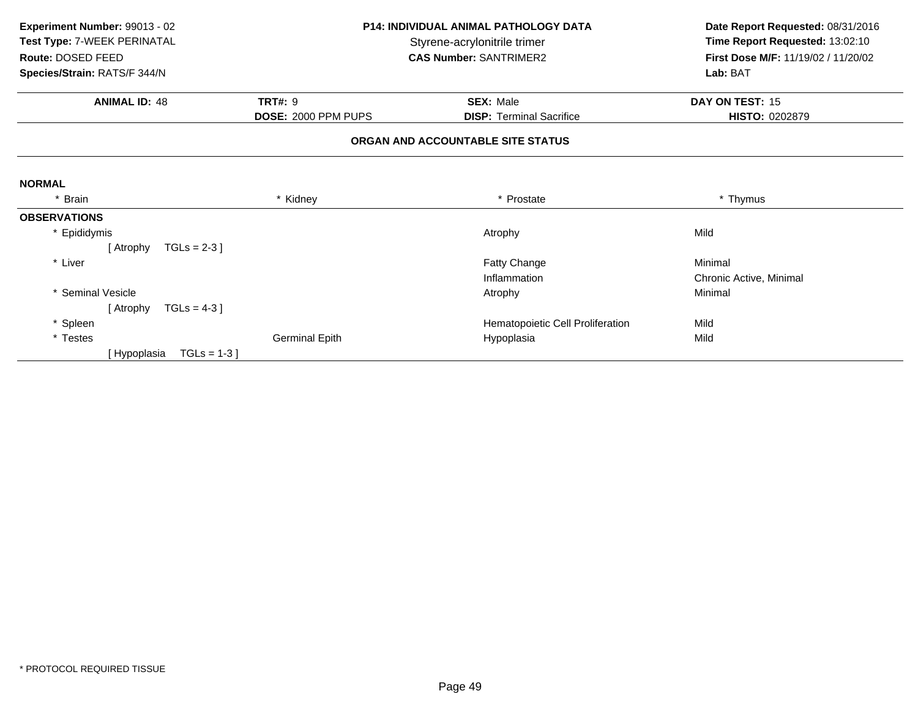| Experiment Number: 99013 - 02 | <b>P14: INDIVIDUAL ANIMAL PATHOLOGY DATA</b><br>Styrene-acrylonitrile trimer |                                   | Date Report Requested: 08/31/2016   |  |
|-------------------------------|------------------------------------------------------------------------------|-----------------------------------|-------------------------------------|--|
| Test Type: 7-WEEK PERINATAL   |                                                                              |                                   | Time Report Requested: 13:02:10     |  |
| Route: DOSED FEED             |                                                                              | <b>CAS Number: SANTRIMER2</b>     | First Dose M/F: 11/19/02 / 11/20/02 |  |
| Species/Strain: RATS/F 344/N  |                                                                              |                                   | Lab: BAT                            |  |
| <b>ANIMAL ID: 48</b>          | <b>TRT#: 9</b>                                                               | <b>SEX: Male</b>                  | DAY ON TEST: 15                     |  |
|                               | DOSE: 2000 PPM PUPS                                                          | <b>DISP:</b> Terminal Sacrifice   | HISTO: 0202879                      |  |
|                               |                                                                              | ORGAN AND ACCOUNTABLE SITE STATUS |                                     |  |
| <b>NORMAL</b>                 |                                                                              |                                   |                                     |  |
| * Brain                       | * Kidney                                                                     | * Prostate                        | * Thymus                            |  |
| <b>OBSERVATIONS</b>           |                                                                              |                                   |                                     |  |
| * Epididymis                  |                                                                              | Atrophy                           | Mild                                |  |
| TGLs = $2-3$ ]<br>[ Atrophy   |                                                                              |                                   |                                     |  |
| * Liver                       |                                                                              | Fatty Change                      | Minimal                             |  |
|                               |                                                                              | Inflammation                      | Chronic Active, Minimal             |  |
| <b>Seminal Vesicle</b>        |                                                                              | Atrophy                           | Minimal                             |  |
| [ Atrophy<br>TGLs = $4-3$ ]   |                                                                              |                                   |                                     |  |
| * Spleen                      |                                                                              | Hematopoietic Cell Proliferation  | Mild                                |  |
| * Testes                      | <b>Germinal Epith</b>                                                        | Hypoplasia                        | Mild                                |  |
| $TGLs = 1-3$<br>[ Hypoplasia  |                                                                              |                                   |                                     |  |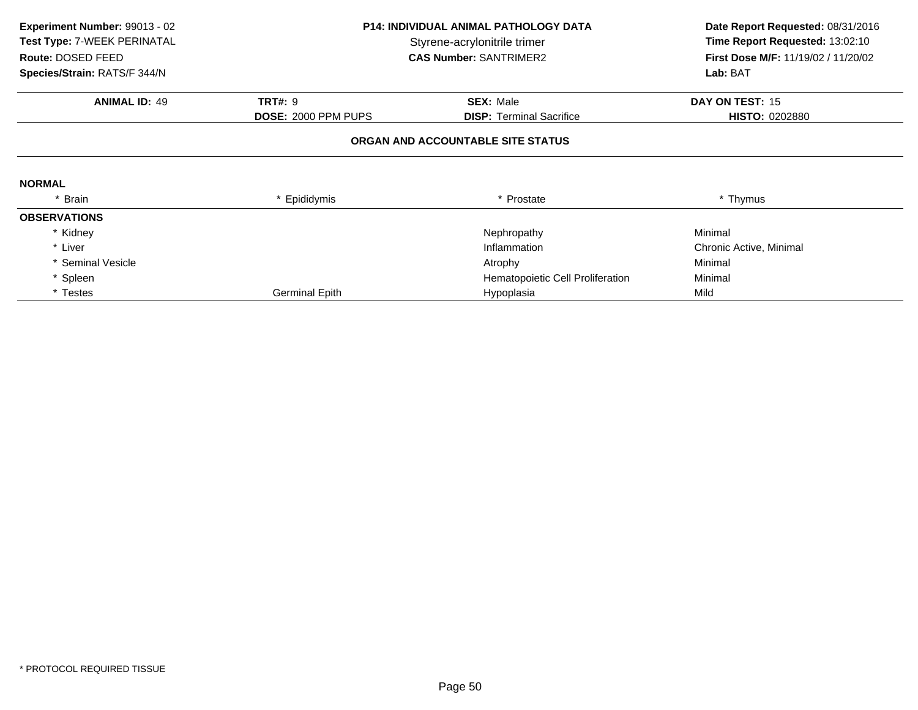| Experiment Number: 99013 - 02<br>Test Type: 7-WEEK PERINATAL<br>Route: DOSED FEED | <b>P14: INDIVIDUAL ANIMAL PATHOLOGY DATA</b><br>Styrene-acrylonitrile trimer<br><b>CAS Number: SANTRIMER2</b> |                                   |                         |  | Date Report Requested: 08/31/2016<br>Time Report Requested: 13:02:10<br>First Dose M/F: 11/19/02 / 11/20/02 |
|-----------------------------------------------------------------------------------|---------------------------------------------------------------------------------------------------------------|-----------------------------------|-------------------------|--|-------------------------------------------------------------------------------------------------------------|
| Species/Strain: RATS/F 344/N                                                      |                                                                                                               |                                   | Lab: BAT                |  |                                                                                                             |
| <b>ANIMAL ID: 49</b>                                                              | <b>TRT#: 9</b>                                                                                                | <b>SEX: Male</b>                  | DAY ON TEST: 15         |  |                                                                                                             |
|                                                                                   | DOSE: 2000 PPM PUPS                                                                                           | <b>DISP: Terminal Sacrifice</b>   | <b>HISTO: 0202880</b>   |  |                                                                                                             |
|                                                                                   |                                                                                                               | ORGAN AND ACCOUNTABLE SITE STATUS |                         |  |                                                                                                             |
| <b>NORMAL</b>                                                                     |                                                                                                               |                                   |                         |  |                                                                                                             |
| * Brain                                                                           | * Epididymis                                                                                                  | * Prostate                        | * Thymus                |  |                                                                                                             |
| <b>OBSERVATIONS</b>                                                               |                                                                                                               |                                   |                         |  |                                                                                                             |
| * Kidney                                                                          |                                                                                                               | Nephropathy                       | Minimal                 |  |                                                                                                             |
| * Liver                                                                           |                                                                                                               | Inflammation                      | Chronic Active, Minimal |  |                                                                                                             |
| * Seminal Vesicle                                                                 |                                                                                                               | Atrophy                           | Minimal                 |  |                                                                                                             |
| * Spleen                                                                          |                                                                                                               | Hematopoietic Cell Proliferation  | Minimal                 |  |                                                                                                             |
| * Testes                                                                          | <b>Germinal Epith</b>                                                                                         | Hypoplasia                        | Mild                    |  |                                                                                                             |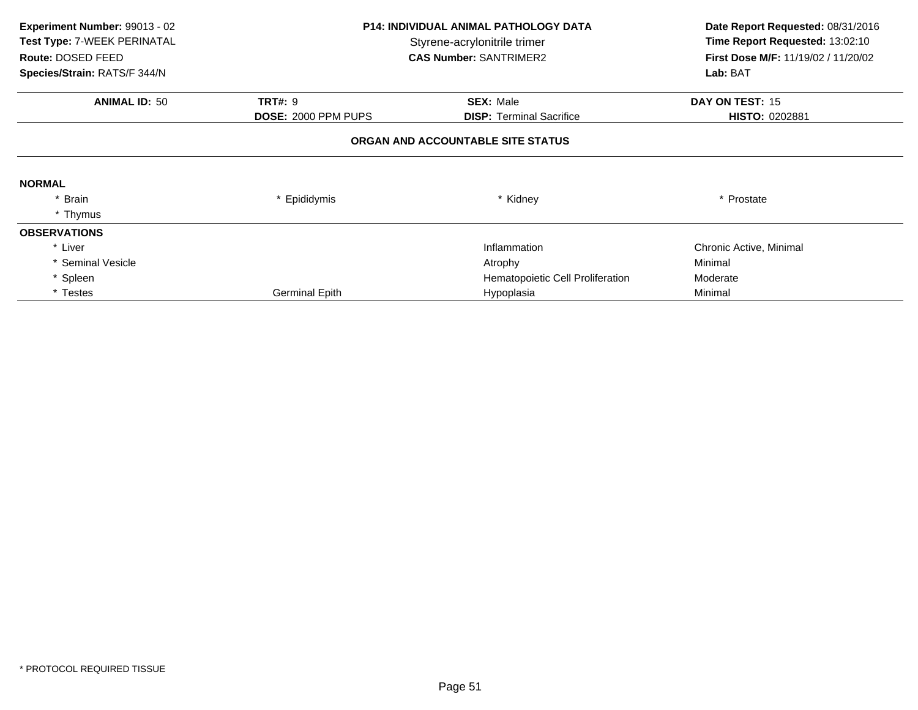| Experiment Number: 99013 - 02<br>Test Type: 7-WEEK PERINATAL<br>Route: DOSED FEED<br>Species/Strain: RATS/F 344/N | <b>P14: INDIVIDUAL ANIMAL PATHOLOGY DATA</b><br>Styrene-acrylonitrile trimer<br><b>CAS Number: SANTRIMER2</b> |                                   | Date Report Requested: 08/31/2016<br>Time Report Requested: 13:02:10<br>First Dose M/F: 11/19/02 / 11/20/02<br>Lab: BAT |
|-------------------------------------------------------------------------------------------------------------------|---------------------------------------------------------------------------------------------------------------|-----------------------------------|-------------------------------------------------------------------------------------------------------------------------|
| <b>ANIMAL ID: 50</b>                                                                                              | <b>TRT#: 9</b>                                                                                                | <b>SEX: Male</b>                  | DAY ON TEST: 15                                                                                                         |
|                                                                                                                   | <b>DOSE: 2000 PPM PUPS</b>                                                                                    | <b>DISP:</b> Terminal Sacrifice   | <b>HISTO: 0202881</b>                                                                                                   |
|                                                                                                                   |                                                                                                               | ORGAN AND ACCOUNTABLE SITE STATUS |                                                                                                                         |
| <b>NORMAL</b>                                                                                                     |                                                                                                               |                                   |                                                                                                                         |
| Brain                                                                                                             | * Epididymis                                                                                                  | * Kidney                          | * Prostate                                                                                                              |
| * Thymus                                                                                                          |                                                                                                               |                                   |                                                                                                                         |
| <b>OBSERVATIONS</b>                                                                                               |                                                                                                               |                                   |                                                                                                                         |
| * Liver                                                                                                           |                                                                                                               | Inflammation                      | Chronic Active, Minimal                                                                                                 |
| * Seminal Vesicle                                                                                                 |                                                                                                               | Atrophy                           | Minimal                                                                                                                 |
| * Spleen                                                                                                          |                                                                                                               | Hematopoietic Cell Proliferation  | Moderate                                                                                                                |
| * Testes                                                                                                          | <b>Germinal Epith</b>                                                                                         | Hypoplasia                        | Minimal                                                                                                                 |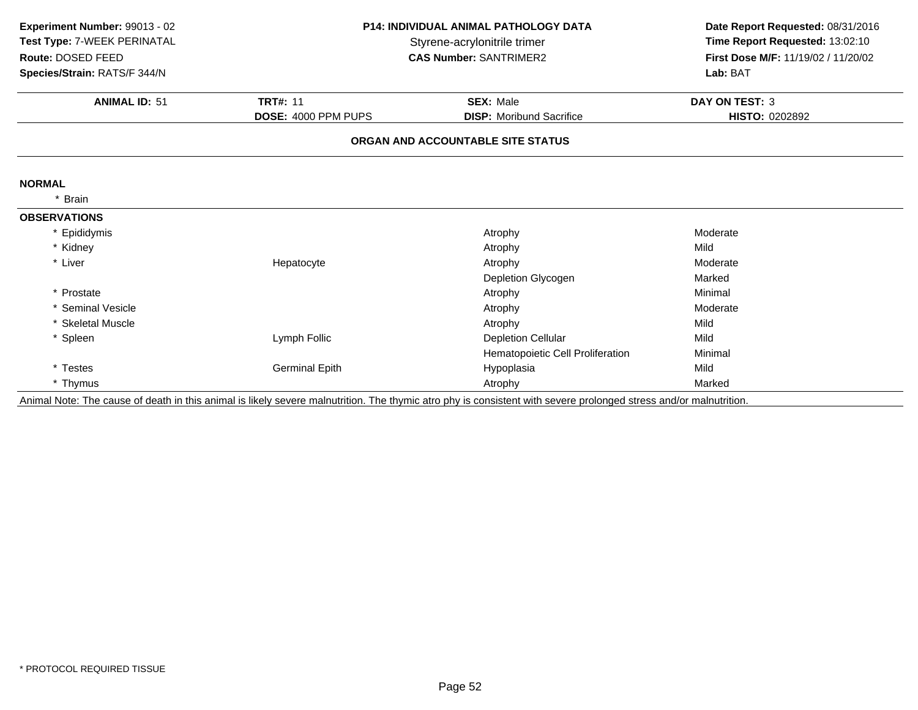| Experiment Number: 99013 - 02<br>Test Type: 7-WEEK PERINATAL<br>Route: DOSED FEED<br>Species/Strain: RATS/F 344/N |                       | <b>P14: INDIVIDUAL ANIMAL PATHOLOGY DATA</b><br>Styrene-acrylonitrile trimer<br><b>CAS Number: SANTRIMER2</b> | Date Report Requested: 08/31/2016<br>Time Report Requested: 13:02:10<br>First Dose M/F: 11/19/02 / 11/20/02<br>Lab: BAT |
|-------------------------------------------------------------------------------------------------------------------|-----------------------|---------------------------------------------------------------------------------------------------------------|-------------------------------------------------------------------------------------------------------------------------|
|                                                                                                                   |                       |                                                                                                               |                                                                                                                         |
| <b>ANIMAL ID: 51</b>                                                                                              | <b>TRT#: 11</b>       | <b>SEX: Male</b>                                                                                              | <b>DAY ON TEST: 3</b>                                                                                                   |
|                                                                                                                   | DOSE: 4000 PPM PUPS   | <b>DISP:</b> Moribund Sacrifice                                                                               | HISTO: 0202892                                                                                                          |
|                                                                                                                   |                       | ORGAN AND ACCOUNTABLE SITE STATUS                                                                             |                                                                                                                         |
| <b>NORMAL</b>                                                                                                     |                       |                                                                                                               |                                                                                                                         |
| <b>Brain</b>                                                                                                      |                       |                                                                                                               |                                                                                                                         |
| <b>OBSERVATIONS</b>                                                                                               |                       |                                                                                                               |                                                                                                                         |
| * Epididymis                                                                                                      |                       | Atrophy                                                                                                       | Moderate                                                                                                                |
| * Kidney                                                                                                          |                       | Atrophy                                                                                                       | Mild                                                                                                                    |
| * Liver                                                                                                           | Hepatocyte            | Atrophy                                                                                                       | Moderate                                                                                                                |
|                                                                                                                   |                       | Depletion Glycogen                                                                                            | Marked                                                                                                                  |
| * Prostate                                                                                                        |                       | Atrophy                                                                                                       | Minimal                                                                                                                 |
| * Seminal Vesicle                                                                                                 |                       | Atrophy                                                                                                       | Moderate                                                                                                                |
| * Skeletal Muscle                                                                                                 |                       | Atrophy                                                                                                       | Mild                                                                                                                    |
| * Spleen                                                                                                          | Lymph Follic          | <b>Depletion Cellular</b>                                                                                     | Mild                                                                                                                    |
|                                                                                                                   |                       | Hematopoietic Cell Proliferation                                                                              | Minimal                                                                                                                 |
| * Testes                                                                                                          | <b>Germinal Epith</b> | Hypoplasia                                                                                                    | Mild                                                                                                                    |
| * Thymus                                                                                                          |                       | Atrophy                                                                                                       | Marked                                                                                                                  |

Animal Note: The cause of death in this animal is likely severe malnutrition. The thymic atro phy is consistent with severe prolonged stress and/or malnutrition.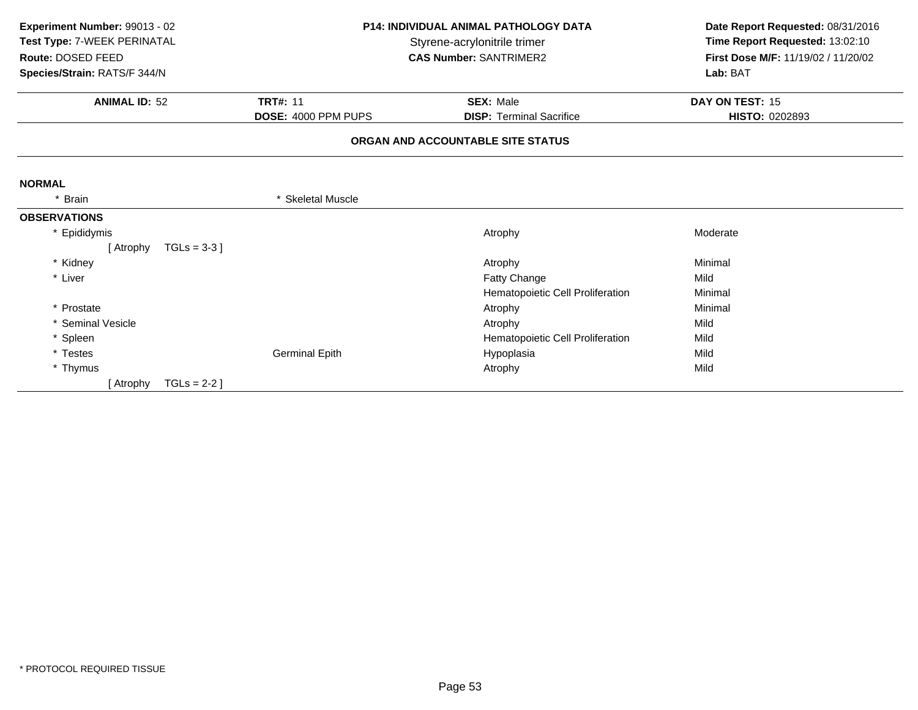| Experiment Number: 99013 - 02 |                       | <b>P14: INDIVIDUAL ANIMAL PATHOLOGY DATA</b> |                                     |
|-------------------------------|-----------------------|----------------------------------------------|-------------------------------------|
| Test Type: 7-WEEK PERINATAL   |                       | Styrene-acrylonitrile trimer                 |                                     |
| Route: DOSED FEED             |                       | <b>CAS Number: SANTRIMER2</b>                | First Dose M/F: 11/19/02 / 11/20/02 |
| Species/Strain: RATS/F 344/N  |                       |                                              | Lab: BAT                            |
| <b>ANIMAL ID: 52</b>          | <b>TRT#: 11</b>       | <b>SEX: Male</b>                             | DAY ON TEST: 15                     |
|                               | DOSE: 4000 PPM PUPS   | <b>DISP: Terminal Sacrifice</b>              | HISTO: 0202893                      |
|                               |                       | ORGAN AND ACCOUNTABLE SITE STATUS            |                                     |
| <b>NORMAL</b>                 |                       |                                              |                                     |
| <b>Brain</b>                  | * Skeletal Muscle     |                                              |                                     |
| <b>OBSERVATIONS</b>           |                       |                                              |                                     |
| * Epididymis                  |                       | Atrophy                                      | Moderate                            |
| [ Atrophy                     | $TGLs = 3-3$ ]        |                                              |                                     |
| * Kidney                      |                       | Atrophy                                      | Minimal                             |
| * Liver                       |                       | Fatty Change                                 | Mild                                |
|                               |                       | Hematopoietic Cell Proliferation             | Minimal                             |
| * Prostate                    |                       | Atrophy                                      | Minimal                             |
| * Seminal Vesicle             |                       | Atrophy                                      | Mild                                |
| * Spleen                      |                       | Hematopoietic Cell Proliferation             | Mild                                |
| * Testes                      | <b>Germinal Epith</b> | Hypoplasia                                   | Mild                                |
| * Thymus                      |                       | Atrophy                                      | Mild                                |
| [ Atrophy                     | $TGLs = 2-2$ ]        |                                              |                                     |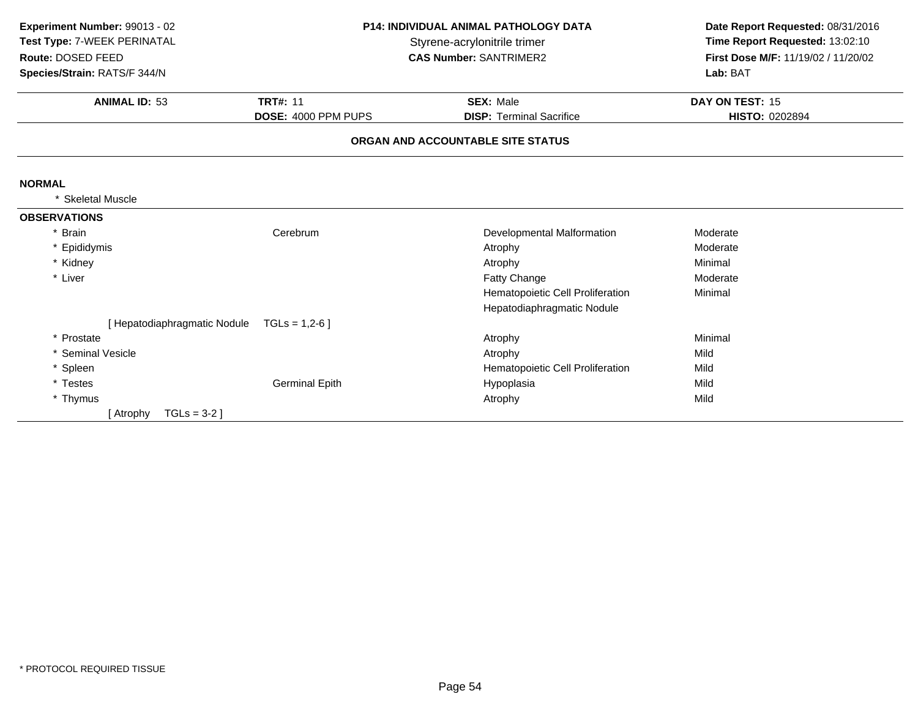| Experiment Number: 99013 - 02 | P14: INDIVIDUAL ANIMAL PATHOLOGY DATA<br>Styrene-acrylonitrile trimer |                                   | Date Report Requested: 08/31/2016<br>Time Report Requested: 13:02:10 |
|-------------------------------|-----------------------------------------------------------------------|-----------------------------------|----------------------------------------------------------------------|
| Test Type: 7-WEEK PERINATAL   |                                                                       |                                   |                                                                      |
| Route: DOSED FEED             |                                                                       | <b>CAS Number: SANTRIMER2</b>     | First Dose M/F: 11/19/02 / 11/20/02                                  |
| Species/Strain: RATS/F 344/N  |                                                                       |                                   | Lab: BAT                                                             |
| <b>ANIMAL ID: 53</b>          | <b>TRT#: 11</b>                                                       | <b>SEX: Male</b>                  | DAY ON TEST: 15                                                      |
|                               | DOSE: 4000 PPM PUPS                                                   | <b>DISP: Terminal Sacrifice</b>   | <b>HISTO: 0202894</b>                                                |
|                               |                                                                       | ORGAN AND ACCOUNTABLE SITE STATUS |                                                                      |
| <b>NORMAL</b>                 |                                                                       |                                   |                                                                      |
| <b>Skeletal Muscle</b>        |                                                                       |                                   |                                                                      |
| <b>OBSERVATIONS</b>           |                                                                       |                                   |                                                                      |
| * Brain                       | Cerebrum                                                              | Developmental Malformation        | Moderate                                                             |
| * Epididymis                  |                                                                       | Atrophy                           | Moderate                                                             |
| * Kidney                      |                                                                       | Atrophy                           | Minimal                                                              |
| * Liver                       |                                                                       | Fatty Change                      | Moderate                                                             |
|                               |                                                                       | Hematopoietic Cell Proliferation  | Minimal                                                              |
|                               |                                                                       | Hepatodiaphragmatic Nodule        |                                                                      |
| [ Hepatodiaphragmatic Nodule  | $TGLs = 1,2-6$                                                        |                                   |                                                                      |
| * Prostate                    |                                                                       | Atrophy                           | Minimal                                                              |
| * Seminal Vesicle             |                                                                       | Atrophy                           | Mild                                                                 |
| * Spleen                      |                                                                       | Hematopoietic Cell Proliferation  | Mild                                                                 |
| * Testes                      | <b>Germinal Epith</b>                                                 | Hypoplasia                        | Mild                                                                 |
| * Thymus                      |                                                                       | Atrophy                           | Mild                                                                 |
| TGLs = $3-2$ ]<br>[ Atrophy   |                                                                       |                                   |                                                                      |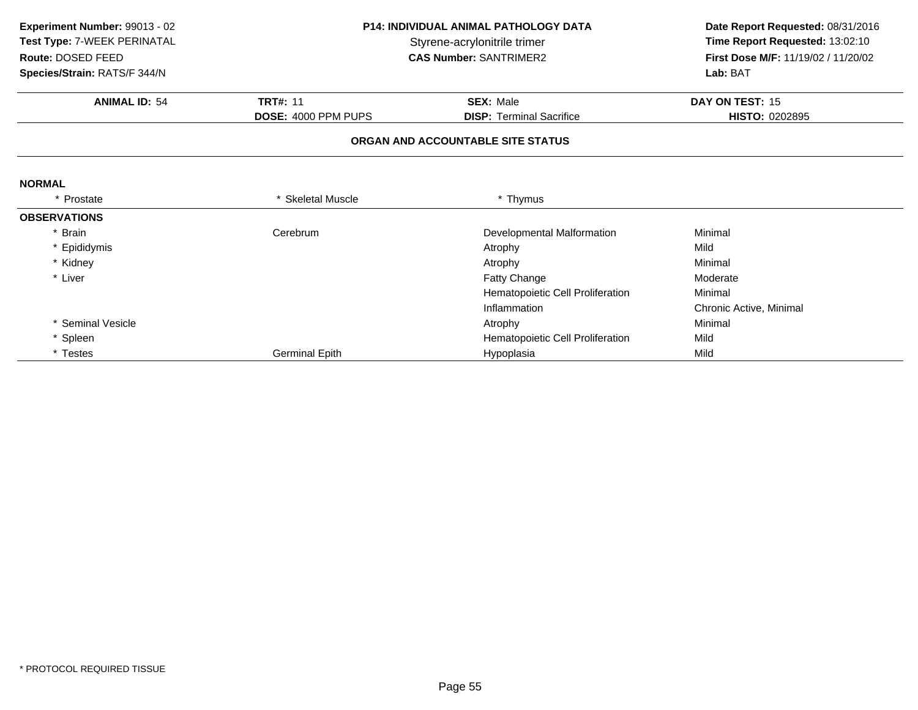| Experiment Number: 99013 - 02 | <b>P14: INDIVIDUAL ANIMAL PATHOLOGY DATA</b><br>Styrene-acrylonitrile trimer |                                   | Date Report Requested: 08/31/2016   |  |
|-------------------------------|------------------------------------------------------------------------------|-----------------------------------|-------------------------------------|--|
| Test Type: 7-WEEK PERINATAL   |                                                                              |                                   | Time Report Requested: 13:02:10     |  |
| Route: DOSED FEED             |                                                                              | <b>CAS Number: SANTRIMER2</b>     | First Dose M/F: 11/19/02 / 11/20/02 |  |
| Species/Strain: RATS/F 344/N  |                                                                              |                                   | Lab: BAT                            |  |
| <b>ANIMAL ID: 54</b>          | <b>TRT#: 11</b>                                                              | <b>SEX: Male</b>                  | DAY ON TEST: 15                     |  |
|                               | DOSE: 4000 PPM PUPS                                                          | <b>DISP: Terminal Sacrifice</b>   | <b>HISTO: 0202895</b>               |  |
|                               |                                                                              | ORGAN AND ACCOUNTABLE SITE STATUS |                                     |  |
| <b>NORMAL</b>                 |                                                                              |                                   |                                     |  |
| * Prostate                    | <b>Skeletal Muscle</b>                                                       | * Thymus                          |                                     |  |
| <b>OBSERVATIONS</b>           |                                                                              |                                   |                                     |  |
| * Brain                       | Cerebrum                                                                     | Developmental Malformation        | Minimal                             |  |
| * Epididymis                  |                                                                              | Atrophy                           | Mild                                |  |
| * Kidney                      |                                                                              | Atrophy                           | Minimal                             |  |
| * Liver                       |                                                                              | Fatty Change                      | Moderate                            |  |
|                               |                                                                              | Hematopoietic Cell Proliferation  | Minimal                             |  |
|                               |                                                                              | Inflammation                      | Chronic Active, Minimal             |  |
| * Seminal Vesicle             |                                                                              | Atrophy                           | Minimal                             |  |
| * Spleen                      |                                                                              | Hematopoietic Cell Proliferation  | Mild                                |  |
| * Testes                      | <b>Germinal Epith</b>                                                        | Hypoplasia                        | Mild                                |  |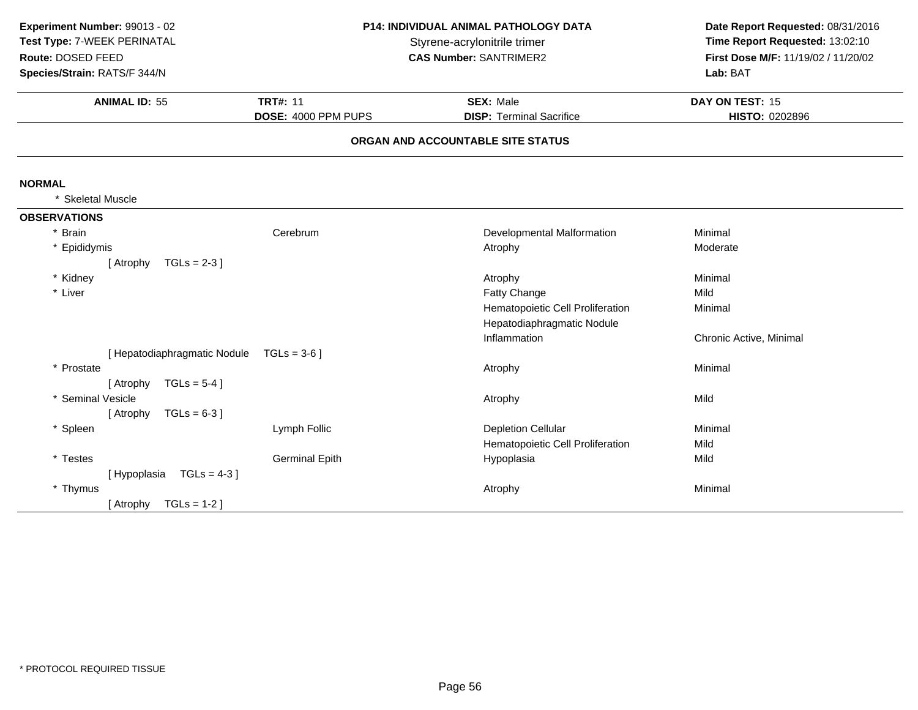| Experiment Number: 99013 - 02<br>Test Type: 7-WEEK PERINATAL<br>Route: DOSED FEED<br>Species/Strain: RATS/F 344/N |                                        | <b>P14: INDIVIDUAL ANIMAL PATHOLOGY DATA</b><br>Styrene-acrylonitrile trimer<br><b>CAS Number: SANTRIMER2</b> |                                   |
|-------------------------------------------------------------------------------------------------------------------|----------------------------------------|---------------------------------------------------------------------------------------------------------------|-----------------------------------|
| <b>ANIMAL ID: 55</b>                                                                                              | <b>TRT#: 11</b><br>DOSE: 4000 PPM PUPS | <b>SEX: Male</b><br><b>DISP: Terminal Sacrifice</b>                                                           | DAY ON TEST: 15<br>HISTO: 0202896 |
|                                                                                                                   |                                        | ORGAN AND ACCOUNTABLE SITE STATUS                                                                             |                                   |
| <b>NORMAL</b>                                                                                                     |                                        |                                                                                                               |                                   |
| * Skeletal Muscle                                                                                                 |                                        |                                                                                                               |                                   |
| <b>OBSERVATIONS</b>                                                                                               |                                        |                                                                                                               |                                   |
| * Brain                                                                                                           | Cerebrum                               | Developmental Malformation                                                                                    | Minimal                           |
| * Epididymis                                                                                                      |                                        | Atrophy                                                                                                       | Moderate                          |
| $TGLs = 2-3$ ]<br>[ Atrophy                                                                                       |                                        |                                                                                                               |                                   |
| * Kidney                                                                                                          |                                        | Atrophy                                                                                                       | Minimal                           |
| * Liver                                                                                                           |                                        | Fatty Change                                                                                                  | Mild                              |
|                                                                                                                   |                                        | Hematopoietic Cell Proliferation                                                                              | Minimal                           |
|                                                                                                                   |                                        | Hepatodiaphragmatic Nodule                                                                                    |                                   |
|                                                                                                                   |                                        | Inflammation                                                                                                  | Chronic Active, Minimal           |
| [ Hepatodiaphragmatic Nodule                                                                                      | $TGLs = 3-6$ ]                         |                                                                                                               |                                   |
| * Prostate                                                                                                        |                                        | Atrophy                                                                                                       | Minimal                           |
| $TGLs = 5-4$ ]<br>[ Atrophy                                                                                       |                                        |                                                                                                               |                                   |
| * Seminal Vesicle                                                                                                 |                                        | Atrophy                                                                                                       | Mild                              |
| $TGLs = 6-3$ ]<br>[ Atrophy                                                                                       |                                        |                                                                                                               |                                   |
| * Spleen                                                                                                          | Lymph Follic                           | <b>Depletion Cellular</b>                                                                                     | Minimal                           |
|                                                                                                                   |                                        | Hematopoietic Cell Proliferation                                                                              | Mild                              |
| * Testes                                                                                                          | <b>Germinal Epith</b>                  | Hypoplasia                                                                                                    | Mild                              |
| $TGLS = 4-3$<br>[Hypoplasia                                                                                       |                                        |                                                                                                               | Minimal                           |
| * Thymus<br>$TGLs = 1-2$                                                                                          |                                        | Atrophy                                                                                                       |                                   |
| [ Atrophy                                                                                                         |                                        |                                                                                                               |                                   |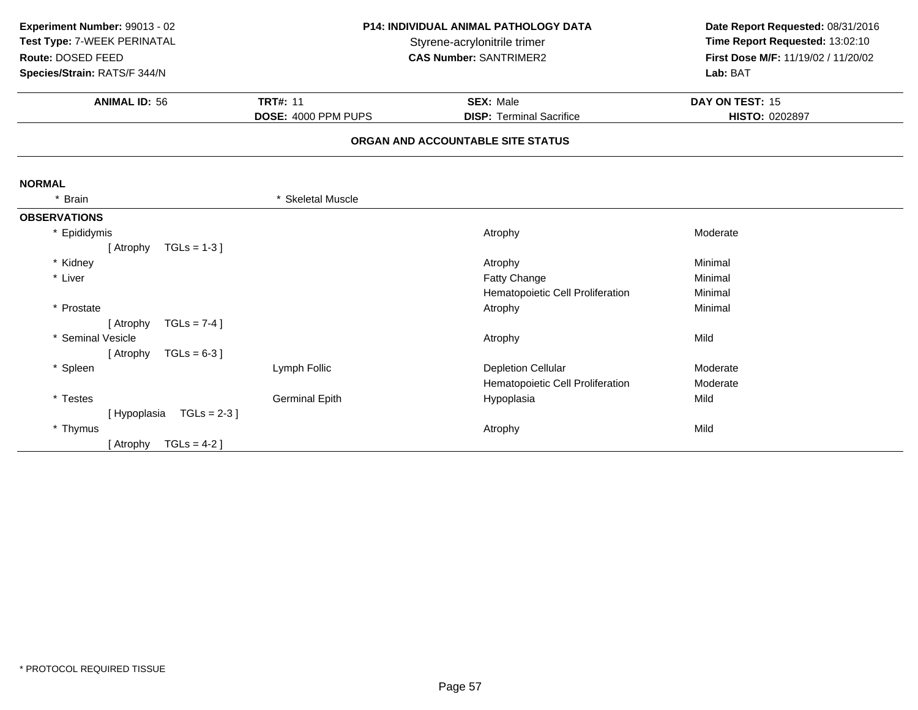| Experiment Number: 99013 - 02<br>Test Type: 7-WEEK PERINATAL<br>Route: DOSED FEED<br>Species/Strain: RATS/F 344/N | <b>P14: INDIVIDUAL ANIMAL PATHOLOGY DATA</b><br>Styrene-acrylonitrile trimer<br><b>CAS Number: SANTRIMER2</b> |                                   | Date Report Requested: 08/31/2016<br>Time Report Requested: 13:02:10<br>First Dose M/F: 11/19/02 / 11/20/02<br>Lab: BAT |
|-------------------------------------------------------------------------------------------------------------------|---------------------------------------------------------------------------------------------------------------|-----------------------------------|-------------------------------------------------------------------------------------------------------------------------|
| <b>ANIMAL ID: 56</b>                                                                                              | <b>TRT#: 11</b>                                                                                               | <b>SEX: Male</b>                  | DAY ON TEST: 15                                                                                                         |
|                                                                                                                   | DOSE: 4000 PPM PUPS                                                                                           | <b>DISP: Terminal Sacrifice</b>   | HISTO: 0202897                                                                                                          |
|                                                                                                                   |                                                                                                               | ORGAN AND ACCOUNTABLE SITE STATUS |                                                                                                                         |
| <b>NORMAL</b>                                                                                                     |                                                                                                               |                                   |                                                                                                                         |
| <b>Brain</b><br>$^\star$                                                                                          | * Skeletal Muscle                                                                                             |                                   |                                                                                                                         |
| <b>OBSERVATIONS</b>                                                                                               |                                                                                                               |                                   |                                                                                                                         |
| * Epididymis                                                                                                      |                                                                                                               | Atrophy                           | Moderate                                                                                                                |
| $TGLs = 1-3$<br>[ Atrophy                                                                                         |                                                                                                               |                                   |                                                                                                                         |
| * Kidney                                                                                                          |                                                                                                               | Atrophy                           | Minimal                                                                                                                 |
| * Liver                                                                                                           |                                                                                                               | Fatty Change                      | Minimal                                                                                                                 |
|                                                                                                                   |                                                                                                               | Hematopoietic Cell Proliferation  | Minimal                                                                                                                 |
| * Prostate                                                                                                        |                                                                                                               | Atrophy                           | Minimal                                                                                                                 |
| TGLs = $7-4$ ]<br>[ Atrophy                                                                                       |                                                                                                               |                                   |                                                                                                                         |
| * Seminal Vesicle                                                                                                 |                                                                                                               | Atrophy                           | Mild                                                                                                                    |
| $TGLs = 6-3$ ]<br>[ Atrophy                                                                                       |                                                                                                               |                                   |                                                                                                                         |
| * Spleen                                                                                                          | Lymph Follic                                                                                                  | <b>Depletion Cellular</b>         | Moderate                                                                                                                |
|                                                                                                                   |                                                                                                               | Hematopoietic Cell Proliferation  | Moderate                                                                                                                |
| * Testes                                                                                                          | <b>Germinal Epith</b>                                                                                         | Hypoplasia                        | Mild                                                                                                                    |
| $TGLs = 2-3$<br>[Hypoplasia                                                                                       |                                                                                                               |                                   |                                                                                                                         |
| * Thymus                                                                                                          |                                                                                                               | Atrophy                           | Mild                                                                                                                    |
| $TGLs = 4-2$ ]<br>[ Atrophy                                                                                       |                                                                                                               |                                   |                                                                                                                         |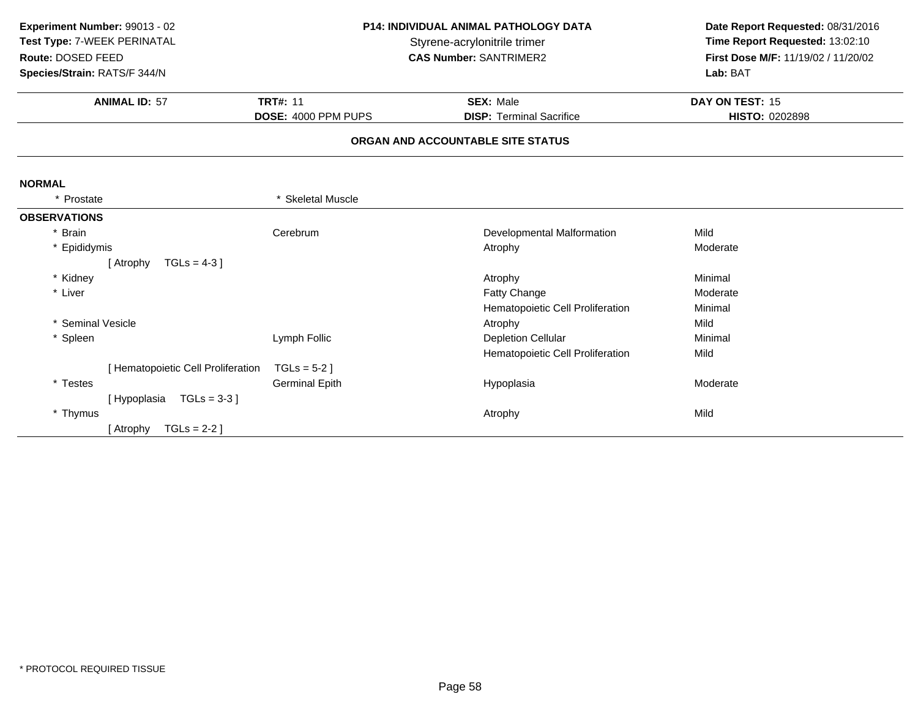| Experiment Number: 99013 - 02<br>Test Type: 7-WEEK PERINATAL<br>Route: DOSED FEED | <b>P14: INDIVIDUAL ANIMAL PATHOLOGY DATA</b><br>Styrene-acrylonitrile trimer<br><b>CAS Number: SANTRIMER2</b> |                                   | Date Report Requested: 08/31/2016<br>Time Report Requested: 13:02:10<br>First Dose M/F: 11/19/02 / 11/20/02 |
|-----------------------------------------------------------------------------------|---------------------------------------------------------------------------------------------------------------|-----------------------------------|-------------------------------------------------------------------------------------------------------------|
| Species/Strain: RATS/F 344/N                                                      |                                                                                                               |                                   | Lab: BAT                                                                                                    |
| <b>ANIMAL ID: 57</b>                                                              | <b>TRT#: 11</b>                                                                                               | <b>SEX: Male</b>                  | DAY ON TEST: 15                                                                                             |
|                                                                                   | DOSE: 4000 PPM PUPS                                                                                           | <b>DISP: Terminal Sacrifice</b>   | <b>HISTO: 0202898</b>                                                                                       |
|                                                                                   |                                                                                                               | ORGAN AND ACCOUNTABLE SITE STATUS |                                                                                                             |
| <b>NORMAL</b>                                                                     |                                                                                                               |                                   |                                                                                                             |
| * Prostate                                                                        | * Skeletal Muscle                                                                                             |                                   |                                                                                                             |
| <b>OBSERVATIONS</b>                                                               |                                                                                                               |                                   |                                                                                                             |
| * Brain                                                                           | Cerebrum                                                                                                      | Developmental Malformation        | Mild                                                                                                        |
| * Epididymis                                                                      |                                                                                                               | Atrophy                           | Moderate                                                                                                    |
| $TGLs = 4-3$ ]<br>[ Atrophy                                                       |                                                                                                               |                                   |                                                                                                             |
| * Kidney                                                                          |                                                                                                               | Atrophy                           | Minimal                                                                                                     |
| * Liver                                                                           |                                                                                                               | Fatty Change                      | Moderate                                                                                                    |
|                                                                                   |                                                                                                               | Hematopoietic Cell Proliferation  | Minimal                                                                                                     |
| * Seminal Vesicle                                                                 |                                                                                                               | Atrophy                           | Mild                                                                                                        |
| * Spleen                                                                          | Lymph Follic                                                                                                  | <b>Depletion Cellular</b>         | Minimal                                                                                                     |
|                                                                                   |                                                                                                               | Hematopoietic Cell Proliferation  | Mild                                                                                                        |
| [ Hematopoietic Cell Proliferation                                                | $TGLs = 5-2$ ]                                                                                                |                                   |                                                                                                             |
| * Testes                                                                          | <b>Germinal Epith</b>                                                                                         | Hypoplasia                        | Moderate                                                                                                    |
| $TGLs = 3-3$<br>[Hypoplasia                                                       |                                                                                                               |                                   |                                                                                                             |
| * Thymus                                                                          |                                                                                                               | Atrophy                           | Mild                                                                                                        |
| $TGLs = 2-2$ ]<br>[ Atrophy                                                       |                                                                                                               |                                   |                                                                                                             |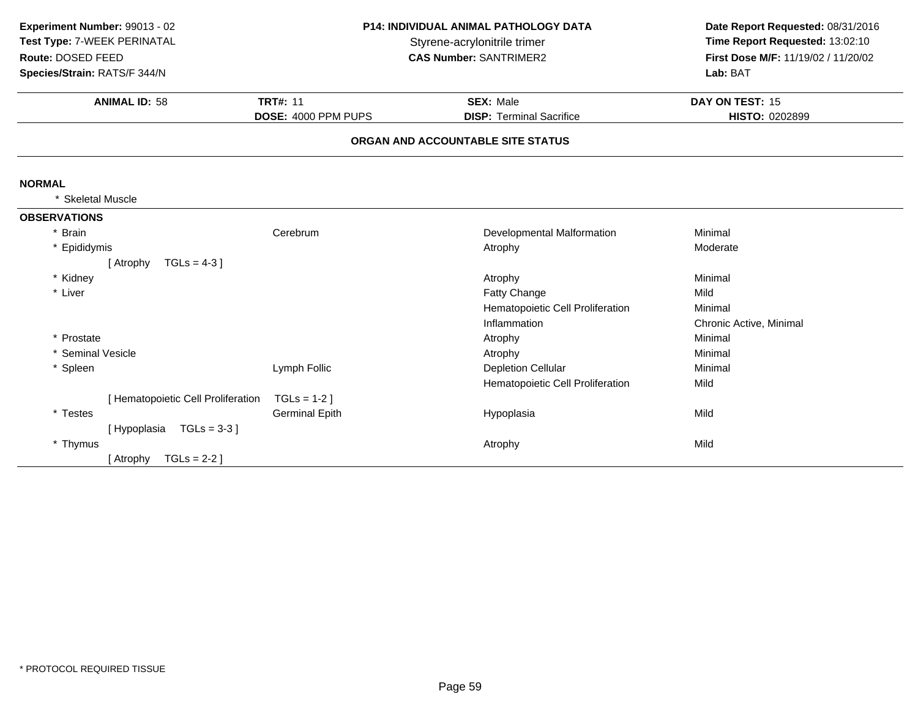| Experiment Number: 99013 - 02<br>Test Type: 7-WEEK PERINATAL<br>Route: DOSED FEED<br>Species/Strain: RATS/F 344/N<br><b>ANIMAL ID: 58</b> | <b>P14: INDIVIDUAL ANIMAL PATHOLOGY DATA</b><br>Styrene-acrylonitrile trimer<br><b>CAS Number: SANTRIMER2</b><br><b>TRT#: 11</b><br><b>SEX: Male</b><br>DOSE: 4000 PPM PUPS<br><b>DISP: Terminal Sacrifice</b> |                                   | Date Report Requested: 08/31/2016<br>Time Report Requested: 13:02:10<br>First Dose M/F: 11/19/02 / 11/20/02<br>Lab: BAT<br>DAY ON TEST: 15<br>HISTO: 0202899 |
|-------------------------------------------------------------------------------------------------------------------------------------------|----------------------------------------------------------------------------------------------------------------------------------------------------------------------------------------------------------------|-----------------------------------|--------------------------------------------------------------------------------------------------------------------------------------------------------------|
|                                                                                                                                           |                                                                                                                                                                                                                | ORGAN AND ACCOUNTABLE SITE STATUS |                                                                                                                                                              |
| <b>NORMAL</b>                                                                                                                             |                                                                                                                                                                                                                |                                   |                                                                                                                                                              |
| <b>Skeletal Muscle</b>                                                                                                                    |                                                                                                                                                                                                                |                                   |                                                                                                                                                              |
| <b>OBSERVATIONS</b>                                                                                                                       |                                                                                                                                                                                                                |                                   |                                                                                                                                                              |
| * Brain                                                                                                                                   | Cerebrum                                                                                                                                                                                                       | Developmental Malformation        | Minimal                                                                                                                                                      |
| * Epididymis                                                                                                                              |                                                                                                                                                                                                                | Atrophy                           | Moderate                                                                                                                                                     |
| $TGLs = 4-3$ ]<br>[ Atrophy                                                                                                               |                                                                                                                                                                                                                |                                   |                                                                                                                                                              |
| * Kidney                                                                                                                                  |                                                                                                                                                                                                                | Atrophy                           | Minimal                                                                                                                                                      |
| * Liver                                                                                                                                   |                                                                                                                                                                                                                | Fatty Change                      | Mild                                                                                                                                                         |
|                                                                                                                                           |                                                                                                                                                                                                                | Hematopoietic Cell Proliferation  | Minimal                                                                                                                                                      |
|                                                                                                                                           |                                                                                                                                                                                                                | Inflammation                      | Chronic Active, Minimal                                                                                                                                      |
| * Prostate                                                                                                                                |                                                                                                                                                                                                                | Atrophy                           | Minimal                                                                                                                                                      |
| * Seminal Vesicle                                                                                                                         |                                                                                                                                                                                                                | Atrophy                           | Minimal                                                                                                                                                      |
| * Spleen                                                                                                                                  | Lymph Follic                                                                                                                                                                                                   | <b>Depletion Cellular</b>         | Minimal                                                                                                                                                      |
|                                                                                                                                           |                                                                                                                                                                                                                | Hematopoietic Cell Proliferation  | Mild                                                                                                                                                         |
| [ Hematopoietic Cell Proliferation                                                                                                        | $TGLs = 1-2$ ]                                                                                                                                                                                                 |                                   |                                                                                                                                                              |
| * Testes                                                                                                                                  | <b>Germinal Epith</b>                                                                                                                                                                                          | Hypoplasia                        | Mild                                                                                                                                                         |
| $TGLs = 3-3$ ]<br>[Hypoplasia                                                                                                             |                                                                                                                                                                                                                |                                   |                                                                                                                                                              |
| * Thymus                                                                                                                                  |                                                                                                                                                                                                                | Atrophy                           | Mild                                                                                                                                                         |
| [ Atrophy<br>TGLs = $2-2$ ]                                                                                                               |                                                                                                                                                                                                                |                                   |                                                                                                                                                              |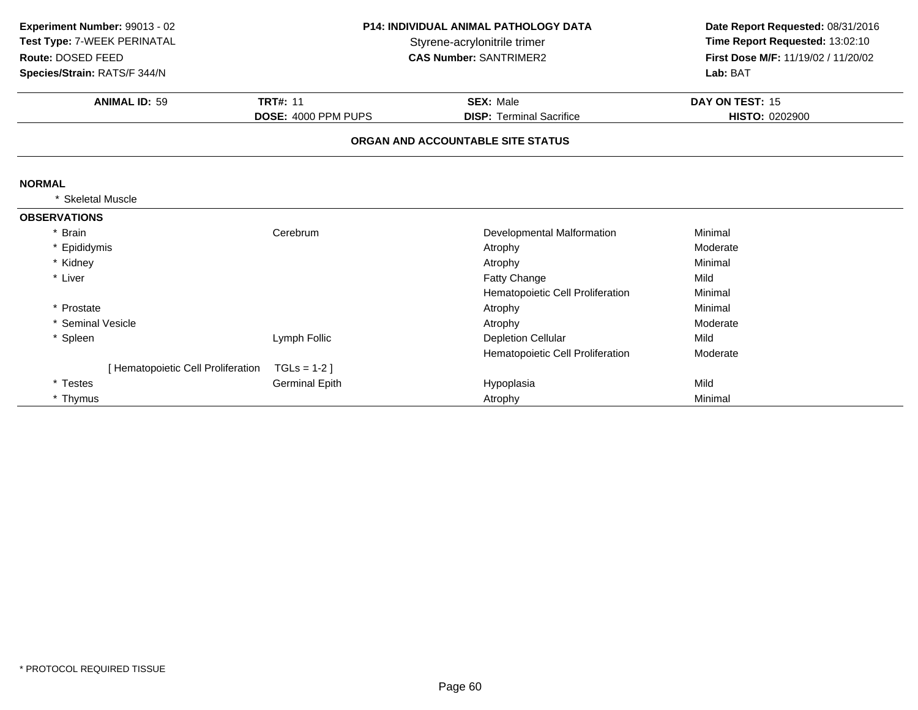| Experiment Number: 99013 - 02<br>Test Type: 7-WEEK PERINATAL<br>Route: DOSED FEED<br>Species/Strain: RATS/F 344/N | <b>P14: INDIVIDUAL ANIMAL PATHOLOGY DATA</b><br>Styrene-acrylonitrile trimer<br><b>CAS Number: SANTRIMER2</b> |                                                     | Date Report Requested: 08/31/2016<br>Time Report Requested: 13:02:10<br>First Dose M/F: 11/19/02 / 11/20/02<br>Lab: BAT |
|-------------------------------------------------------------------------------------------------------------------|---------------------------------------------------------------------------------------------------------------|-----------------------------------------------------|-------------------------------------------------------------------------------------------------------------------------|
| <b>ANIMAL ID: 59</b>                                                                                              | <b>TRT#: 11</b><br>DOSE: 4000 PPM PUPS                                                                        | <b>SEX: Male</b><br><b>DISP: Terminal Sacrifice</b> | DAY ON TEST: 15<br><b>HISTO: 0202900</b>                                                                                |
|                                                                                                                   |                                                                                                               | ORGAN AND ACCOUNTABLE SITE STATUS                   |                                                                                                                         |
| <b>NORMAL</b>                                                                                                     |                                                                                                               |                                                     |                                                                                                                         |
| <b>Skeletal Muscle</b>                                                                                            |                                                                                                               |                                                     |                                                                                                                         |
| <b>OBSERVATIONS</b>                                                                                               |                                                                                                               |                                                     |                                                                                                                         |
| * Brain                                                                                                           | Cerebrum                                                                                                      | Developmental Malformation                          | Minimal                                                                                                                 |
| Epididymis                                                                                                        |                                                                                                               | Atrophy                                             | Moderate                                                                                                                |
| * Kidney                                                                                                          |                                                                                                               | Atrophy                                             | Minimal                                                                                                                 |
| * Liver                                                                                                           |                                                                                                               | Fatty Change                                        | Mild                                                                                                                    |
|                                                                                                                   |                                                                                                               | Hematopoietic Cell Proliferation                    | Minimal                                                                                                                 |
| * Prostate                                                                                                        |                                                                                                               | Atrophy                                             | Minimal                                                                                                                 |
| * Seminal Vesicle                                                                                                 |                                                                                                               | Atrophy                                             | Moderate                                                                                                                |
| * Spleen                                                                                                          | Lymph Follic                                                                                                  | <b>Depletion Cellular</b>                           | Mild                                                                                                                    |
|                                                                                                                   |                                                                                                               | Hematopoietic Cell Proliferation                    | Moderate                                                                                                                |
| [ Hematopoietic Cell Proliferation                                                                                | $TGLS = 1-2$                                                                                                  |                                                     |                                                                                                                         |
| * Testes                                                                                                          | <b>Germinal Epith</b>                                                                                         | Hypoplasia                                          | Mild                                                                                                                    |
| * Thymus                                                                                                          |                                                                                                               | Atrophy                                             | Minimal                                                                                                                 |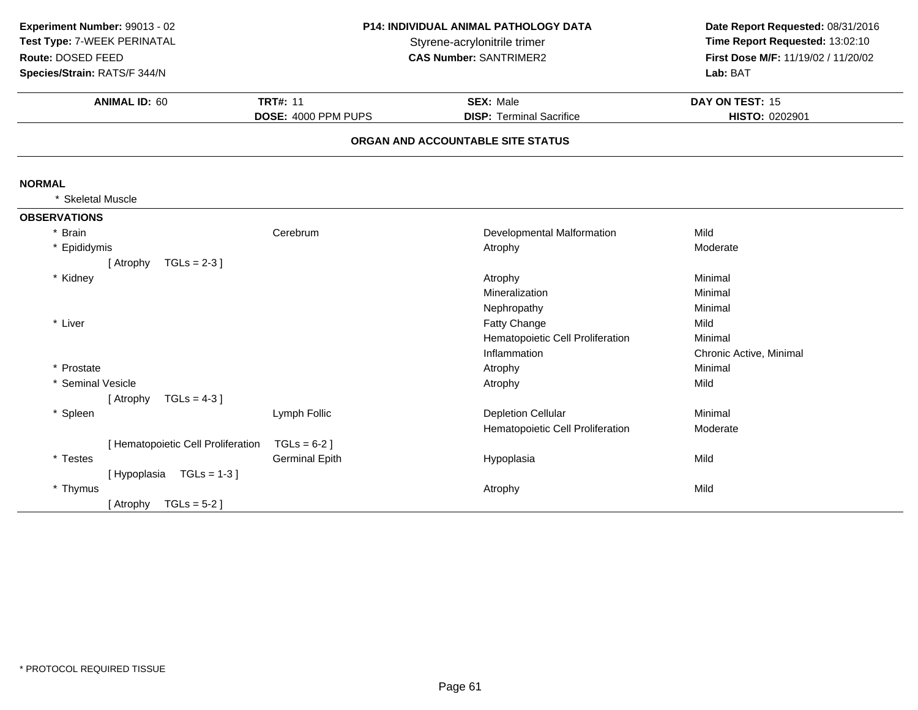| Experiment Number: 99013 - 02<br>Test Type: 7-WEEK PERINATAL<br>Route: DOSED FEED<br>Species/Strain: RATS/F 344/N | P14: INDIVIDUAL ANIMAL PATHOLOGY DATA<br>Styrene-acrylonitrile trimer<br><b>CAS Number: SANTRIMER2</b> |                                                     | Date Report Requested: 08/31/2016<br>Time Report Requested: 13:02:10<br>First Dose M/F: 11/19/02 / 11/20/02<br>Lab: BAT |
|-------------------------------------------------------------------------------------------------------------------|--------------------------------------------------------------------------------------------------------|-----------------------------------------------------|-------------------------------------------------------------------------------------------------------------------------|
| <b>ANIMAL ID: 60</b>                                                                                              | <b>TRT#: 11</b><br>DOSE: 4000 PPM PUPS                                                                 | <b>SEX: Male</b><br><b>DISP: Terminal Sacrifice</b> | DAY ON TEST: 15<br>HISTO: 0202901                                                                                       |
|                                                                                                                   |                                                                                                        | ORGAN AND ACCOUNTABLE SITE STATUS                   |                                                                                                                         |
| <b>NORMAL</b>                                                                                                     |                                                                                                        |                                                     |                                                                                                                         |
| * Skeletal Muscle                                                                                                 |                                                                                                        |                                                     |                                                                                                                         |
| <b>OBSERVATIONS</b>                                                                                               |                                                                                                        |                                                     |                                                                                                                         |
| * Brain                                                                                                           | Cerebrum                                                                                               | Developmental Malformation                          | Mild                                                                                                                    |
| * Epididymis                                                                                                      |                                                                                                        | Atrophy                                             | Moderate                                                                                                                |
| $TGLs = 2-3$ ]<br>[ Atrophy                                                                                       |                                                                                                        |                                                     |                                                                                                                         |
| * Kidney                                                                                                          |                                                                                                        | Atrophy                                             | Minimal                                                                                                                 |
|                                                                                                                   |                                                                                                        | Mineralization                                      | Minimal                                                                                                                 |
|                                                                                                                   |                                                                                                        | Nephropathy                                         | Minimal                                                                                                                 |
| * Liver                                                                                                           |                                                                                                        | Fatty Change                                        | Mild                                                                                                                    |
|                                                                                                                   |                                                                                                        | Hematopoietic Cell Proliferation                    | Minimal                                                                                                                 |
|                                                                                                                   |                                                                                                        | Inflammation                                        | Chronic Active, Minimal                                                                                                 |
| * Prostate                                                                                                        |                                                                                                        | Atrophy                                             | Minimal                                                                                                                 |
| * Seminal Vesicle                                                                                                 |                                                                                                        | Atrophy                                             | Mild                                                                                                                    |
| $TGLs = 4-3$ ]<br>[ Atrophy                                                                                       |                                                                                                        |                                                     |                                                                                                                         |
| * Spleen                                                                                                          | Lymph Follic                                                                                           | <b>Depletion Cellular</b>                           | Minimal                                                                                                                 |
|                                                                                                                   |                                                                                                        | Hematopoietic Cell Proliferation                    | Moderate                                                                                                                |
| [ Hematopoietic Cell Proliferation                                                                                | $TGLs = 6-2$ ]                                                                                         |                                                     |                                                                                                                         |
| * Testes                                                                                                          | <b>Germinal Epith</b>                                                                                  | Hypoplasia                                          | Mild                                                                                                                    |
| $TGLs = 1-3$<br>[Hypoplasia                                                                                       |                                                                                                        |                                                     |                                                                                                                         |
| * Thymus                                                                                                          |                                                                                                        | Atrophy                                             | Mild                                                                                                                    |
| $TGLs = 5-2$ ]<br>[ Atrophy                                                                                       |                                                                                                        |                                                     |                                                                                                                         |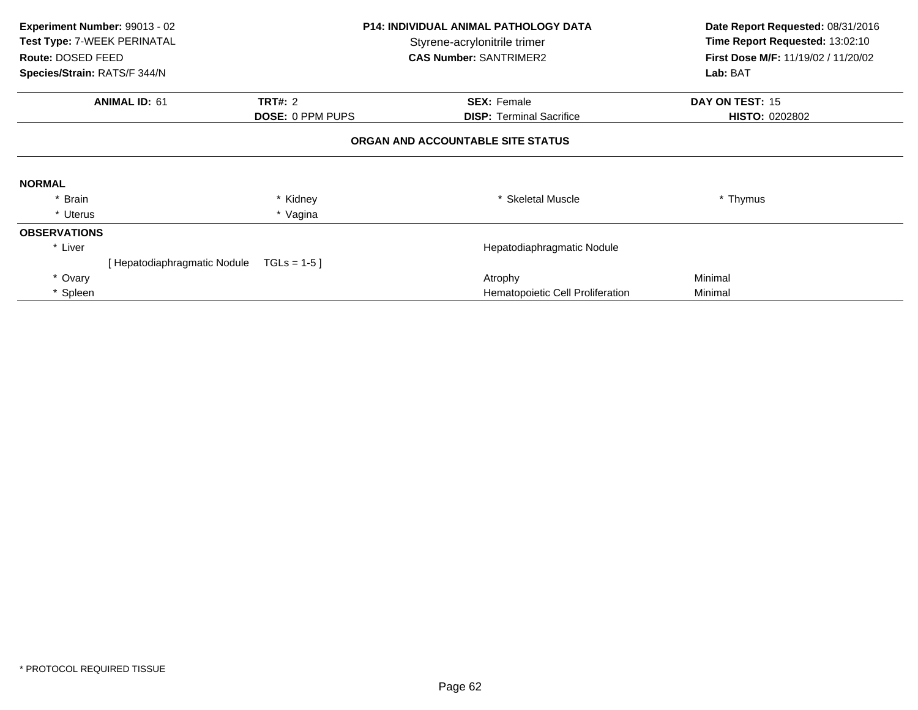| Experiment Number: 99013 - 02<br>Test Type: 7-WEEK PERINATAL<br>Route: DOSED FEED<br>Species/Strain: RATS/F 344/N |                                         | <b>P14: INDIVIDUAL ANIMAL PATHOLOGY DATA</b><br>Styrene-acrylonitrile trimer<br><b>CAS Number: SANTRIMER2</b> |                                  | Date Report Requested: 08/31/2016<br>Time Report Requested: 13:02:10<br>First Dose M/F: 11/19/02 / 11/20/02<br>Lab: BAT |  |  |  |
|-------------------------------------------------------------------------------------------------------------------|-----------------------------------------|---------------------------------------------------------------------------------------------------------------|----------------------------------|-------------------------------------------------------------------------------------------------------------------------|--|--|--|
|                                                                                                                   | <b>ANIMAL ID: 61</b>                    | <b>TRT#: 2</b>                                                                                                | <b>SEX: Female</b>               | DAY ON TEST: 15                                                                                                         |  |  |  |
|                                                                                                                   |                                         | <b>DOSE: 0 PPM PUPS</b>                                                                                       | <b>DISP: Terminal Sacrifice</b>  | <b>HISTO: 0202802</b>                                                                                                   |  |  |  |
|                                                                                                                   | ORGAN AND ACCOUNTABLE SITE STATUS       |                                                                                                               |                                  |                                                                                                                         |  |  |  |
| <b>NORMAL</b>                                                                                                     |                                         |                                                                                                               |                                  |                                                                                                                         |  |  |  |
| * Brain                                                                                                           |                                         | * Kidney                                                                                                      | * Skeletal Muscle                | * Thymus                                                                                                                |  |  |  |
| * Uterus                                                                                                          |                                         | * Vagina                                                                                                      |                                  |                                                                                                                         |  |  |  |
| <b>OBSERVATIONS</b>                                                                                               |                                         |                                                                                                               |                                  |                                                                                                                         |  |  |  |
| * Liver                                                                                                           |                                         |                                                                                                               | Hepatodiaphragmatic Nodule       |                                                                                                                         |  |  |  |
|                                                                                                                   | [Hepatodiaphragmatic Nodule TGLs = 1-5] |                                                                                                               |                                  |                                                                                                                         |  |  |  |
| * Ovary                                                                                                           |                                         |                                                                                                               | Atrophy                          | Minimal                                                                                                                 |  |  |  |
| * Spleen                                                                                                          |                                         |                                                                                                               | Hematopoietic Cell Proliferation | Minimal                                                                                                                 |  |  |  |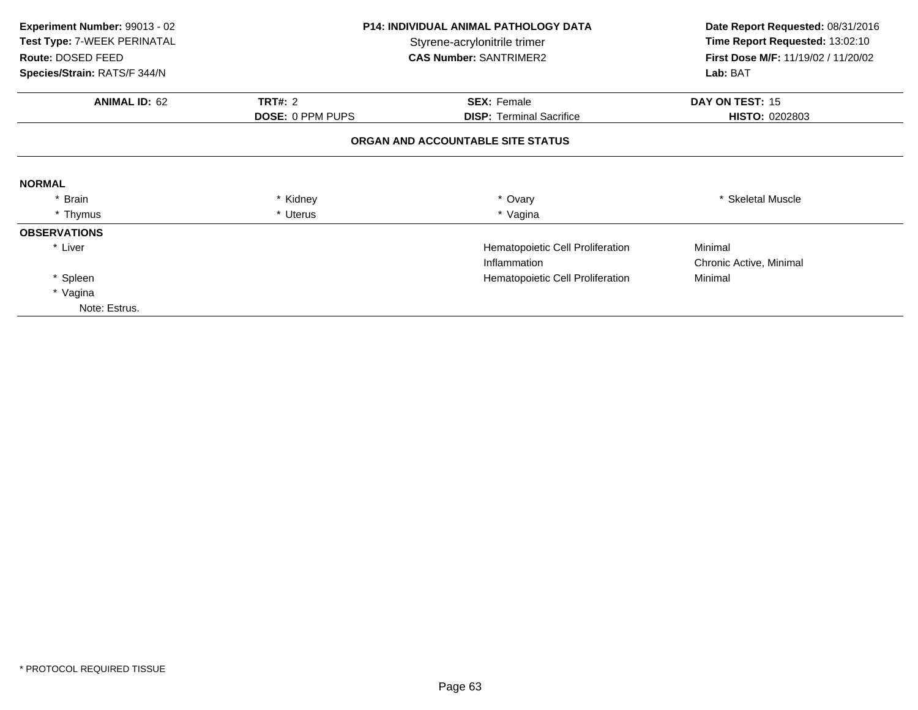| Experiment Number: 99013 - 02<br>Test Type: 7-WEEK PERINATAL<br>Route: DOSED FEED | <b>P14: INDIVIDUAL ANIMAL PATHOLOGY DATA</b><br>Styrene-acrylonitrile trimer<br><b>CAS Number: SANTRIMER2</b> |                                   | Date Report Requested: 08/31/2016<br>Time Report Requested: 13:02:10<br>First Dose M/F: 11/19/02 / 11/20/02 |  |
|-----------------------------------------------------------------------------------|---------------------------------------------------------------------------------------------------------------|-----------------------------------|-------------------------------------------------------------------------------------------------------------|--|
| Species/Strain: RATS/F 344/N                                                      |                                                                                                               |                                   | Lab: BAT                                                                                                    |  |
| <b>ANIMAL ID: 62</b>                                                              | <b>TRT#: 2</b>                                                                                                | <b>SEX: Female</b>                | DAY ON TEST: 15                                                                                             |  |
|                                                                                   | <b>DOSE: 0 PPM PUPS</b>                                                                                       | <b>DISP:</b> Terminal Sacrifice   | <b>HISTO: 0202803</b>                                                                                       |  |
|                                                                                   |                                                                                                               | ORGAN AND ACCOUNTABLE SITE STATUS |                                                                                                             |  |
| <b>NORMAL</b>                                                                     |                                                                                                               |                                   |                                                                                                             |  |
| * Brain                                                                           | * Kidney                                                                                                      | * Ovary                           | <b>Skeletal Muscle</b>                                                                                      |  |
| * Thymus                                                                          | * Uterus                                                                                                      | * Vagina                          |                                                                                                             |  |
| <b>OBSERVATIONS</b>                                                               |                                                                                                               |                                   |                                                                                                             |  |
| * Liver                                                                           |                                                                                                               | Hematopoietic Cell Proliferation  | Minimal                                                                                                     |  |
|                                                                                   |                                                                                                               | Inflammation                      | Chronic Active, Minimal                                                                                     |  |
| * Spleen                                                                          |                                                                                                               | Hematopoietic Cell Proliferation  | Minimal                                                                                                     |  |
| * Vagina                                                                          |                                                                                                               |                                   |                                                                                                             |  |
| Note: Estrus.                                                                     |                                                                                                               |                                   |                                                                                                             |  |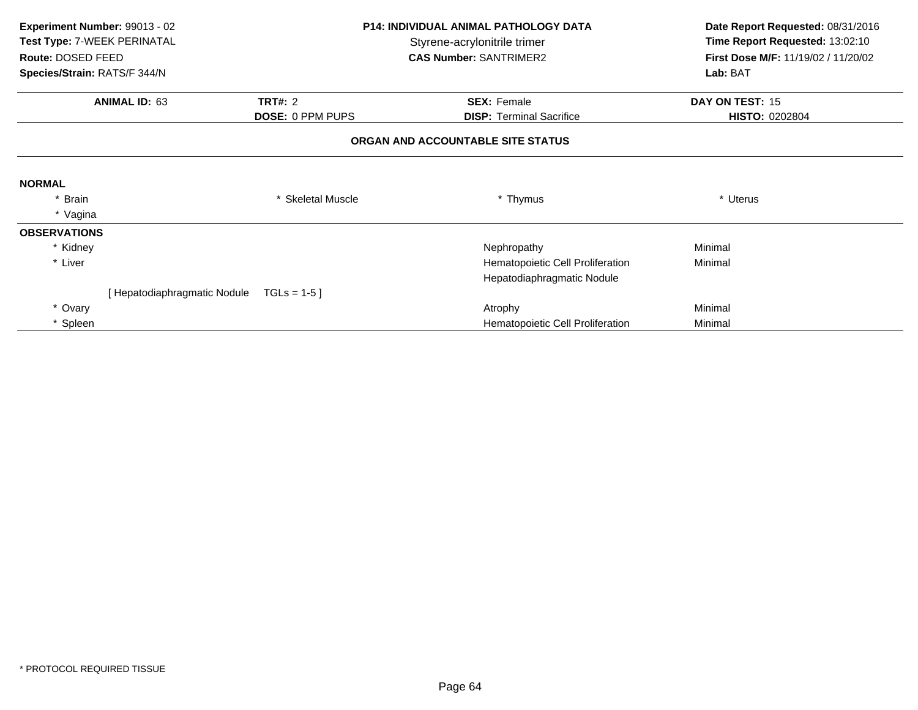| Route: DOSED FEED            | <b>P14: INDIVIDUAL ANIMAL PATHOLOGY DATA</b><br>Experiment Number: 99013 - 02<br>Test Type: 7-WEEK PERINATAL<br>Styrene-acrylonitrile trimer<br><b>CAS Number: SANTRIMER2</b> |                         | Date Report Requested: 08/31/2016<br>Time Report Requested: 13:02:10<br>First Dose M/F: 11/19/02 / 11/20/02 |                       |
|------------------------------|-------------------------------------------------------------------------------------------------------------------------------------------------------------------------------|-------------------------|-------------------------------------------------------------------------------------------------------------|-----------------------|
| Species/Strain: RATS/F 344/N |                                                                                                                                                                               |                         |                                                                                                             | Lab: BAT              |
| <b>ANIMAL ID: 63</b>         |                                                                                                                                                                               | <b>TRT#: 2</b>          | <b>SEX: Female</b>                                                                                          | DAY ON TEST: 15       |
|                              |                                                                                                                                                                               | <b>DOSE: 0 PPM PUPS</b> | <b>DISP: Terminal Sacrifice</b>                                                                             | <b>HISTO: 0202804</b> |
|                              |                                                                                                                                                                               |                         | ORGAN AND ACCOUNTABLE SITE STATUS                                                                           |                       |
| <b>NORMAL</b>                |                                                                                                                                                                               |                         |                                                                                                             |                       |
| * Brain                      |                                                                                                                                                                               | <b>Skeletal Muscle</b>  | * Thymus                                                                                                    | * Uterus              |
| * Vagina                     |                                                                                                                                                                               |                         |                                                                                                             |                       |
| <b>OBSERVATIONS</b>          |                                                                                                                                                                               |                         |                                                                                                             |                       |
| * Kidney                     |                                                                                                                                                                               |                         | Nephropathy                                                                                                 | Minimal               |
| * Liver                      |                                                                                                                                                                               |                         | Hematopoietic Cell Proliferation                                                                            | Minimal               |
|                              |                                                                                                                                                                               |                         | Hepatodiaphragmatic Nodule                                                                                  |                       |
|                              | [ Hepatodiaphragmatic Nodule                                                                                                                                                  | $TGLs = 1-5$            |                                                                                                             |                       |
| * Ovary                      |                                                                                                                                                                               |                         | Atrophy                                                                                                     | Minimal               |
| * Spleen                     |                                                                                                                                                                               |                         | Hematopoietic Cell Proliferation                                                                            | Minimal               |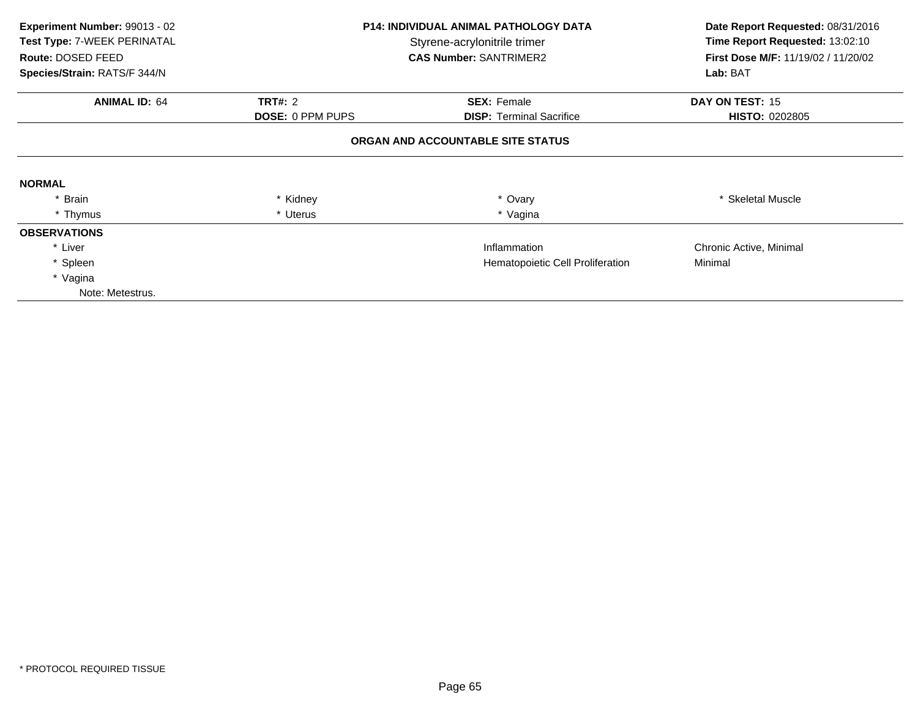| Experiment Number: 99013 - 02<br>Test Type: 7-WEEK PERINATAL<br>Route: DOSED FEED<br>Species/Strain: RATS/F 344/N |                         | <b>P14: INDIVIDUAL ANIMAL PATHOLOGY DATA</b><br>Styrene-acrylonitrile trimer<br><b>CAS Number: SANTRIMER2</b> | Date Report Requested: 08/31/2016<br>Time Report Requested: 13:02:10<br>First Dose M/F: 11/19/02 / 11/20/02<br>Lab: BAT |  |
|-------------------------------------------------------------------------------------------------------------------|-------------------------|---------------------------------------------------------------------------------------------------------------|-------------------------------------------------------------------------------------------------------------------------|--|
| <b>ANIMAL ID: 64</b>                                                                                              | <b>TRT#: 2</b>          | <b>SEX: Female</b>                                                                                            | DAY ON TEST: 15                                                                                                         |  |
|                                                                                                                   | <b>DOSE: 0 PPM PUPS</b> | <b>DISP: Terminal Sacrifice</b>                                                                               | <b>HISTO: 0202805</b>                                                                                                   |  |
|                                                                                                                   |                         | ORGAN AND ACCOUNTABLE SITE STATUS                                                                             |                                                                                                                         |  |
| <b>NORMAL</b>                                                                                                     |                         |                                                                                                               |                                                                                                                         |  |
| * Brain                                                                                                           | * Kidney                | * Ovary                                                                                                       | * Skeletal Muscle                                                                                                       |  |
| * Thymus                                                                                                          | * Uterus                | * Vagina                                                                                                      |                                                                                                                         |  |
| <b>OBSERVATIONS</b>                                                                                               |                         |                                                                                                               |                                                                                                                         |  |
| * Liver                                                                                                           |                         | Inflammation                                                                                                  | Chronic Active, Minimal                                                                                                 |  |
| * Spleen                                                                                                          |                         | Hematopoietic Cell Proliferation                                                                              | Minimal                                                                                                                 |  |
| * Vagina                                                                                                          |                         |                                                                                                               |                                                                                                                         |  |
| Note: Metestrus.                                                                                                  |                         |                                                                                                               |                                                                                                                         |  |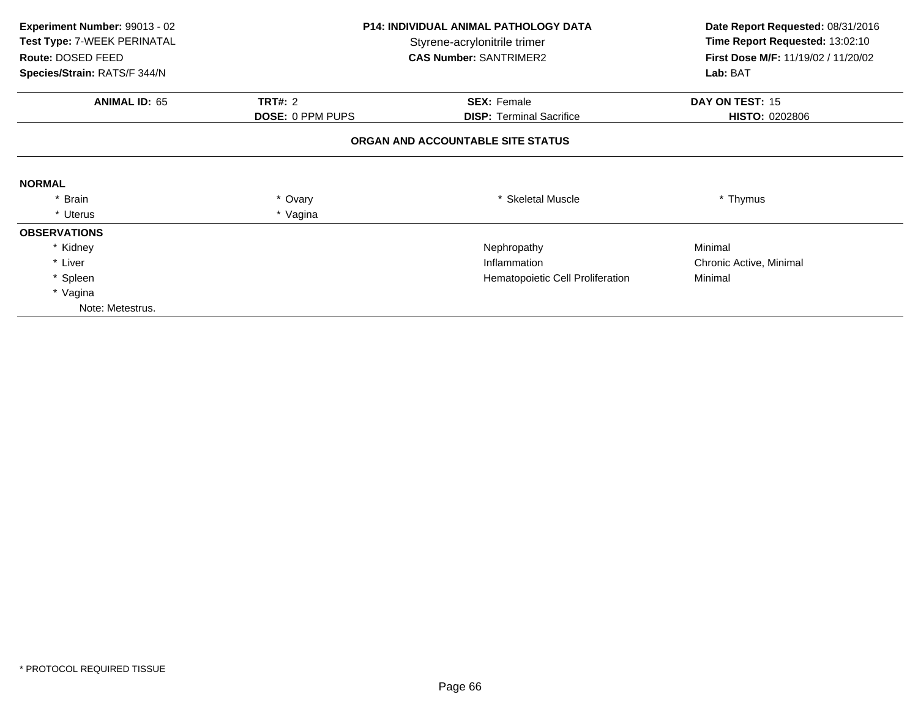| Experiment Number: 99013 - 02<br>Test Type: 7-WEEK PERINATAL<br>Route: DOSED FEED<br>Species/Strain: RATS/F 344/N | <b>P14: INDIVIDUAL ANIMAL PATHOLOGY DATA</b><br>Styrene-acrylonitrile trimer<br><b>CAS Number: SANTRIMER2</b> |                                                       | Date Report Requested: 08/31/2016<br>Time Report Requested: 13:02:10<br>First Dose M/F: 11/19/02 / 11/20/02<br>Lab: BAT |  |
|-------------------------------------------------------------------------------------------------------------------|---------------------------------------------------------------------------------------------------------------|-------------------------------------------------------|-------------------------------------------------------------------------------------------------------------------------|--|
| <b>ANIMAL ID: 65</b>                                                                                              | <b>TRT#: 2</b><br><b>DOSE: 0 PPM PUPS</b>                                                                     | <b>SEX: Female</b><br><b>DISP: Terminal Sacrifice</b> | DAY ON TEST: 15<br><b>HISTO: 0202806</b>                                                                                |  |
|                                                                                                                   |                                                                                                               | ORGAN AND ACCOUNTABLE SITE STATUS                     |                                                                                                                         |  |
| <b>NORMAL</b>                                                                                                     |                                                                                                               |                                                       |                                                                                                                         |  |
| * Brain                                                                                                           | * Ovary                                                                                                       | * Skeletal Muscle                                     | * Thymus                                                                                                                |  |
| * Uterus                                                                                                          | * Vagina                                                                                                      |                                                       |                                                                                                                         |  |
| <b>OBSERVATIONS</b>                                                                                               |                                                                                                               |                                                       |                                                                                                                         |  |
| * Kidney                                                                                                          |                                                                                                               | Nephropathy                                           | Minimal                                                                                                                 |  |
| * Liver                                                                                                           |                                                                                                               | Inflammation                                          | Chronic Active, Minimal                                                                                                 |  |
| * Spleen                                                                                                          |                                                                                                               | Hematopoietic Cell Proliferation                      | Minimal                                                                                                                 |  |
| * Vagina                                                                                                          |                                                                                                               |                                                       |                                                                                                                         |  |
| Note: Metestrus.                                                                                                  |                                                                                                               |                                                       |                                                                                                                         |  |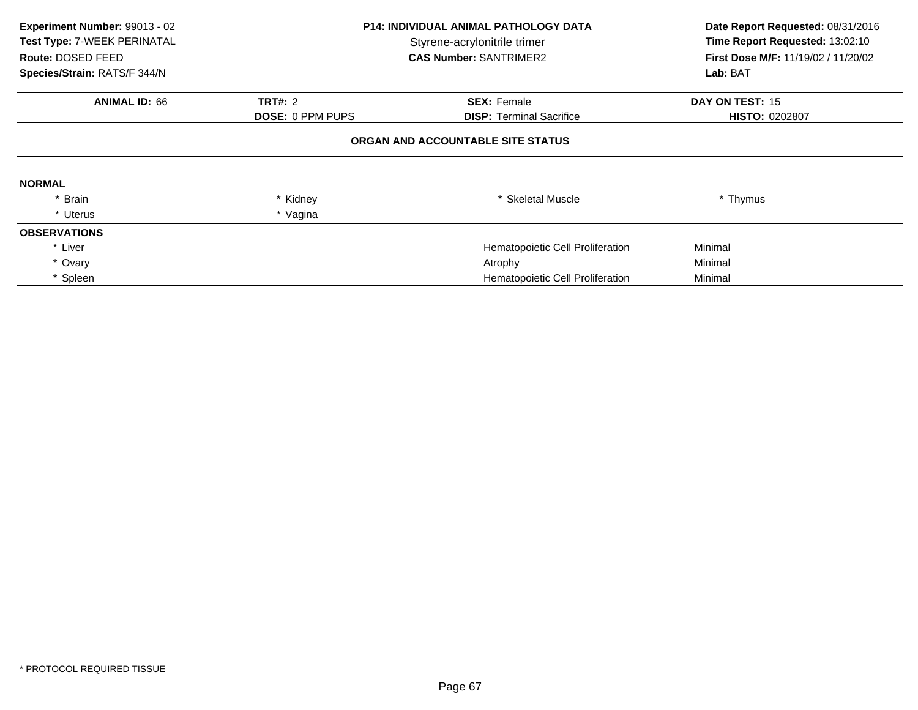| Experiment Number: 99013 - 02<br>Test Type: 7-WEEK PERINATAL<br>Route: DOSED FEED<br>Species/Strain: RATS/F 344/N |                         | <b>P14: INDIVIDUAL ANIMAL PATHOLOGY DATA</b><br>Styrene-acrylonitrile trimer<br><b>CAS Number: SANTRIMER2</b> | Date Report Requested: 08/31/2016<br>Time Report Requested: 13:02:10<br><b>First Dose M/F: 11/19/02 / 11/20/02</b><br>Lab: BAT |  |  |  |
|-------------------------------------------------------------------------------------------------------------------|-------------------------|---------------------------------------------------------------------------------------------------------------|--------------------------------------------------------------------------------------------------------------------------------|--|--|--|
| <b>ANIMAL ID: 66</b>                                                                                              | <b>TRT#: 2</b>          | <b>SEX: Female</b>                                                                                            | DAY ON TEST: 15                                                                                                                |  |  |  |
|                                                                                                                   | <b>DOSE: 0 PPM PUPS</b> | <b>DISP:</b> Terminal Sacrifice                                                                               | <b>HISTO: 0202807</b>                                                                                                          |  |  |  |
| ORGAN AND ACCOUNTABLE SITE STATUS                                                                                 |                         |                                                                                                               |                                                                                                                                |  |  |  |
| <b>NORMAL</b>                                                                                                     |                         |                                                                                                               |                                                                                                                                |  |  |  |
| * Brain                                                                                                           | * Kidney                | * Skeletal Muscle                                                                                             | * Thymus                                                                                                                       |  |  |  |
| * Uterus                                                                                                          | * Vagina                |                                                                                                               |                                                                                                                                |  |  |  |
| <b>OBSERVATIONS</b>                                                                                               |                         |                                                                                                               |                                                                                                                                |  |  |  |
| * Liver                                                                                                           |                         | Hematopoietic Cell Proliferation                                                                              | Minimal                                                                                                                        |  |  |  |
| * Ovary                                                                                                           |                         | Atrophy                                                                                                       | Minimal                                                                                                                        |  |  |  |
| * Spleen                                                                                                          |                         | Hematopoietic Cell Proliferation                                                                              | Minimal                                                                                                                        |  |  |  |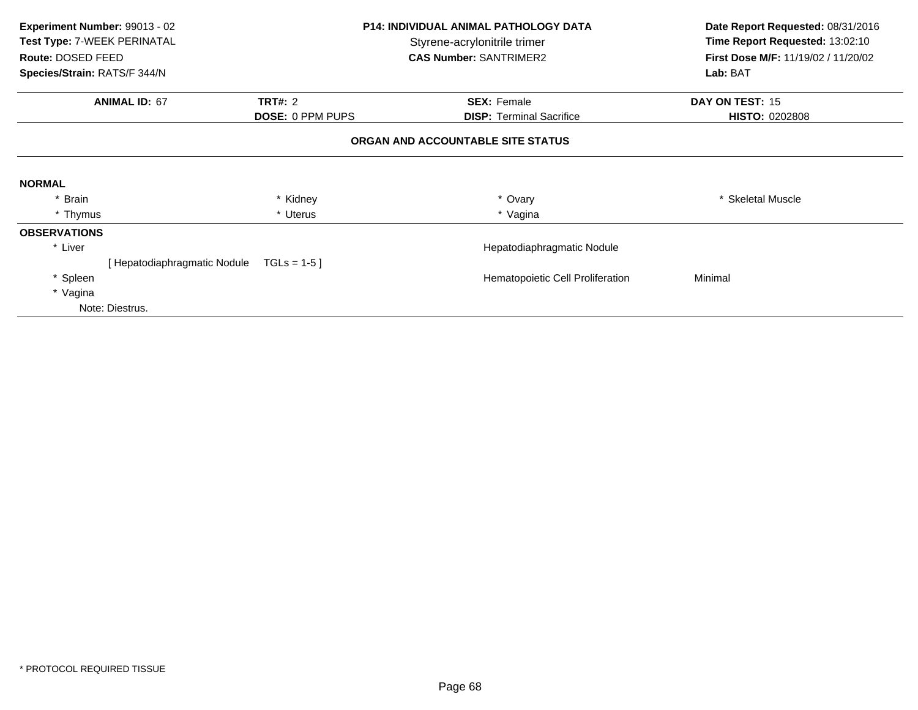| Experiment Number: 99013 - 02<br>Test Type: 7-WEEK PERINATAL<br>Route: DOSED FEED | <b>P14: INDIVIDUAL ANIMAL PATHOLOGY DATA</b><br>Styrene-acrylonitrile trimer<br><b>CAS Number: SANTRIMER2</b> |                                   | Date Report Requested: 08/31/2016<br>Time Report Requested: 13:02:10<br>First Dose M/F: 11/19/02 / 11/20/02 |  |
|-----------------------------------------------------------------------------------|---------------------------------------------------------------------------------------------------------------|-----------------------------------|-------------------------------------------------------------------------------------------------------------|--|
| Species/Strain: RATS/F 344/N                                                      |                                                                                                               |                                   | Lab: BAT                                                                                                    |  |
| <b>ANIMAL ID: 67</b>                                                              | <b>TRT#: 2</b>                                                                                                | <b>SEX: Female</b>                | DAY ON TEST: 15                                                                                             |  |
|                                                                                   | <b>DOSE: 0 PPM PUPS</b>                                                                                       | <b>DISP:</b> Terminal Sacrifice   | <b>HISTO: 0202808</b>                                                                                       |  |
|                                                                                   |                                                                                                               | ORGAN AND ACCOUNTABLE SITE STATUS |                                                                                                             |  |
| <b>NORMAL</b>                                                                     |                                                                                                               |                                   |                                                                                                             |  |
| * Brain                                                                           | * Kidney                                                                                                      | * Ovary                           | * Skeletal Muscle                                                                                           |  |
| * Thymus                                                                          | * Uterus                                                                                                      | * Vagina                          |                                                                                                             |  |
| <b>OBSERVATIONS</b>                                                               |                                                                                                               |                                   |                                                                                                             |  |
| * Liver                                                                           |                                                                                                               | Hepatodiaphragmatic Nodule        |                                                                                                             |  |
| [ Hepatodiaphragmatic Nodule                                                      | $TGLs = 1-5$                                                                                                  |                                   |                                                                                                             |  |
| * Spleen                                                                          |                                                                                                               | Hematopoietic Cell Proliferation  | Minimal                                                                                                     |  |
| * Vagina                                                                          |                                                                                                               |                                   |                                                                                                             |  |
| Note: Diestrus.                                                                   |                                                                                                               |                                   |                                                                                                             |  |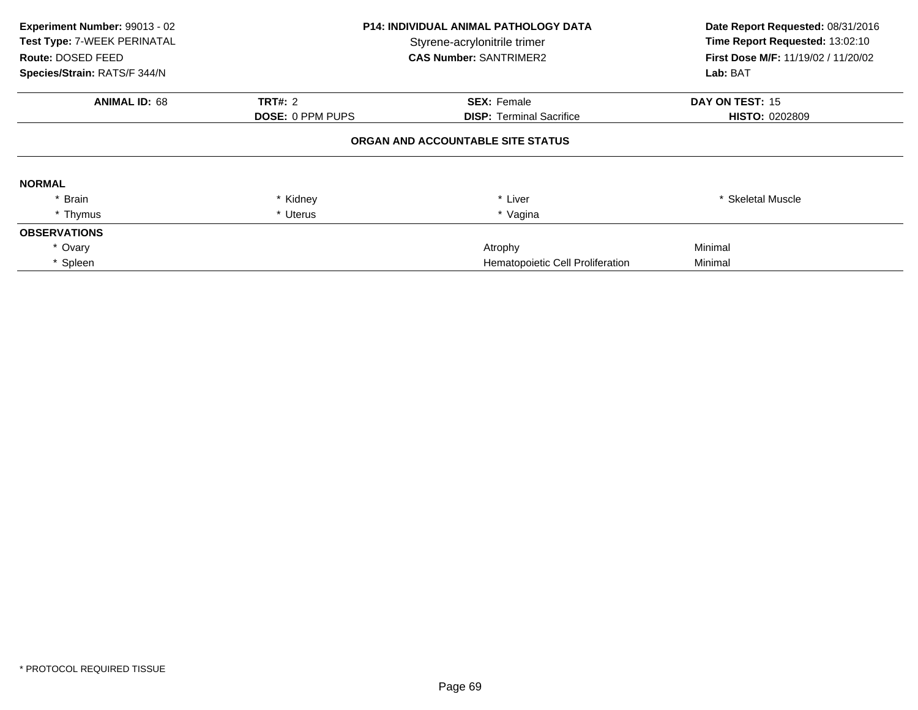| Experiment Number: 99013 - 02<br>Test Type: 7-WEEK PERINATAL<br>Route: DOSED FEED<br>Species/Strain: RATS/F 344/N |                                           | <b>P14: INDIVIDUAL ANIMAL PATHOLOGY DATA</b><br>Styrene-acrylonitrile trimer<br><b>CAS Number: SANTRIMER2</b> |                                          |
|-------------------------------------------------------------------------------------------------------------------|-------------------------------------------|---------------------------------------------------------------------------------------------------------------|------------------------------------------|
| <b>ANIMAL ID: 68</b>                                                                                              | <b>TRT#: 2</b><br><b>DOSE: 0 PPM PUPS</b> | <b>SEX: Female</b><br><b>DISP:</b> Terminal Sacrifice                                                         | DAY ON TEST: 15<br><b>HISTO: 0202809</b> |
|                                                                                                                   |                                           | ORGAN AND ACCOUNTABLE SITE STATUS                                                                             |                                          |
| <b>NORMAL</b>                                                                                                     |                                           |                                                                                                               |                                          |
| * Brain                                                                                                           | * Kidney                                  | * Liver                                                                                                       | * Skeletal Muscle                        |
| * Thymus                                                                                                          | * Uterus                                  | * Vagina                                                                                                      |                                          |
| <b>OBSERVATIONS</b>                                                                                               |                                           |                                                                                                               |                                          |
| * Ovary                                                                                                           |                                           | Atrophy                                                                                                       | Minimal                                  |
| Spleen                                                                                                            |                                           | Hematopoietic Cell Proliferation                                                                              | Minimal                                  |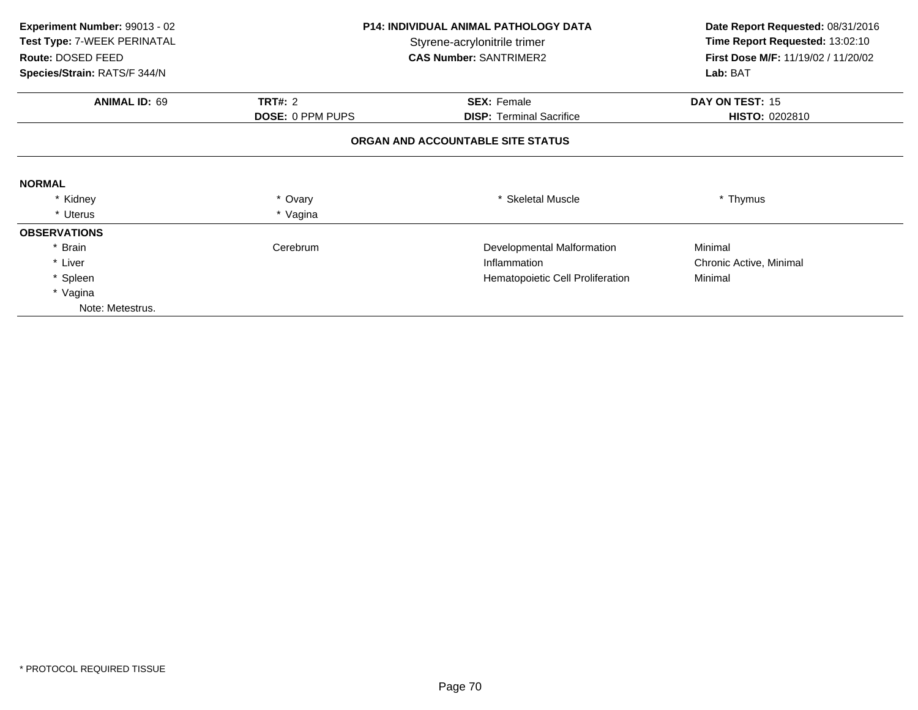| Experiment Number: 99013 - 02<br>Test Type: 7-WEEK PERINATAL<br>Route: DOSED FEED<br>Species/Strain: RATS/F 344/N | <b>P14: INDIVIDUAL ANIMAL PATHOLOGY DATA</b><br>Styrene-acrylonitrile trimer<br><b>CAS Number: SANTRIMER2</b> |                                   | Date Report Requested: 08/31/2016<br>Time Report Requested: 13:02:10<br>First Dose M/F: 11/19/02 / 11/20/02<br>Lab: BAT |
|-------------------------------------------------------------------------------------------------------------------|---------------------------------------------------------------------------------------------------------------|-----------------------------------|-------------------------------------------------------------------------------------------------------------------------|
|                                                                                                                   |                                                                                                               |                                   |                                                                                                                         |
| <b>ANIMAL ID: 69</b>                                                                                              | <b>TRT#: 2</b><br><b>SEX: Female</b><br><b>DOSE: 0 PPM PUPS</b><br><b>DISP: Terminal Sacrifice</b>            |                                   | DAY ON TEST: 15<br>HISTO: 0202810                                                                                       |
|                                                                                                                   |                                                                                                               | ORGAN AND ACCOUNTABLE SITE STATUS |                                                                                                                         |
| <b>NORMAL</b>                                                                                                     |                                                                                                               |                                   |                                                                                                                         |
| * Kidney                                                                                                          | * Ovary                                                                                                       | <b>Skeletal Muscle</b>            | * Thymus                                                                                                                |
| * Uterus                                                                                                          | * Vagina                                                                                                      |                                   |                                                                                                                         |
| <b>OBSERVATIONS</b>                                                                                               |                                                                                                               |                                   |                                                                                                                         |
| * Brain                                                                                                           | Cerebrum                                                                                                      | Developmental Malformation        | Minimal                                                                                                                 |
| * Liver                                                                                                           |                                                                                                               | Inflammation                      | Chronic Active, Minimal                                                                                                 |
| * Spleen                                                                                                          |                                                                                                               | Hematopoietic Cell Proliferation  | Minimal                                                                                                                 |
| * Vagina                                                                                                          |                                                                                                               |                                   |                                                                                                                         |
| Note: Metestrus.                                                                                                  |                                                                                                               |                                   |                                                                                                                         |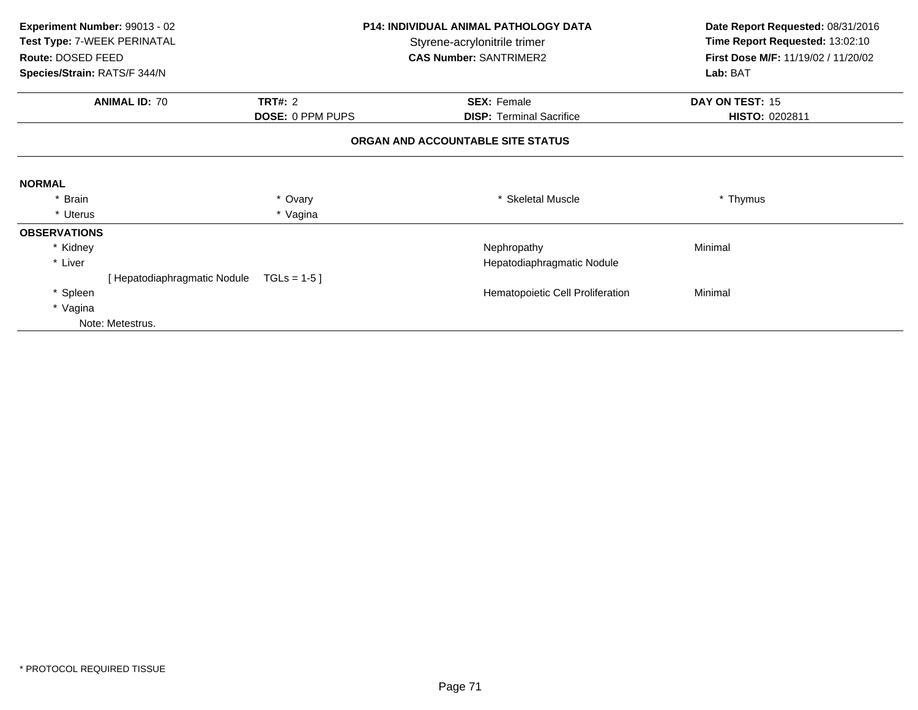| Experiment Number: 99013 - 02<br><b>P14: INDIVIDUAL ANIMAL PATHOLOGY DATA</b> |                              | Date Report Requested: 08/31/2016 |                                   |                                     |  |
|-------------------------------------------------------------------------------|------------------------------|-----------------------------------|-----------------------------------|-------------------------------------|--|
| Test Type: 7-WEEK PERINATAL                                                   |                              |                                   | Styrene-acrylonitrile trimer      | Time Report Requested: 13:02:10     |  |
| Route: DOSED FEED                                                             |                              |                                   | <b>CAS Number: SANTRIMER2</b>     | First Dose M/F: 11/19/02 / 11/20/02 |  |
| Species/Strain: RATS/F 344/N                                                  |                              |                                   |                                   | Lab: BAT                            |  |
|                                                                               | <b>ANIMAL ID: 70</b>         | <b>TRT#: 2</b>                    | <b>SEX: Female</b>                | DAY ON TEST: 15                     |  |
|                                                                               |                              | <b>DOSE: 0 PPM PUPS</b>           | <b>DISP: Terminal Sacrifice</b>   | <b>HISTO: 0202811</b>               |  |
|                                                                               |                              |                                   | ORGAN AND ACCOUNTABLE SITE STATUS |                                     |  |
| <b>NORMAL</b>                                                                 |                              |                                   |                                   |                                     |  |
| * Brain                                                                       |                              | * Ovary                           | * Skeletal Muscle                 | * Thymus                            |  |
| * Uterus                                                                      |                              | * Vagina                          |                                   |                                     |  |
| <b>OBSERVATIONS</b>                                                           |                              |                                   |                                   |                                     |  |
| * Kidney                                                                      |                              |                                   | Nephropathy                       | Minimal                             |  |
| * Liver                                                                       |                              |                                   | Hepatodiaphragmatic Nodule        |                                     |  |
|                                                                               | [ Hepatodiaphragmatic Nodule | $TGLs = 1-5$                      |                                   |                                     |  |
| * Spleen                                                                      |                              |                                   | Hematopoietic Cell Proliferation  | Minimal                             |  |
| * Vagina                                                                      |                              |                                   |                                   |                                     |  |
|                                                                               | Note: Metestrus.             |                                   |                                   |                                     |  |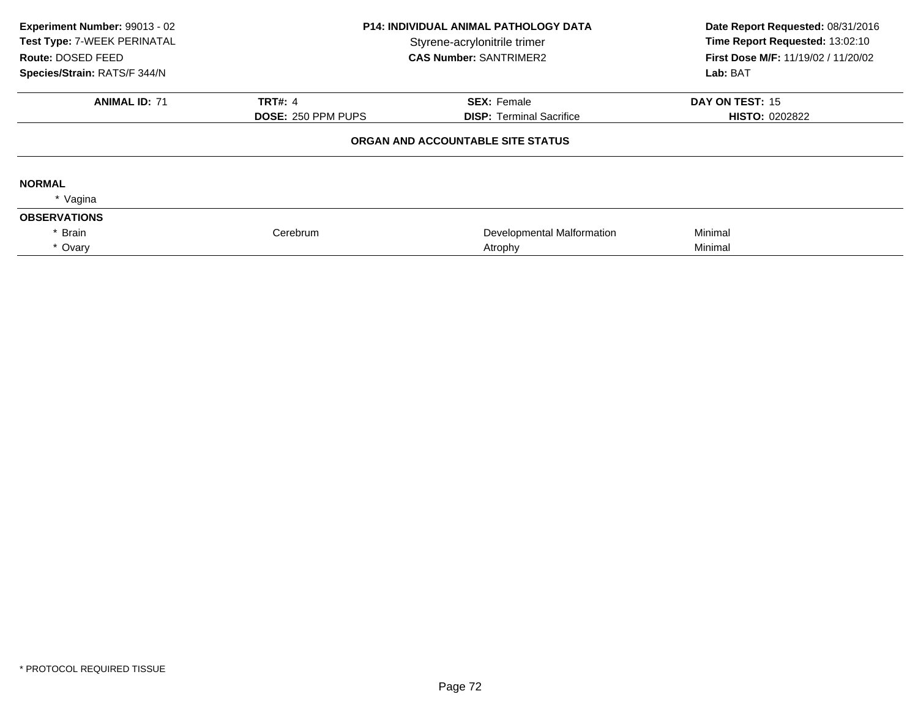| Experiment Number: 99013 - 02<br>Test Type: 7-WEEK PERINATAL<br>Route: DOSED FEED<br>Species/Strain: RATS/F 344/N | <b>P14: INDIVIDUAL ANIMAL PATHOLOGY DATA</b><br>Styrene-acrylonitrile trimer<br><b>CAS Number: SANTRIMER2</b> |                                   | Date Report Requested: 08/31/2016<br>Time Report Requested: 13:02:10<br>First Dose M/F: 11/19/02 / 11/20/02<br>Lab: BAT |
|-------------------------------------------------------------------------------------------------------------------|---------------------------------------------------------------------------------------------------------------|-----------------------------------|-------------------------------------------------------------------------------------------------------------------------|
| <b>ANIMAL ID: 71</b>                                                                                              | <b>TRT#: 4</b>                                                                                                | <b>SEX: Female</b>                | DAY ON TEST: 15                                                                                                         |
|                                                                                                                   | <b>DOSE: 250 PPM PUPS</b>                                                                                     | <b>DISP: Terminal Sacrifice</b>   | <b>HISTO: 0202822</b>                                                                                                   |
|                                                                                                                   |                                                                                                               | ORGAN AND ACCOUNTABLE SITE STATUS |                                                                                                                         |
| <b>NORMAL</b>                                                                                                     |                                                                                                               |                                   |                                                                                                                         |
| * Vagina                                                                                                          |                                                                                                               |                                   |                                                                                                                         |
| <b>OBSERVATIONS</b>                                                                                               |                                                                                                               |                                   |                                                                                                                         |
| Brain                                                                                                             | Cerebrum                                                                                                      | Developmental Malformation        | Minimal                                                                                                                 |
| * Ovary                                                                                                           |                                                                                                               | Atrophy                           | Minimal                                                                                                                 |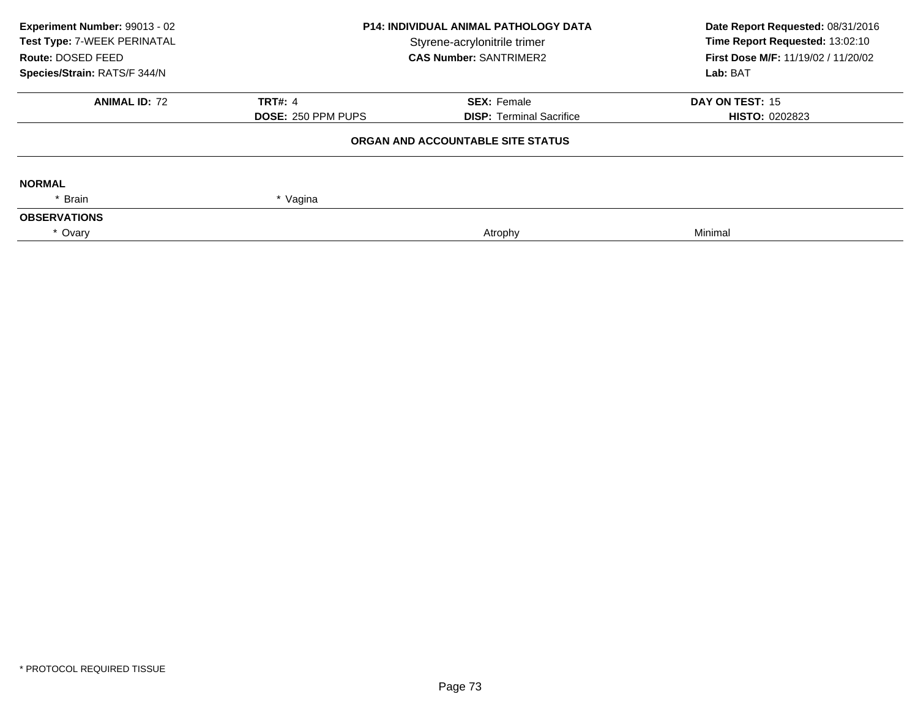| <b>P14: INDIVIDUAL ANIMAL PATHOLOGY DATA</b> |                                 | Date Report Requested: 08/31/2016<br>Time Report Requested: 13:02:10                               |  |
|----------------------------------------------|---------------------------------|----------------------------------------------------------------------------------------------------|--|
|                                              |                                 | First Dose M/F: 11/19/02 / 11/20/02                                                                |  |
|                                              |                                 | Lab: BAT                                                                                           |  |
| <b>TRT#: 4</b>                               | <b>SEX: Female</b>              | DAY ON TEST: 15                                                                                    |  |
| <b>DOSE: 250 PPM PUPS</b>                    | <b>DISP: Terminal Sacrifice</b> | <b>HISTO: 0202823</b>                                                                              |  |
|                                              |                                 |                                                                                                    |  |
|                                              |                                 |                                                                                                    |  |
| * Vagina                                     |                                 |                                                                                                    |  |
|                                              |                                 |                                                                                                    |  |
|                                              | Atrophy                         | Minimal                                                                                            |  |
|                                              |                                 | Styrene-acrylonitrile trimer<br><b>CAS Number: SANTRIMER2</b><br>ORGAN AND ACCOUNTABLE SITE STATUS |  |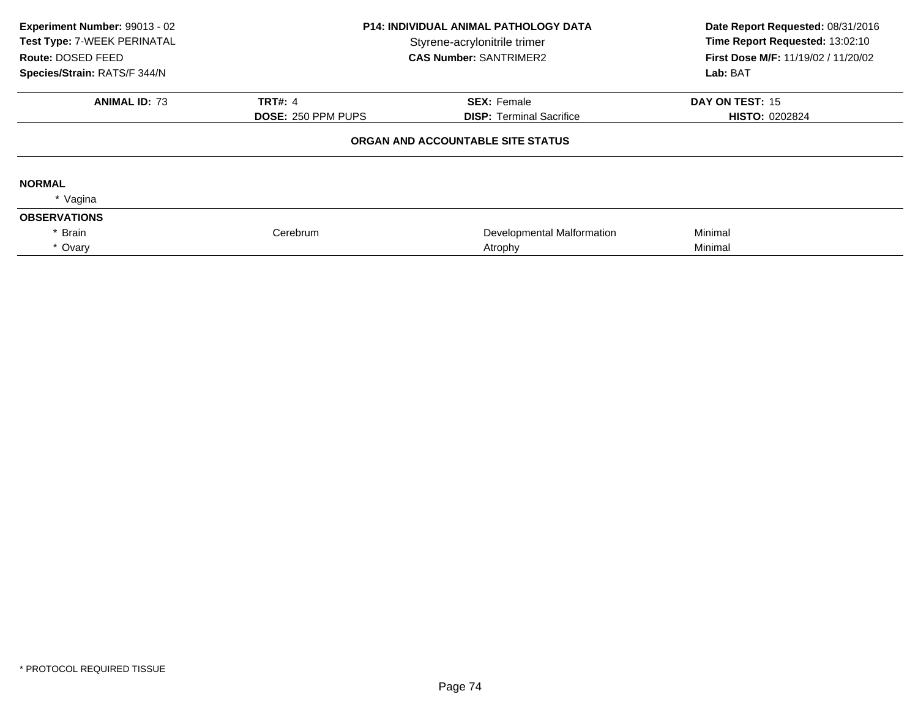| Experiment Number: 99013 - 02<br>Test Type: 7-WEEK PERINATAL<br>Route: DOSED FEED<br>Species/Strain: RATS/F 344/N | <b>P14: INDIVIDUAL ANIMAL PATHOLOGY DATA</b><br>Styrene-acrylonitrile trimer<br><b>CAS Number: SANTRIMER2</b> |                                   | Date Report Requested: 08/31/2016<br>Time Report Requested: 13:02:10<br><b>First Dose M/F: 11/19/02 / 11/20/02</b><br>Lab: BAT |
|-------------------------------------------------------------------------------------------------------------------|---------------------------------------------------------------------------------------------------------------|-----------------------------------|--------------------------------------------------------------------------------------------------------------------------------|
| <b>ANIMAL ID: 73</b>                                                                                              | <b>TRT#: 4</b>                                                                                                | <b>SEX: Female</b>                | DAY ON TEST: 15                                                                                                                |
|                                                                                                                   | <b>DOSE: 250 PPM PUPS</b>                                                                                     | <b>DISP:</b> Terminal Sacrifice   | <b>HISTO: 0202824</b>                                                                                                          |
|                                                                                                                   |                                                                                                               | ORGAN AND ACCOUNTABLE SITE STATUS |                                                                                                                                |
| <b>NORMAL</b>                                                                                                     |                                                                                                               |                                   |                                                                                                                                |
| * Vagina                                                                                                          |                                                                                                               |                                   |                                                                                                                                |
| <b>OBSERVATIONS</b>                                                                                               |                                                                                                               |                                   |                                                                                                                                |
| Brain                                                                                                             | Cerebrum                                                                                                      | Developmental Malformation        | Minimal                                                                                                                        |
| * Ovary                                                                                                           |                                                                                                               | Atrophy                           | Minimal                                                                                                                        |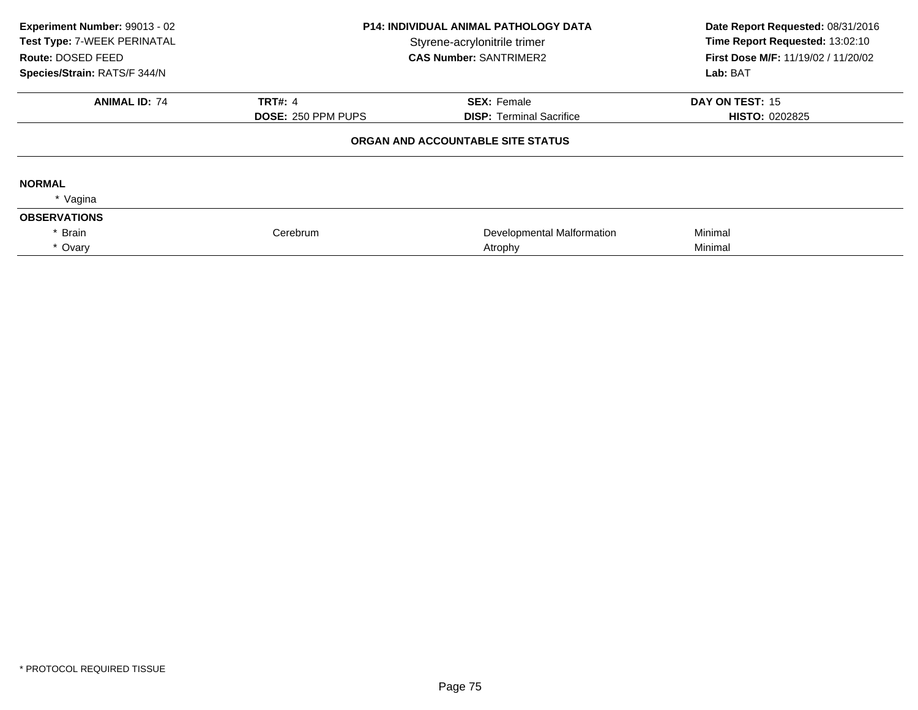| Experiment Number: 99013 - 02<br>Test Type: 7-WEEK PERINATAL<br>Route: DOSED FEED<br>Species/Strain: RATS/F 344/N | <b>P14: INDIVIDUAL ANIMAL PATHOLOGY DATA</b><br>Styrene-acrylonitrile trimer<br><b>CAS Number: SANTRIMER2</b> |                                                       | Date Report Requested: 08/31/2016<br>Time Report Requested: 13:02:10<br>First Dose M/F: 11/19/02 / 11/20/02<br>Lab: BAT |
|-------------------------------------------------------------------------------------------------------------------|---------------------------------------------------------------------------------------------------------------|-------------------------------------------------------|-------------------------------------------------------------------------------------------------------------------------|
| <b>ANIMAL ID: 74</b>                                                                                              | <b>TRT#: 4</b><br><b>DOSE: 250 PPM PUPS</b>                                                                   | <b>SEX: Female</b><br><b>DISP:</b> Terminal Sacrifice | DAY ON TEST: 15<br><b>HISTO: 0202825</b>                                                                                |
|                                                                                                                   |                                                                                                               | ORGAN AND ACCOUNTABLE SITE STATUS                     |                                                                                                                         |
| <b>NORMAL</b><br>* Vagina                                                                                         |                                                                                                               |                                                       |                                                                                                                         |
| <b>OBSERVATIONS</b>                                                                                               |                                                                                                               |                                                       |                                                                                                                         |
| Brain                                                                                                             | Cerebrum                                                                                                      | Developmental Malformation                            | Minimal                                                                                                                 |
| * Ovary                                                                                                           |                                                                                                               | Atrophy                                               | Minimal                                                                                                                 |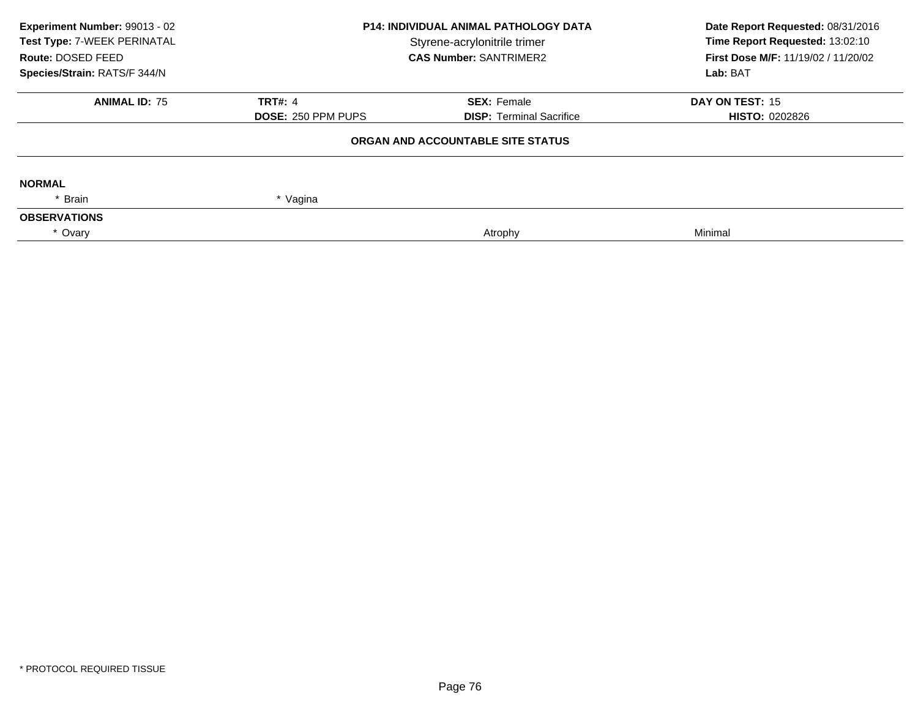| Experiment Number: 99013 - 02<br>Test Type: 7-WEEK PERINATAL | <b>P14: INDIVIDUAL ANIMAL PATHOLOGY DATA</b><br>Styrene-acrylonitrile trimer<br><b>CAS Number: SANTRIMER2</b> |                                   | Date Report Requested: 08/31/2016<br>Time Report Requested: 13:02:10 |  |
|--------------------------------------------------------------|---------------------------------------------------------------------------------------------------------------|-----------------------------------|----------------------------------------------------------------------|--|
| Route: DOSED FEED                                            |                                                                                                               |                                   | First Dose M/F: 11/19/02 / 11/20/02<br>Lab: BAT                      |  |
| Species/Strain: RATS/F 344/N                                 |                                                                                                               |                                   |                                                                      |  |
| <b>ANIMAL ID: 75</b>                                         | <b>TRT#: 4</b>                                                                                                | <b>SEX: Female</b>                | DAY ON TEST: 15                                                      |  |
|                                                              | <b>DOSE: 250 PPM PUPS</b>                                                                                     | <b>DISP:</b> Terminal Sacrifice   | <b>HISTO: 0202826</b>                                                |  |
|                                                              |                                                                                                               | ORGAN AND ACCOUNTABLE SITE STATUS |                                                                      |  |
| <b>NORMAL</b>                                                |                                                                                                               |                                   |                                                                      |  |
| * Brain                                                      | * Vagina                                                                                                      |                                   |                                                                      |  |
| <b>OBSERVATIONS</b>                                          |                                                                                                               |                                   |                                                                      |  |
| * Ovary                                                      |                                                                                                               | Atrophy                           | Minimal                                                              |  |
|                                                              |                                                                                                               |                                   |                                                                      |  |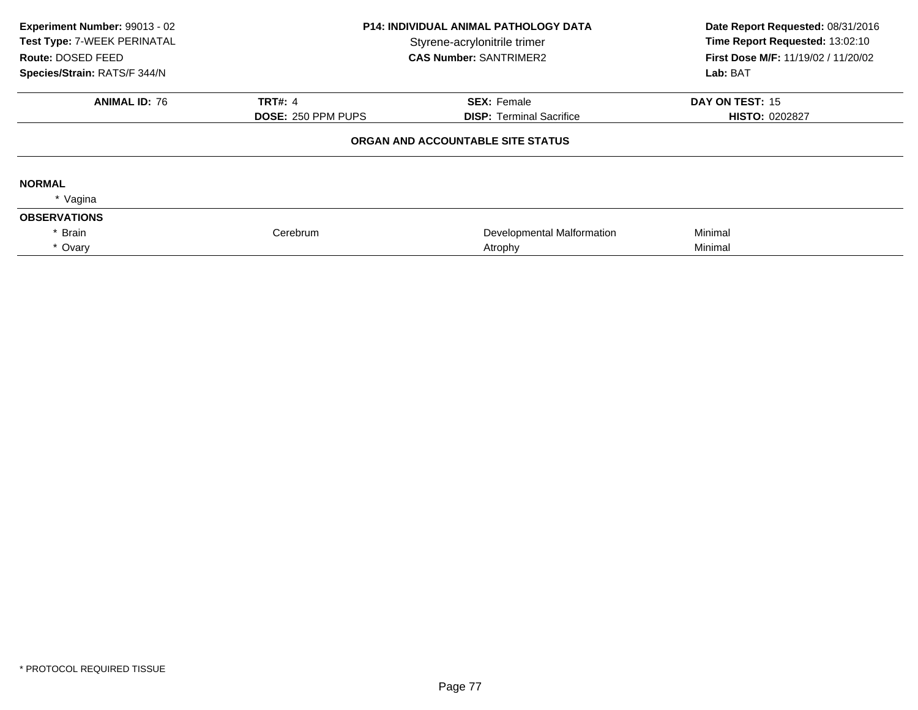| Experiment Number: 99013 - 02<br>Test Type: 7-WEEK PERINATAL<br>Route: DOSED FEED<br>Species/Strain: RATS/F 344/N | <b>P14: INDIVIDUAL ANIMAL PATHOLOGY DATA</b><br>Styrene-acrylonitrile trimer<br><b>CAS Number: SANTRIMER2</b> |                                   | Date Report Requested: 08/31/2016<br>Time Report Requested: 13:02:10<br><b>First Dose M/F: 11/19/02 / 11/20/02</b><br>Lab: BAT |
|-------------------------------------------------------------------------------------------------------------------|---------------------------------------------------------------------------------------------------------------|-----------------------------------|--------------------------------------------------------------------------------------------------------------------------------|
| <b>ANIMAL ID: 76</b>                                                                                              | <b>TRT#: 4</b>                                                                                                | <b>SEX: Female</b>                | DAY ON TEST: 15                                                                                                                |
|                                                                                                                   | <b>DOSE: 250 PPM PUPS</b>                                                                                     | <b>DISP:</b> Terminal Sacrifice   | <b>HISTO: 0202827</b>                                                                                                          |
|                                                                                                                   |                                                                                                               | ORGAN AND ACCOUNTABLE SITE STATUS |                                                                                                                                |
| <b>NORMAL</b>                                                                                                     |                                                                                                               |                                   |                                                                                                                                |
| * Vagina                                                                                                          |                                                                                                               |                                   |                                                                                                                                |
| <b>OBSERVATIONS</b>                                                                                               |                                                                                                               |                                   |                                                                                                                                |
| Brain                                                                                                             | Cerebrum                                                                                                      | Developmental Malformation        | Minimal                                                                                                                        |
| * Ovary                                                                                                           |                                                                                                               | Atrophy                           | Minimal                                                                                                                        |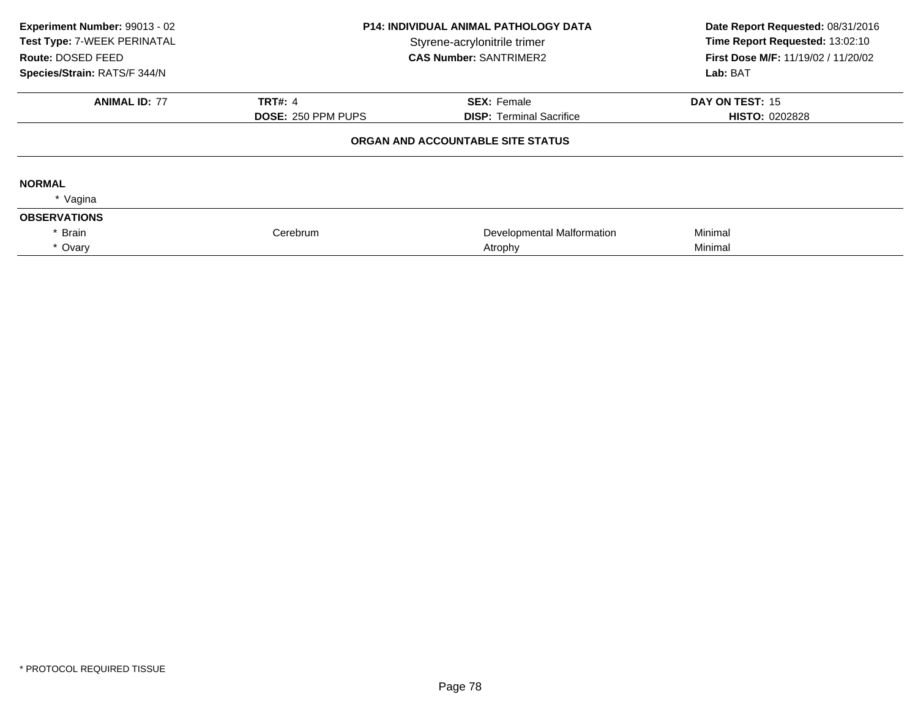| Experiment Number: 99013 - 02<br>Test Type: 7-WEEK PERINATAL<br>Route: DOSED FEED<br>Species/Strain: RATS/F 344/N | <b>P14: INDIVIDUAL ANIMAL PATHOLOGY DATA</b><br>Styrene-acrylonitrile trimer<br><b>CAS Number: SANTRIMER2</b> |                                                       | Date Report Requested: 08/31/2016<br>Time Report Requested: 13:02:10<br>First Dose M/F: 11/19/02 / 11/20/02<br>Lab: BAT |
|-------------------------------------------------------------------------------------------------------------------|---------------------------------------------------------------------------------------------------------------|-------------------------------------------------------|-------------------------------------------------------------------------------------------------------------------------|
| <b>ANIMAL ID: 77</b>                                                                                              | <b>TRT#: 4</b><br><b>DOSE: 250 PPM PUPS</b>                                                                   | <b>SEX: Female</b><br><b>DISP:</b> Terminal Sacrifice | DAY ON TEST: 15<br><b>HISTO: 0202828</b>                                                                                |
|                                                                                                                   |                                                                                                               | ORGAN AND ACCOUNTABLE SITE STATUS                     |                                                                                                                         |
| <b>NORMAL</b><br>* Vagina                                                                                         |                                                                                                               |                                                       |                                                                                                                         |
| <b>OBSERVATIONS</b>                                                                                               |                                                                                                               |                                                       |                                                                                                                         |
| Brain                                                                                                             | Cerebrum                                                                                                      | Developmental Malformation                            | Minimal                                                                                                                 |
| * Ovary                                                                                                           |                                                                                                               | Atrophy                                               | Minimal                                                                                                                 |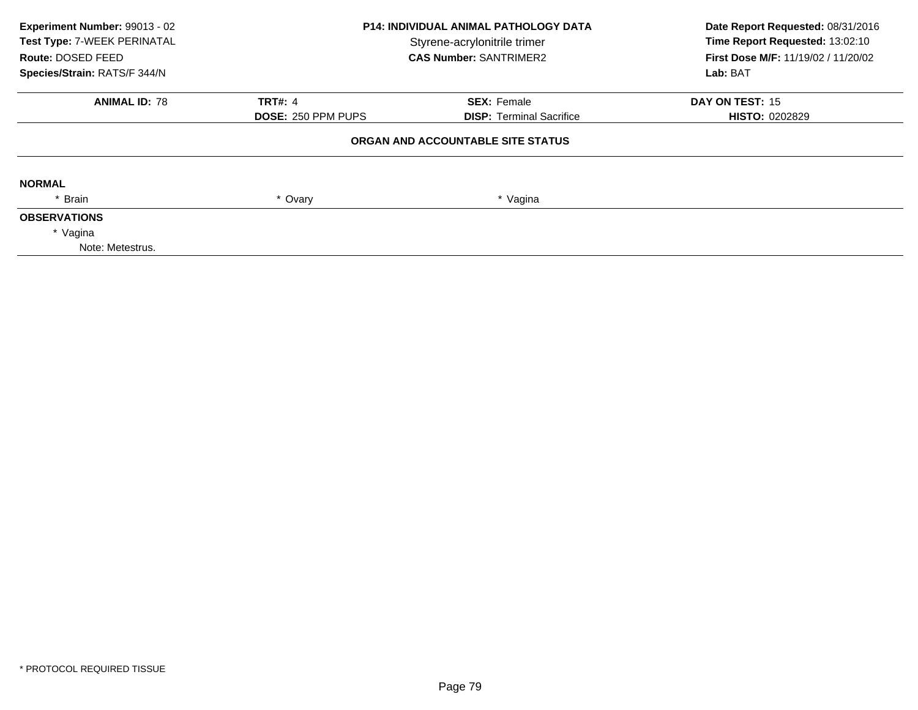| Experiment Number: 99013 - 02<br>Test Type: 7-WEEK PERINATAL<br>Route: DOSED FEED<br>Species/Strain: RATS/F 344/N | <b>P14: INDIVIDUAL ANIMAL PATHOLOGY DATA</b><br>Styrene-acrylonitrile trimer<br><b>CAS Number: SANTRIMER2</b> |                                   | Date Report Requested: 08/31/2016<br>Time Report Requested: 13:02:10<br>First Dose M/F: 11/19/02 / 11/20/02<br>Lab: BAT |
|-------------------------------------------------------------------------------------------------------------------|---------------------------------------------------------------------------------------------------------------|-----------------------------------|-------------------------------------------------------------------------------------------------------------------------|
| <b>ANIMAL ID: 78</b>                                                                                              | <b>TRT#: 4</b>                                                                                                | <b>SEX: Female</b>                | DAY ON TEST: 15                                                                                                         |
|                                                                                                                   | <b>DOSE: 250 PPM PUPS</b>                                                                                     | <b>DISP:</b> Terminal Sacrifice   | <b>HISTO: 0202829</b>                                                                                                   |
|                                                                                                                   |                                                                                                               | ORGAN AND ACCOUNTABLE SITE STATUS |                                                                                                                         |
| <b>NORMAL</b>                                                                                                     |                                                                                                               |                                   |                                                                                                                         |
| * Brain                                                                                                           | * Ovary                                                                                                       | * Vagina                          |                                                                                                                         |
| <b>OBSERVATIONS</b>                                                                                               |                                                                                                               |                                   |                                                                                                                         |
| * Vagina                                                                                                          |                                                                                                               |                                   |                                                                                                                         |
| Note: Metestrus.                                                                                                  |                                                                                                               |                                   |                                                                                                                         |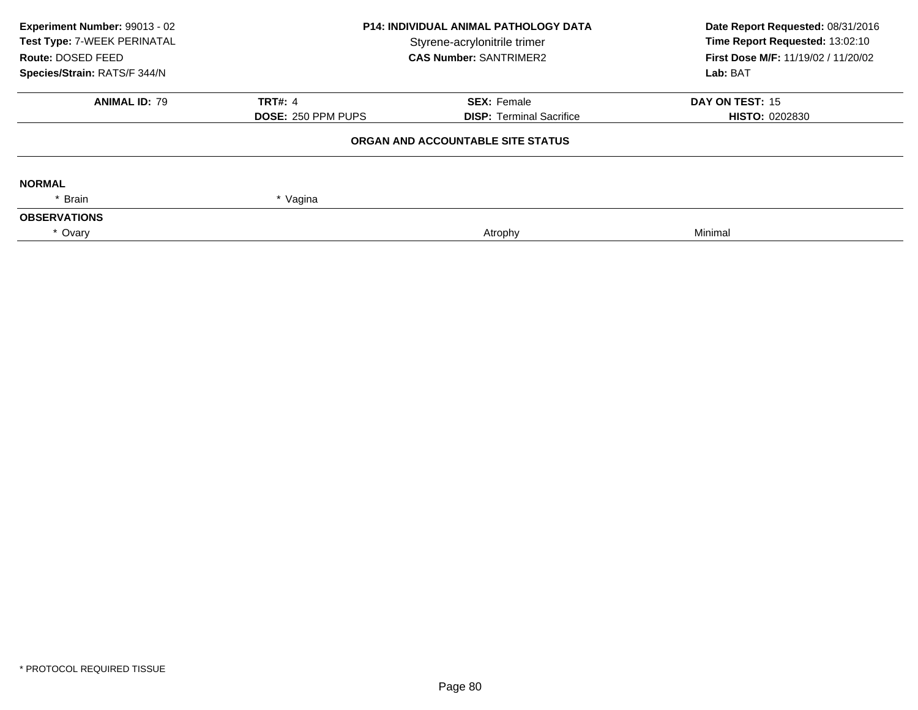| Experiment Number: 99013 - 02<br><b>P14: INDIVIDUAL ANIMAL PATHOLOGY DATA</b><br>Test Type: 7-WEEK PERINATAL<br>Styrene-acrylonitrile trimer |                               | Date Report Requested: 08/31/2016<br>Time Report Requested: 13:02:10 |                                                 |
|----------------------------------------------------------------------------------------------------------------------------------------------|-------------------------------|----------------------------------------------------------------------|-------------------------------------------------|
| Route: DOSED FEED                                                                                                                            | <b>CAS Number: SANTRIMER2</b> |                                                                      | First Dose M/F: 11/19/02 / 11/20/02<br>Lab: BAT |
| Species/Strain: RATS/F 344/N                                                                                                                 |                               |                                                                      |                                                 |
| <b>ANIMAL ID: 79</b>                                                                                                                         | <b>TRT#: 4</b>                | <b>SEX: Female</b>                                                   | DAY ON TEST: 15                                 |
|                                                                                                                                              | <b>DOSE: 250 PPM PUPS</b>     | <b>DISP: Terminal Sacrifice</b>                                      | <b>HISTO: 0202830</b>                           |
|                                                                                                                                              |                               | ORGAN AND ACCOUNTABLE SITE STATUS                                    |                                                 |
| <b>NORMAL</b>                                                                                                                                |                               |                                                                      |                                                 |
| * Brain                                                                                                                                      | * Vagina                      |                                                                      |                                                 |
| <b>OBSERVATIONS</b>                                                                                                                          |                               |                                                                      |                                                 |
| * Ovary                                                                                                                                      |                               | Atrophy                                                              | Minimal                                         |
|                                                                                                                                              |                               |                                                                      |                                                 |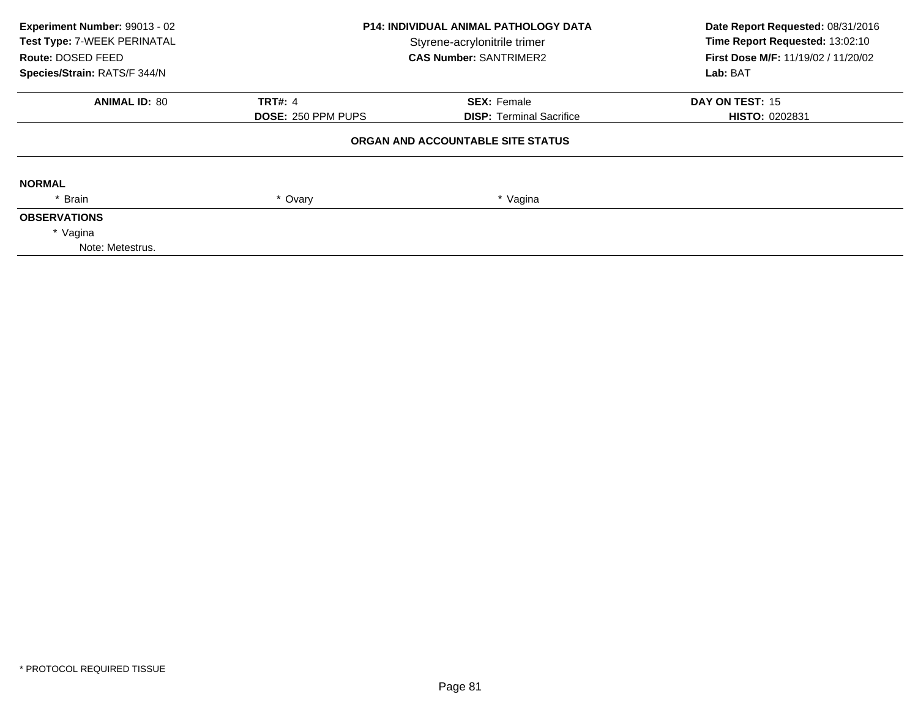| Experiment Number: 99013 - 02<br>Test Type: 7-WEEK PERINATAL<br>Route: DOSED FEED<br>Species/Strain: RATS/F 344/N | <b>P14: INDIVIDUAL ANIMAL PATHOLOGY DATA</b><br>Styrene-acrylonitrile trimer<br><b>CAS Number: SANTRIMER2</b> |                                   | Date Report Requested: 08/31/2016<br>Time Report Requested: 13:02:10<br>First Dose M/F: 11/19/02 / 11/20/02<br>Lab: BAT |
|-------------------------------------------------------------------------------------------------------------------|---------------------------------------------------------------------------------------------------------------|-----------------------------------|-------------------------------------------------------------------------------------------------------------------------|
| <b>ANIMAL ID: 80</b>                                                                                              | <b>TRT#: 4</b>                                                                                                | <b>SEX: Female</b>                | DAY ON TEST: 15                                                                                                         |
|                                                                                                                   | <b>DOSE: 250 PPM PUPS</b>                                                                                     | <b>DISP:</b> Terminal Sacrifice   | <b>HISTO: 0202831</b>                                                                                                   |
|                                                                                                                   |                                                                                                               | ORGAN AND ACCOUNTABLE SITE STATUS |                                                                                                                         |
| <b>NORMAL</b>                                                                                                     |                                                                                                               |                                   |                                                                                                                         |
| * Brain                                                                                                           | * Ovary                                                                                                       | * Vagina                          |                                                                                                                         |
| <b>OBSERVATIONS</b>                                                                                               |                                                                                                               |                                   |                                                                                                                         |
| * Vagina                                                                                                          |                                                                                                               |                                   |                                                                                                                         |
| Note: Metestrus.                                                                                                  |                                                                                                               |                                   |                                                                                                                         |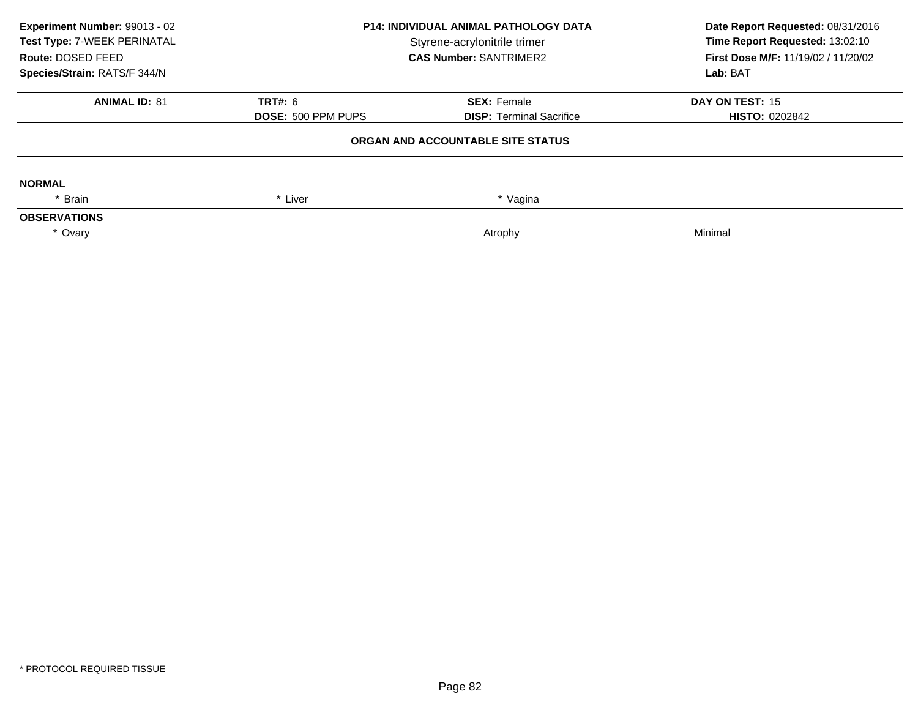| Experiment Number: 99013 - 02<br>Test Type: 7-WEEK PERINATAL<br>Route: DOSED FEED | <b>P14: INDIVIDUAL ANIMAL PATHOLOGY DATA</b><br>Styrene-acrylonitrile trimer<br><b>CAS Number: SANTRIMER2</b> |                                   | Date Report Requested: 08/31/2016<br>Time Report Requested: 13:02:10<br>First Dose M/F: 11/19/02 / 11/20/02 |  |
|-----------------------------------------------------------------------------------|---------------------------------------------------------------------------------------------------------------|-----------------------------------|-------------------------------------------------------------------------------------------------------------|--|
| Species/Strain: RATS/F 344/N                                                      |                                                                                                               |                                   | Lab: BAT                                                                                                    |  |
| <b>ANIMAL ID: 81</b>                                                              | <b>TRT#: 6</b>                                                                                                | <b>SEX: Female</b>                | DAY ON TEST: 15                                                                                             |  |
|                                                                                   | <b>DOSE: 500 PPM PUPS</b>                                                                                     | <b>DISP: Terminal Sacrifice</b>   | <b>HISTO: 0202842</b>                                                                                       |  |
|                                                                                   |                                                                                                               | ORGAN AND ACCOUNTABLE SITE STATUS |                                                                                                             |  |
| <b>NORMAL</b>                                                                     |                                                                                                               |                                   |                                                                                                             |  |
| Brain                                                                             | * Liver                                                                                                       | * Vagina                          |                                                                                                             |  |
| <b>OBSERVATIONS</b>                                                               |                                                                                                               |                                   |                                                                                                             |  |
| * Ovary                                                                           |                                                                                                               | Atrophy                           | Minimal                                                                                                     |  |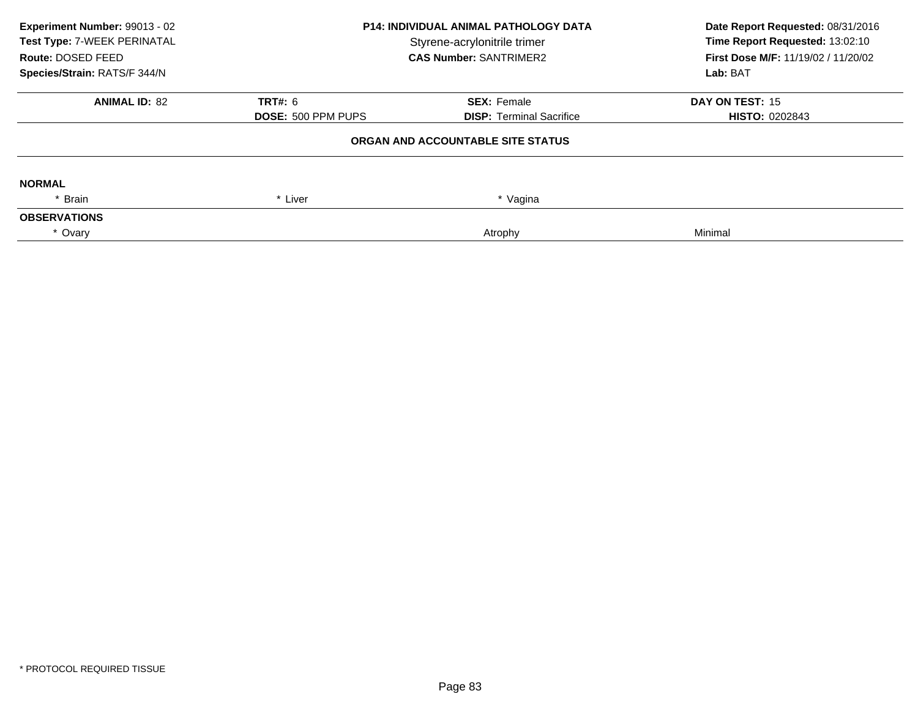| Experiment Number: 99013 - 02<br>Test Type: 7-WEEK PERINATAL<br>Route: DOSED FEED | <b>P14: INDIVIDUAL ANIMAL PATHOLOGY DATA</b><br>Styrene-acrylonitrile trimer<br><b>CAS Number: SANTRIMER2</b> |                                   | Date Report Requested: 08/31/2016<br>Time Report Requested: 13:02:10<br>First Dose M/F: 11/19/02 / 11/20/02 |  |
|-----------------------------------------------------------------------------------|---------------------------------------------------------------------------------------------------------------|-----------------------------------|-------------------------------------------------------------------------------------------------------------|--|
| Species/Strain: RATS/F 344/N                                                      |                                                                                                               |                                   | Lab: BAT                                                                                                    |  |
| <b>ANIMAL ID: 82</b>                                                              | <b>TRT#: 6</b>                                                                                                | <b>SEX: Female</b>                | DAY ON TEST: 15                                                                                             |  |
|                                                                                   | <b>DOSE: 500 PPM PUPS</b>                                                                                     | <b>DISP: Terminal Sacrifice</b>   | <b>HISTO: 0202843</b>                                                                                       |  |
|                                                                                   |                                                                                                               | ORGAN AND ACCOUNTABLE SITE STATUS |                                                                                                             |  |
| <b>NORMAL</b>                                                                     |                                                                                                               |                                   |                                                                                                             |  |
| Brain                                                                             | * Liver                                                                                                       | * Vagina                          |                                                                                                             |  |
| <b>OBSERVATIONS</b>                                                               |                                                                                                               |                                   |                                                                                                             |  |
| * Ovary                                                                           |                                                                                                               | Atrophy                           | Minimal                                                                                                     |  |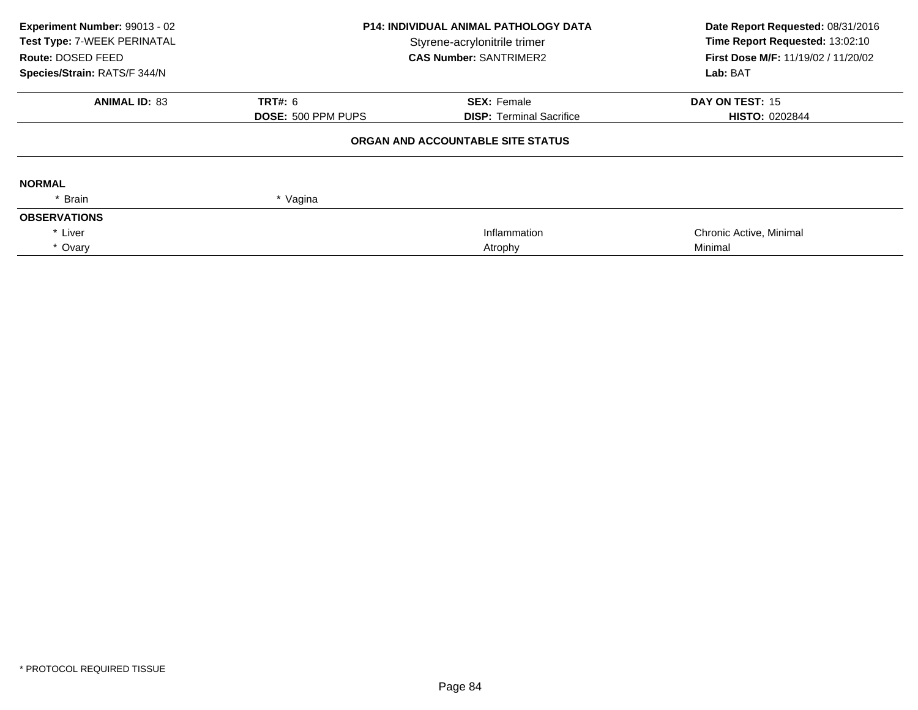| Experiment Number: 99013 - 02<br>Test Type: 7-WEEK PERINATAL<br>Route: DOSED FEED<br>Species/Strain: RATS/F 344/N | <b>P14: INDIVIDUAL ANIMAL PATHOLOGY DATA</b><br>Styrene-acrylonitrile trimer<br><b>CAS Number: SANTRIMER2</b> |                                   | Date Report Requested: 08/31/2016<br>Time Report Requested: 13:02:10<br>First Dose M/F: 11/19/02 / 11/20/02<br>Lab: BAT |
|-------------------------------------------------------------------------------------------------------------------|---------------------------------------------------------------------------------------------------------------|-----------------------------------|-------------------------------------------------------------------------------------------------------------------------|
| <b>ANIMAL ID: 83</b>                                                                                              | <b>TRT#: 6</b>                                                                                                | <b>SEX: Female</b>                | DAY ON TEST: 15                                                                                                         |
|                                                                                                                   | <b>DOSE: 500 PPM PUPS</b>                                                                                     | <b>DISP: Terminal Sacrifice</b>   | <b>HISTO: 0202844</b>                                                                                                   |
|                                                                                                                   |                                                                                                               | ORGAN AND ACCOUNTABLE SITE STATUS |                                                                                                                         |
| <b>NORMAL</b>                                                                                                     |                                                                                                               |                                   |                                                                                                                         |
| * Brain                                                                                                           | * Vagina                                                                                                      |                                   |                                                                                                                         |
| <b>OBSERVATIONS</b>                                                                                               |                                                                                                               |                                   |                                                                                                                         |
| * Liver                                                                                                           |                                                                                                               | Inflammation                      | Chronic Active, Minimal                                                                                                 |
| * Ovary                                                                                                           |                                                                                                               | Atrophy                           | Minimal                                                                                                                 |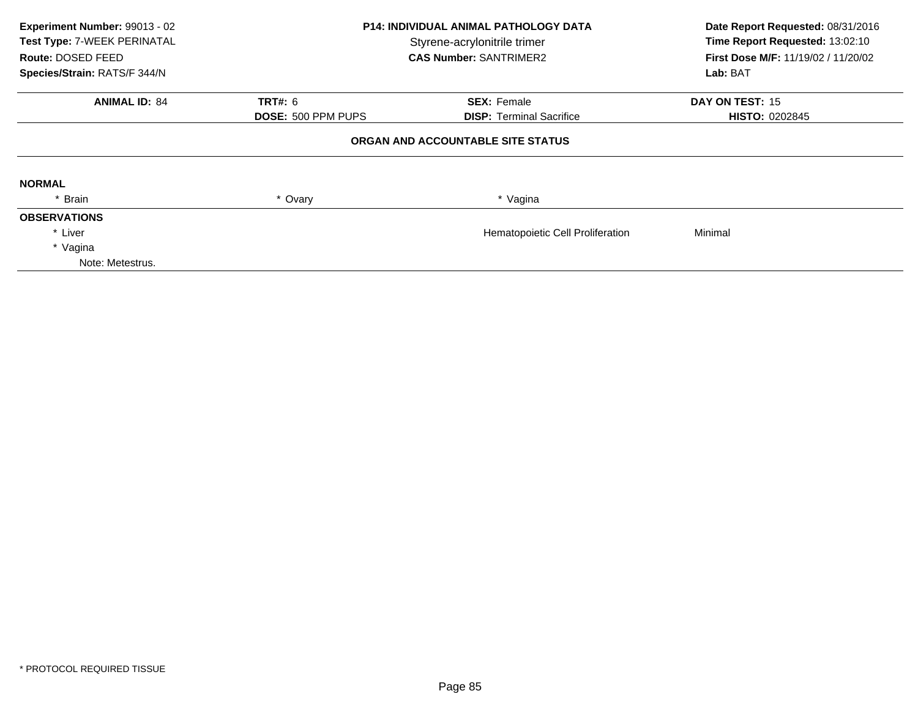| Experiment Number: 99013 - 02<br>Test Type: 7-WEEK PERINATAL<br>Route: DOSED FEED<br>Species/Strain: RATS/F 344/N | <b>P14: INDIVIDUAL ANIMAL PATHOLOGY DATA</b><br>Styrene-acrylonitrile trimer<br><b>CAS Number: SANTRIMER2</b> |                                   | Date Report Requested: 08/31/2016<br>Time Report Requested: 13:02:10<br>First Dose M/F: 11/19/02 / 11/20/02<br>Lab: BAT |
|-------------------------------------------------------------------------------------------------------------------|---------------------------------------------------------------------------------------------------------------|-----------------------------------|-------------------------------------------------------------------------------------------------------------------------|
|                                                                                                                   |                                                                                                               |                                   |                                                                                                                         |
| <b>ANIMAL ID: 84</b>                                                                                              | <b>TRT#: 6</b>                                                                                                | <b>SEX: Female</b>                | DAY ON TEST: 15                                                                                                         |
|                                                                                                                   | DOSE: 500 PPM PUPS                                                                                            | <b>DISP: Terminal Sacrifice</b>   | <b>HISTO: 0202845</b>                                                                                                   |
|                                                                                                                   |                                                                                                               | ORGAN AND ACCOUNTABLE SITE STATUS |                                                                                                                         |
| <b>NORMAL</b>                                                                                                     |                                                                                                               |                                   |                                                                                                                         |
| Brain                                                                                                             | * Ovary                                                                                                       | * Vagina                          |                                                                                                                         |
| <b>OBSERVATIONS</b>                                                                                               |                                                                                                               |                                   |                                                                                                                         |
| * Liver                                                                                                           |                                                                                                               | Hematopoietic Cell Proliferation  | Minimal                                                                                                                 |
| * Vagina                                                                                                          |                                                                                                               |                                   |                                                                                                                         |
| Note: Metestrus.                                                                                                  |                                                                                                               |                                   |                                                                                                                         |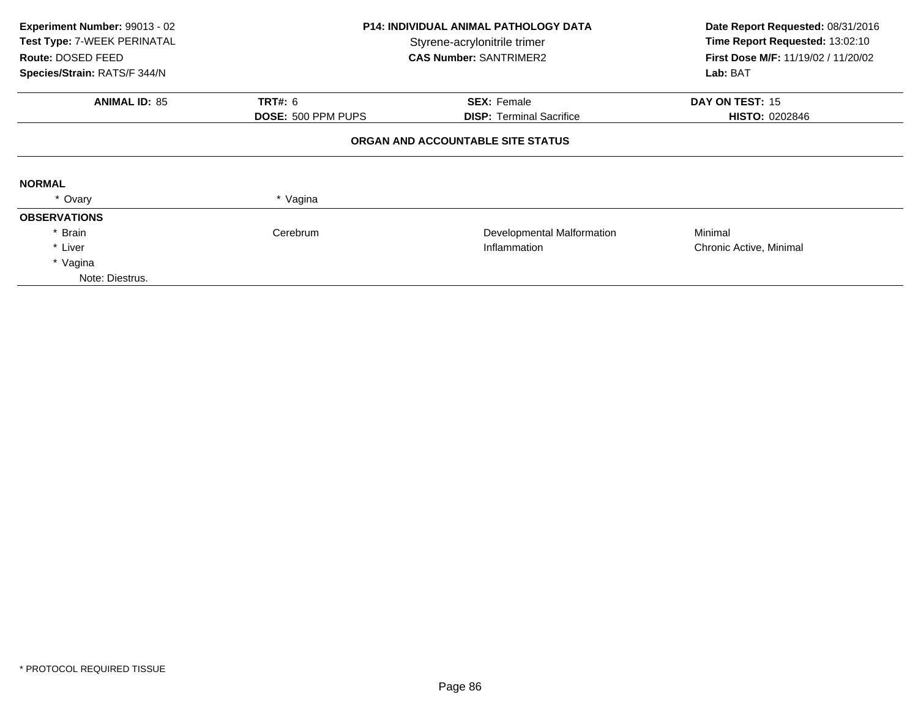| Experiment Number: 99013 - 02<br>Test Type: 7-WEEK PERINATAL<br>Route: DOSED FEED<br>Species/Strain: RATS/F 344/N | <b>P14: INDIVIDUAL ANIMAL PATHOLOGY DATA</b><br>Styrene-acrylonitrile trimer<br><b>CAS Number: SANTRIMER2</b> |                                                       | Date Report Requested: 08/31/2016<br>Time Report Requested: 13:02:10<br><b>First Dose M/F: 11/19/02 / 11/20/02</b><br>Lab: BAT |  |  |
|-------------------------------------------------------------------------------------------------------------------|---------------------------------------------------------------------------------------------------------------|-------------------------------------------------------|--------------------------------------------------------------------------------------------------------------------------------|--|--|
| <b>ANIMAL ID: 85</b>                                                                                              | <b>TRT#: 6</b><br><b>DOSE: 500 PPM PUPS</b>                                                                   | <b>SEX: Female</b><br><b>DISP:</b> Terminal Sacrifice | DAY ON TEST: 15<br><b>HISTO: 0202846</b>                                                                                       |  |  |
| ORGAN AND ACCOUNTABLE SITE STATUS                                                                                 |                                                                                                               |                                                       |                                                                                                                                |  |  |
| <b>NORMAL</b>                                                                                                     |                                                                                                               |                                                       |                                                                                                                                |  |  |
| * Ovary                                                                                                           | * Vagina                                                                                                      |                                                       |                                                                                                                                |  |  |
| <b>OBSERVATIONS</b>                                                                                               |                                                                                                               |                                                       |                                                                                                                                |  |  |
| <b>Brain</b>                                                                                                      | Cerebrum                                                                                                      | Developmental Malformation                            | Minimal                                                                                                                        |  |  |
| * Liver                                                                                                           | Inflammation                                                                                                  |                                                       | Chronic Active, Minimal                                                                                                        |  |  |
| * Vagina                                                                                                          |                                                                                                               |                                                       |                                                                                                                                |  |  |
| Note: Diestrus.                                                                                                   |                                                                                                               |                                                       |                                                                                                                                |  |  |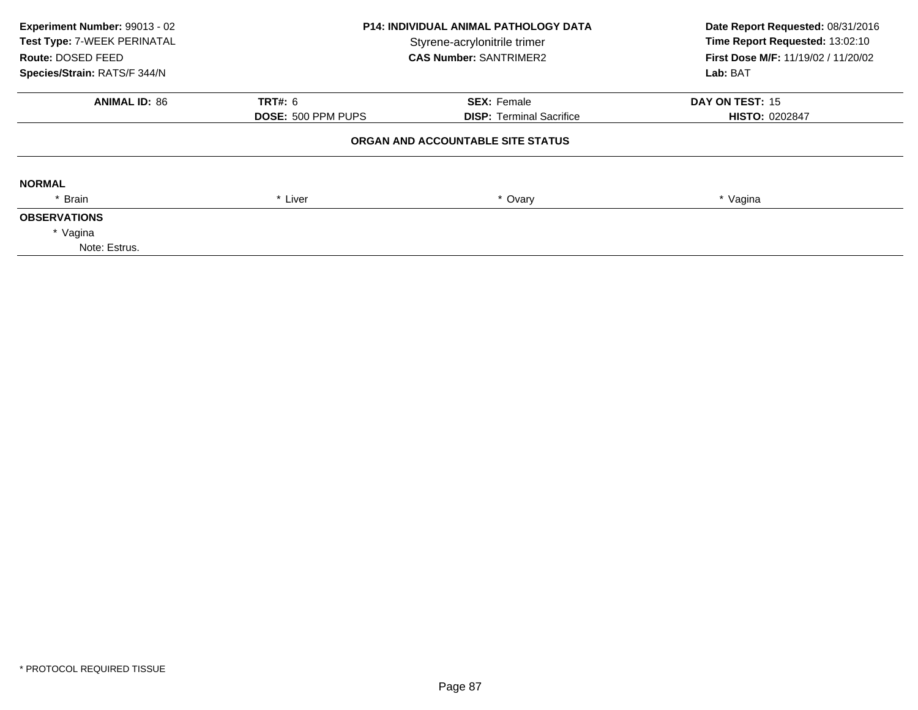| Experiment Number: 99013 - 02<br>Test Type: 7-WEEK PERINATAL<br>Route: DOSED FEED<br>Species/Strain: RATS/F 344/N | <b>P14: INDIVIDUAL ANIMAL PATHOLOGY DATA</b><br>Styrene-acrylonitrile trimer<br><b>CAS Number: SANTRIMER2</b> |                                   | Date Report Requested: 08/31/2016<br>Time Report Requested: 13:02:10<br><b>First Dose M/F: 11/19/02 / 11/20/02</b><br>Lab: BAT |
|-------------------------------------------------------------------------------------------------------------------|---------------------------------------------------------------------------------------------------------------|-----------------------------------|--------------------------------------------------------------------------------------------------------------------------------|
| <b>ANIMAL ID: 86</b>                                                                                              | <b>TRT#: 6</b>                                                                                                | <b>SEX: Female</b>                | DAY ON TEST: 15                                                                                                                |
|                                                                                                                   | <b>DOSE: 500 PPM PUPS</b>                                                                                     | <b>DISP:</b> Terminal Sacrifice   | <b>HISTO: 0202847</b>                                                                                                          |
|                                                                                                                   |                                                                                                               | ORGAN AND ACCOUNTABLE SITE STATUS |                                                                                                                                |
| <b>NORMAL</b>                                                                                                     |                                                                                                               |                                   |                                                                                                                                |
| * Brain                                                                                                           | * Liver                                                                                                       | * Ovary                           | * Vagina                                                                                                                       |
| <b>OBSERVATIONS</b>                                                                                               |                                                                                                               |                                   |                                                                                                                                |
| * Vagina                                                                                                          |                                                                                                               |                                   |                                                                                                                                |
| Note: Estrus.                                                                                                     |                                                                                                               |                                   |                                                                                                                                |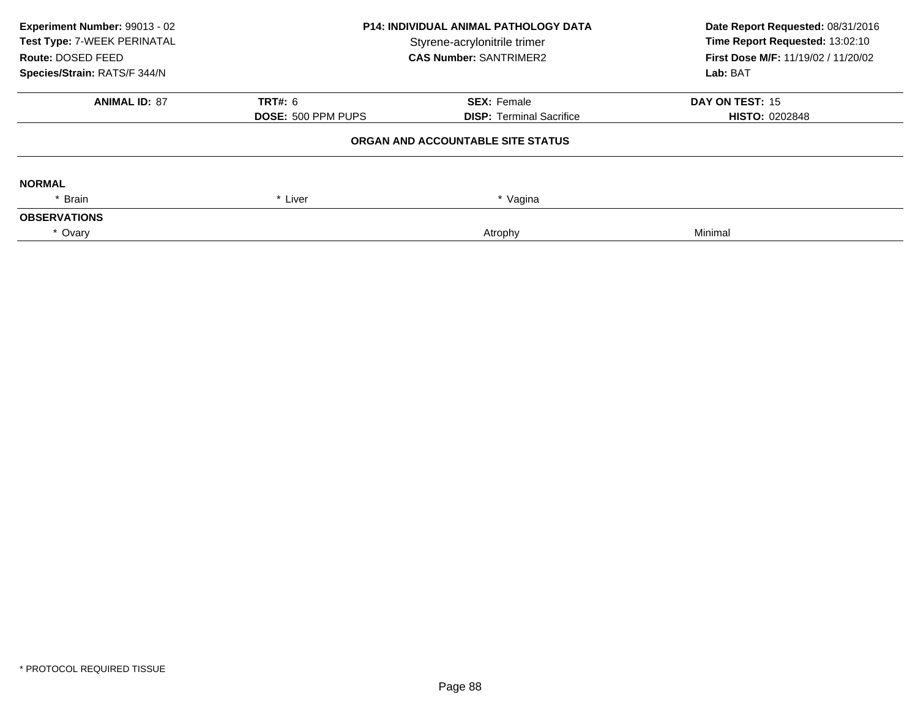| Experiment Number: 99013 - 02<br>Test Type: 7-WEEK PERINATAL<br>Route: DOSED FEED | <b>P14: INDIVIDUAL ANIMAL PATHOLOGY DATA</b><br>Styrene-acrylonitrile trimer<br><b>CAS Number: SANTRIMER2</b> |                                   | Date Report Requested: 08/31/2016<br>Time Report Requested: 13:02:10<br>First Dose M/F: 11/19/02 / 11/20/02 |  |
|-----------------------------------------------------------------------------------|---------------------------------------------------------------------------------------------------------------|-----------------------------------|-------------------------------------------------------------------------------------------------------------|--|
| Species/Strain: RATS/F 344/N                                                      |                                                                                                               |                                   | Lab: BAT                                                                                                    |  |
| <b>ANIMAL ID: 87</b>                                                              | <b>TRT#: 6</b>                                                                                                | <b>SEX: Female</b>                | DAY ON TEST: 15                                                                                             |  |
|                                                                                   | <b>DOSE: 500 PPM PUPS</b>                                                                                     | <b>DISP: Terminal Sacrifice</b>   | <b>HISTO: 0202848</b>                                                                                       |  |
|                                                                                   |                                                                                                               | ORGAN AND ACCOUNTABLE SITE STATUS |                                                                                                             |  |
| <b>NORMAL</b>                                                                     |                                                                                                               |                                   |                                                                                                             |  |
| Brain                                                                             | * Liver                                                                                                       | * Vagina                          |                                                                                                             |  |
| <b>OBSERVATIONS</b>                                                               |                                                                                                               |                                   |                                                                                                             |  |
| * Ovary                                                                           |                                                                                                               | Atrophy                           | Minimal                                                                                                     |  |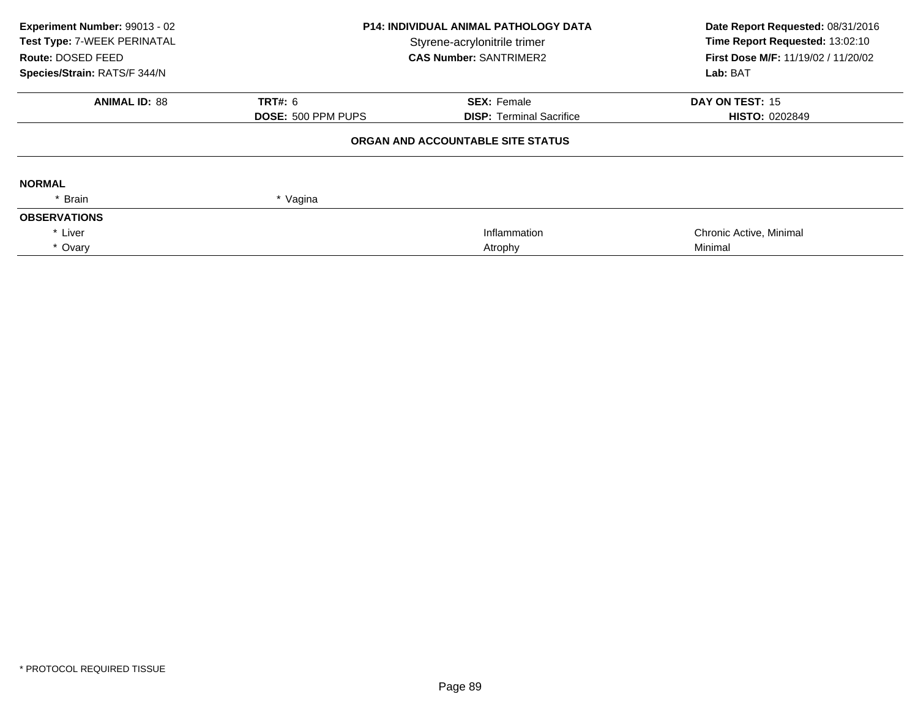| Experiment Number: 99013 - 02<br>Test Type: 7-WEEK PERINATAL<br>Route: DOSED FEED<br>Species/Strain: RATS/F 344/N | <b>P14: INDIVIDUAL ANIMAL PATHOLOGY DATA</b><br>Styrene-acrylonitrile trimer<br><b>CAS Number: SANTRIMER2</b> |                                   | Date Report Requested: 08/31/2016<br>Time Report Requested: 13:02:10<br>First Dose M/F: 11/19/02 / 11/20/02<br>Lab: BAT |  |
|-------------------------------------------------------------------------------------------------------------------|---------------------------------------------------------------------------------------------------------------|-----------------------------------|-------------------------------------------------------------------------------------------------------------------------|--|
| <b>ANIMAL ID: 88</b>                                                                                              | <b>TRT#: 6</b>                                                                                                | <b>SEX: Female</b>                | DAY ON TEST: 15                                                                                                         |  |
|                                                                                                                   | <b>DOSE: 500 PPM PUPS</b>                                                                                     | <b>DISP:</b> Terminal Sacrifice   | <b>HISTO: 0202849</b>                                                                                                   |  |
|                                                                                                                   |                                                                                                               | ORGAN AND ACCOUNTABLE SITE STATUS |                                                                                                                         |  |
| <b>NORMAL</b>                                                                                                     |                                                                                                               |                                   |                                                                                                                         |  |
| * Brain                                                                                                           | * Vagina                                                                                                      |                                   |                                                                                                                         |  |
| <b>OBSERVATIONS</b>                                                                                               |                                                                                                               |                                   |                                                                                                                         |  |
| * Liver                                                                                                           |                                                                                                               | Inflammation                      | Chronic Active, Minimal                                                                                                 |  |
| * Ovary                                                                                                           |                                                                                                               | Atrophy                           | Minimal                                                                                                                 |  |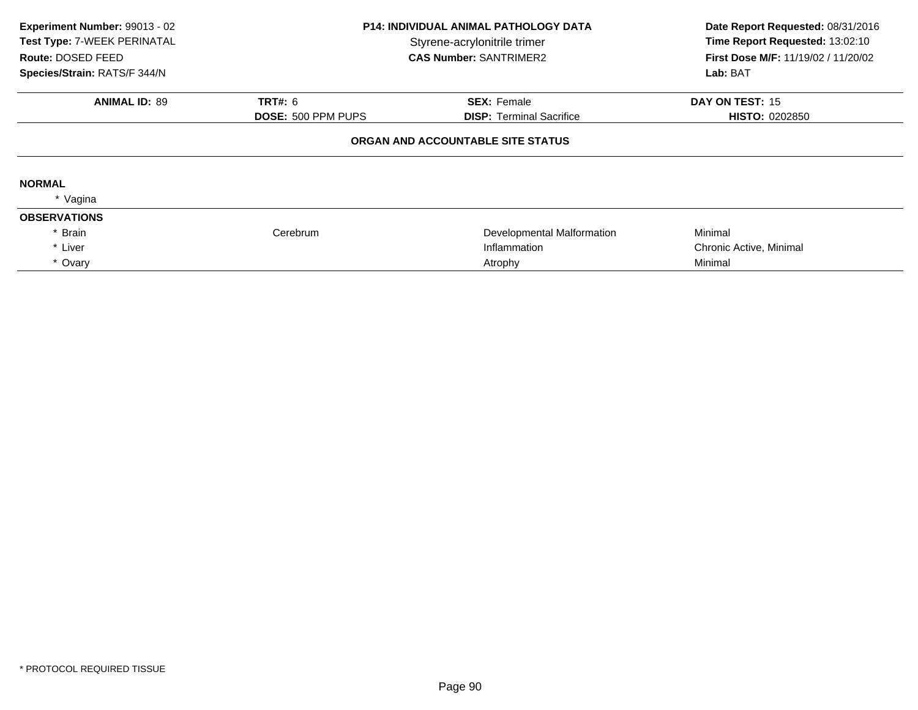| Experiment Number: 99013 - 02<br>Test Type: 7-WEEK PERINATAL<br>Route: DOSED FEED<br>Species/Strain: RATS/F 344/N | <b>P14: INDIVIDUAL ANIMAL PATHOLOGY DATA</b><br>Styrene-acrylonitrile trimer<br><b>CAS Number: SANTRIMER2</b> |                                                       | Date Report Requested: 08/31/2016<br>Time Report Requested: 13:02:10<br><b>First Dose M/F: 11/19/02 / 11/20/02</b><br>Lab: BAT |  |
|-------------------------------------------------------------------------------------------------------------------|---------------------------------------------------------------------------------------------------------------|-------------------------------------------------------|--------------------------------------------------------------------------------------------------------------------------------|--|
|                                                                                                                   |                                                                                                               |                                                       |                                                                                                                                |  |
| <b>ANIMAL ID: 89</b>                                                                                              | <b>TRT#: 6</b><br>DOSE: 500 PPM PUPS                                                                          | <b>SEX: Female</b><br><b>DISP: Terminal Sacrifice</b> | DAY ON TEST: 15<br><b>HISTO: 0202850</b>                                                                                       |  |
|                                                                                                                   |                                                                                                               | ORGAN AND ACCOUNTABLE SITE STATUS                     |                                                                                                                                |  |
| <b>NORMAL</b>                                                                                                     |                                                                                                               |                                                       |                                                                                                                                |  |
| * Vagina                                                                                                          |                                                                                                               |                                                       |                                                                                                                                |  |
| <b>OBSERVATIONS</b>                                                                                               |                                                                                                               |                                                       |                                                                                                                                |  |
| * Brain                                                                                                           | Cerebrum                                                                                                      | Developmental Malformation                            | Minimal                                                                                                                        |  |
| * Liver                                                                                                           |                                                                                                               | Inflammation                                          | Chronic Active, Minimal                                                                                                        |  |
| * Ovary                                                                                                           |                                                                                                               | Atrophy                                               | Minimal                                                                                                                        |  |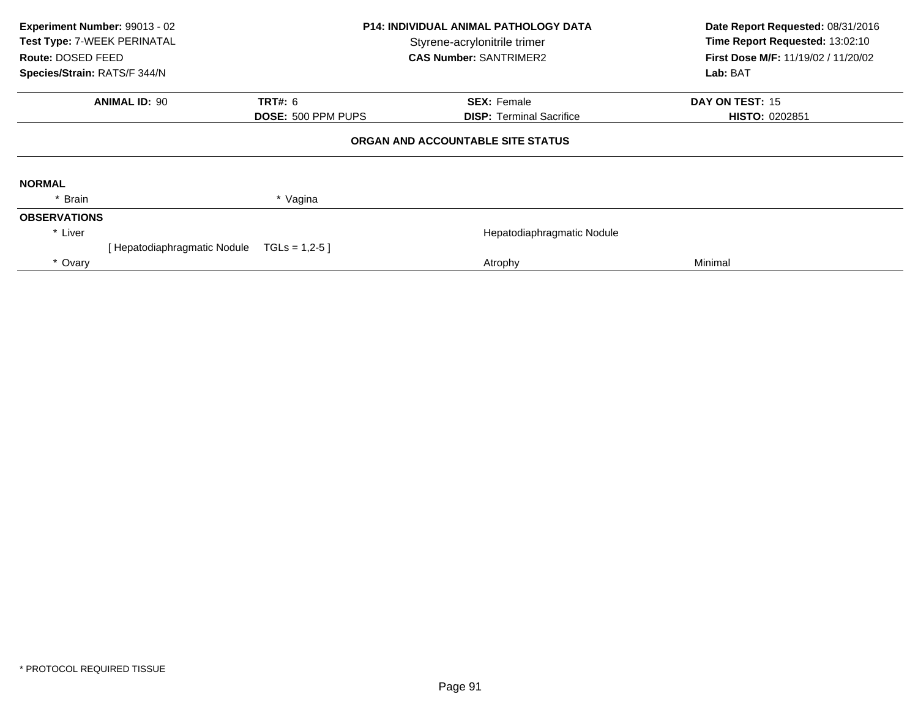| Experiment Number: 99013 - 02<br>Test Type: 7-WEEK PERINATAL<br>Route: DOSED FEED<br>Species/Strain: RATS/F 344/N |                             | <b>P14: INDIVIDUAL ANIMAL PATHOLOGY DATA</b><br>Styrene-acrylonitrile trimer<br><b>CAS Number: SANTRIMER2</b> |  | Date Report Requested: 08/31/2016<br>Time Report Requested: 13:02:10<br><b>First Dose M/F: 11/19/02 / 11/20/02</b><br>Lab: BAT |                       |
|-------------------------------------------------------------------------------------------------------------------|-----------------------------|---------------------------------------------------------------------------------------------------------------|--|--------------------------------------------------------------------------------------------------------------------------------|-----------------------|
|                                                                                                                   | <b>ANIMAL ID: 90</b>        | <b>TRT#: 6</b>                                                                                                |  | <b>SEX: Female</b>                                                                                                             | DAY ON TEST: 15       |
|                                                                                                                   |                             | DOSE: 500 PPM PUPS                                                                                            |  | <b>DISP: Terminal Sacrifice</b>                                                                                                | <b>HISTO: 0202851</b> |
| ORGAN AND ACCOUNTABLE SITE STATUS                                                                                 |                             |                                                                                                               |  |                                                                                                                                |                       |
| <b>NORMAL</b>                                                                                                     |                             |                                                                                                               |  |                                                                                                                                |                       |
| Brain                                                                                                             |                             | * Vagina                                                                                                      |  |                                                                                                                                |                       |
| <b>OBSERVATIONS</b>                                                                                               |                             |                                                                                                               |  |                                                                                                                                |                       |
| * Liver                                                                                                           |                             |                                                                                                               |  | Hepatodiaphragmatic Nodule                                                                                                     |                       |
|                                                                                                                   | [Hepatodiaphragmatic Nodule | $TGLs = 1,2-5$                                                                                                |  |                                                                                                                                |                       |
| * Ovary                                                                                                           |                             |                                                                                                               |  | Atrophy                                                                                                                        | Minimal               |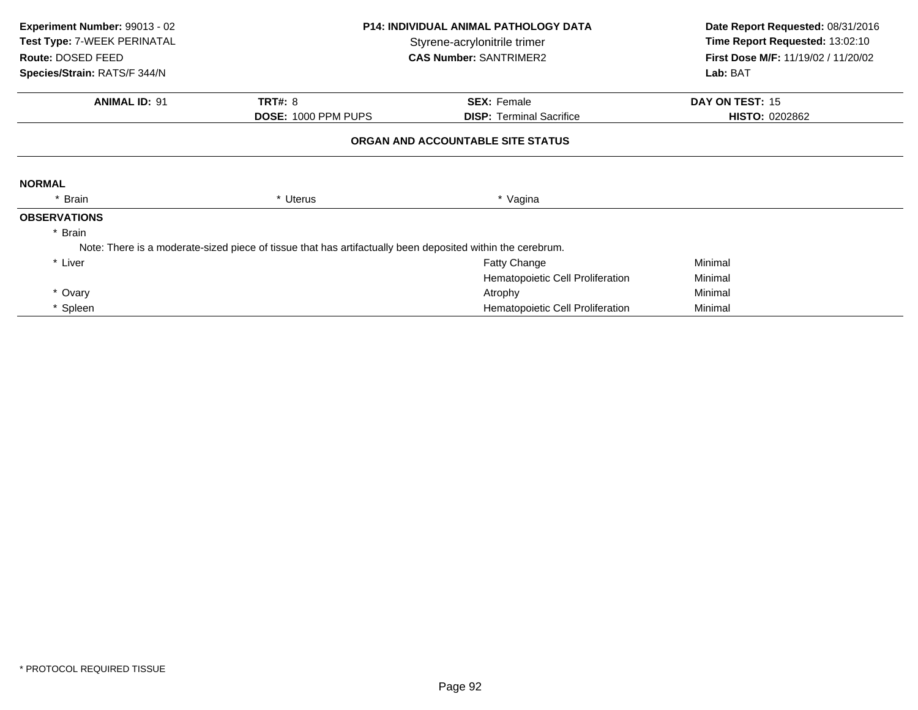| Experiment Number: 99013 - 02<br>Test Type: 7-WEEK PERINATAL<br>Route: DOSED FEED<br>Species/Strain: RATS/F 344/N |                                                                                                            | <b>P14: INDIVIDUAL ANIMAL PATHOLOGY DATA</b><br>Styrene-acrylonitrile trimer<br><b>CAS Number: SANTRIMER2</b> |                       |
|-------------------------------------------------------------------------------------------------------------------|------------------------------------------------------------------------------------------------------------|---------------------------------------------------------------------------------------------------------------|-----------------------|
| <b>ANIMAL ID: 91</b>                                                                                              | <b>TRT#: 8</b>                                                                                             | <b>SEX: Female</b>                                                                                            | DAY ON TEST: 15       |
|                                                                                                                   | DOSE: 1000 PPM PUPS                                                                                        | <b>DISP:</b> Terminal Sacrifice                                                                               | <b>HISTO: 0202862</b> |
|                                                                                                                   |                                                                                                            | ORGAN AND ACCOUNTABLE SITE STATUS                                                                             |                       |
| <b>NORMAL</b>                                                                                                     |                                                                                                            |                                                                                                               |                       |
| * Brain                                                                                                           | * Uterus                                                                                                   | * Vagina                                                                                                      |                       |
| <b>OBSERVATIONS</b>                                                                                               |                                                                                                            |                                                                                                               |                       |
| * Brain                                                                                                           |                                                                                                            |                                                                                                               |                       |
|                                                                                                                   | Note: There is a moderate-sized piece of tissue that has artifactually been deposited within the cerebrum. |                                                                                                               |                       |
| * Liver                                                                                                           |                                                                                                            | <b>Fatty Change</b>                                                                                           | Minimal               |
|                                                                                                                   |                                                                                                            | Hematopoietic Cell Proliferation                                                                              | Minimal               |
| * Ovary                                                                                                           |                                                                                                            | Atrophy                                                                                                       | Minimal               |
| * Spleen                                                                                                          |                                                                                                            | Hematopoietic Cell Proliferation                                                                              | Minimal               |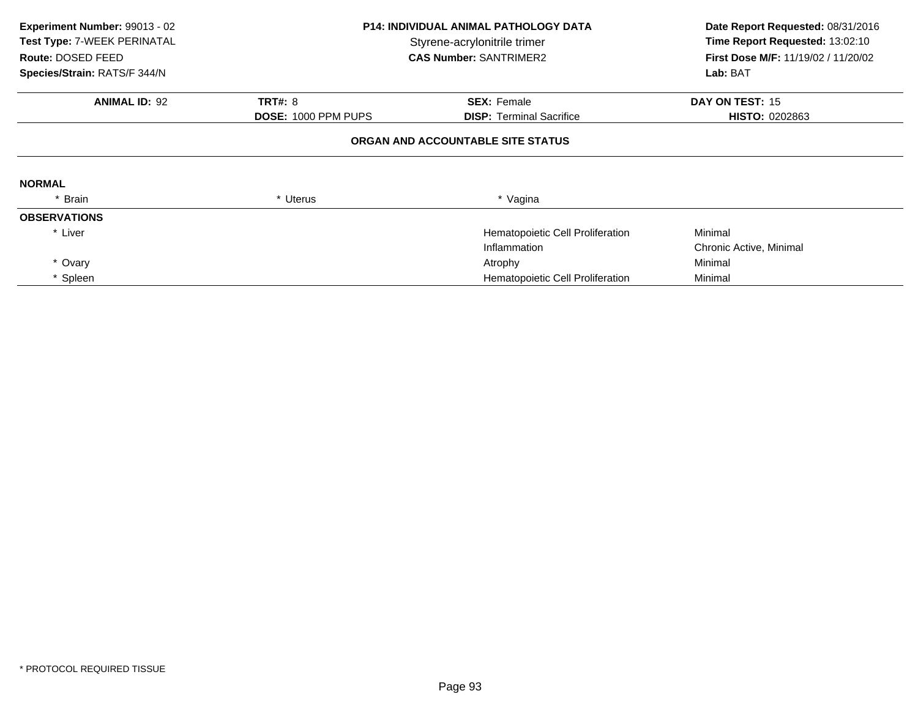| Experiment Number: 99013 - 02<br>Test Type: 7-WEEK PERINATAL<br>Route: DOSED FEED<br>Species/Strain: RATS/F 344/N |                     | <b>P14: INDIVIDUAL ANIMAL PATHOLOGY DATA</b><br>Styrene-acrylonitrile trimer<br><b>CAS Number: SANTRIMER2</b> | Date Report Requested: 08/31/2016<br>Time Report Requested: 13:02:10<br>First Dose M/F: 11/19/02 / 11/20/02<br>Lab: BAT |
|-------------------------------------------------------------------------------------------------------------------|---------------------|---------------------------------------------------------------------------------------------------------------|-------------------------------------------------------------------------------------------------------------------------|
| <b>ANIMAL ID: 92</b>                                                                                              | <b>TRT#: 8</b>      | <b>SEX: Female</b>                                                                                            | DAY ON TEST: 15                                                                                                         |
|                                                                                                                   | DOSE: 1000 PPM PUPS | <b>DISP:</b> Terminal Sacrifice                                                                               | <b>HISTO: 0202863</b>                                                                                                   |
|                                                                                                                   |                     | ORGAN AND ACCOUNTABLE SITE STATUS                                                                             |                                                                                                                         |
| <b>NORMAL</b>                                                                                                     |                     |                                                                                                               |                                                                                                                         |
| * Brain                                                                                                           | * Uterus            | * Vagina                                                                                                      |                                                                                                                         |
| <b>OBSERVATIONS</b>                                                                                               |                     |                                                                                                               |                                                                                                                         |
| * Liver                                                                                                           |                     | Hematopoietic Cell Proliferation                                                                              | Minimal                                                                                                                 |
|                                                                                                                   |                     | Inflammation                                                                                                  | Chronic Active, Minimal                                                                                                 |
| * Ovary                                                                                                           |                     | Atrophy                                                                                                       | Minimal                                                                                                                 |
| * Spleen                                                                                                          |                     | Hematopoietic Cell Proliferation                                                                              | Minimal                                                                                                                 |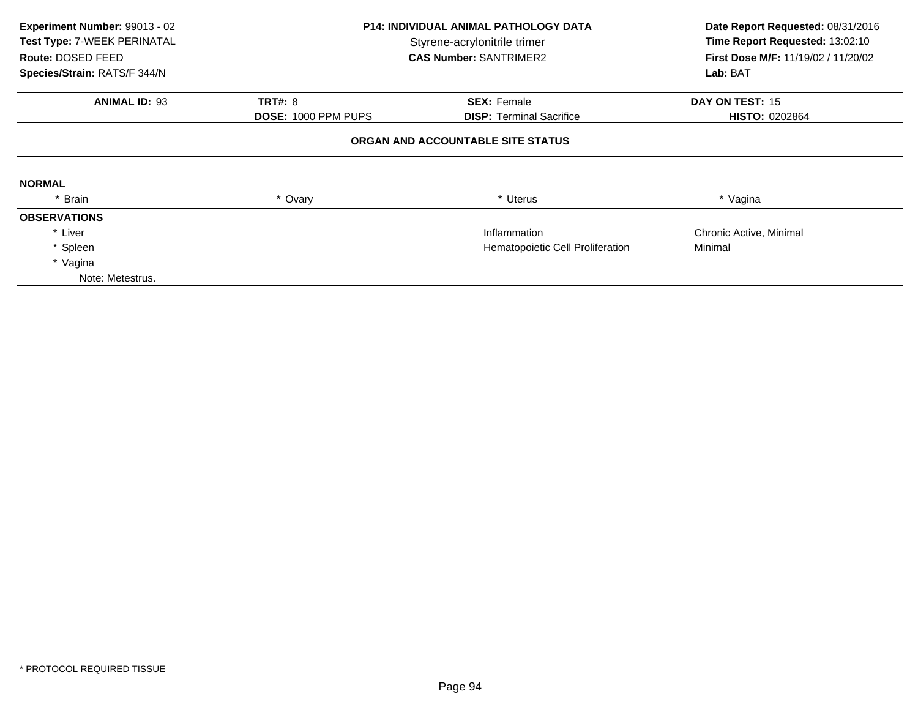| Experiment Number: 99013 - 02<br>Test Type: 7-WEEK PERINATAL<br>Route: DOSED FEED<br>Species/Strain: RATS/F 344/N | <b>P14: INDIVIDUAL ANIMAL PATHOLOGY DATA</b><br>Styrene-acrylonitrile trimer<br><b>CAS Number: SANTRIMER2</b> |                                                       | Date Report Requested: 08/31/2016<br>Time Report Requested: 13:02:10<br><b>First Dose M/F: 11/19/02 / 11/20/02</b><br>Lab: BAT |  |  |  |
|-------------------------------------------------------------------------------------------------------------------|---------------------------------------------------------------------------------------------------------------|-------------------------------------------------------|--------------------------------------------------------------------------------------------------------------------------------|--|--|--|
|                                                                                                                   |                                                                                                               |                                                       |                                                                                                                                |  |  |  |
| <b>ANIMAL ID: 93</b>                                                                                              | <b>TRT#: 8</b><br><b>DOSE: 1000 PPM PUPS</b>                                                                  | <b>SEX: Female</b><br><b>DISP:</b> Terminal Sacrifice | DAY ON TEST: 15<br><b>HISTO: 0202864</b>                                                                                       |  |  |  |
| ORGAN AND ACCOUNTABLE SITE STATUS                                                                                 |                                                                                                               |                                                       |                                                                                                                                |  |  |  |
| <b>NORMAL</b>                                                                                                     |                                                                                                               |                                                       |                                                                                                                                |  |  |  |
| * Brain                                                                                                           | * Ovary                                                                                                       | * Uterus                                              | * Vagina                                                                                                                       |  |  |  |
| <b>OBSERVATIONS</b>                                                                                               |                                                                                                               |                                                       |                                                                                                                                |  |  |  |
| * Liver                                                                                                           |                                                                                                               | Inflammation                                          | Chronic Active, Minimal                                                                                                        |  |  |  |
| * Spleen                                                                                                          | Hematopoietic Cell Proliferation                                                                              |                                                       | Minimal                                                                                                                        |  |  |  |
| * Vagina                                                                                                          |                                                                                                               |                                                       |                                                                                                                                |  |  |  |
| Note: Metestrus.                                                                                                  |                                                                                                               |                                                       |                                                                                                                                |  |  |  |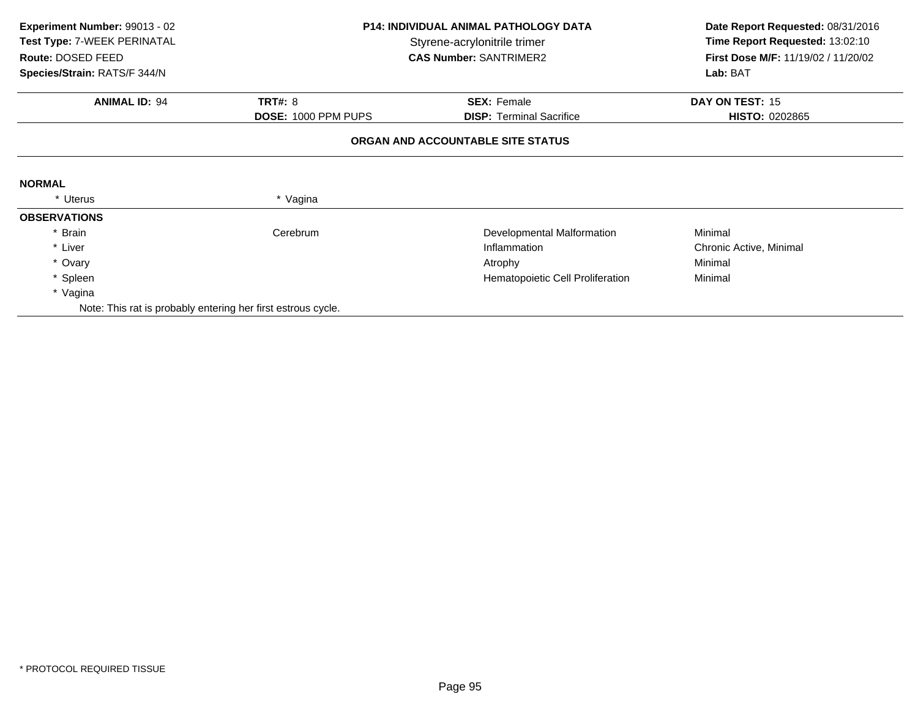| Experiment Number: 99013 - 02<br>Test Type: 7-WEEK PERINATAL<br>Route: DOSED FEED<br>Species/Strain: RATS/F 344/N | P14: INDIVIDUAL ANIMAL PATHOLOGY DATA<br>Styrene-acrylonitrile trimer<br><b>CAS Number: SANTRIMER2</b> |                                   | Date Report Requested: 08/31/2016<br>Time Report Requested: 13:02:10<br>First Dose M/F: 11/19/02 / 11/20/02<br>Lab: BAT |  |
|-------------------------------------------------------------------------------------------------------------------|--------------------------------------------------------------------------------------------------------|-----------------------------------|-------------------------------------------------------------------------------------------------------------------------|--|
|                                                                                                                   |                                                                                                        |                                   |                                                                                                                         |  |
| <b>ANIMAL ID: 94</b>                                                                                              | <b>TRT#: 8</b>                                                                                         | <b>SEX: Female</b>                | DAY ON TEST: 15                                                                                                         |  |
|                                                                                                                   | DOSE: 1000 PPM PUPS                                                                                    | <b>DISP:</b> Terminal Sacrifice   | <b>HISTO: 0202865</b>                                                                                                   |  |
|                                                                                                                   |                                                                                                        | ORGAN AND ACCOUNTABLE SITE STATUS |                                                                                                                         |  |
|                                                                                                                   |                                                                                                        |                                   |                                                                                                                         |  |
| <b>NORMAL</b>                                                                                                     |                                                                                                        |                                   |                                                                                                                         |  |
| * Uterus                                                                                                          | * Vagina                                                                                               |                                   |                                                                                                                         |  |
| <b>OBSERVATIONS</b>                                                                                               |                                                                                                        |                                   |                                                                                                                         |  |
| * Brain                                                                                                           | Cerebrum                                                                                               | Developmental Malformation        | Minimal                                                                                                                 |  |
| * Liver                                                                                                           |                                                                                                        | Inflammation                      | Chronic Active, Minimal                                                                                                 |  |
| * Ovary                                                                                                           |                                                                                                        | Atrophy                           | Minimal                                                                                                                 |  |
| * Spleen                                                                                                          |                                                                                                        | Hematopoietic Cell Proliferation  | Minimal                                                                                                                 |  |
| * Vagina                                                                                                          |                                                                                                        |                                   |                                                                                                                         |  |
| Note: This rat is probably entering her first estrous cycle.                                                      |                                                                                                        |                                   |                                                                                                                         |  |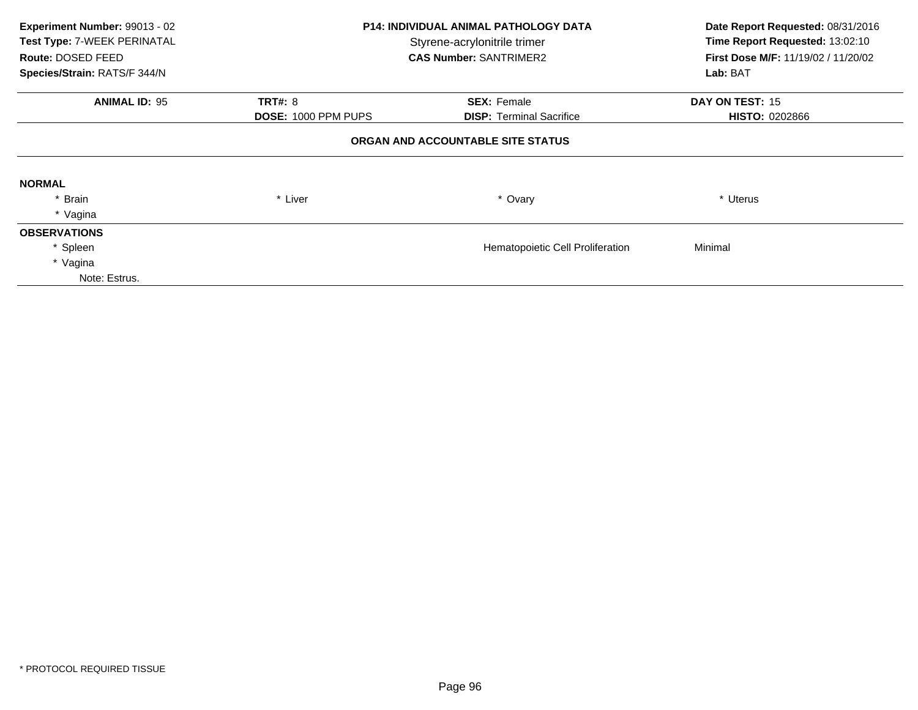| Experiment Number: 99013 - 02<br>Test Type: 7-WEEK PERINATAL<br>Route: DOSED FEED<br>Species/Strain: RATS/F 344/N | <b>P14: INDIVIDUAL ANIMAL PATHOLOGY DATA</b><br>Styrene-acrylonitrile trimer<br><b>CAS Number: SANTRIMER2</b> |                                  | Date Report Requested: 08/31/2016<br>Time Report Requested: 13:02:10<br>First Dose M/F: 11/19/02 / 11/20/02<br>Lab: BAT |  |  |  |
|-------------------------------------------------------------------------------------------------------------------|---------------------------------------------------------------------------------------------------------------|----------------------------------|-------------------------------------------------------------------------------------------------------------------------|--|--|--|
| <b>ANIMAL ID: 95</b>                                                                                              | <b>TRT#: 8</b>                                                                                                | <b>SEX: Female</b>               | DAY ON TEST: 15                                                                                                         |  |  |  |
|                                                                                                                   | <b>DOSE: 1000 PPM PUPS</b>                                                                                    | <b>DISP:</b> Terminal Sacrifice  | <b>HISTO: 0202866</b>                                                                                                   |  |  |  |
| ORGAN AND ACCOUNTABLE SITE STATUS                                                                                 |                                                                                                               |                                  |                                                                                                                         |  |  |  |
| <b>NORMAL</b>                                                                                                     |                                                                                                               |                                  |                                                                                                                         |  |  |  |
| * Brain                                                                                                           | * Liver                                                                                                       | * Ovary                          | * Uterus                                                                                                                |  |  |  |
| * Vagina                                                                                                          |                                                                                                               |                                  |                                                                                                                         |  |  |  |
| <b>OBSERVATIONS</b>                                                                                               |                                                                                                               |                                  |                                                                                                                         |  |  |  |
| * Spleen                                                                                                          |                                                                                                               | Hematopoietic Cell Proliferation | Minimal                                                                                                                 |  |  |  |
| * Vagina                                                                                                          |                                                                                                               |                                  |                                                                                                                         |  |  |  |
| Note: Estrus.                                                                                                     |                                                                                                               |                                  |                                                                                                                         |  |  |  |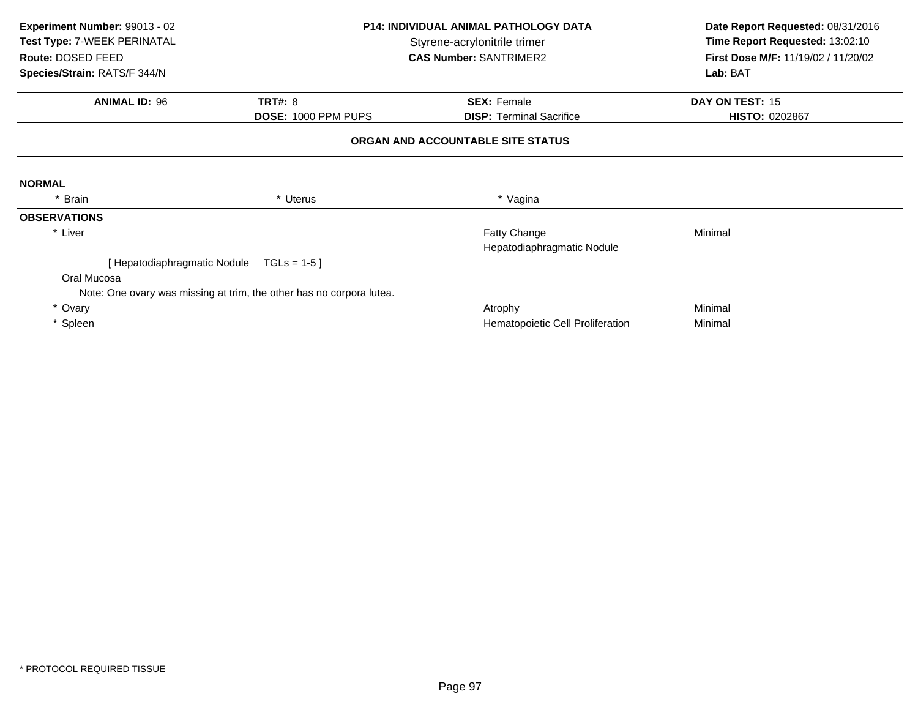| Experiment Number: 99013 - 02<br>Test Type: 7-WEEK PERINATAL<br>Route: DOSED FEED<br>Species/Strain: RATS/F 344/N | <b>P14: INDIVIDUAL ANIMAL PATHOLOGY DATA</b><br>Styrene-acrylonitrile trimer<br><b>CAS Number: SANTRIMER2</b> |                                                       |                                   |  | Date Report Requested: 08/31/2016<br>Time Report Requested: 13:02:10<br>First Dose M/F: 11/19/02 / 11/20/02<br>Lab: BAT |
|-------------------------------------------------------------------------------------------------------------------|---------------------------------------------------------------------------------------------------------------|-------------------------------------------------------|-----------------------------------|--|-------------------------------------------------------------------------------------------------------------------------|
|                                                                                                                   |                                                                                                               |                                                       |                                   |  |                                                                                                                         |
| <b>ANIMAL ID: 96</b>                                                                                              | <b>TRT#: 8</b><br>DOSE: 1000 PPM PUPS                                                                         | <b>SEX: Female</b><br><b>DISP:</b> Terminal Sacrifice | DAY ON TEST: 15<br>HISTO: 0202867 |  |                                                                                                                         |
|                                                                                                                   |                                                                                                               | ORGAN AND ACCOUNTABLE SITE STATUS                     |                                   |  |                                                                                                                         |
| <b>NORMAL</b>                                                                                                     |                                                                                                               |                                                       |                                   |  |                                                                                                                         |
| * Brain                                                                                                           | * Uterus                                                                                                      | * Vagina                                              |                                   |  |                                                                                                                         |
| <b>OBSERVATIONS</b>                                                                                               |                                                                                                               |                                                       |                                   |  |                                                                                                                         |
| * Liver                                                                                                           |                                                                                                               | Fatty Change<br>Hepatodiaphragmatic Nodule            | Minimal                           |  |                                                                                                                         |
| [Hepatodiaphragmatic Nodule                                                                                       | $TGLs = 1-5$                                                                                                  |                                                       |                                   |  |                                                                                                                         |
| Oral Mucosa                                                                                                       |                                                                                                               |                                                       |                                   |  |                                                                                                                         |
|                                                                                                                   | Note: One ovary was missing at trim, the other has no corpora lutea.                                          |                                                       |                                   |  |                                                                                                                         |
| * Ovary                                                                                                           |                                                                                                               | Atrophy                                               | Minimal                           |  |                                                                                                                         |
| * Spleen                                                                                                          |                                                                                                               | Hematopoietic Cell Proliferation                      | Minimal                           |  |                                                                                                                         |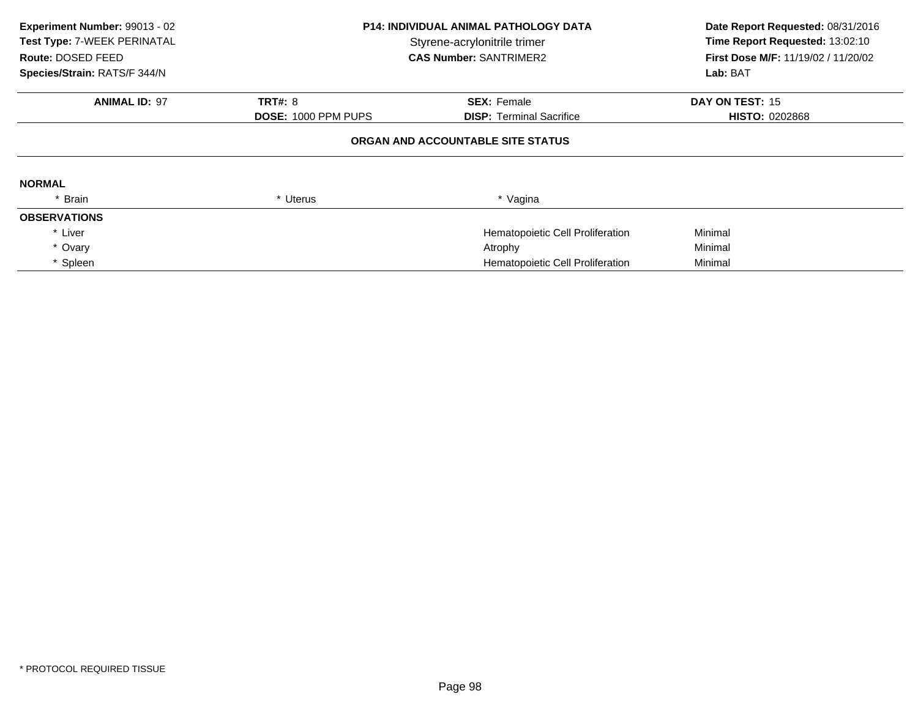| Experiment Number: 99013 - 02<br>Test Type: 7-WEEK PERINATAL<br>Route: DOSED FEED<br>Species/Strain: RATS/F 344/N | <b>P14: INDIVIDUAL ANIMAL PATHOLOGY DATA</b><br>Styrene-acrylonitrile trimer<br><b>CAS Number: SANTRIMER2</b> |                                   | Date Report Requested: 08/31/2016<br>Time Report Requested: 13:02:10<br><b>First Dose M/F: 11/19/02 / 11/20/02</b><br>Lab: BAT |
|-------------------------------------------------------------------------------------------------------------------|---------------------------------------------------------------------------------------------------------------|-----------------------------------|--------------------------------------------------------------------------------------------------------------------------------|
| <b>ANIMAL ID: 97</b>                                                                                              | <b>TRT#: 8</b>                                                                                                | <b>SEX: Female</b>                | DAY ON TEST: 15                                                                                                                |
|                                                                                                                   | <b>DOSE: 1000 PPM PUPS</b>                                                                                    | <b>DISP:</b> Terminal Sacrifice   | <b>HISTO: 0202868</b>                                                                                                          |
|                                                                                                                   |                                                                                                               | ORGAN AND ACCOUNTABLE SITE STATUS |                                                                                                                                |
| <b>NORMAL</b>                                                                                                     |                                                                                                               |                                   |                                                                                                                                |
| * Brain                                                                                                           | * Uterus                                                                                                      | * Vagina                          |                                                                                                                                |
| <b>OBSERVATIONS</b>                                                                                               |                                                                                                               |                                   |                                                                                                                                |
| * Liver                                                                                                           |                                                                                                               | Hematopoietic Cell Proliferation  | Minimal                                                                                                                        |
| * Ovary                                                                                                           |                                                                                                               | Atrophy                           | Minimal                                                                                                                        |
| * Spleen                                                                                                          |                                                                                                               | Hematopoietic Cell Proliferation  | Minimal                                                                                                                        |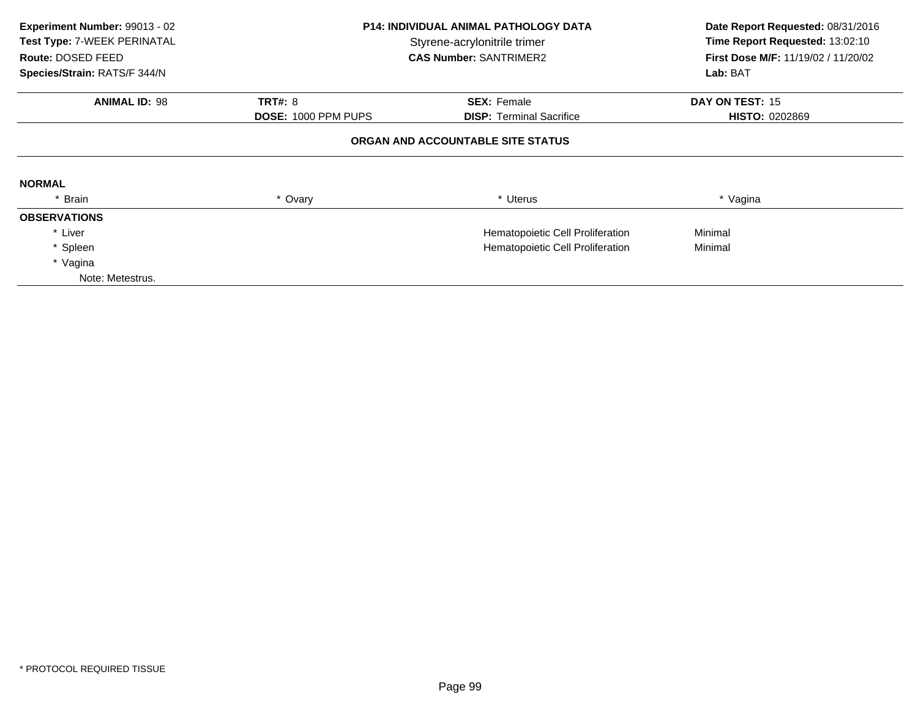| Experiment Number: 99013 - 02<br>Test Type: 7-WEEK PERINATAL<br>Route: DOSED FEED<br>Species/Strain: RATS/F 344/N |                     | <b>P14: INDIVIDUAL ANIMAL PATHOLOGY DATA</b><br>Styrene-acrylonitrile trimer<br><b>CAS Number: SANTRIMER2</b> | Date Report Requested: 08/31/2016<br>Time Report Requested: 13:02:10<br>First Dose M/F: 11/19/02 / 11/20/02<br>Lab: BAT |  |
|-------------------------------------------------------------------------------------------------------------------|---------------------|---------------------------------------------------------------------------------------------------------------|-------------------------------------------------------------------------------------------------------------------------|--|
|                                                                                                                   |                     |                                                                                                               |                                                                                                                         |  |
| <b>ANIMAL ID: 98</b>                                                                                              | <b>TRT#: 8</b>      | <b>SEX: Female</b>                                                                                            | DAY ON TEST: 15                                                                                                         |  |
|                                                                                                                   | DOSE: 1000 PPM PUPS | <b>DISP:</b> Terminal Sacrifice                                                                               | <b>HISTO: 0202869</b>                                                                                                   |  |
|                                                                                                                   |                     | ORGAN AND ACCOUNTABLE SITE STATUS                                                                             |                                                                                                                         |  |
| <b>NORMAL</b>                                                                                                     |                     |                                                                                                               |                                                                                                                         |  |
| * Brain                                                                                                           | * Ovary             | * Uterus                                                                                                      | * Vagina                                                                                                                |  |
| <b>OBSERVATIONS</b>                                                                                               |                     |                                                                                                               |                                                                                                                         |  |
| * Liver                                                                                                           |                     | Hematopoietic Cell Proliferation                                                                              | Minimal                                                                                                                 |  |
| * Spleen                                                                                                          |                     | Hematopoietic Cell Proliferation                                                                              | Minimal                                                                                                                 |  |
| * Vagina                                                                                                          |                     |                                                                                                               |                                                                                                                         |  |
| Note: Metestrus.                                                                                                  |                     |                                                                                                               |                                                                                                                         |  |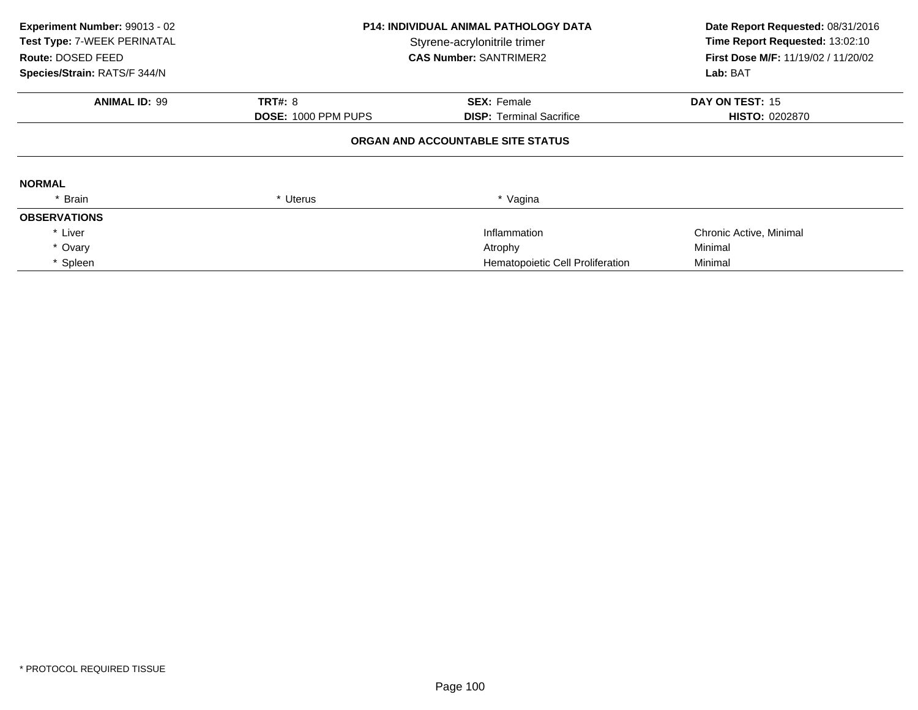| Experiment Number: 99013 - 02<br>Test Type: 7-WEEK PERINATAL<br>Route: DOSED FEED<br>Species/Strain: RATS/F 344/N | <b>P14: INDIVIDUAL ANIMAL PATHOLOGY DATA</b><br>Styrene-acrylonitrile trimer<br><b>CAS Number: SANTRIMER2</b> |                                   | Date Report Requested: 08/31/2016<br>Time Report Requested: 13:02:10<br>First Dose M/F: 11/19/02 / 11/20/02<br>Lab: BAT |
|-------------------------------------------------------------------------------------------------------------------|---------------------------------------------------------------------------------------------------------------|-----------------------------------|-------------------------------------------------------------------------------------------------------------------------|
| <b>ANIMAL ID: 99</b>                                                                                              | <b>TRT#: 8</b>                                                                                                | <b>SEX: Female</b>                | DAY ON TEST: 15                                                                                                         |
|                                                                                                                   | DOSE: 1000 PPM PUPS                                                                                           | <b>DISP:</b> Terminal Sacrifice   | <b>HISTO: 0202870</b>                                                                                                   |
|                                                                                                                   |                                                                                                               | ORGAN AND ACCOUNTABLE SITE STATUS |                                                                                                                         |
| <b>NORMAL</b>                                                                                                     |                                                                                                               |                                   |                                                                                                                         |
| * Brain                                                                                                           | * Uterus                                                                                                      | * Vagina                          |                                                                                                                         |
| <b>OBSERVATIONS</b>                                                                                               |                                                                                                               |                                   |                                                                                                                         |
| * Liver                                                                                                           |                                                                                                               | Inflammation                      | Chronic Active, Minimal                                                                                                 |
| * Ovary                                                                                                           |                                                                                                               | Atrophy                           | Minimal                                                                                                                 |
| * Spleen                                                                                                          |                                                                                                               | Hematopoietic Cell Proliferation  | Minimal                                                                                                                 |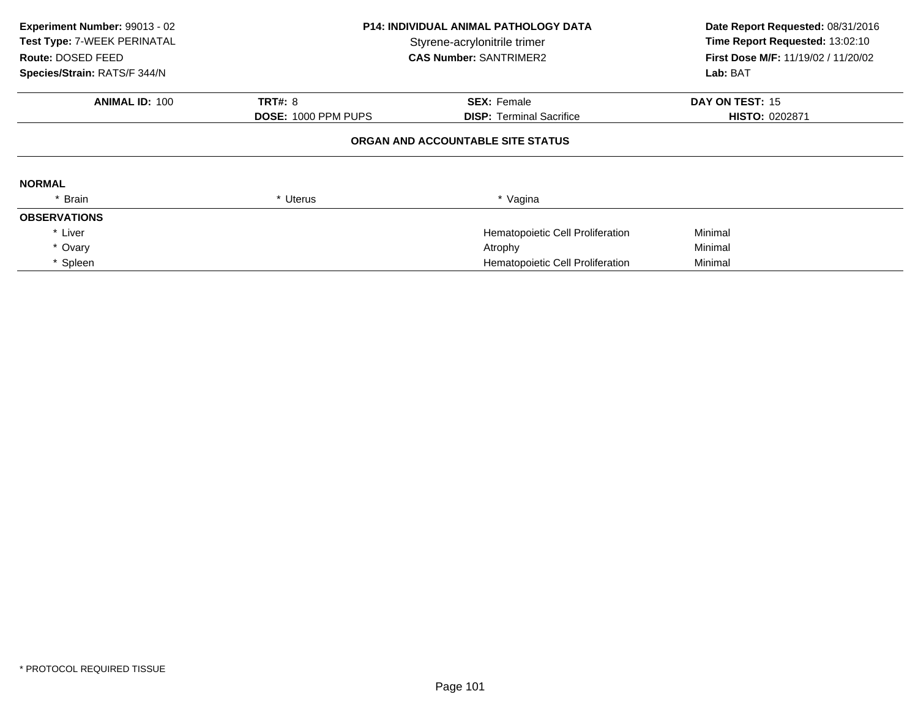| Experiment Number: 99013 - 02<br>Test Type: 7-WEEK PERINATAL<br>Route: DOSED FEED<br>Species/Strain: RATS/F 344/N | <b>P14: INDIVIDUAL ANIMAL PATHOLOGY DATA</b><br>Styrene-acrylonitrile trimer<br><b>CAS Number: SANTRIMER2</b> |                                   | Date Report Requested: 08/31/2016<br>Time Report Requested: 13:02:10<br><b>First Dose M/F: 11/19/02 / 11/20/02</b><br>Lab: BAT |
|-------------------------------------------------------------------------------------------------------------------|---------------------------------------------------------------------------------------------------------------|-----------------------------------|--------------------------------------------------------------------------------------------------------------------------------|
| <b>ANIMAL ID: 100</b>                                                                                             | <b>TRT#: 8</b>                                                                                                | <b>SEX: Female</b>                | DAY ON TEST: 15                                                                                                                |
|                                                                                                                   | DOSE: 1000 PPM PUPS                                                                                           | <b>DISP:</b> Terminal Sacrifice   | <b>HISTO: 0202871</b>                                                                                                          |
|                                                                                                                   |                                                                                                               | ORGAN AND ACCOUNTABLE SITE STATUS |                                                                                                                                |
| <b>NORMAL</b>                                                                                                     |                                                                                                               |                                   |                                                                                                                                |
| * Brain                                                                                                           | * Uterus                                                                                                      | * Vagina                          |                                                                                                                                |
| <b>OBSERVATIONS</b>                                                                                               |                                                                                                               |                                   |                                                                                                                                |
| * Liver                                                                                                           |                                                                                                               | Hematopoietic Cell Proliferation  | Minimal                                                                                                                        |
| * Ovary                                                                                                           |                                                                                                               | Atrophy                           | Minimal                                                                                                                        |
| * Spleen                                                                                                          |                                                                                                               | Hematopoietic Cell Proliferation  | Minimal                                                                                                                        |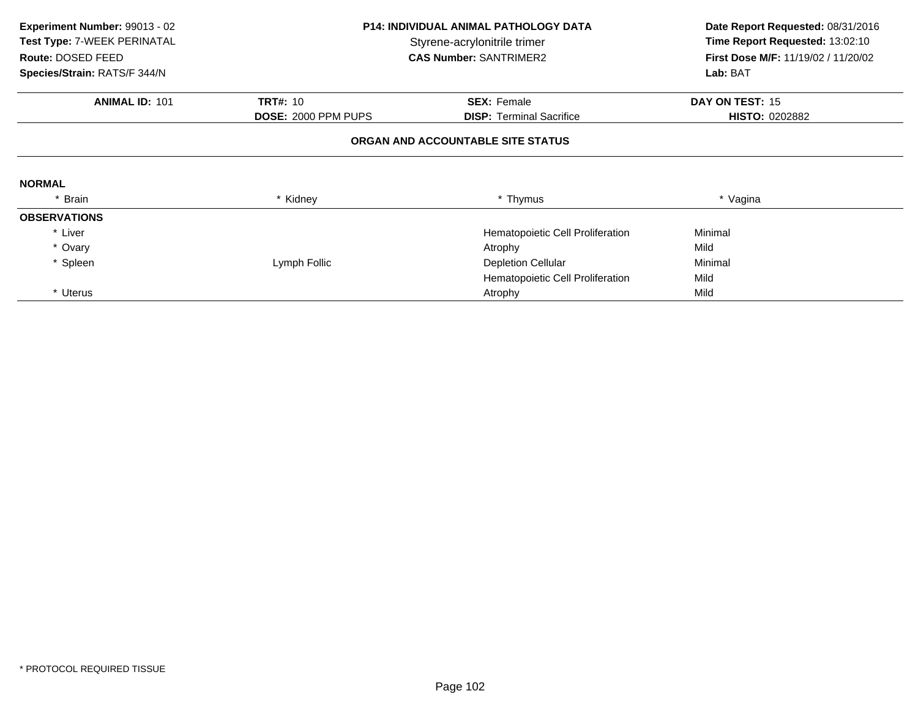| Experiment Number: 99013 - 02<br>Test Type: 7-WEEK PERINATAL<br>Route: DOSED FEED | <b>P14: INDIVIDUAL ANIMAL PATHOLOGY DATA</b><br>Styrene-acrylonitrile trimer<br><b>CAS Number: SANTRIMER2</b> |                                   | Date Report Requested: 08/31/2016<br>Time Report Requested: 13:02:10<br>First Dose M/F: 11/19/02 / 11/20/02 |  |
|-----------------------------------------------------------------------------------|---------------------------------------------------------------------------------------------------------------|-----------------------------------|-------------------------------------------------------------------------------------------------------------|--|
| Species/Strain: RATS/F 344/N                                                      |                                                                                                               |                                   | Lab: BAT                                                                                                    |  |
| <b>ANIMAL ID: 101</b>                                                             | <b>TRT#: 10</b>                                                                                               | <b>SEX: Female</b>                | DAY ON TEST: 15                                                                                             |  |
|                                                                                   | DOSE: 2000 PPM PUPS                                                                                           | <b>DISP:</b> Terminal Sacrifice   | <b>HISTO: 0202882</b>                                                                                       |  |
|                                                                                   |                                                                                                               | ORGAN AND ACCOUNTABLE SITE STATUS |                                                                                                             |  |
| <b>NORMAL</b>                                                                     |                                                                                                               |                                   |                                                                                                             |  |
| * Brain                                                                           | * Kidney                                                                                                      | * Thymus                          | * Vagina                                                                                                    |  |
| <b>OBSERVATIONS</b>                                                               |                                                                                                               |                                   |                                                                                                             |  |
| * Liver                                                                           |                                                                                                               | Hematopoietic Cell Proliferation  | Minimal                                                                                                     |  |
| * Ovary                                                                           |                                                                                                               | Atrophy                           | Mild                                                                                                        |  |
| * Spleen                                                                          | Lymph Follic                                                                                                  | <b>Depletion Cellular</b>         | Minimal                                                                                                     |  |
|                                                                                   |                                                                                                               | Hematopoietic Cell Proliferation  | Mild                                                                                                        |  |
| * Uterus                                                                          |                                                                                                               | Atrophy                           | Mild                                                                                                        |  |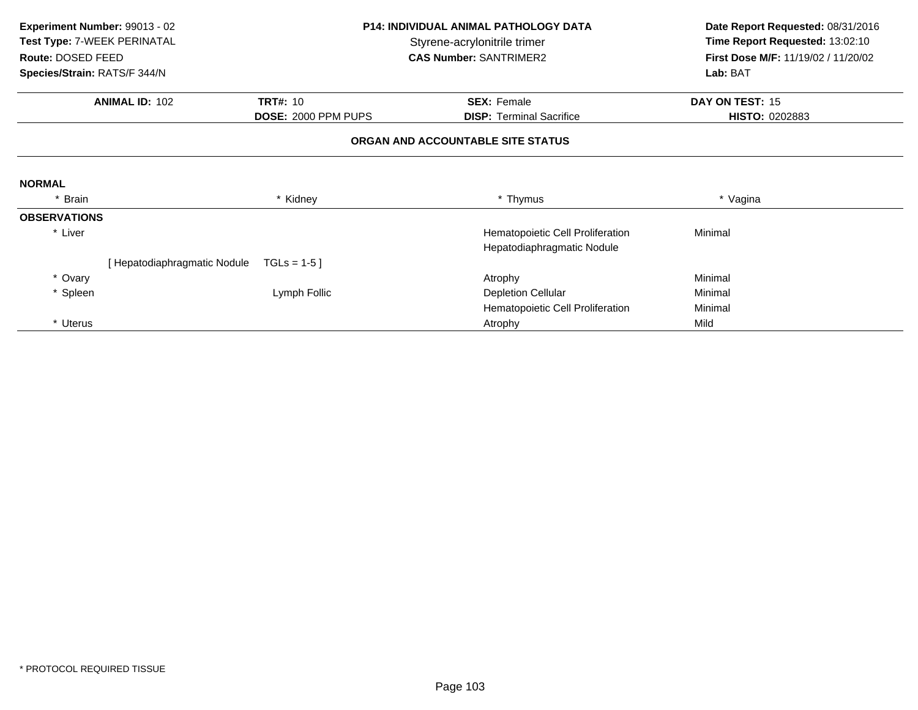| Experiment Number: 99013 - 02<br><b>P14: INDIVIDUAL ANIMAL PATHOLOGY DATA</b> |                                                             |                     | Date Report Requested: 08/31/2016 |                                     |  |
|-------------------------------------------------------------------------------|-------------------------------------------------------------|---------------------|-----------------------------------|-------------------------------------|--|
|                                                                               | Test Type: 7-WEEK PERINATAL<br>Styrene-acrylonitrile trimer |                     |                                   | Time Report Requested: 13:02:10     |  |
| Route: DOSED FEED                                                             |                                                             |                     | <b>CAS Number: SANTRIMER2</b>     | First Dose M/F: 11/19/02 / 11/20/02 |  |
| Species/Strain: RATS/F 344/N                                                  |                                                             |                     |                                   | Lab: BAT                            |  |
|                                                                               | <b>ANIMAL ID: 102</b>                                       | <b>TRT#: 10</b>     | <b>SEX: Female</b>                | DAY ON TEST: 15                     |  |
|                                                                               |                                                             | DOSE: 2000 PPM PUPS | <b>DISP:</b> Terminal Sacrifice   | HISTO: 0202883                      |  |
|                                                                               |                                                             |                     | ORGAN AND ACCOUNTABLE SITE STATUS |                                     |  |
| <b>NORMAL</b>                                                                 |                                                             |                     |                                   |                                     |  |
| * Brain                                                                       |                                                             | * Kidney            | * Thymus                          | * Vagina                            |  |
| <b>OBSERVATIONS</b>                                                           |                                                             |                     |                                   |                                     |  |
| * Liver                                                                       |                                                             |                     | Hematopoietic Cell Proliferation  | Minimal                             |  |
|                                                                               |                                                             |                     | Hepatodiaphragmatic Nodule        |                                     |  |
|                                                                               | Hepatodiaphragmatic Nodule                                  | $TGLs = 1-5$        |                                   |                                     |  |
| * Ovary                                                                       |                                                             |                     | Atrophy                           | Minimal                             |  |
| * Spleen                                                                      |                                                             | Lymph Follic        | <b>Depletion Cellular</b>         | Minimal                             |  |
|                                                                               |                                                             |                     | Hematopoietic Cell Proliferation  | Minimal                             |  |
| * Uterus                                                                      |                                                             |                     | Atrophy                           | Mild                                |  |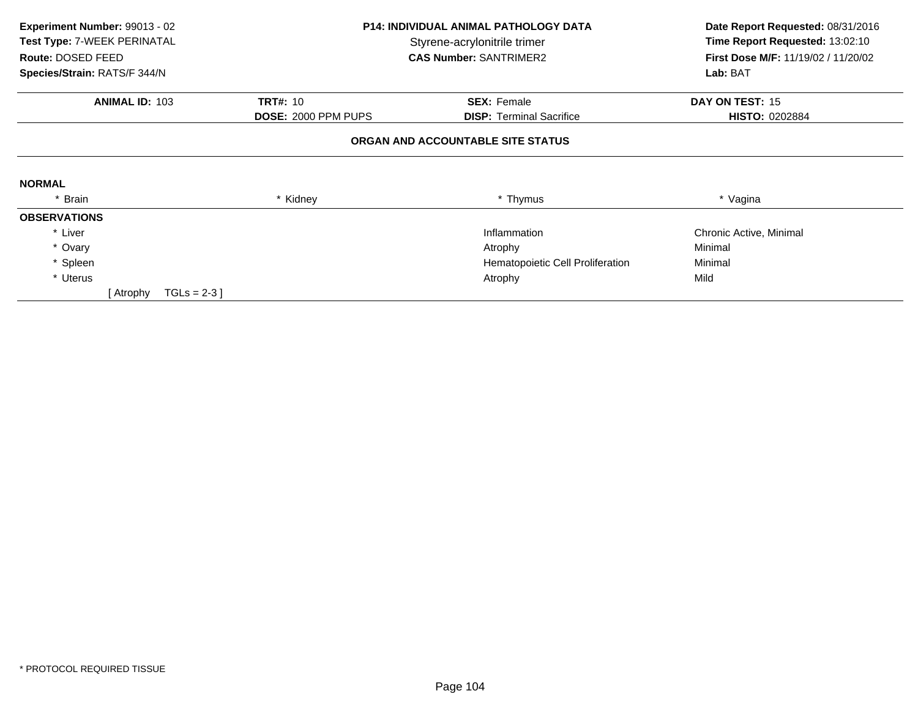| Experiment Number: 99013 - 02<br>Test Type: 7-WEEK PERINATAL<br>Route: DOSED FEED<br>Species/Strain: RATS/F 344/N | <b>P14: INDIVIDUAL ANIMAL PATHOLOGY DATA</b><br>Styrene-acrylonitrile trimer<br><b>CAS Number: SANTRIMER2</b> |                                   | Date Report Requested: 08/31/2016<br>Time Report Requested: 13:02:10<br>First Dose M/F: 11/19/02 / 11/20/02<br>Lab: BAT |  |
|-------------------------------------------------------------------------------------------------------------------|---------------------------------------------------------------------------------------------------------------|-----------------------------------|-------------------------------------------------------------------------------------------------------------------------|--|
| <b>ANIMAL ID: 103</b>                                                                                             | <b>TRT#: 10</b>                                                                                               | <b>SEX: Female</b>                | DAY ON TEST: 15                                                                                                         |  |
|                                                                                                                   | <b>DOSE: 2000 PPM PUPS</b>                                                                                    | <b>DISP: Terminal Sacrifice</b>   | <b>HISTO: 0202884</b>                                                                                                   |  |
|                                                                                                                   |                                                                                                               | ORGAN AND ACCOUNTABLE SITE STATUS |                                                                                                                         |  |
| <b>NORMAL</b>                                                                                                     |                                                                                                               |                                   |                                                                                                                         |  |
| * Brain                                                                                                           | * Kidney                                                                                                      | * Thymus                          | * Vagina                                                                                                                |  |
| <b>OBSERVATIONS</b>                                                                                               |                                                                                                               |                                   |                                                                                                                         |  |
| * Liver                                                                                                           |                                                                                                               | Inflammation                      | Chronic Active, Minimal                                                                                                 |  |
| * Ovary                                                                                                           |                                                                                                               | Atrophy                           | Minimal                                                                                                                 |  |
| * Spleen                                                                                                          |                                                                                                               | Hematopoietic Cell Proliferation  | Minimal                                                                                                                 |  |
| * Uterus                                                                                                          |                                                                                                               | Atrophy                           | Mild                                                                                                                    |  |
| $TGLs = 2-3$ ]<br>[ Atrophy                                                                                       |                                                                                                               |                                   |                                                                                                                         |  |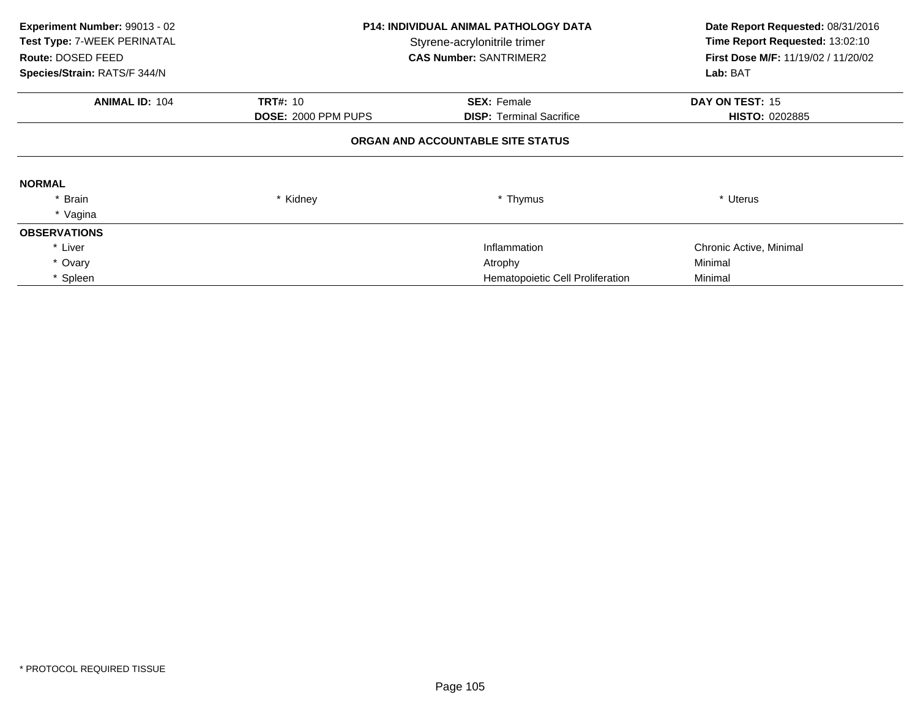| Experiment Number: 99013 - 02<br>Test Type: 7-WEEK PERINATAL<br>Route: DOSED FEED<br>Species/Strain: RATS/F 344/N | <b>P14: INDIVIDUAL ANIMAL PATHOLOGY DATA</b><br>Styrene-acrylonitrile trimer<br><b>CAS Number: SANTRIMER2</b> |                                                       | Date Report Requested: 08/31/2016<br>Time Report Requested: 13:02:10<br>First Dose M/F: 11/19/02 / 11/20/02<br>Lab: BAT |  |  |  |
|-------------------------------------------------------------------------------------------------------------------|---------------------------------------------------------------------------------------------------------------|-------------------------------------------------------|-------------------------------------------------------------------------------------------------------------------------|--|--|--|
| <b>ANIMAL ID: 104</b>                                                                                             | <b>TRT#: 10</b><br><b>DOSE: 2000 PPM PUPS</b>                                                                 | <b>SEX: Female</b><br><b>DISP:</b> Terminal Sacrifice | DAY ON TEST: 15<br><b>HISTO: 0202885</b>                                                                                |  |  |  |
|                                                                                                                   | ORGAN AND ACCOUNTABLE SITE STATUS                                                                             |                                                       |                                                                                                                         |  |  |  |
| <b>NORMAL</b>                                                                                                     |                                                                                                               |                                                       |                                                                                                                         |  |  |  |
| * Brain                                                                                                           | * Kidney                                                                                                      | * Thymus                                              | * Uterus                                                                                                                |  |  |  |
| * Vagina                                                                                                          |                                                                                                               |                                                       |                                                                                                                         |  |  |  |
| <b>OBSERVATIONS</b>                                                                                               |                                                                                                               |                                                       |                                                                                                                         |  |  |  |
| * Liver                                                                                                           |                                                                                                               | Inflammation                                          | Chronic Active, Minimal                                                                                                 |  |  |  |
| * Ovary                                                                                                           |                                                                                                               | Atrophy                                               | Minimal                                                                                                                 |  |  |  |
| * Spleen                                                                                                          |                                                                                                               | Hematopoietic Cell Proliferation                      | Minimal                                                                                                                 |  |  |  |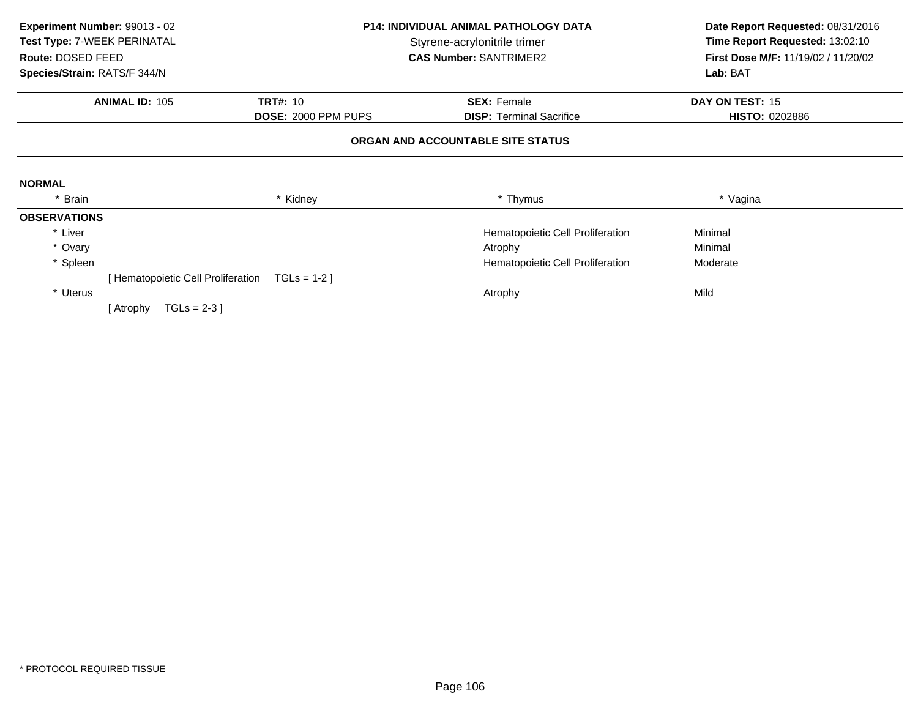| Experiment Number: 99013 - 02 |                                    | <b>P14: INDIVIDUAL ANIMAL PATHOLOGY DATA</b> |                                   | Date Report Requested: 08/31/2016   |  |
|-------------------------------|------------------------------------|----------------------------------------------|-----------------------------------|-------------------------------------|--|
| Test Type: 7-WEEK PERINATAL   |                                    |                                              | Styrene-acrylonitrile trimer      | Time Report Requested: 13:02:10     |  |
| Route: DOSED FEED             |                                    |                                              | <b>CAS Number: SANTRIMER2</b>     | First Dose M/F: 11/19/02 / 11/20/02 |  |
| Species/Strain: RATS/F 344/N  |                                    |                                              |                                   | Lab: BAT                            |  |
|                               | <b>ANIMAL ID: 105</b>              | <b>TRT#: 10</b>                              | <b>SEX: Female</b>                | DAY ON TEST: 15                     |  |
|                               |                                    | DOSE: 2000 PPM PUPS                          | <b>DISP: Terminal Sacrifice</b>   | <b>HISTO: 0202886</b>               |  |
|                               |                                    |                                              | ORGAN AND ACCOUNTABLE SITE STATUS |                                     |  |
| <b>NORMAL</b>                 |                                    |                                              |                                   |                                     |  |
| * Brain                       |                                    | * Kidney                                     | * Thymus                          | * Vagina                            |  |
| <b>OBSERVATIONS</b>           |                                    |                                              |                                   |                                     |  |
| * Liver                       |                                    |                                              | Hematopoietic Cell Proliferation  | Minimal                             |  |
| * Ovary                       |                                    |                                              | Atrophy                           | Minimal                             |  |
| * Spleen                      |                                    |                                              | Hematopoietic Cell Proliferation  | Moderate                            |  |
|                               | [ Hematopoietic Cell Proliferation | $TGLs = 1-2$                                 |                                   |                                     |  |
| * Uterus                      |                                    |                                              | Atrophy                           | Mild                                |  |
|                               | $TGLs = 2-3$ ]<br>[ Atrophy        |                                              |                                   |                                     |  |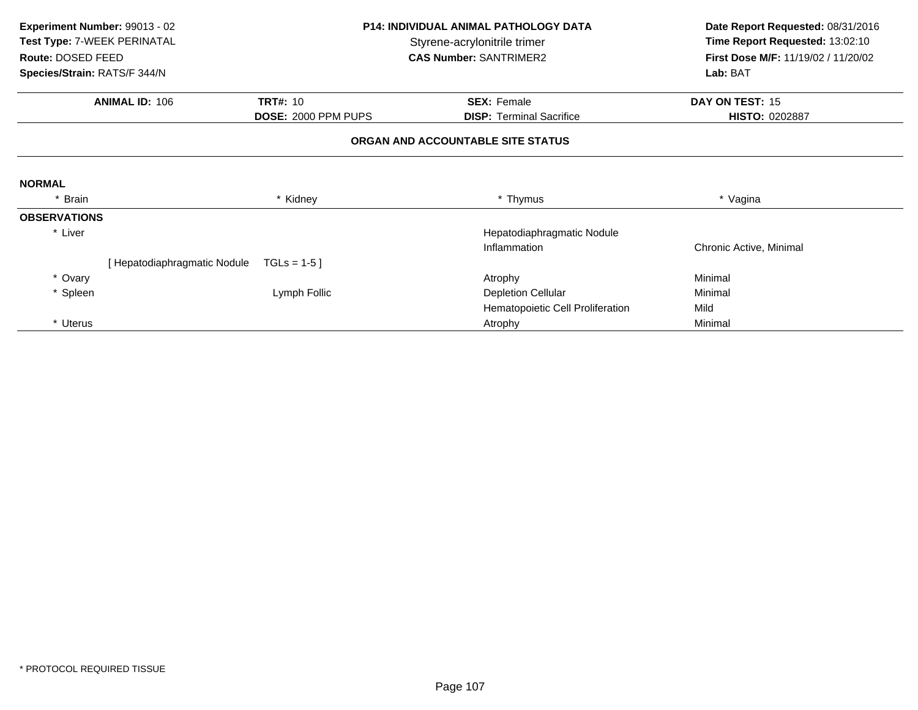| Experiment Number: 99013 - 02 |                                                             | <b>P14: INDIVIDUAL ANIMAL PATHOLOGY DATA</b> | Date Report Requested: 08/31/2016 |                                     |
|-------------------------------|-------------------------------------------------------------|----------------------------------------------|-----------------------------------|-------------------------------------|
|                               | Test Type: 7-WEEK PERINATAL<br>Styrene-acrylonitrile trimer |                                              | Time Report Requested: 13:02:10   |                                     |
| Route: DOSED FEED             |                                                             |                                              | <b>CAS Number: SANTRIMER2</b>     | First Dose M/F: 11/19/02 / 11/20/02 |
| Species/Strain: RATS/F 344/N  |                                                             |                                              |                                   | Lab: BAT                            |
|                               | <b>ANIMAL ID: 106</b>                                       | <b>TRT#: 10</b>                              | <b>SEX: Female</b>                | DAY ON TEST: 15                     |
|                               |                                                             | DOSE: 2000 PPM PUPS                          | <b>DISP:</b> Terminal Sacrifice   | <b>HISTO: 0202887</b>               |
|                               |                                                             |                                              | ORGAN AND ACCOUNTABLE SITE STATUS |                                     |
| <b>NORMAL</b>                 |                                                             |                                              |                                   |                                     |
| Brain                         |                                                             | * Kidney                                     | * Thymus                          | * Vagina                            |
| <b>OBSERVATIONS</b>           |                                                             |                                              |                                   |                                     |
| * Liver                       |                                                             |                                              | Hepatodiaphragmatic Nodule        |                                     |
|                               |                                                             |                                              | Inflammation                      | Chronic Active, Minimal             |
|                               | [Hepatodiaphragmatic Nodule                                 | $TGLs = 1-5$                                 |                                   |                                     |
| * Ovary                       |                                                             |                                              | Atrophy                           | Minimal                             |
| * Spleen                      |                                                             | Lymph Follic                                 | <b>Depletion Cellular</b>         | Minimal                             |
|                               |                                                             |                                              | Hematopoietic Cell Proliferation  | Mild                                |
| * Uterus                      |                                                             |                                              | Atrophy                           | Minimal                             |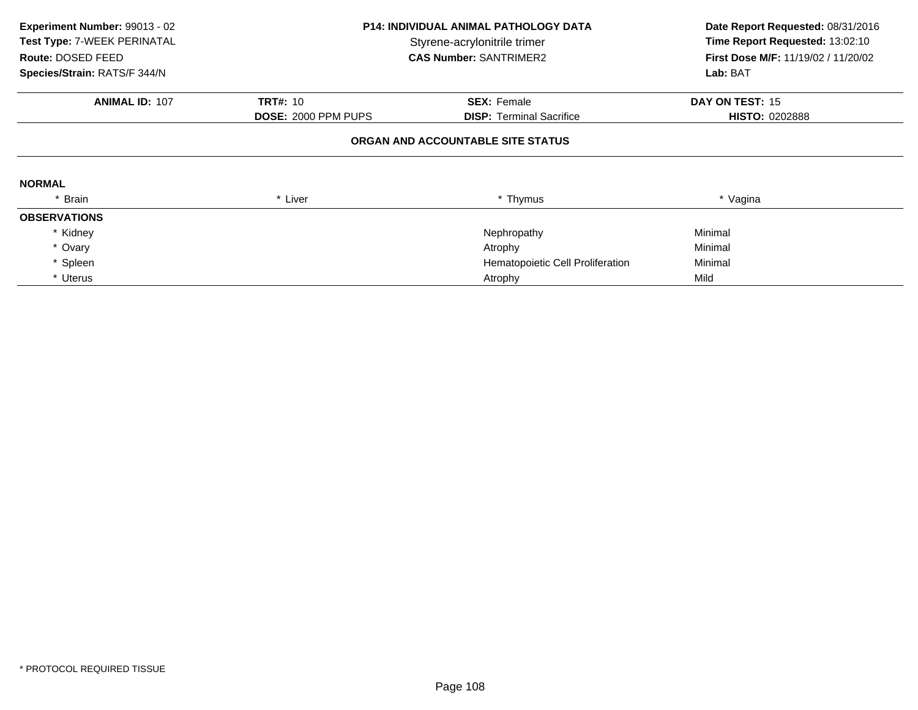| Experiment Number: 99013 - 02<br>Test Type: 7-WEEK PERINATAL<br>Route: DOSED FEED<br>Species/Strain: RATS/F 344/N |                            | <b>P14: INDIVIDUAL ANIMAL PATHOLOGY DATA</b><br>Styrene-acrylonitrile trimer<br><b>CAS Number: SANTRIMER2</b> |                       |
|-------------------------------------------------------------------------------------------------------------------|----------------------------|---------------------------------------------------------------------------------------------------------------|-----------------------|
| <b>ANIMAL ID: 107</b>                                                                                             | <b>TRT#: 10</b>            | <b>SEX: Female</b>                                                                                            | DAY ON TEST: 15       |
|                                                                                                                   | <b>DOSE: 2000 PPM PUPS</b> | <b>DISP: Terminal Sacrifice</b>                                                                               | <b>HISTO: 0202888</b> |
|                                                                                                                   |                            | ORGAN AND ACCOUNTABLE SITE STATUS                                                                             |                       |
| <b>NORMAL</b>                                                                                                     |                            |                                                                                                               |                       |
| * Brain                                                                                                           | * Liver                    | * Thymus                                                                                                      | * Vagina              |
| <b>OBSERVATIONS</b>                                                                                               |                            |                                                                                                               |                       |
| * Kidney                                                                                                          |                            | Nephropathy                                                                                                   | Minimal               |
| * Ovary                                                                                                           |                            | Atrophy                                                                                                       | Minimal               |
| * Spleen                                                                                                          |                            | Hematopoietic Cell Proliferation                                                                              | Minimal               |
| * Uterus                                                                                                          |                            | Atrophy                                                                                                       | Mild                  |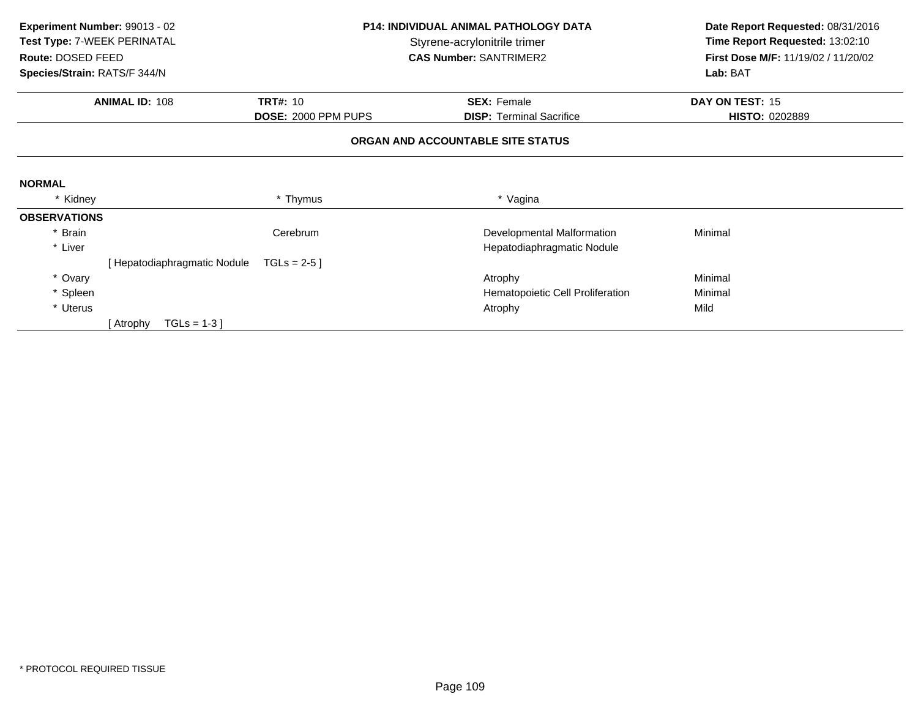| Experiment Number: 99013 - 02 |                              |                     | <b>P14: INDIVIDUAL ANIMAL PATHOLOGY DATA</b> | Date Report Requested: 08/31/2016   |
|-------------------------------|------------------------------|---------------------|----------------------------------------------|-------------------------------------|
| Test Type: 7-WEEK PERINATAL   |                              |                     | Styrene-acrylonitrile trimer                 | Time Report Requested: 13:02:10     |
| Route: DOSED FEED             |                              |                     | <b>CAS Number: SANTRIMER2</b>                | First Dose M/F: 11/19/02 / 11/20/02 |
| Species/Strain: RATS/F 344/N  |                              |                     |                                              | Lab: BAT                            |
|                               | <b>ANIMAL ID: 108</b>        | <b>TRT#: 10</b>     | <b>SEX: Female</b>                           | DAY ON TEST: 15                     |
|                               |                              | DOSE: 2000 PPM PUPS | <b>DISP: Terminal Sacrifice</b>              | <b>HISTO: 0202889</b>               |
|                               |                              |                     | ORGAN AND ACCOUNTABLE SITE STATUS            |                                     |
| <b>NORMAL</b>                 |                              |                     |                                              |                                     |
| * Kidney                      |                              | * Thymus            | * Vagina                                     |                                     |
| <b>OBSERVATIONS</b>           |                              |                     |                                              |                                     |
| * Brain                       |                              | Cerebrum            | Developmental Malformation                   | Minimal                             |
| * Liver                       |                              |                     | Hepatodiaphragmatic Nodule                   |                                     |
|                               | [ Hepatodiaphragmatic Nodule | TGLs = $2-5$ ]      |                                              |                                     |
| * Ovary                       |                              |                     | Atrophy                                      | Minimal                             |
| * Spleen                      |                              |                     | Hematopoietic Cell Proliferation             | Minimal                             |
| * Uterus                      |                              |                     | Atrophy                                      | Mild                                |
|                               | $TGLs = 1-3$<br>[ Atrophy    |                     |                                              |                                     |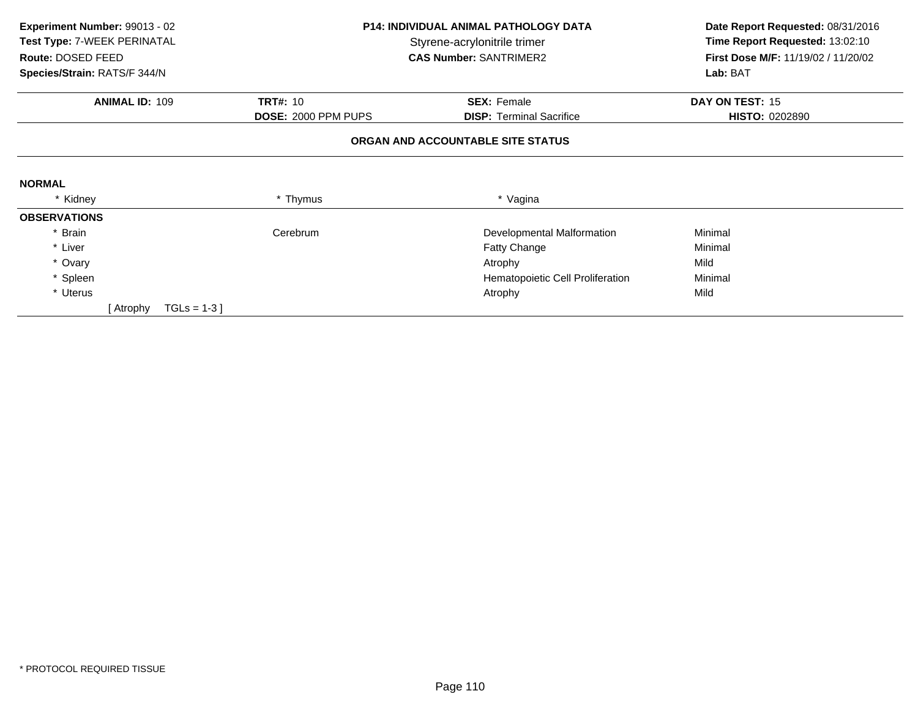| Experiment Number: 99013 - 02 |                     | <b>P14: INDIVIDUAL ANIMAL PATHOLOGY DATA</b> | Date Report Requested: 08/31/2016   |  |
|-------------------------------|---------------------|----------------------------------------------|-------------------------------------|--|
| Test Type: 7-WEEK PERINATAL   |                     | Styrene-acrylonitrile trimer                 | Time Report Requested: 13:02:10     |  |
| Route: DOSED FEED             |                     | <b>CAS Number: SANTRIMER2</b>                | First Dose M/F: 11/19/02 / 11/20/02 |  |
| Species/Strain: RATS/F 344/N  |                     |                                              | Lab: BAT                            |  |
| <b>ANIMAL ID: 109</b>         | <b>TRT#: 10</b>     | <b>SEX: Female</b>                           | DAY ON TEST: 15                     |  |
|                               | DOSE: 2000 PPM PUPS | <b>DISP: Terminal Sacrifice</b>              | <b>HISTO: 0202890</b>               |  |
|                               |                     | ORGAN AND ACCOUNTABLE SITE STATUS            |                                     |  |
|                               |                     |                                              |                                     |  |
| <b>NORMAL</b>                 |                     |                                              |                                     |  |
| * Kidney                      | * Thymus            | * Vagina                                     |                                     |  |
| <b>OBSERVATIONS</b>           |                     |                                              |                                     |  |
| * Brain                       | Cerebrum            | Developmental Malformation                   | Minimal                             |  |
| * Liver                       |                     | <b>Fatty Change</b>                          | Minimal                             |  |
| * Ovary                       |                     | Atrophy                                      | Mild                                |  |
| * Spleen                      |                     | Hematopoietic Cell Proliferation             | Minimal                             |  |
| * Uterus                      |                     | Atrophy                                      | Mild                                |  |
| $TGLs = 1-3$ ]<br>[ Atrophy   |                     |                                              |                                     |  |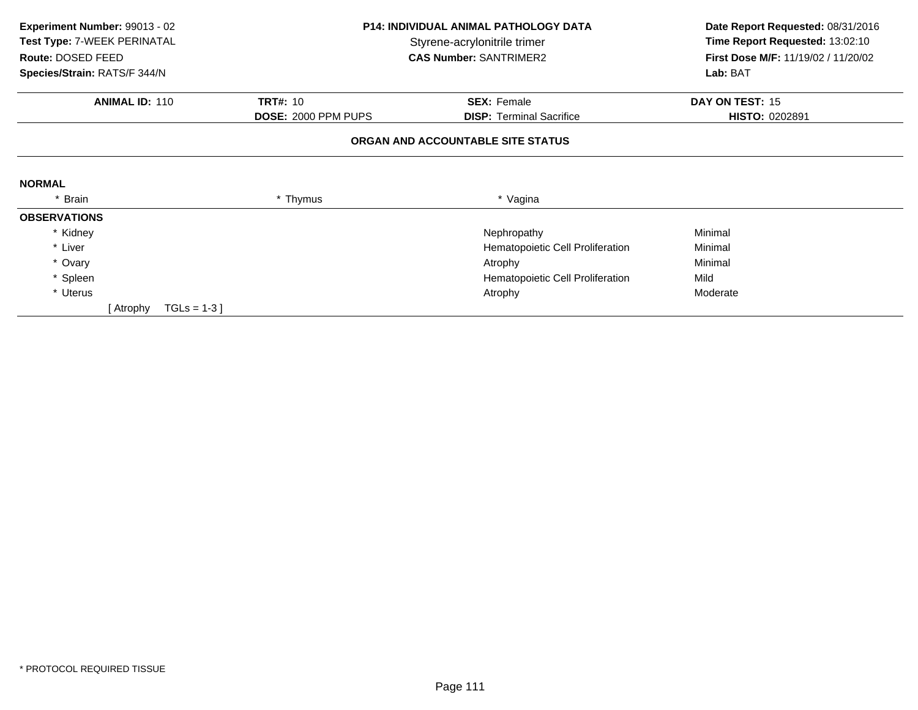| Experiment Number: 99013 - 02<br>Test Type: 7-WEEK PERINATAL<br>Route: DOSED FEED<br>Species/Strain: RATS/F 344/N |          | <b>P14: INDIVIDUAL ANIMAL PATHOLOGY DATA</b><br>Styrene-acrylonitrile trimer<br><b>CAS Number: SANTRIMER2</b> | Date Report Requested: 08/31/2016<br>Time Report Requested: 13:02:10<br>First Dose M/F: 11/19/02 / 11/20/02<br>Lab: BAT |
|-------------------------------------------------------------------------------------------------------------------|----------|---------------------------------------------------------------------------------------------------------------|-------------------------------------------------------------------------------------------------------------------------|
| <b>ANIMAL ID: 110</b><br><b>TRT#: 10</b><br>DOSE: 2000 PPM PUPS                                                   |          | <b>SEX: Female</b><br><b>DISP: Terminal Sacrifice</b>                                                         | DAY ON TEST: 15<br>HISTO: 0202891                                                                                       |
|                                                                                                                   |          | ORGAN AND ACCOUNTABLE SITE STATUS                                                                             |                                                                                                                         |
| <b>NORMAL</b>                                                                                                     |          |                                                                                                               |                                                                                                                         |
| * Brain                                                                                                           | * Thymus | * Vagina                                                                                                      |                                                                                                                         |
| <b>OBSERVATIONS</b>                                                                                               |          |                                                                                                               |                                                                                                                         |
| * Kidney                                                                                                          |          | Nephropathy                                                                                                   | Minimal                                                                                                                 |
| * Liver                                                                                                           |          | Hematopoietic Cell Proliferation                                                                              | Minimal                                                                                                                 |
| * Ovary                                                                                                           |          | Atrophy                                                                                                       | Minimal                                                                                                                 |
| * Spleen                                                                                                          |          | Hematopoietic Cell Proliferation                                                                              | Mild                                                                                                                    |
| * Uterus                                                                                                          |          | Atrophy                                                                                                       | Moderate                                                                                                                |
| $TGLS = 1-3$<br>[ Atrophy                                                                                         |          |                                                                                                               |                                                                                                                         |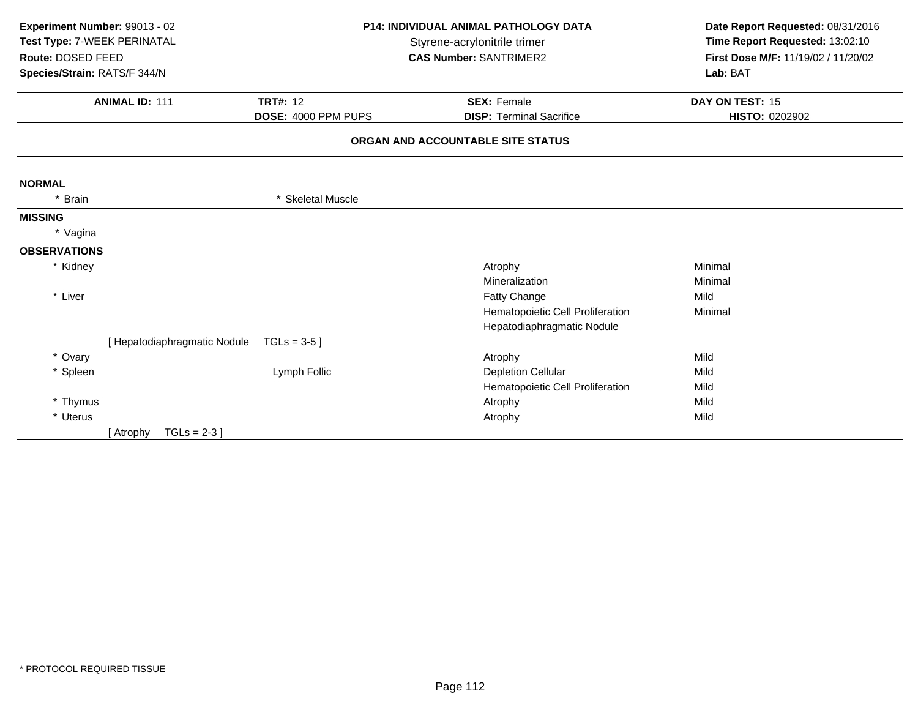| Experiment Number: 99013 - 02<br>Test Type: 7-WEEK PERINATAL<br>Route: DOSED FEED<br>Species/Strain: RATS/F 344/N<br><b>ANIMAL ID: 111</b><br><b>TRT#: 12</b> |                              | DOSE: 4000 PPM PUPS | P14: INDIVIDUAL ANIMAL PATHOLOGY DATA<br>Styrene-acrylonitrile trimer<br><b>CAS Number: SANTRIMER2</b><br><b>SEX: Female</b><br><b>DISP: Terminal Sacrifice</b> | Date Report Requested: 08/31/2016<br>Time Report Requested: 13:02:10<br>First Dose M/F: 11/19/02 / 11/20/02<br>Lab: BAT<br>DAY ON TEST: 15<br>HISTO: 0202902 |
|---------------------------------------------------------------------------------------------------------------------------------------------------------------|------------------------------|---------------------|-----------------------------------------------------------------------------------------------------------------------------------------------------------------|--------------------------------------------------------------------------------------------------------------------------------------------------------------|
|                                                                                                                                                               |                              |                     | ORGAN AND ACCOUNTABLE SITE STATUS                                                                                                                               |                                                                                                                                                              |
| <b>NORMAL</b>                                                                                                                                                 |                              |                     |                                                                                                                                                                 |                                                                                                                                                              |
| * Brain                                                                                                                                                       |                              | * Skeletal Muscle   |                                                                                                                                                                 |                                                                                                                                                              |
| <b>MISSING</b>                                                                                                                                                |                              |                     |                                                                                                                                                                 |                                                                                                                                                              |
| * Vagina                                                                                                                                                      |                              |                     |                                                                                                                                                                 |                                                                                                                                                              |
| <b>OBSERVATIONS</b>                                                                                                                                           |                              |                     |                                                                                                                                                                 |                                                                                                                                                              |
| * Kidney                                                                                                                                                      |                              |                     | Atrophy                                                                                                                                                         | Minimal                                                                                                                                                      |
|                                                                                                                                                               |                              |                     | Mineralization                                                                                                                                                  | Minimal                                                                                                                                                      |
| * Liver                                                                                                                                                       |                              |                     | Fatty Change                                                                                                                                                    | Mild                                                                                                                                                         |
|                                                                                                                                                               |                              |                     | Hematopoietic Cell Proliferation                                                                                                                                | Minimal                                                                                                                                                      |
|                                                                                                                                                               |                              |                     | Hepatodiaphragmatic Nodule                                                                                                                                      |                                                                                                                                                              |
|                                                                                                                                                               | [ Hepatodiaphragmatic Nodule | TGLs = $3-5$ ]      |                                                                                                                                                                 |                                                                                                                                                              |
| * Ovary                                                                                                                                                       |                              |                     | Atrophy                                                                                                                                                         | Mild                                                                                                                                                         |
| * Spleen                                                                                                                                                      |                              | Lymph Follic        | <b>Depletion Cellular</b>                                                                                                                                       | Mild                                                                                                                                                         |
|                                                                                                                                                               |                              |                     | Hematopoietic Cell Proliferation                                                                                                                                | Mild                                                                                                                                                         |
| * Thymus                                                                                                                                                      |                              |                     | Atrophy                                                                                                                                                         | Mild                                                                                                                                                         |
| * Uterus                                                                                                                                                      |                              |                     | Atrophy                                                                                                                                                         | Mild                                                                                                                                                         |
|                                                                                                                                                               | $TGLs = 2-3$ ]<br>[ Atrophy  |                     |                                                                                                                                                                 |                                                                                                                                                              |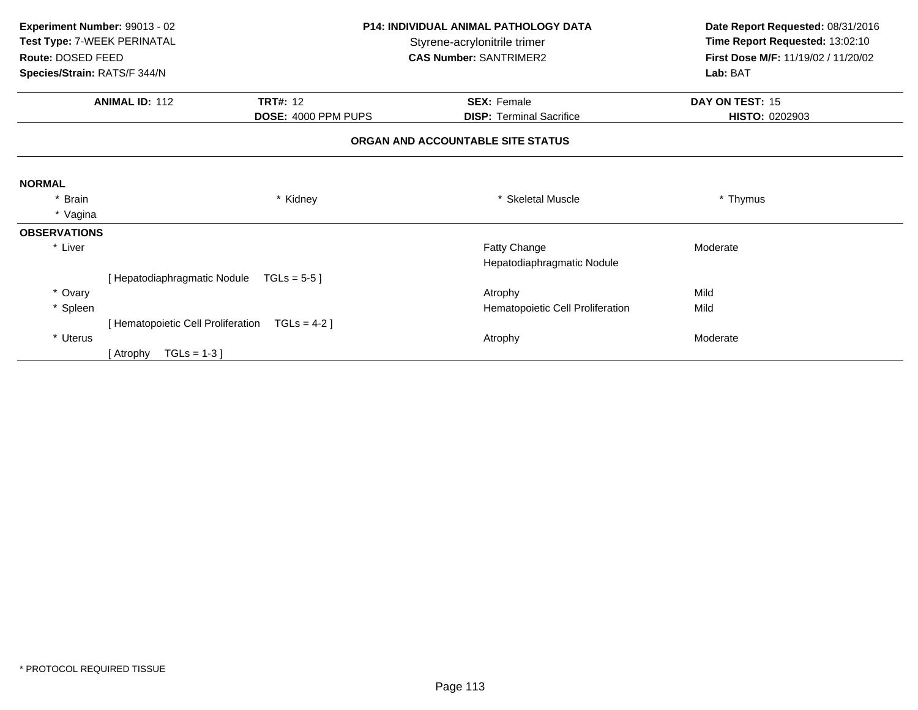| Experiment Number: 99013 - 02 |                                    |                     | <b>P14: INDIVIDUAL ANIMAL PATHOLOGY DATA</b> | Date Report Requested: 08/31/2016   |
|-------------------------------|------------------------------------|---------------------|----------------------------------------------|-------------------------------------|
| Test Type: 7-WEEK PERINATAL   |                                    |                     | Styrene-acrylonitrile trimer                 | Time Report Requested: 13:02:10     |
| Route: DOSED FEED             |                                    |                     | <b>CAS Number: SANTRIMER2</b>                | First Dose M/F: 11/19/02 / 11/20/02 |
| Species/Strain: RATS/F 344/N  |                                    |                     |                                              | Lab: BAT                            |
|                               | <b>ANIMAL ID: 112</b>              | <b>TRT#: 12</b>     | <b>SEX: Female</b>                           | DAY ON TEST: 15                     |
|                               |                                    | DOSE: 4000 PPM PUPS | <b>DISP: Terminal Sacrifice</b>              | <b>HISTO: 0202903</b>               |
|                               |                                    |                     | ORGAN AND ACCOUNTABLE SITE STATUS            |                                     |
| <b>NORMAL</b>                 |                                    |                     |                                              |                                     |
| * Brain                       |                                    | * Kidney            | * Skeletal Muscle                            | * Thymus                            |
| * Vagina                      |                                    |                     |                                              |                                     |
| <b>OBSERVATIONS</b>           |                                    |                     |                                              |                                     |
| * Liver                       |                                    |                     | Fatty Change                                 | Moderate                            |
|                               |                                    |                     | Hepatodiaphragmatic Nodule                   |                                     |
|                               | [ Hepatodiaphragmatic Nodule       | TGLs = $5-5$ ]      |                                              |                                     |
| * Ovary                       |                                    |                     | Atrophy                                      | Mild                                |
| * Spleen                      |                                    |                     | Hematopoietic Cell Proliferation             | Mild                                |
|                               | [ Hematopoietic Cell Proliferation | $TGLS = 4-2$ ]      |                                              |                                     |
| * Uterus                      |                                    |                     | Atrophy                                      | Moderate                            |
|                               | $TGLs = 1-3$<br>[ Atrophy          |                     |                                              |                                     |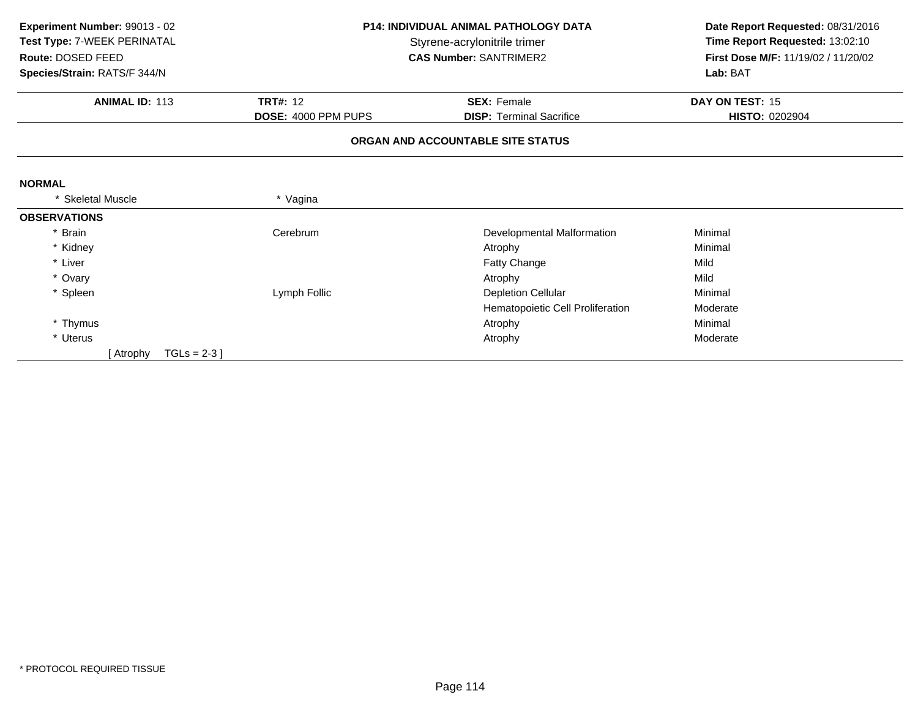| Experiment Number: 99013 - 02 |                                       | <b>P14: INDIVIDUAL ANIMAL PATHOLOGY DATA</b> | Date Report Requested: 08/31/2016   |
|-------------------------------|---------------------------------------|----------------------------------------------|-------------------------------------|
| Test Type: 7-WEEK PERINATAL   |                                       | Styrene-acrylonitrile trimer                 | Time Report Requested: 13:02:10     |
| Route: DOSED FEED             |                                       | <b>CAS Number: SANTRIMER2</b>                | First Dose M/F: 11/19/02 / 11/20/02 |
| Species/Strain: RATS/F 344/N  |                                       |                                              | Lab: BAT                            |
| <b>ANIMAL ID: 113</b>         | <b>TRT#: 12</b><br><b>SEX: Female</b> |                                              | DAY ON TEST: 15                     |
|                               | DOSE: 4000 PPM PUPS                   | <b>DISP: Terminal Sacrifice</b>              | <b>HISTO: 0202904</b>               |
|                               |                                       | ORGAN AND ACCOUNTABLE SITE STATUS            |                                     |
|                               |                                       |                                              |                                     |
| <b>NORMAL</b>                 |                                       |                                              |                                     |
| <b>Skeletal Muscle</b>        | * Vagina                              |                                              |                                     |
| <b>OBSERVATIONS</b>           |                                       |                                              |                                     |
| * Brain                       | Cerebrum                              | Developmental Malformation                   | Minimal                             |
| * Kidney                      |                                       | Atrophy                                      | Minimal                             |
| * Liver                       |                                       | Fatty Change                                 | Mild                                |
| * Ovary                       |                                       | Atrophy                                      | Mild                                |
| * Spleen                      | Lymph Follic                          | <b>Depletion Cellular</b>                    | Minimal                             |
|                               |                                       | Hematopoietic Cell Proliferation             | Moderate                            |
| * Thymus                      |                                       | Atrophy                                      | Minimal                             |
| * Uterus                      |                                       | Atrophy                                      | Moderate                            |
| $TGLS = 2-3$<br>[ Atrophy     |                                       |                                              |                                     |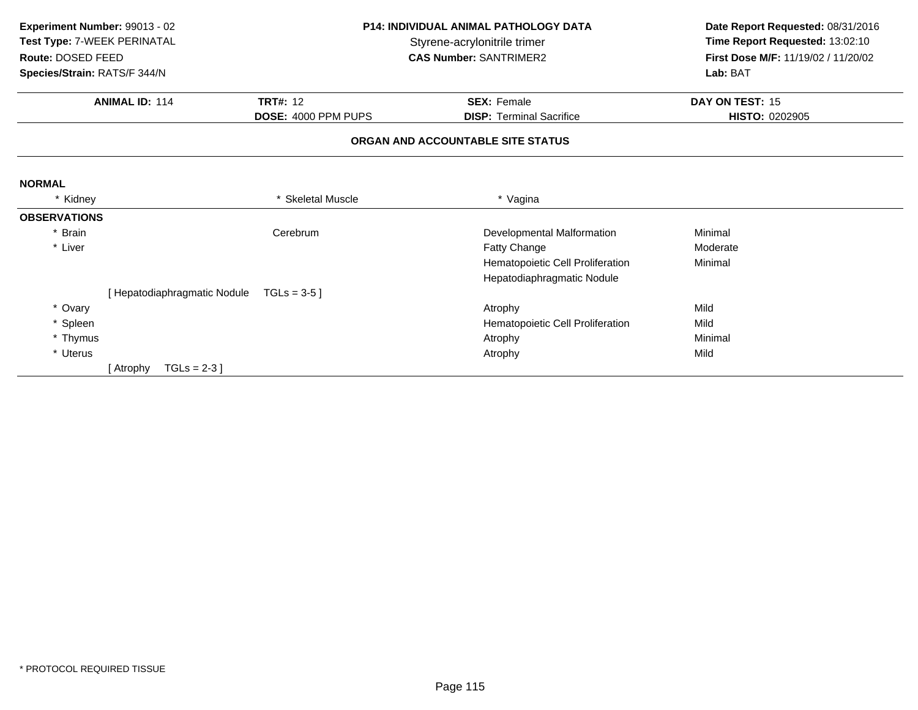| Experiment Number: 99013 - 02<br>Test Type: 7-WEEK PERINATAL<br>Route: DOSED FEED<br>Species/Strain: RATS/F 344/N |                              |                     | <b>P14: INDIVIDUAL ANIMAL PATHOLOGY DATA</b><br>Styrene-acrylonitrile trimer<br><b>CAS Number: SANTRIMER2</b> | Date Report Requested: 08/31/2016<br>Time Report Requested: 13:02:10<br>First Dose M/F: 11/19/02 / 11/20/02 |
|-------------------------------------------------------------------------------------------------------------------|------------------------------|---------------------|---------------------------------------------------------------------------------------------------------------|-------------------------------------------------------------------------------------------------------------|
|                                                                                                                   |                              |                     |                                                                                                               | Lab: BAT                                                                                                    |
|                                                                                                                   | <b>ANIMAL ID: 114</b>        | <b>TRT#: 12</b>     | <b>SEX: Female</b>                                                                                            | DAY ON TEST: 15                                                                                             |
|                                                                                                                   |                              | DOSE: 4000 PPM PUPS | <b>DISP: Terminal Sacrifice</b>                                                                               | HISTO: 0202905                                                                                              |
|                                                                                                                   |                              |                     | ORGAN AND ACCOUNTABLE SITE STATUS                                                                             |                                                                                                             |
| <b>NORMAL</b>                                                                                                     |                              |                     |                                                                                                               |                                                                                                             |
| * Kidney                                                                                                          |                              | * Skeletal Muscle   | * Vagina                                                                                                      |                                                                                                             |
| <b>OBSERVATIONS</b>                                                                                               |                              |                     |                                                                                                               |                                                                                                             |
| * Brain                                                                                                           |                              | Cerebrum            | Developmental Malformation                                                                                    | Minimal                                                                                                     |
| * Liver                                                                                                           |                              |                     | Fatty Change                                                                                                  | Moderate                                                                                                    |
|                                                                                                                   |                              |                     | Hematopoietic Cell Proliferation                                                                              | Minimal                                                                                                     |
|                                                                                                                   |                              |                     | Hepatodiaphragmatic Nodule                                                                                    |                                                                                                             |
|                                                                                                                   | [ Hepatodiaphragmatic Nodule | $TGLs = 3-5$ ]      |                                                                                                               |                                                                                                             |
| * Ovary                                                                                                           |                              |                     | Atrophy                                                                                                       | Mild                                                                                                        |
| * Spleen                                                                                                          |                              |                     | Hematopoietic Cell Proliferation                                                                              | Mild                                                                                                        |
| * Thymus                                                                                                          |                              |                     | Atrophy                                                                                                       | Minimal                                                                                                     |
| * Uterus                                                                                                          |                              |                     | Atrophy                                                                                                       | Mild                                                                                                        |
|                                                                                                                   | $TGLs = 2-3$ ]<br>[ Atrophy  |                     |                                                                                                               |                                                                                                             |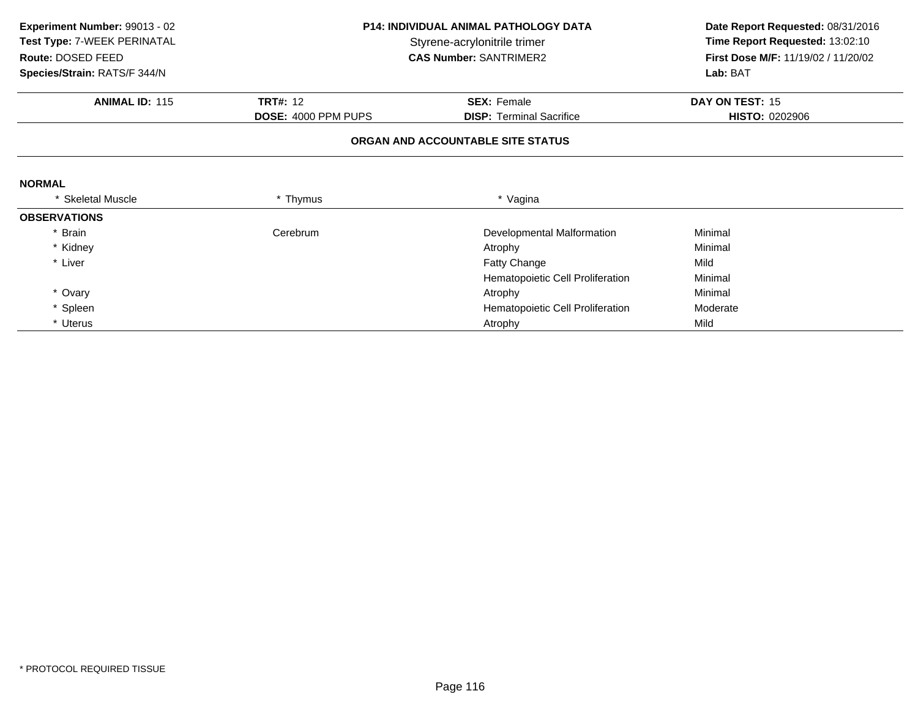| Experiment Number: 99013 - 02 |                     | <b>P14: INDIVIDUAL ANIMAL PATHOLOGY DATA</b> | Date Report Requested: 08/31/2016   |  |
|-------------------------------|---------------------|----------------------------------------------|-------------------------------------|--|
| Test Type: 7-WEEK PERINATAL   |                     | Styrene-acrylonitrile trimer                 |                                     |  |
| Route: DOSED FEED             |                     | <b>CAS Number: SANTRIMER2</b>                | First Dose M/F: 11/19/02 / 11/20/02 |  |
| Species/Strain: RATS/F 344/N  |                     |                                              | Lab: BAT                            |  |
| <b>ANIMAL ID: 115</b>         | <b>TRT#: 12</b>     | <b>SEX: Female</b>                           | DAY ON TEST: 15                     |  |
|                               | DOSE: 4000 PPM PUPS | <b>DISP: Terminal Sacrifice</b>              | <b>HISTO: 0202906</b>               |  |
|                               |                     | ORGAN AND ACCOUNTABLE SITE STATUS            |                                     |  |
| <b>NORMAL</b>                 |                     |                                              |                                     |  |
| * Skeletal Muscle             | * Thymus            | * Vagina                                     |                                     |  |
| <b>OBSERVATIONS</b>           |                     |                                              |                                     |  |
| * Brain                       | Cerebrum            | Developmental Malformation                   | Minimal                             |  |
| * Kidney                      |                     | Atrophy                                      | Minimal                             |  |
| * Liver                       |                     | Fatty Change                                 | Mild                                |  |
|                               |                     | Hematopoietic Cell Proliferation             | Minimal                             |  |
| * Ovary                       |                     | Atrophy                                      | Minimal                             |  |
| * Spleen                      |                     | Hematopoietic Cell Proliferation             | Moderate                            |  |
| * Uterus                      |                     | Atrophy                                      | Mild                                |  |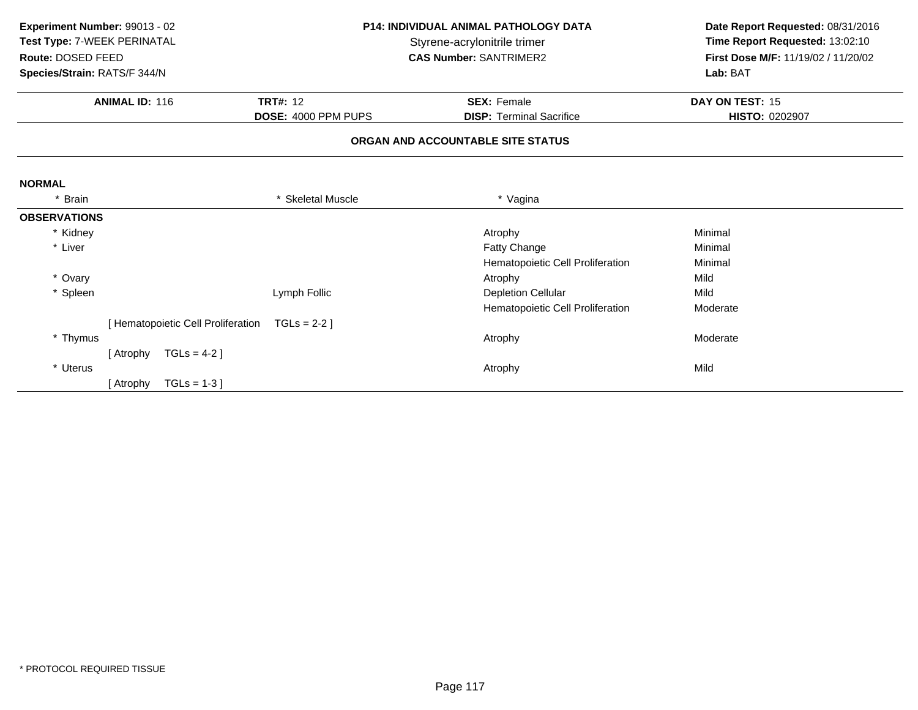| Experiment Number: 99013 - 02 |                                  |                     | <b>P14: INDIVIDUAL ANIMAL PATHOLOGY DATA</b> | Date Report Requested: 08/31/2016   |
|-------------------------------|----------------------------------|---------------------|----------------------------------------------|-------------------------------------|
| Test Type: 7-WEEK PERINATAL   |                                  |                     | Styrene-acrylonitrile trimer                 | Time Report Requested: 13:02:10     |
| Route: DOSED FEED             |                                  |                     | <b>CAS Number: SANTRIMER2</b>                | First Dose M/F: 11/19/02 / 11/20/02 |
| Species/Strain: RATS/F 344/N  |                                  |                     |                                              | Lab: BAT                            |
|                               | <b>ANIMAL ID: 116</b>            | <b>TRT#: 12</b>     | <b>SEX: Female</b>                           | DAY ON TEST: 15                     |
|                               |                                  | DOSE: 4000 PPM PUPS | <b>DISP: Terminal Sacrifice</b>              | HISTO: 0202907                      |
|                               |                                  |                     | ORGAN AND ACCOUNTABLE SITE STATUS            |                                     |
| <b>NORMAL</b>                 |                                  |                     |                                              |                                     |
| * Brain                       |                                  | * Skeletal Muscle   | * Vagina                                     |                                     |
| <b>OBSERVATIONS</b>           |                                  |                     |                                              |                                     |
| * Kidney                      |                                  |                     | Atrophy                                      | Minimal                             |
| * Liver                       |                                  |                     | Fatty Change                                 | Minimal                             |
|                               |                                  |                     | Hematopoietic Cell Proliferation             | Minimal                             |
| * Ovary                       |                                  |                     | Atrophy                                      | Mild                                |
| * Spleen                      |                                  | Lymph Follic        | <b>Depletion Cellular</b>                    | Mild                                |
|                               |                                  |                     | Hematopoietic Cell Proliferation             | Moderate                            |
|                               | Hematopoietic Cell Proliferation | $TGLs = 2-2$ ]      |                                              |                                     |
| * Thymus                      |                                  |                     | Atrophy                                      | Moderate                            |
|                               | [ Atrophy                        | $TGLs = 4-2$ ]      |                                              |                                     |
| * Uterus                      |                                  |                     | Atrophy                                      | Mild                                |
|                               | [ Atrophy                        | $TGLs = 1-3$        |                                              |                                     |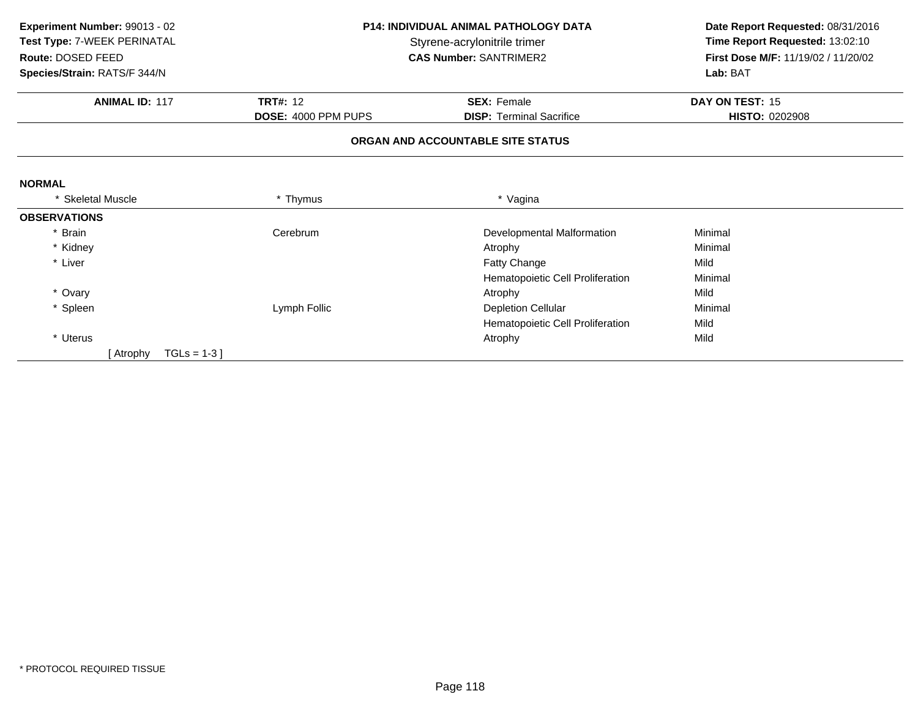| Experiment Number: 99013 - 02 | <b>P14: INDIVIDUAL ANIMAL PATHOLOGY DATA</b> |                                   | Date Report Requested: 08/31/2016   |  |
|-------------------------------|----------------------------------------------|-----------------------------------|-------------------------------------|--|
| Test Type: 7-WEEK PERINATAL   |                                              | Styrene-acrylonitrile trimer      |                                     |  |
| Route: DOSED FEED             |                                              | <b>CAS Number: SANTRIMER2</b>     | First Dose M/F: 11/19/02 / 11/20/02 |  |
| Species/Strain: RATS/F 344/N  |                                              |                                   | Lab: BAT                            |  |
| <b>ANIMAL ID: 117</b>         | <b>TRT#: 12</b>                              | <b>SEX: Female</b>                | DAY ON TEST: 15                     |  |
|                               | DOSE: 4000 PPM PUPS                          | <b>DISP: Terminal Sacrifice</b>   | <b>HISTO: 0202908</b>               |  |
|                               |                                              | ORGAN AND ACCOUNTABLE SITE STATUS |                                     |  |
| <b>NORMAL</b>                 |                                              |                                   |                                     |  |
| <b>Skeletal Muscle</b>        | * Thymus                                     | * Vagina                          |                                     |  |
| <b>OBSERVATIONS</b>           |                                              |                                   |                                     |  |
| * Brain                       | Cerebrum                                     | Developmental Malformation        | Minimal                             |  |
| * Kidney                      |                                              | Atrophy                           | Minimal                             |  |
| * Liver                       |                                              | Fatty Change                      | Mild                                |  |
|                               |                                              | Hematopoietic Cell Proliferation  | Minimal                             |  |
| * Ovary                       |                                              | Atrophy                           | Mild                                |  |
| * Spleen                      | Lymph Follic                                 | <b>Depletion Cellular</b>         | Minimal                             |  |
|                               |                                              | Hematopoietic Cell Proliferation  | Mild                                |  |
| * Uterus                      |                                              | Atrophy                           | Mild                                |  |
| $TGLs = 1-3$<br>[ Atrophy     |                                              |                                   |                                     |  |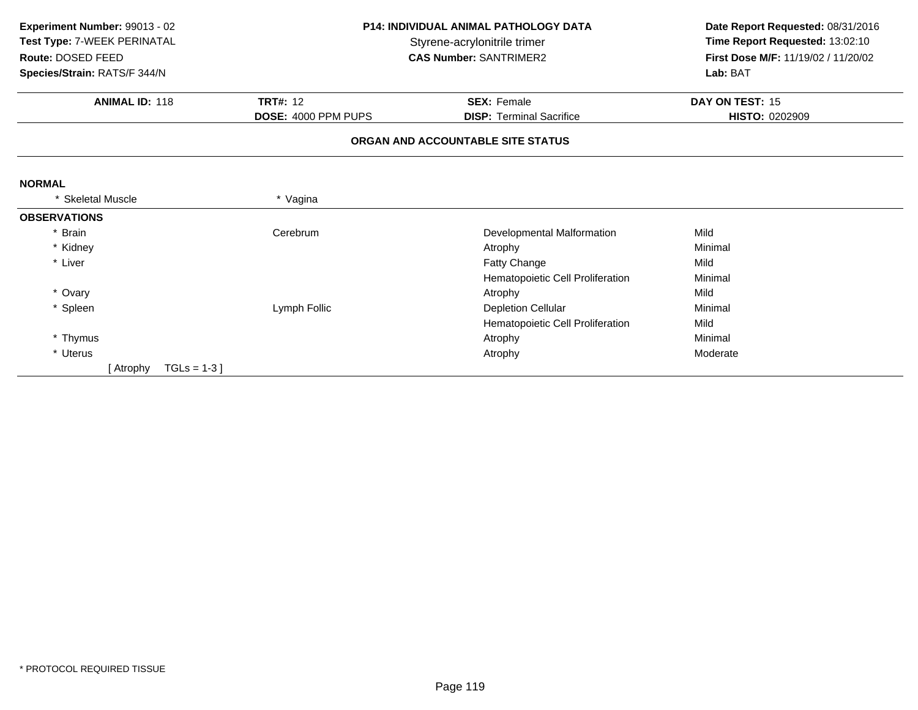| Experiment Number: 99013 - 02<br>Test Type: 7-WEEK PERINATAL<br>Route: DOSED FEED<br>Species/Strain: RATS/F 344/N |                                       | <b>P14: INDIVIDUAL ANIMAL PATHOLOGY DATA</b><br>Styrene-acrylonitrile trimer<br><b>CAS Number: SANTRIMER2</b> |                                   |
|-------------------------------------------------------------------------------------------------------------------|---------------------------------------|---------------------------------------------------------------------------------------------------------------|-----------------------------------|
| <b>ANIMAL ID: 118</b>                                                                                             | <b>TRT#: 12</b><br><b>SEX: Female</b> |                                                                                                               | DAY ON TEST: 15<br>HISTO: 0202909 |
|                                                                                                                   | DOSE: 4000 PPM PUPS                   | <b>DISP: Terminal Sacrifice</b><br>ORGAN AND ACCOUNTABLE SITE STATUS                                          |                                   |
|                                                                                                                   |                                       |                                                                                                               |                                   |
| <b>NORMAL</b>                                                                                                     |                                       |                                                                                                               |                                   |
| <b>Skeletal Muscle</b>                                                                                            | * Vagina                              |                                                                                                               |                                   |
| <b>OBSERVATIONS</b>                                                                                               |                                       |                                                                                                               |                                   |
| * Brain                                                                                                           | Cerebrum                              | Developmental Malformation                                                                                    | Mild                              |
| * Kidney                                                                                                          |                                       | Atrophy                                                                                                       | Minimal                           |
| * Liver                                                                                                           |                                       | Fatty Change                                                                                                  | Mild                              |
|                                                                                                                   |                                       | Hematopoietic Cell Proliferation                                                                              | Minimal                           |
| * Ovary                                                                                                           |                                       | Atrophy                                                                                                       | Mild                              |
| * Spleen                                                                                                          | Lymph Follic                          | <b>Depletion Cellular</b>                                                                                     | Minimal                           |
|                                                                                                                   |                                       | Hematopoietic Cell Proliferation                                                                              | Mild                              |
| * Thymus                                                                                                          |                                       | Atrophy                                                                                                       | Minimal                           |
| * Uterus                                                                                                          |                                       | Atrophy                                                                                                       | Moderate                          |
| $TGLs = 1-3$ ]<br>[ Atrophy                                                                                       |                                       |                                                                                                               |                                   |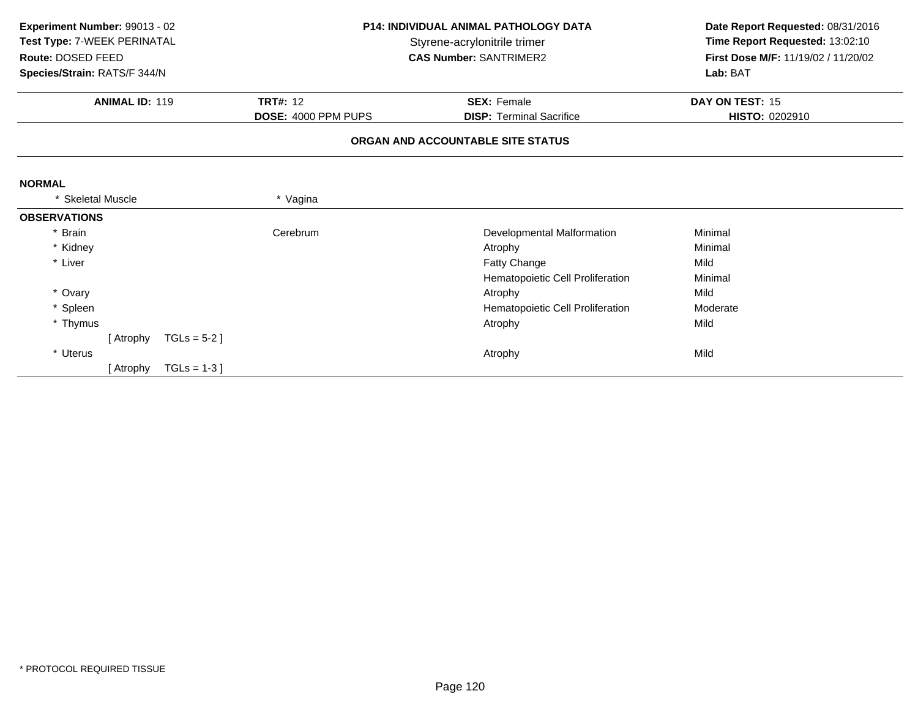| Experiment Number: 99013 - 02<br>Test Type: 7-WEEK PERINATAL<br>Route: DOSED FEED<br>Species/Strain: RATS/F 344/N |                     | <b>P14: INDIVIDUAL ANIMAL PATHOLOGY DATA</b><br>Styrene-acrylonitrile trimer<br><b>CAS Number: SANTRIMER2</b> |                                  | Date Report Requested: 08/31/2016<br>Time Report Requested: 13:02:10<br>First Dose M/F: 11/19/02 / 11/20/02<br>Lab: BAT |
|-------------------------------------------------------------------------------------------------------------------|---------------------|---------------------------------------------------------------------------------------------------------------|----------------------------------|-------------------------------------------------------------------------------------------------------------------------|
| <b>ANIMAL ID: 119</b>                                                                                             | <b>TRT#: 12</b>     |                                                                                                               | <b>SEX: Female</b>               | DAY ON TEST: 15                                                                                                         |
|                                                                                                                   | DOSE: 4000 PPM PUPS |                                                                                                               | <b>DISP: Terminal Sacrifice</b>  | HISTO: 0202910                                                                                                          |
|                                                                                                                   |                     | ORGAN AND ACCOUNTABLE SITE STATUS                                                                             |                                  |                                                                                                                         |
| <b>NORMAL</b>                                                                                                     |                     |                                                                                                               |                                  |                                                                                                                         |
| <b>Skeletal Muscle</b>                                                                                            | * Vagina            |                                                                                                               |                                  |                                                                                                                         |
| <b>OBSERVATIONS</b>                                                                                               |                     |                                                                                                               |                                  |                                                                                                                         |
| * Brain                                                                                                           | Cerebrum            |                                                                                                               | Developmental Malformation       | Minimal                                                                                                                 |
| * Kidney                                                                                                          |                     |                                                                                                               | Atrophy                          | Minimal                                                                                                                 |
| * Liver                                                                                                           |                     |                                                                                                               | Fatty Change                     | Mild                                                                                                                    |
|                                                                                                                   |                     |                                                                                                               | Hematopoietic Cell Proliferation | Minimal                                                                                                                 |
| * Ovary                                                                                                           |                     |                                                                                                               | Atrophy                          | Mild                                                                                                                    |
| * Spleen                                                                                                          |                     |                                                                                                               | Hematopoietic Cell Proliferation | Moderate                                                                                                                |
| * Thymus                                                                                                          |                     |                                                                                                               | Atrophy                          | Mild                                                                                                                    |
| [ Atrophy                                                                                                         | $TGLs = 5-2$ ]      |                                                                                                               |                                  |                                                                                                                         |
| * Uterus                                                                                                          |                     |                                                                                                               | Atrophy                          | Mild                                                                                                                    |
| [ Atrophy                                                                                                         | $TGLs = 1-3$ ]      |                                                                                                               |                                  |                                                                                                                         |